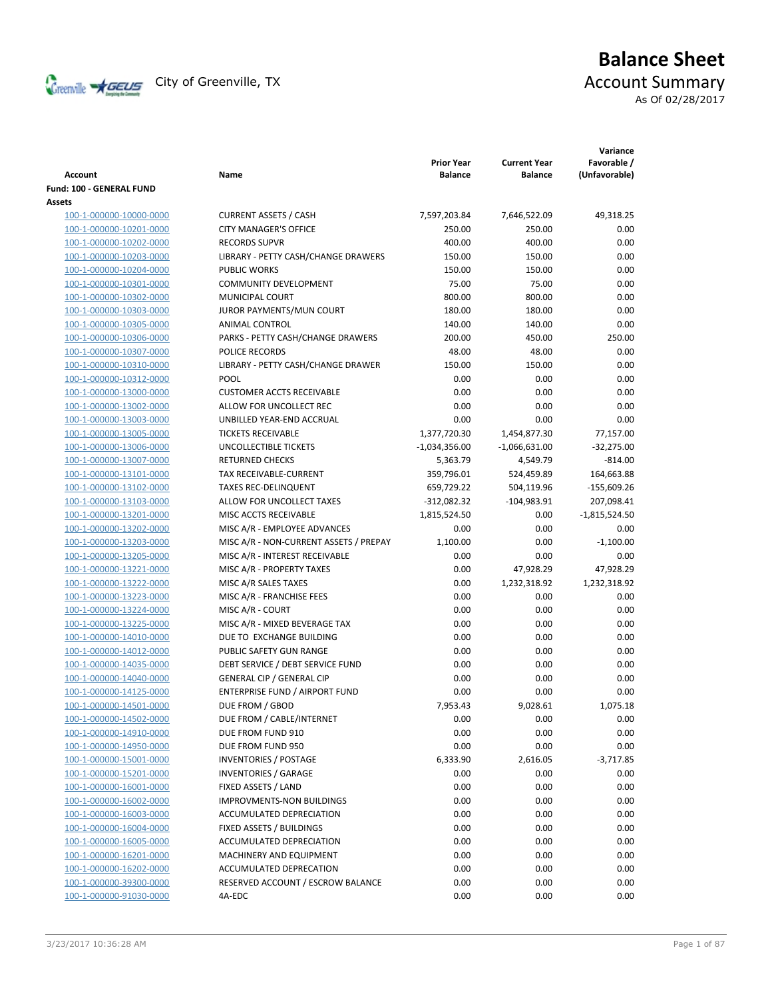

# **Balance Sheet** Creenville  $\star$  GEUS</del> City of Greenville, TX **Account Summary**

As Of 02/28/2017

| <b>Account</b>                                     | Name                                                                      | <b>Prior Year</b><br><b>Balance</b> | <b>Current Year</b><br><b>Balance</b> | Variance<br>Favorable /<br>(Unfavorable) |
|----------------------------------------------------|---------------------------------------------------------------------------|-------------------------------------|---------------------------------------|------------------------------------------|
| Fund: 100 - GENERAL FUND                           |                                                                           |                                     |                                       |                                          |
| Assets                                             |                                                                           |                                     |                                       |                                          |
| 100-1-000000-10000-0000                            | <b>CURRENT ASSETS / CASH</b>                                              | 7,597,203.84                        | 7,646,522.09                          | 49,318.25                                |
| 100-1-000000-10201-0000                            | <b>CITY MANAGER'S OFFICE</b>                                              | 250.00                              | 250.00                                | 0.00                                     |
| 100-1-000000-10202-0000                            | <b>RECORDS SUPVR</b>                                                      | 400.00                              | 400.00                                | 0.00                                     |
| 100-1-000000-10203-0000                            | LIBRARY - PETTY CASH/CHANGE DRAWERS                                       | 150.00                              | 150.00                                | 0.00                                     |
| 100-1-000000-10204-0000                            | <b>PUBLIC WORKS</b>                                                       | 150.00                              | 150.00                                | 0.00                                     |
| 100-1-000000-10301-0000                            | <b>COMMUNITY DEVELOPMENT</b>                                              | 75.00                               | 75.00                                 | 0.00                                     |
| 100-1-000000-10302-0000                            | <b>MUNICIPAL COURT</b>                                                    | 800.00                              | 800.00                                | 0.00                                     |
| 100-1-000000-10303-0000                            | JUROR PAYMENTS/MUN COURT                                                  | 180.00                              | 180.00                                | 0.00                                     |
| 100-1-000000-10305-0000                            | <b>ANIMAL CONTROL</b>                                                     | 140.00                              | 140.00                                | 0.00                                     |
| 100-1-000000-10306-0000                            | PARKS - PETTY CASH/CHANGE DRAWERS                                         | 200.00                              | 450.00                                | 250.00                                   |
| 100-1-000000-10307-0000                            | POLICE RECORDS                                                            | 48.00                               | 48.00                                 | 0.00                                     |
| 100-1-000000-10310-0000                            | LIBRARY - PETTY CASH/CHANGE DRAWER                                        | 150.00                              | 150.00                                | 0.00                                     |
| 100-1-000000-10312-0000                            | POOL                                                                      | 0.00                                | 0.00                                  | 0.00                                     |
| 100-1-000000-13000-0000                            | <b>CUSTOMER ACCTS RECEIVABLE</b>                                          | 0.00                                | 0.00                                  | 0.00                                     |
| 100-1-000000-13002-0000                            | ALLOW FOR UNCOLLECT REC                                                   | 0.00                                | 0.00                                  | 0.00                                     |
| 100-1-000000-13003-0000                            | UNBILLED YEAR-END ACCRUAL                                                 | 0.00                                | 0.00                                  | 0.00                                     |
| 100-1-000000-13005-0000                            | <b>TICKETS RECEIVABLE</b>                                                 | 1,377,720.30                        | 1,454,877.30                          | 77,157.00                                |
| 100-1-000000-13006-0000                            | UNCOLLECTIBLE TICKETS                                                     | $-1,034,356.00$                     | $-1,066,631.00$                       | $-32,275.00$                             |
| 100-1-000000-13007-0000                            | <b>RETURNED CHECKS</b>                                                    | 5,363.79                            | 4,549.79                              | $-814.00$                                |
| 100-1-000000-13101-0000                            | <b>TAX RECEIVABLE-CURRENT</b>                                             | 359,796.01                          | 524,459.89                            | 164,663.88                               |
| 100-1-000000-13102-0000                            | <b>TAXES REC-DELINQUENT</b>                                               | 659,729.22                          | 504,119.96                            | $-155,609.26$                            |
| 100-1-000000-13103-0000                            | ALLOW FOR UNCOLLECT TAXES                                                 | $-312,082.32$                       | $-104,983.91$                         | 207,098.41                               |
| 100-1-000000-13201-0000                            | MISC ACCTS RECEIVABLE                                                     | 1,815,524.50                        | 0.00                                  | $-1,815,524.50$                          |
| 100-1-000000-13202-0000                            | MISC A/R - EMPLOYEE ADVANCES                                              | 0.00                                | 0.00                                  | 0.00                                     |
| 100-1-000000-13203-0000                            | MISC A/R - NON-CURRENT ASSETS / PREPAY                                    | 1,100.00                            | 0.00                                  | $-1,100.00$                              |
| 100-1-000000-13205-0000                            | MISC A/R - INTEREST RECEIVABLE                                            | 0.00                                | 0.00                                  | 0.00                                     |
| 100-1-000000-13221-0000                            | MISC A/R - PROPERTY TAXES                                                 | 0.00                                | 47,928.29                             | 47,928.29                                |
| 100-1-000000-13222-0000                            | MISC A/R SALES TAXES                                                      | 0.00                                | 1,232,318.92                          | 1,232,318.92                             |
| 100-1-000000-13223-0000                            | MISC A/R - FRANCHISE FEES                                                 | 0.00                                | 0.00                                  | 0.00                                     |
| 100-1-000000-13224-0000                            | MISC A/R - COURT                                                          | 0.00                                | 0.00                                  | 0.00                                     |
| 100-1-000000-13225-0000                            | MISC A/R - MIXED BEVERAGE TAX                                             | 0.00                                | 0.00                                  | 0.00                                     |
| 100-1-000000-14010-0000                            | DUE TO EXCHANGE BUILDING                                                  | 0.00                                | 0.00                                  | 0.00                                     |
|                                                    |                                                                           |                                     |                                       |                                          |
| 100-1-000000-14012-0000                            | PUBLIC SAFETY GUN RANGE                                                   | 0.00                                | 0.00                                  | 0.00                                     |
| 100-1-000000-14035-0000                            | DEBT SERVICE / DEBT SERVICE FUND                                          | 0.00                                | 0.00                                  | 0.00                                     |
| 100-1-000000-14040-0000<br>100-1-000000-14125-0000 | <b>GENERAL CIP / GENERAL CIP</b><br><b>ENTERPRISE FUND / AIRPORT FUND</b> | 0.00<br>0.00                        | 0.00                                  | 0.00<br>0.00                             |
|                                                    |                                                                           |                                     | 0.00                                  |                                          |
| 100-1-000000-14501-0000                            | DUE FROM / GBOD                                                           | 7,953.43                            | 9,028.61                              | 1,075.18                                 |
| 100-1-000000-14502-0000                            | DUE FROM / CABLE/INTERNET                                                 | 0.00                                | 0.00                                  | 0.00                                     |
| 100-1-000000-14910-0000                            | DUE FROM FUND 910                                                         | 0.00                                | 0.00                                  | 0.00                                     |
| 100-1-000000-14950-0000                            | DUE FROM FUND 950                                                         | 0.00                                | 0.00                                  | 0.00                                     |
| 100-1-000000-15001-0000                            | <b>INVENTORIES / POSTAGE</b>                                              | 6,333.90                            | 2,616.05                              | $-3,717.85$                              |
| 100-1-000000-15201-0000                            | <b>INVENTORIES / GARAGE</b>                                               | 0.00                                | 0.00                                  | 0.00                                     |
| 100-1-000000-16001-0000                            | FIXED ASSETS / LAND                                                       | 0.00                                | 0.00                                  | 0.00                                     |
| 100-1-000000-16002-0000                            | IMPROVMENTS-NON BUILDINGS                                                 | 0.00                                | 0.00                                  | 0.00                                     |
| 100-1-000000-16003-0000                            | ACCUMULATED DEPRECIATION                                                  | 0.00                                | 0.00                                  | 0.00                                     |
| 100-1-000000-16004-0000                            | FIXED ASSETS / BUILDINGS                                                  | 0.00                                | 0.00                                  | 0.00                                     |
| 100-1-000000-16005-0000                            | ACCUMULATED DEPRECIATION                                                  | 0.00                                | 0.00                                  | 0.00                                     |
| 100-1-000000-16201-0000                            | MACHINERY AND EQUIPMENT                                                   | 0.00                                | 0.00                                  | 0.00                                     |
| 100-1-000000-16202-0000                            | ACCUMULATED DEPRECATION                                                   | 0.00                                | 0.00                                  | 0.00                                     |
| 100-1-000000-39300-0000                            | RESERVED ACCOUNT / ESCROW BALANCE                                         | 0.00                                | 0.00                                  | 0.00                                     |
| 100-1-000000-91030-0000                            | 4A-EDC                                                                    | 0.00                                | 0.00                                  | 0.00                                     |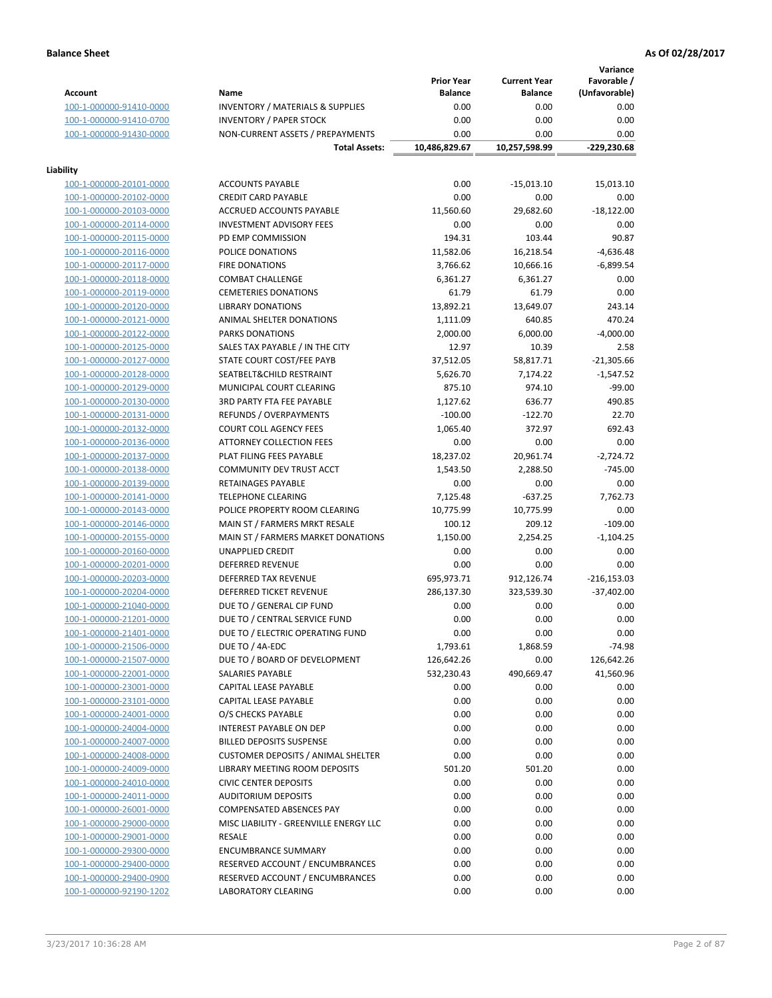**Variance**

|                                                    |                                             | <b>Prior Year</b> | <b>Current Year</b> | vanance<br>Favorable / |
|----------------------------------------------------|---------------------------------------------|-------------------|---------------------|------------------------|
| <b>Account</b>                                     | Name                                        | <b>Balance</b>    | <b>Balance</b>      | (Unfavorable)          |
| 100-1-000000-91410-0000                            | <b>INVENTORY / MATERIALS &amp; SUPPLIES</b> | 0.00              | 0.00                | 0.00                   |
| 100-1-000000-91410-0700                            | <b>INVENTORY / PAPER STOCK</b>              | 0.00              | 0.00                | 0.00                   |
| 100-1-000000-91430-0000                            | NON-CURRENT ASSETS / PREPAYMENTS            | 0.00              | 0.00                | 0.00                   |
|                                                    | <b>Total Assets:</b>                        | 10,486,829.67     | 10,257,598.99       | $-229,230.68$          |
| Liability                                          |                                             |                   |                     |                        |
| 100-1-000000-20101-0000                            | <b>ACCOUNTS PAYABLE</b>                     | 0.00              | $-15,013.10$        | 15,013.10              |
| 100-1-000000-20102-0000                            | <b>CREDIT CARD PAYABLE</b>                  | 0.00              | 0.00                | 0.00                   |
| 100-1-000000-20103-0000                            | ACCRUED ACCOUNTS PAYABLE                    | 11,560.60         | 29,682.60           | $-18,122.00$           |
| 100-1-000000-20114-0000                            | <b>INVESTMENT ADVISORY FEES</b>             | 0.00              | 0.00                | 0.00                   |
| 100-1-000000-20115-0000                            | PD EMP COMMISSION                           | 194.31            | 103.44              | 90.87                  |
| 100-1-000000-20116-0000                            | POLICE DONATIONS                            | 11,582.06         | 16,218.54           | $-4,636.48$            |
| 100-1-000000-20117-0000                            | <b>FIRE DONATIONS</b>                       | 3,766.62          | 10,666.16           | $-6,899.54$            |
| 100-1-000000-20118-0000                            | <b>COMBAT CHALLENGE</b>                     | 6,361.27          | 6,361.27            | 0.00                   |
| 100-1-000000-20119-0000                            | <b>CEMETERIES DONATIONS</b>                 | 61.79             | 61.79               | 0.00                   |
| 100-1-000000-20120-0000                            | <b>LIBRARY DONATIONS</b>                    | 13,892.21         | 13,649.07           | 243.14                 |
| 100-1-000000-20121-0000                            | ANIMAL SHELTER DONATIONS                    | 1,111.09          | 640.85              | 470.24                 |
| 100-1-000000-20122-0000                            | <b>PARKS DONATIONS</b>                      | 2,000.00          | 6,000.00            | $-4,000.00$            |
| 100-1-000000-20125-0000                            | SALES TAX PAYABLE / IN THE CITY             | 12.97             | 10.39               | 2.58                   |
| 100-1-000000-20127-0000                            | STATE COURT COST/FEE PAYB                   | 37,512.05         | 58,817.71           | $-21,305.66$           |
| 100-1-000000-20128-0000                            | SEATBELT&CHILD RESTRAINT                    | 5,626.70          | 7,174.22            | $-1,547.52$            |
| 100-1-000000-20129-0000                            | MUNICIPAL COURT CLEARING                    | 875.10            | 974.10              | $-99.00$               |
| 100-1-000000-20130-0000                            | <b>3RD PARTY FTA FEE PAYABLE</b>            | 1,127.62          | 636.77              | 490.85                 |
| 100-1-000000-20131-0000                            | REFUNDS / OVERPAYMENTS                      | $-100.00$         | $-122.70$           | 22.70                  |
| 100-1-000000-20132-0000                            | <b>COURT COLL AGENCY FEES</b>               | 1,065.40          | 372.97              | 692.43                 |
| 100-1-000000-20136-0000                            | <b>ATTORNEY COLLECTION FEES</b>             | 0.00              | 0.00                | 0.00                   |
| 100-1-000000-20137-0000                            | PLAT FILING FEES PAYABLE                    | 18,237.02         | 20,961.74           | $-2,724.72$            |
|                                                    | COMMUNITY DEV TRUST ACCT                    |                   |                     | $-745.00$              |
| 100-1-000000-20138-0000<br>100-1-000000-20139-0000 | RETAINAGES PAYABLE                          | 1,543.50<br>0.00  | 2,288.50<br>0.00    | 0.00                   |
|                                                    |                                             |                   |                     | 7,762.73               |
| 100-1-000000-20141-0000                            | <b>TELEPHONE CLEARING</b>                   | 7,125.48          | $-637.25$           |                        |
| 100-1-000000-20143-0000                            | POLICE PROPERTY ROOM CLEARING               | 10,775.99         | 10,775.99           | 0.00                   |
| 100-1-000000-20146-0000                            | MAIN ST / FARMERS MRKT RESALE               | 100.12            | 209.12              | $-109.00$              |
| 100-1-000000-20155-0000                            | MAIN ST / FARMERS MARKET DONATIONS          | 1,150.00          | 2,254.25            | $-1,104.25$            |
| 100-1-000000-20160-0000                            | UNAPPLIED CREDIT                            | 0.00              | 0.00                | 0.00                   |
| 100-1-000000-20201-0000                            | <b>DEFERRED REVENUE</b>                     | 0.00              | 0.00                | 0.00                   |
| 100-1-000000-20203-0000                            | DEFERRED TAX REVENUE                        | 695,973.71        | 912,126.74          | $-216, 153.03$         |
| 100-1-000000-20204-0000                            | DEFERRED TICKET REVENUE                     | 286,137.30        | 323,539.30          | $-37,402.00$           |
| 100-1-000000-21040-0000                            | DUE TO / GENERAL CIP FUND                   | 0.00              | 0.00                | 0.00                   |
| 100-1-000000-21201-0000                            | DUE TO / CENTRAL SERVICE FUND               | 0.00              | 0.00                | 0.00                   |
| 100-1-000000-21401-0000                            | DUE TO / ELECTRIC OPERATING FUND            | 0.00              | 0.00                | 0.00                   |
| 100-1-000000-21506-0000                            | DUE TO / 4A-EDC                             | 1,793.61          | 1,868.59            | $-74.98$               |
| 100-1-000000-21507-0000                            | DUE TO / BOARD OF DEVELOPMENT               | 126,642.26        | 0.00                | 126,642.26             |
| 100-1-000000-22001-0000                            | SALARIES PAYABLE                            | 532,230.43        | 490,669.47          | 41,560.96              |
| 100-1-000000-23001-0000                            | CAPITAL LEASE PAYABLE                       | 0.00              | 0.00                | 0.00                   |
| 100-1-000000-23101-0000                            | CAPITAL LEASE PAYABLE                       | 0.00              | 0.00                | 0.00                   |
| 100-1-000000-24001-0000                            | O/S CHECKS PAYABLE                          | 0.00              | 0.00                | 0.00                   |
| 100-1-000000-24004-0000                            | INTEREST PAYABLE ON DEP                     | 0.00              | 0.00                | 0.00                   |
| 100-1-000000-24007-0000                            | <b>BILLED DEPOSITS SUSPENSE</b>             | 0.00              | 0.00                | 0.00                   |
| 100-1-000000-24008-0000                            | <b>CUSTOMER DEPOSITS / ANIMAL SHELTER</b>   | 0.00              | 0.00                | 0.00                   |
| 100-1-000000-24009-0000                            | LIBRARY MEETING ROOM DEPOSITS               | 501.20            | 501.20              | 0.00                   |
| 100-1-000000-24010-0000                            | <b>CIVIC CENTER DEPOSITS</b>                | 0.00              | 0.00                | 0.00                   |
| 100-1-000000-24011-0000                            | <b>AUDITORIUM DEPOSITS</b>                  | 0.00              | 0.00                | 0.00                   |
| 100-1-000000-26001-0000                            | <b>COMPENSATED ABSENCES PAY</b>             | 0.00              | 0.00                | 0.00                   |
| 100-1-000000-29000-0000                            | MISC LIABILITY - GREENVILLE ENERGY LLC      | 0.00              | 0.00                | 0.00                   |
| 100-1-000000-29001-0000                            | <b>RESALE</b>                               | 0.00              | 0.00                | 0.00                   |
| 100-1-000000-29300-0000                            | <b>ENCUMBRANCE SUMMARY</b>                  | 0.00              | 0.00                | 0.00                   |
| 100-1-000000-29400-0000                            | RESERVED ACCOUNT / ENCUMBRANCES             | 0.00              | 0.00                | 0.00                   |
| 100-1-000000-29400-0900                            | RESERVED ACCOUNT / ENCUMBRANCES             | 0.00              | 0.00                | 0.00                   |
| 100-1-000000-92190-1202                            | LABORATORY CLEARING                         | 0.00              | 0.00                | 0.00                   |
|                                                    |                                             |                   |                     |                        |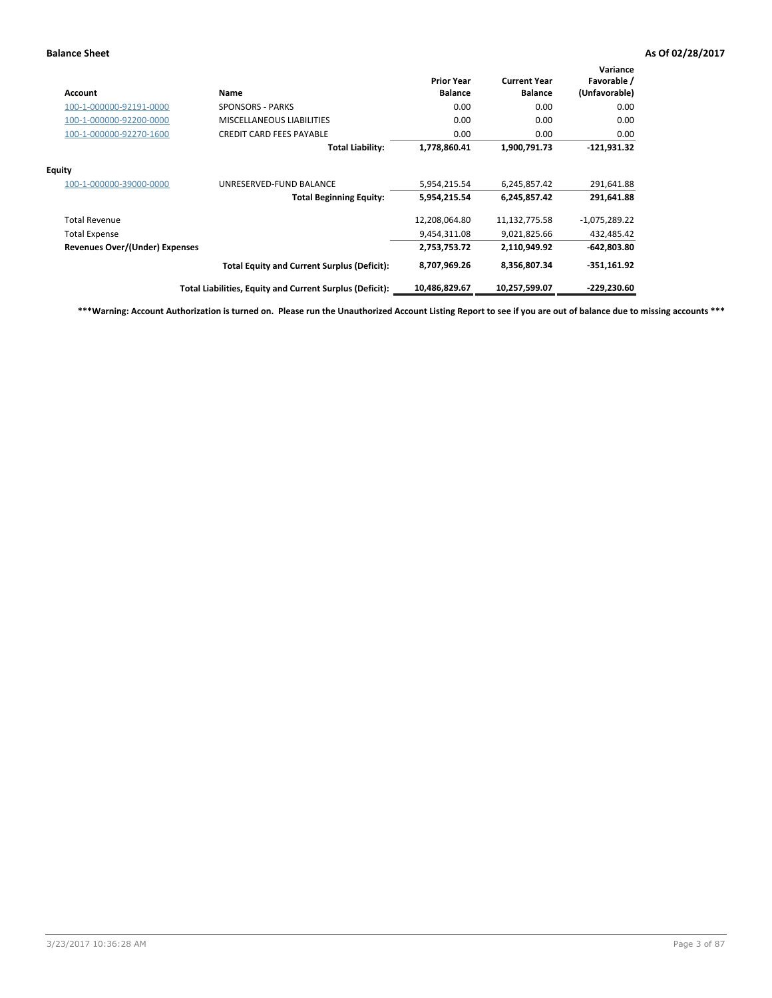| Account                        | Name                                                     | <b>Prior Year</b><br><b>Balance</b> | <b>Current Year</b><br><b>Balance</b> | Variance<br>Favorable /<br>(Unfavorable) |
|--------------------------------|----------------------------------------------------------|-------------------------------------|---------------------------------------|------------------------------------------|
| 100-1-000000-92191-0000        | <b>SPONSORS - PARKS</b>                                  | 0.00                                | 0.00                                  | 0.00                                     |
| 100-1-000000-92200-0000        | <b>MISCELLANEOUS LIABILITIES</b>                         | 0.00                                | 0.00                                  | 0.00                                     |
| 100-1-000000-92270-1600        | <b>CREDIT CARD FEES PAYABLE</b>                          | 0.00                                | 0.00                                  | 0.00                                     |
|                                | <b>Total Liability:</b>                                  | 1,778,860.41                        | 1,900,791.73                          | $-121,931.32$                            |
| <b>Equity</b>                  |                                                          |                                     |                                       |                                          |
| 100-1-000000-39000-0000        | UNRESERVED-FUND BALANCE                                  | 5,954,215.54                        | 6,245,857.42                          | 291,641.88                               |
|                                | <b>Total Beginning Equity:</b>                           | 5,954,215.54                        | 6,245,857.42                          | 291,641.88                               |
| <b>Total Revenue</b>           |                                                          | 12,208,064.80                       | 11,132,775.58                         | $-1,075,289.22$                          |
| <b>Total Expense</b>           |                                                          | 9,454,311.08                        | 9,021,825.66                          | 432,485.42                               |
| Revenues Over/(Under) Expenses |                                                          | 2,753,753.72                        | 2,110,949.92                          | $-642,803.80$                            |
|                                | <b>Total Equity and Current Surplus (Deficit):</b>       | 8,707,969.26                        | 8,356,807.34                          | -351,161.92                              |
|                                | Total Liabilities, Equity and Current Surplus (Deficit): | 10,486,829.67                       | 10,257,599.07                         | $-229,230.60$                            |

**\*\*\*Warning: Account Authorization is turned on. Please run the Unauthorized Account Listing Report to see if you are out of balance due to missing accounts \*\*\***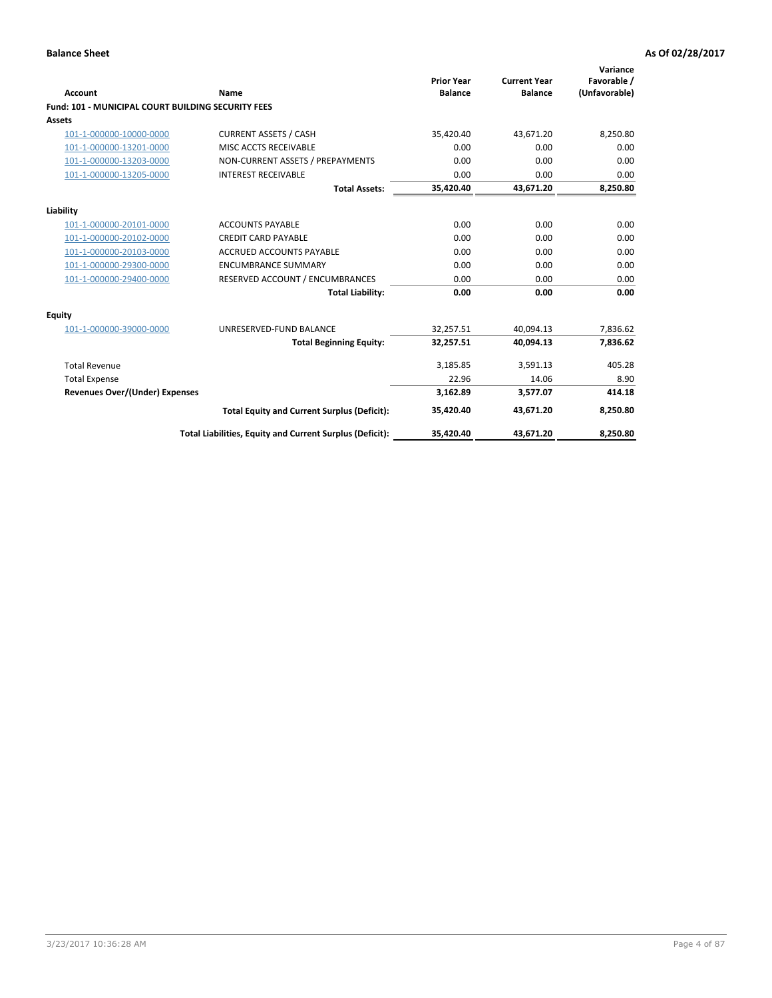| Account                                                   | <b>Name</b>                                              | <b>Prior Year</b><br><b>Balance</b> | <b>Current Year</b><br><b>Balance</b> | Variance<br>Favorable /<br>(Unfavorable) |
|-----------------------------------------------------------|----------------------------------------------------------|-------------------------------------|---------------------------------------|------------------------------------------|
| <b>Fund: 101 - MUNICIPAL COURT BUILDING SECURITY FEES</b> |                                                          |                                     |                                       |                                          |
| Assets                                                    |                                                          |                                     |                                       |                                          |
| 101-1-000000-10000-0000                                   | <b>CURRENT ASSETS / CASH</b>                             | 35,420.40                           | 43,671.20                             | 8,250.80                                 |
| 101-1-000000-13201-0000                                   | MISC ACCTS RECEIVABLE                                    | 0.00                                | 0.00                                  | 0.00                                     |
| 101-1-000000-13203-0000                                   | NON-CURRENT ASSETS / PREPAYMENTS                         | 0.00                                | 0.00                                  | 0.00                                     |
| 101-1-000000-13205-0000                                   | <b>INTEREST RECEIVABLE</b>                               | 0.00                                | 0.00                                  | 0.00                                     |
|                                                           | <b>Total Assets:</b>                                     | 35,420.40                           | 43,671.20                             | 8,250.80                                 |
| Liability                                                 |                                                          |                                     |                                       |                                          |
| 101-1-000000-20101-0000                                   | <b>ACCOUNTS PAYABLE</b>                                  | 0.00                                | 0.00                                  | 0.00                                     |
| 101-1-000000-20102-0000                                   | <b>CREDIT CARD PAYABLE</b>                               | 0.00                                | 0.00                                  | 0.00                                     |
| 101-1-000000-20103-0000                                   | <b>ACCRUED ACCOUNTS PAYABLE</b>                          | 0.00                                | 0.00                                  | 0.00                                     |
| 101-1-000000-29300-0000                                   | <b>ENCUMBRANCE SUMMARY</b>                               | 0.00                                | 0.00                                  | 0.00                                     |
| 101-1-000000-29400-0000                                   | RESERVED ACCOUNT / ENCUMBRANCES                          | 0.00                                | 0.00                                  | 0.00                                     |
|                                                           | <b>Total Liability:</b>                                  | 0.00                                | 0.00                                  | 0.00                                     |
| <b>Equity</b>                                             |                                                          |                                     |                                       |                                          |
| 101-1-000000-39000-0000                                   | UNRESERVED-FUND BALANCE                                  | 32,257.51                           | 40,094.13                             | 7,836.62                                 |
|                                                           | <b>Total Beginning Equity:</b>                           | 32,257.51                           | 40.094.13                             | 7,836.62                                 |
| <b>Total Revenue</b>                                      |                                                          | 3,185.85                            | 3,591.13                              | 405.28                                   |
| <b>Total Expense</b>                                      |                                                          | 22.96                               | 14.06                                 | 8.90                                     |
| Revenues Over/(Under) Expenses                            |                                                          | 3,162.89                            | 3,577.07                              | 414.18                                   |
|                                                           | <b>Total Equity and Current Surplus (Deficit):</b>       | 35,420.40                           | 43.671.20                             | 8,250.80                                 |
|                                                           | Total Liabilities, Equity and Current Surplus (Deficit): | 35,420.40                           | 43,671.20                             | 8,250.80                                 |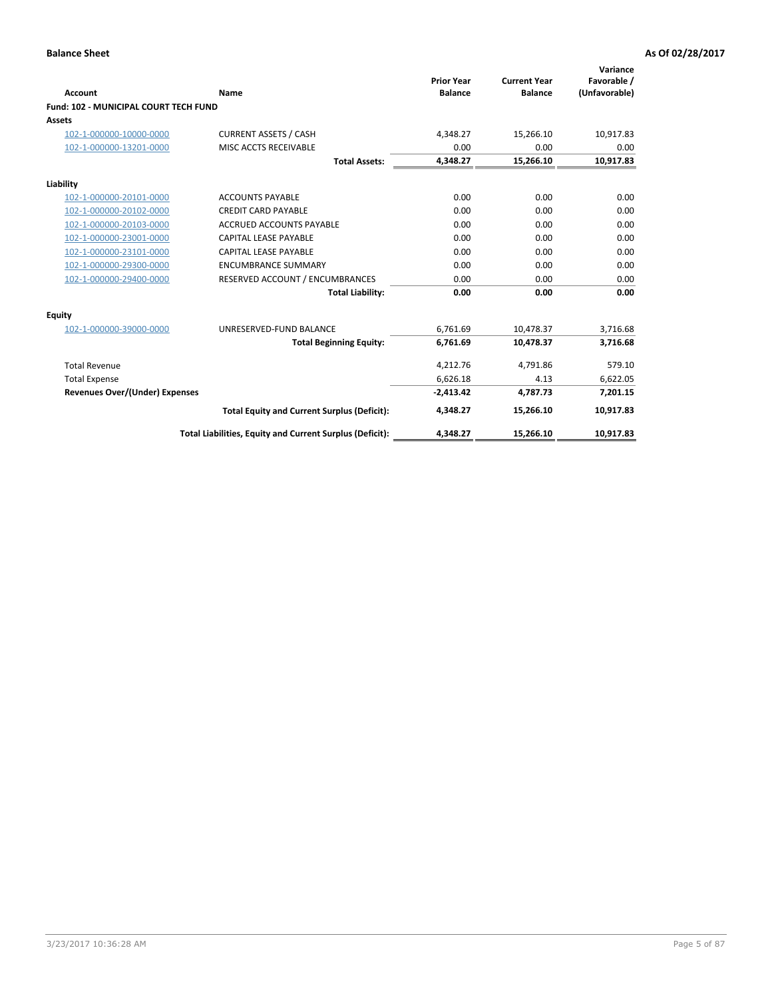| Account                                      | Name                                                     | <b>Prior Year</b><br><b>Balance</b> | <b>Current Year</b><br><b>Balance</b> | Variance<br>Favorable /<br>(Unfavorable) |
|----------------------------------------------|----------------------------------------------------------|-------------------------------------|---------------------------------------|------------------------------------------|
| <b>Fund: 102 - MUNICIPAL COURT TECH FUND</b> |                                                          |                                     |                                       |                                          |
| Assets                                       |                                                          |                                     |                                       |                                          |
| 102-1-000000-10000-0000                      | <b>CURRENT ASSETS / CASH</b>                             | 4,348.27                            | 15,266.10                             | 10,917.83                                |
| 102-1-000000-13201-0000                      | MISC ACCTS RECEIVABLE                                    | 0.00                                | 0.00                                  | 0.00                                     |
|                                              | <b>Total Assets:</b>                                     | 4,348.27                            | 15,266.10                             | 10,917.83                                |
| Liability                                    |                                                          |                                     |                                       |                                          |
| 102-1-000000-20101-0000                      | <b>ACCOUNTS PAYABLE</b>                                  | 0.00                                | 0.00                                  | 0.00                                     |
| 102-1-000000-20102-0000                      | <b>CREDIT CARD PAYABLE</b>                               | 0.00                                | 0.00                                  | 0.00                                     |
| 102-1-000000-20103-0000                      | <b>ACCRUED ACCOUNTS PAYABLE</b>                          | 0.00                                | 0.00                                  | 0.00                                     |
| 102-1-000000-23001-0000                      | <b>CAPITAL LEASE PAYABLE</b>                             | 0.00                                | 0.00                                  | 0.00                                     |
| 102-1-000000-23101-0000                      | <b>CAPITAL LEASE PAYABLE</b>                             | 0.00                                | 0.00                                  | 0.00                                     |
| 102-1-000000-29300-0000                      | <b>ENCUMBRANCE SUMMARY</b>                               | 0.00                                | 0.00                                  | 0.00                                     |
| 102-1-000000-29400-0000                      | RESERVED ACCOUNT / ENCUMBRANCES                          | 0.00                                | 0.00                                  | 0.00                                     |
|                                              | <b>Total Liability:</b>                                  | 0.00                                | 0.00                                  | 0.00                                     |
| Equity                                       |                                                          |                                     |                                       |                                          |
| 102-1-000000-39000-0000                      | UNRESERVED-FUND BALANCE                                  | 6,761.69                            | 10,478.37                             | 3,716.68                                 |
|                                              | <b>Total Beginning Equity:</b>                           | 6,761.69                            | 10.478.37                             | 3,716.68                                 |
| <b>Total Revenue</b>                         |                                                          | 4,212.76                            | 4,791.86                              | 579.10                                   |
| <b>Total Expense</b>                         |                                                          | 6,626.18                            | 4.13                                  | 6,622.05                                 |
| Revenues Over/(Under) Expenses               |                                                          | $-2,413.42$                         | 4.787.73                              | 7,201.15                                 |
|                                              | <b>Total Equity and Current Surplus (Deficit):</b>       | 4,348.27                            | 15,266.10                             | 10,917.83                                |
|                                              | Total Liabilities, Equity and Current Surplus (Deficit): | 4,348.27                            | 15,266.10                             | 10,917.83                                |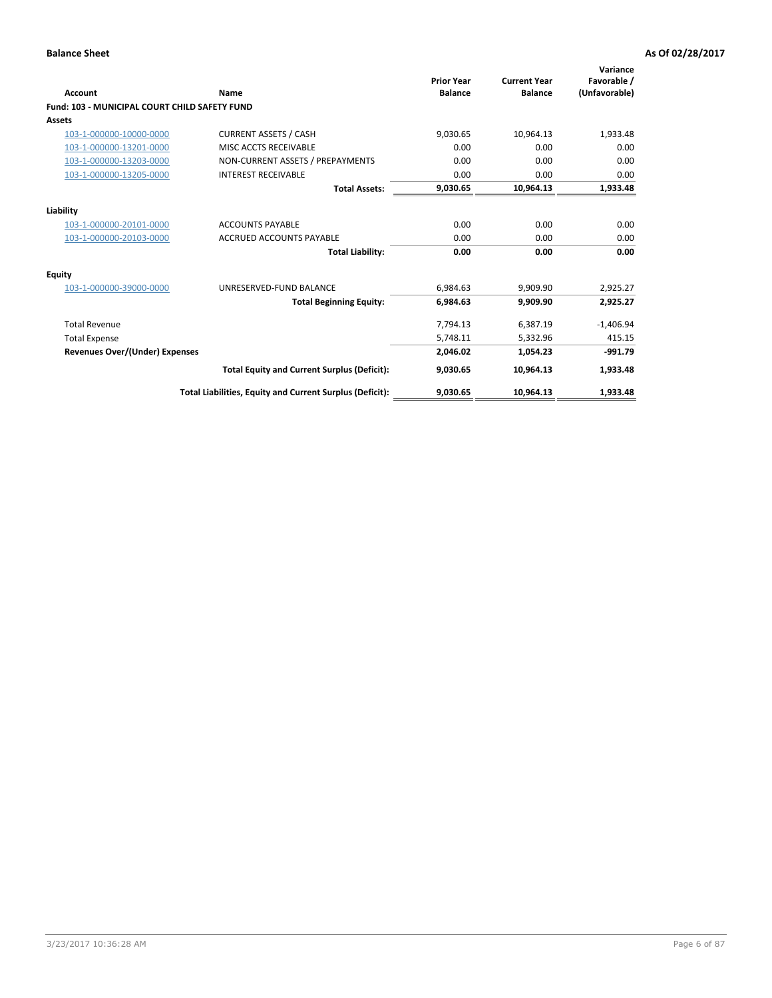| <b>Account</b>                                       | Name                                                     | <b>Prior Year</b><br><b>Balance</b> | <b>Current Year</b><br><b>Balance</b> | Variance<br>Favorable /<br>(Unfavorable) |
|------------------------------------------------------|----------------------------------------------------------|-------------------------------------|---------------------------------------|------------------------------------------|
| <b>Fund: 103 - MUNICIPAL COURT CHILD SAFETY FUND</b> |                                                          |                                     |                                       |                                          |
| <b>Assets</b>                                        |                                                          |                                     |                                       |                                          |
| 103-1-000000-10000-0000                              | <b>CURRENT ASSETS / CASH</b>                             | 9,030.65                            | 10,964.13                             | 1,933.48                                 |
| 103-1-000000-13201-0000                              | MISC ACCTS RECEIVABLE                                    | 0.00                                | 0.00                                  | 0.00                                     |
| 103-1-000000-13203-0000                              | NON-CURRENT ASSETS / PREPAYMENTS                         | 0.00                                | 0.00                                  | 0.00                                     |
| 103-1-000000-13205-0000                              | <b>INTEREST RECEIVABLE</b>                               | 0.00                                | 0.00                                  | 0.00                                     |
|                                                      | <b>Total Assets:</b>                                     | 9,030.65                            | 10.964.13                             | 1,933.48                                 |
| Liability                                            |                                                          |                                     |                                       |                                          |
| 103-1-000000-20101-0000                              | <b>ACCOUNTS PAYABLE</b>                                  | 0.00                                | 0.00                                  | 0.00                                     |
| 103-1-000000-20103-0000                              | <b>ACCRUED ACCOUNTS PAYABLE</b>                          | 0.00                                | 0.00                                  | 0.00                                     |
|                                                      | <b>Total Liability:</b>                                  | 0.00                                | 0.00                                  | 0.00                                     |
| Equity                                               |                                                          |                                     |                                       |                                          |
| 103-1-000000-39000-0000                              | UNRESERVED-FUND BALANCE                                  | 6,984.63                            | 9,909.90                              | 2,925.27                                 |
|                                                      | <b>Total Beginning Equity:</b>                           | 6,984.63                            | 9.909.90                              | 2,925.27                                 |
| <b>Total Revenue</b>                                 |                                                          | 7,794.13                            | 6,387.19                              | $-1,406.94$                              |
| <b>Total Expense</b>                                 |                                                          | 5,748.11                            | 5,332.96                              | 415.15                                   |
| Revenues Over/(Under) Expenses                       |                                                          | 2,046.02                            | 1,054.23                              | $-991.79$                                |
|                                                      | <b>Total Equity and Current Surplus (Deficit):</b>       | 9,030.65                            | 10.964.13                             | 1,933.48                                 |
|                                                      | Total Liabilities, Equity and Current Surplus (Deficit): | 9,030.65                            | 10,964.13                             | 1,933.48                                 |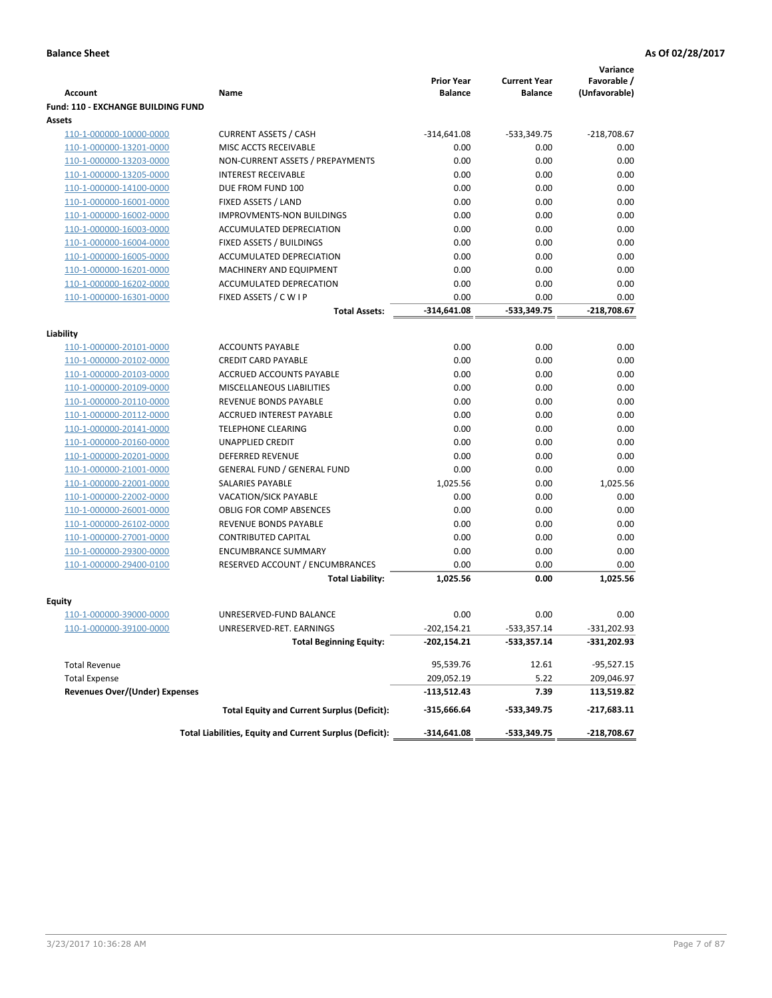|                                                    |                                                          | <b>Prior Year</b> | <b>Current Year</b> | Variance<br>Favorable / |
|----------------------------------------------------|----------------------------------------------------------|-------------------|---------------------|-------------------------|
| <b>Account</b>                                     | Name                                                     | <b>Balance</b>    | <b>Balance</b>      | (Unfavorable)           |
| <b>Fund: 110 - EXCHANGE BUILDING FUND</b>          |                                                          |                   |                     |                         |
| Assets                                             |                                                          |                   |                     |                         |
| 110-1-000000-10000-0000                            | <b>CURRENT ASSETS / CASH</b>                             | $-314,641.08$     | $-533,349.75$       | $-218,708.67$           |
| 110-1-000000-13201-0000                            | MISC ACCTS RECEIVABLE                                    | 0.00              | 0.00                | 0.00                    |
| 110-1-000000-13203-0000                            | NON-CURRENT ASSETS / PREPAYMENTS                         | 0.00              | 0.00                | 0.00                    |
| 110-1-000000-13205-0000                            | <b>INTEREST RECEIVABLE</b>                               | 0.00              | 0.00                | 0.00                    |
| 110-1-000000-14100-0000                            | DUE FROM FUND 100                                        | 0.00              | 0.00                | 0.00                    |
| 110-1-000000-16001-0000                            | FIXED ASSETS / LAND                                      | 0.00              | 0.00                | 0.00                    |
| 110-1-000000-16002-0000                            | <b>IMPROVMENTS-NON BUILDINGS</b>                         | 0.00              | 0.00                | 0.00                    |
| 110-1-000000-16003-0000                            | <b>ACCUMULATED DEPRECIATION</b>                          | 0.00              | 0.00                | 0.00                    |
| 110-1-000000-16004-0000                            | FIXED ASSETS / BUILDINGS                                 | 0.00              | 0.00                | 0.00                    |
| 110-1-000000-16005-0000                            | ACCUMULATED DEPRECIATION                                 | 0.00              | 0.00                | 0.00                    |
| 110-1-000000-16201-0000                            | MACHINERY AND EQUIPMENT                                  | 0.00              | 0.00                | 0.00                    |
| 110-1-000000-16202-0000                            | ACCUMULATED DEPRECATION                                  | 0.00              | 0.00                | 0.00                    |
| 110-1-000000-16301-0000                            | FIXED ASSETS / C W I P                                   | 0.00              | 0.00                | 0.00                    |
|                                                    | <b>Total Assets:</b>                                     | $-314,641.08$     | $-533,349.75$       | $-218,708.67$           |
|                                                    |                                                          |                   |                     |                         |
| Liability                                          |                                                          |                   |                     |                         |
| 110-1-000000-20101-0000                            | <b>ACCOUNTS PAYABLE</b>                                  | 0.00              | 0.00                | 0.00                    |
| 110-1-000000-20102-0000                            | <b>CREDIT CARD PAYABLE</b>                               | 0.00              | 0.00                | 0.00                    |
| 110-1-000000-20103-0000                            | ACCRUED ACCOUNTS PAYABLE                                 | 0.00              | 0.00                | 0.00                    |
| 110-1-000000-20109-0000                            | MISCELLANEOUS LIABILITIES                                | 0.00              | 0.00                | 0.00                    |
| 110-1-000000-20110-0000                            | REVENUE BONDS PAYABLE<br><b>ACCRUED INTEREST PAYABLE</b> | 0.00              | 0.00                | 0.00                    |
| 110-1-000000-20112-0000                            | <b>TELEPHONE CLEARING</b>                                | 0.00<br>0.00      | 0.00<br>0.00        | 0.00                    |
| 110-1-000000-20141-0000                            | <b>UNAPPLIED CREDIT</b>                                  | 0.00              | 0.00                | 0.00<br>0.00            |
| 110-1-000000-20160-0000                            | <b>DEFERRED REVENUE</b>                                  | 0.00              | 0.00                | 0.00                    |
| 110-1-000000-20201-0000<br>110-1-000000-21001-0000 | <b>GENERAL FUND / GENERAL FUND</b>                       | 0.00              | 0.00                | 0.00                    |
| 110-1-000000-22001-0000                            | SALARIES PAYABLE                                         | 1,025.56          | 0.00                | 1,025.56                |
| 110-1-000000-22002-0000                            | <b>VACATION/SICK PAYABLE</b>                             | 0.00              | 0.00                | 0.00                    |
| 110-1-000000-26001-0000                            | <b>OBLIG FOR COMP ABSENCES</b>                           | 0.00              | 0.00                | 0.00                    |
| 110-1-000000-26102-0000                            | REVENUE BONDS PAYABLE                                    | 0.00              | 0.00                | 0.00                    |
| 110-1-000000-27001-0000                            | <b>CONTRIBUTED CAPITAL</b>                               | 0.00              | 0.00                | 0.00                    |
| 110-1-000000-29300-0000                            | <b>ENCUMBRANCE SUMMARY</b>                               | 0.00              | 0.00                | 0.00                    |
| 110-1-000000-29400-0100                            | RESERVED ACCOUNT / ENCUMBRANCES                          | 0.00              | 0.00                | 0.00                    |
|                                                    | <b>Total Liability:</b>                                  | 1,025.56          | 0.00                | 1,025.56                |
|                                                    |                                                          |                   |                     |                         |
| <b>Equity</b>                                      |                                                          |                   |                     |                         |
| 110-1-000000-39000-0000                            | UNRESERVED-FUND BALANCE                                  | 0.00              | 0.00                | 0.00                    |
| <u>110-1-000000-39100-0000</u>                     | UNRESERVED-RET. EARNINGS                                 | $-202,154.21$     | -533,357.14         | -331,202.93             |
|                                                    | <b>Total Beginning Equity:</b>                           | -202,154.21       | -533,357.14         | -331,202.93             |
| <b>Total Revenue</b>                               |                                                          | 95,539.76         | 12.61               | $-95,527.15$            |
| <b>Total Expense</b>                               |                                                          | 209,052.19        | 5.22                | 209,046.97              |
| <b>Revenues Over/(Under) Expenses</b>              |                                                          | $-113,512.43$     | 7.39                | 113,519.82              |
|                                                    | <b>Total Equity and Current Surplus (Deficit):</b>       | -315,666.64       | -533,349.75         | -217,683.11             |
|                                                    | Total Liabilities, Equity and Current Surplus (Deficit): | $-314,641.08$     | -533,349.75         | -218,708.67             |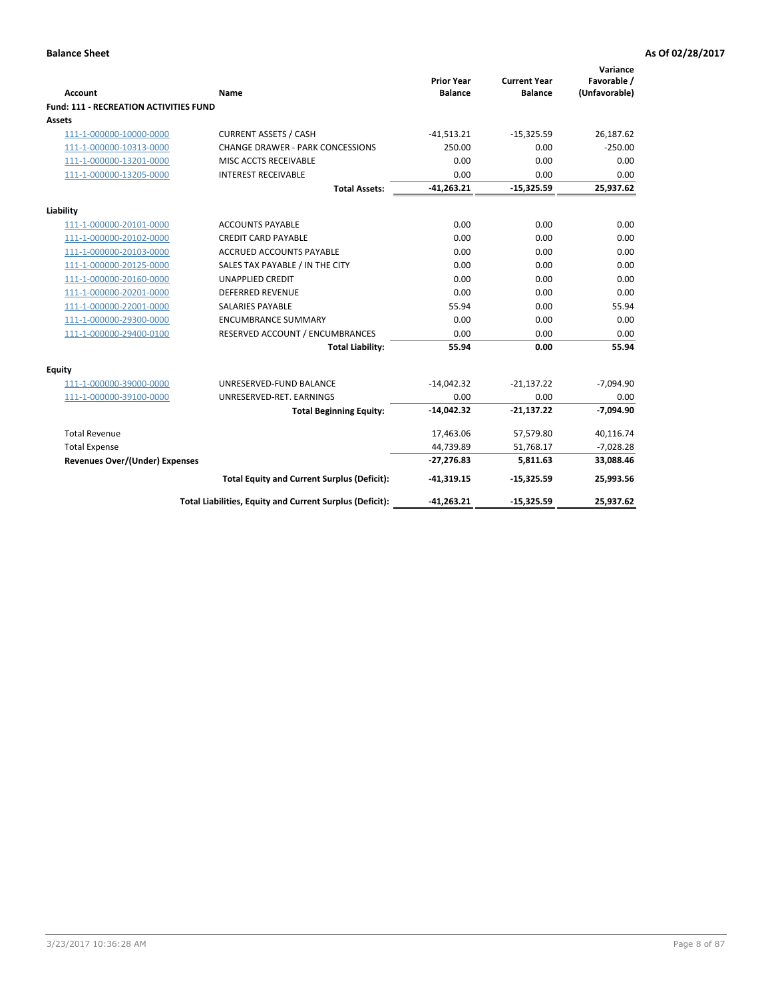|                                                                 |                                                          | <b>Prior Year</b> | <b>Current Year</b> | Variance<br>Favorable / |
|-----------------------------------------------------------------|----------------------------------------------------------|-------------------|---------------------|-------------------------|
| <b>Account</b><br><b>Fund: 111 - RECREATION ACTIVITIES FUND</b> | <b>Name</b>                                              | <b>Balance</b>    | <b>Balance</b>      | (Unfavorable)           |
| Assets                                                          |                                                          |                   |                     |                         |
| 111-1-000000-10000-0000                                         | <b>CURRENT ASSETS / CASH</b>                             | $-41,513.21$      | $-15,325.59$        | 26,187.62               |
| 111-1-000000-10313-0000                                         | <b>CHANGE DRAWER - PARK CONCESSIONS</b>                  | 250.00            | 0.00                | $-250.00$               |
| 111-1-000000-13201-0000                                         | MISC ACCTS RECEIVABLE                                    | 0.00              | 0.00                | 0.00                    |
| 111-1-000000-13205-0000                                         | <b>INTEREST RECEIVABLE</b>                               | 0.00              | 0.00                | 0.00                    |
|                                                                 | <b>Total Assets:</b>                                     | $-41,263.21$      | $-15,325.59$        | 25,937.62               |
|                                                                 |                                                          |                   |                     |                         |
| Liability                                                       |                                                          |                   |                     |                         |
| 111-1-000000-20101-0000                                         | <b>ACCOUNTS PAYABLE</b>                                  | 0.00              | 0.00                | 0.00                    |
| 111-1-000000-20102-0000                                         | <b>CREDIT CARD PAYABLE</b>                               | 0.00              | 0.00                | 0.00                    |
| 111-1-000000-20103-0000                                         | <b>ACCRUED ACCOUNTS PAYABLE</b>                          | 0.00              | 0.00                | 0.00                    |
| 111-1-000000-20125-0000                                         | SALES TAX PAYABLE / IN THE CITY                          | 0.00              | 0.00                | 0.00                    |
| 111-1-000000-20160-0000                                         | <b>UNAPPLIED CREDIT</b>                                  | 0.00              | 0.00                | 0.00                    |
| 111-1-000000-20201-0000                                         | <b>DEFERRED REVENUE</b>                                  | 0.00              | 0.00                | 0.00                    |
| 111-1-000000-22001-0000                                         | <b>SALARIES PAYABLE</b>                                  | 55.94             | 0.00                | 55.94                   |
| 111-1-000000-29300-0000                                         | <b>ENCUMBRANCE SUMMARY</b>                               | 0.00              | 0.00                | 0.00                    |
| 111-1-000000-29400-0100                                         | RESERVED ACCOUNT / ENCUMBRANCES                          | 0.00              | 0.00                | 0.00                    |
|                                                                 | <b>Total Liability:</b>                                  | 55.94             | 0.00                | 55.94                   |
| Equity                                                          |                                                          |                   |                     |                         |
| 111-1-000000-39000-0000                                         | UNRESERVED-FUND BALANCE                                  | $-14,042.32$      | $-21,137.22$        | $-7,094.90$             |
| 111-1-000000-39100-0000                                         | UNRESERVED-RET. EARNINGS                                 | 0.00              | 0.00                | 0.00                    |
|                                                                 | <b>Total Beginning Equity:</b>                           | $-14,042.32$      | $-21,137.22$        | $-7,094.90$             |
| <b>Total Revenue</b>                                            |                                                          | 17,463.06         | 57,579.80           | 40,116.74               |
| <b>Total Expense</b>                                            |                                                          | 44,739.89         | 51,768.17           | $-7,028.28$             |
| <b>Revenues Over/(Under) Expenses</b>                           |                                                          | $-27,276.83$      | 5,811.63            | 33,088.46               |
|                                                                 | <b>Total Equity and Current Surplus (Deficit):</b>       | $-41,319.15$      | $-15,325.59$        | 25,993.56               |
|                                                                 | Total Liabilities, Equity and Current Surplus (Deficit): | $-41,263.21$      | $-15,325.59$        | 25,937.62               |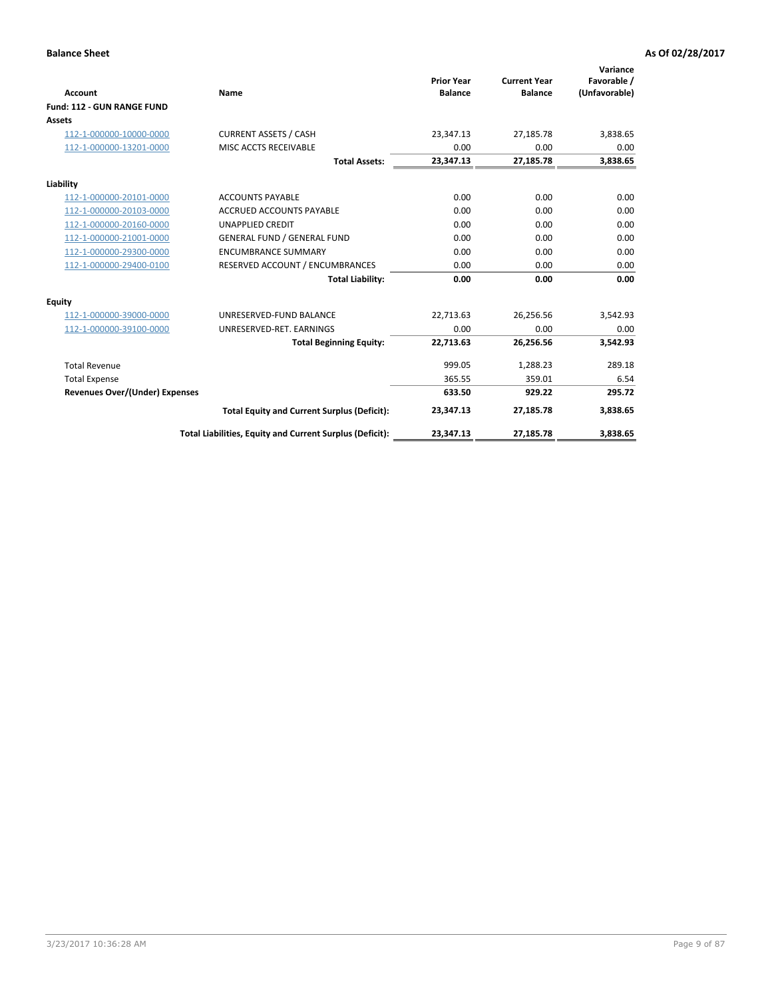|                                       |                                                          |                                     |                                       | Variance                     |
|---------------------------------------|----------------------------------------------------------|-------------------------------------|---------------------------------------|------------------------------|
| <b>Account</b>                        | Name                                                     | <b>Prior Year</b><br><b>Balance</b> | <b>Current Year</b><br><b>Balance</b> | Favorable /<br>(Unfavorable) |
| Fund: 112 - GUN RANGE FUND            |                                                          |                                     |                                       |                              |
| <b>Assets</b>                         |                                                          |                                     |                                       |                              |
| 112-1-000000-10000-0000               | <b>CURRENT ASSETS / CASH</b>                             | 23,347.13                           | 27,185.78                             | 3,838.65                     |
| 112-1-000000-13201-0000               | MISC ACCTS RECEIVABLE                                    | 0.00                                | 0.00                                  | 0.00                         |
|                                       | <b>Total Assets:</b>                                     | 23,347.13                           | 27,185.78                             | 3,838.65                     |
| Liability                             |                                                          |                                     |                                       |                              |
| 112-1-000000-20101-0000               | <b>ACCOUNTS PAYABLE</b>                                  | 0.00                                | 0.00                                  | 0.00                         |
| 112-1-000000-20103-0000               | <b>ACCRUED ACCOUNTS PAYABLE</b>                          | 0.00                                | 0.00                                  | 0.00                         |
| 112-1-000000-20160-0000               | <b>UNAPPLIED CREDIT</b>                                  | 0.00                                | 0.00                                  | 0.00                         |
| 112-1-000000-21001-0000               | <b>GENERAL FUND / GENERAL FUND</b>                       | 0.00                                | 0.00                                  | 0.00                         |
| 112-1-000000-29300-0000               | <b>ENCUMBRANCE SUMMARY</b>                               | 0.00                                | 0.00                                  | 0.00                         |
| 112-1-000000-29400-0100               | RESERVED ACCOUNT / ENCUMBRANCES                          | 0.00                                | 0.00                                  | 0.00                         |
|                                       | <b>Total Liability:</b>                                  | 0.00                                | 0.00                                  | 0.00                         |
| Equity                                |                                                          |                                     |                                       |                              |
| 112-1-000000-39000-0000               | UNRESERVED-FUND BALANCE                                  | 22,713.63                           | 26,256.56                             | 3,542.93                     |
| 112-1-000000-39100-0000               | UNRESERVED-RET. EARNINGS                                 | 0.00                                | 0.00                                  | 0.00                         |
|                                       | <b>Total Beginning Equity:</b>                           | 22,713.63                           | 26,256.56                             | 3,542.93                     |
| <b>Total Revenue</b>                  |                                                          | 999.05                              | 1,288.23                              | 289.18                       |
| <b>Total Expense</b>                  |                                                          | 365.55                              | 359.01                                | 6.54                         |
| <b>Revenues Over/(Under) Expenses</b> |                                                          | 633.50                              | 929.22                                | 295.72                       |
|                                       | <b>Total Equity and Current Surplus (Deficit):</b>       | 23,347.13                           | 27,185.78                             | 3,838.65                     |
|                                       | Total Liabilities, Equity and Current Surplus (Deficit): | 23,347.13                           | 27,185.78                             | 3,838.65                     |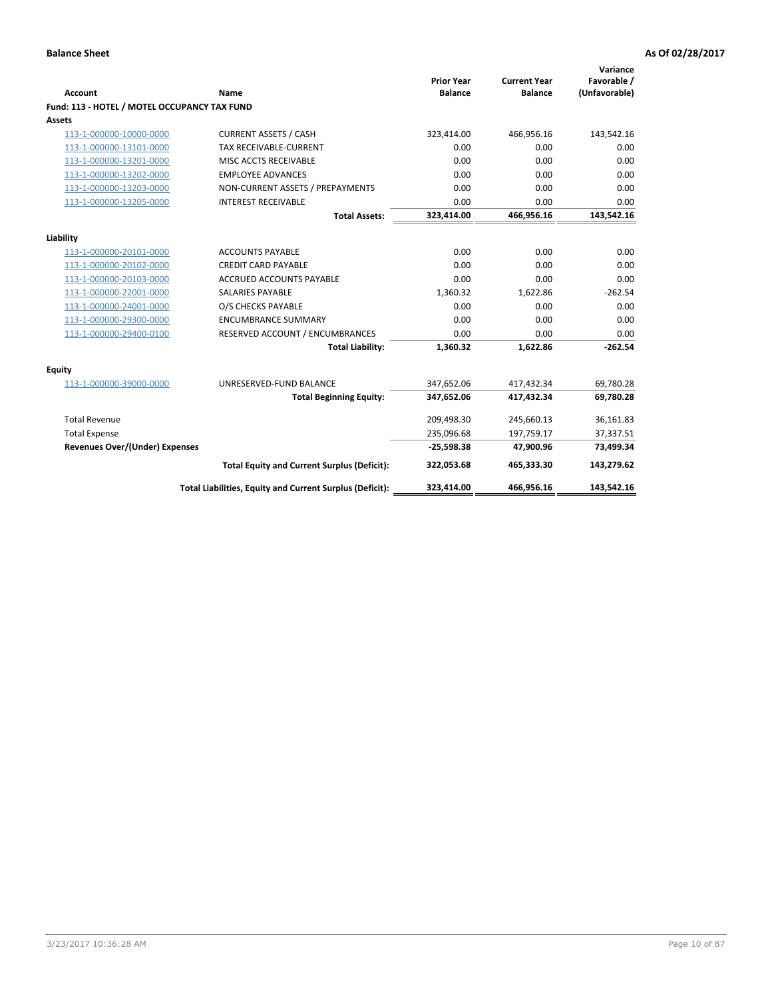| <b>Account</b>                               | Name                                                     | <b>Prior Year</b><br><b>Balance</b> | <b>Current Year</b><br><b>Balance</b> | Variance<br>Favorable /<br>(Unfavorable) |
|----------------------------------------------|----------------------------------------------------------|-------------------------------------|---------------------------------------|------------------------------------------|
| Fund: 113 - HOTEL / MOTEL OCCUPANCY TAX FUND |                                                          |                                     |                                       |                                          |
| Assets                                       |                                                          |                                     |                                       |                                          |
| 113-1-000000-10000-0000                      | <b>CURRENT ASSETS / CASH</b>                             | 323,414.00                          | 466,956.16                            | 143,542.16                               |
| 113-1-000000-13101-0000                      | TAX RECEIVABLE-CURRENT                                   | 0.00                                | 0.00                                  | 0.00                                     |
| 113-1-000000-13201-0000                      | MISC ACCTS RECEIVABLE                                    | 0.00                                | 0.00                                  | 0.00                                     |
| 113-1-000000-13202-0000                      | <b>EMPLOYEE ADVANCES</b>                                 | 0.00                                | 0.00                                  | 0.00                                     |
| 113-1-000000-13203-0000                      | NON-CURRENT ASSETS / PREPAYMENTS                         | 0.00                                | 0.00                                  | 0.00                                     |
| 113-1-000000-13205-0000                      | <b>INTEREST RECEIVABLE</b>                               | 0.00                                | 0.00                                  | 0.00                                     |
|                                              | <b>Total Assets:</b>                                     | 323,414.00                          | 466,956.16                            | 143,542.16                               |
|                                              |                                                          |                                     |                                       |                                          |
| Liability                                    |                                                          |                                     |                                       |                                          |
| 113-1-000000-20101-0000                      | <b>ACCOUNTS PAYABLE</b>                                  | 0.00                                | 0.00                                  | 0.00                                     |
| 113-1-000000-20102-0000                      | <b>CREDIT CARD PAYABLE</b>                               | 0.00                                | 0.00                                  | 0.00                                     |
| 113-1-000000-20103-0000                      | ACCRUED ACCOUNTS PAYABLE                                 | 0.00                                | 0.00                                  | 0.00                                     |
| 113-1-000000-22001-0000                      | <b>SALARIES PAYABLE</b>                                  | 1,360.32                            | 1,622.86                              | $-262.54$                                |
| 113-1-000000-24001-0000                      | O/S CHECKS PAYABLE                                       | 0.00                                | 0.00                                  | 0.00                                     |
| 113-1-000000-29300-0000                      | <b>ENCUMBRANCE SUMMARY</b>                               | 0.00                                | 0.00                                  | 0.00                                     |
| 113-1-000000-29400-0100                      | RESERVED ACCOUNT / ENCUMBRANCES                          | 0.00                                | 0.00                                  | 0.00                                     |
|                                              | <b>Total Liability:</b>                                  | 1,360.32                            | 1,622.86                              | $-262.54$                                |
| Equity                                       |                                                          |                                     |                                       |                                          |
| 113-1-000000-39000-0000                      | UNRESERVED-FUND BALANCE                                  | 347,652.06                          | 417,432.34                            | 69,780.28                                |
|                                              | <b>Total Beginning Equity:</b>                           | 347,652.06                          | 417,432.34                            | 69,780.28                                |
| <b>Total Revenue</b>                         |                                                          | 209,498.30                          | 245,660.13                            | 36,161.83                                |
| <b>Total Expense</b>                         |                                                          | 235,096.68                          | 197,759.17                            | 37,337.51                                |
| <b>Revenues Over/(Under) Expenses</b>        |                                                          | $-25,598.38$                        | 47,900.96                             | 73,499.34                                |
|                                              | <b>Total Equity and Current Surplus (Deficit):</b>       | 322,053.68                          | 465.333.30                            | 143,279.62                               |
|                                              | Total Liabilities, Equity and Current Surplus (Deficit): | 323,414.00                          | 466,956.16                            | 143,542.16                               |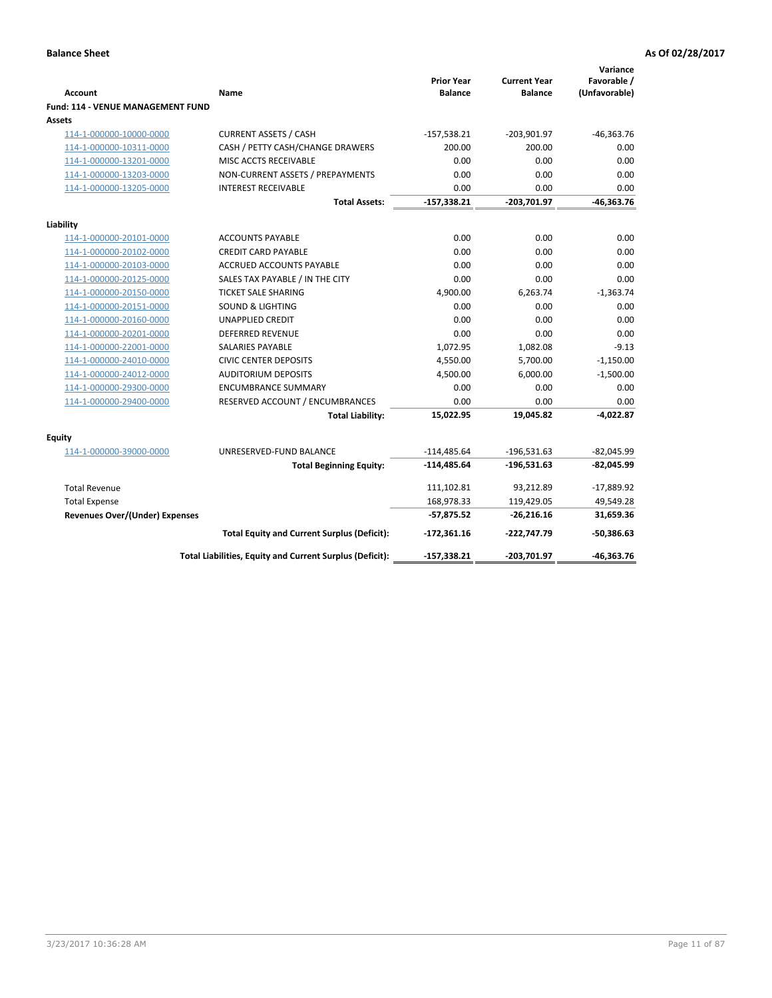| <b>Account</b>                                     | Name                                                     | <b>Prior Year</b><br><b>Balance</b> | <b>Current Year</b><br><b>Balance</b> | Variance<br>Favorable /<br>(Unfavorable) |
|----------------------------------------------------|----------------------------------------------------------|-------------------------------------|---------------------------------------|------------------------------------------|
| <b>Fund: 114 - VENUE MANAGEMENT FUND</b><br>Assets |                                                          |                                     |                                       |                                          |
| 114-1-000000-10000-0000                            | <b>CURRENT ASSETS / CASH</b>                             | $-157,538.21$                       | $-203,901.97$                         | $-46,363.76$                             |
| 114-1-000000-10311-0000                            | CASH / PETTY CASH/CHANGE DRAWERS                         | 200.00                              | 200.00                                | 0.00                                     |
| 114-1-000000-13201-0000                            | MISC ACCTS RECEIVABLE                                    | 0.00                                | 0.00                                  | 0.00                                     |
| 114-1-000000-13203-0000                            | NON-CURRENT ASSETS / PREPAYMENTS                         | 0.00                                | 0.00                                  | 0.00                                     |
| 114-1-000000-13205-0000                            | <b>INTEREST RECEIVABLE</b>                               | 0.00                                | 0.00                                  | 0.00                                     |
|                                                    | <b>Total Assets:</b>                                     | $-157,338.21$                       | $-203,701.97$                         | $-46,363.76$                             |
|                                                    |                                                          |                                     |                                       |                                          |
| Liability                                          |                                                          |                                     |                                       |                                          |
| 114-1-000000-20101-0000                            | <b>ACCOUNTS PAYABLE</b>                                  | 0.00                                | 0.00                                  | 0.00                                     |
| 114-1-000000-20102-0000                            | <b>CREDIT CARD PAYABLE</b>                               | 0.00                                | 0.00                                  | 0.00                                     |
| 114-1-000000-20103-0000                            | ACCRUED ACCOUNTS PAYABLE                                 | 0.00                                | 0.00                                  | 0.00                                     |
| 114-1-000000-20125-0000                            | SALES TAX PAYABLE / IN THE CITY                          | 0.00                                | 0.00                                  | 0.00                                     |
| 114-1-000000-20150-0000                            | <b>TICKET SALE SHARING</b>                               | 4,900.00                            | 6,263.74                              | $-1,363.74$                              |
| 114-1-000000-20151-0000                            | <b>SOUND &amp; LIGHTING</b>                              | 0.00                                | 0.00                                  | 0.00                                     |
| 114-1-000000-20160-0000                            | <b>UNAPPLIED CREDIT</b>                                  | 0.00                                | 0.00                                  | 0.00                                     |
| 114-1-000000-20201-0000                            | <b>DEFERRED REVENUE</b>                                  | 0.00                                | 0.00                                  | 0.00                                     |
| 114-1-000000-22001-0000                            | <b>SALARIES PAYABLE</b>                                  | 1,072.95                            | 1,082.08                              | $-9.13$                                  |
| 114-1-000000-24010-0000                            | <b>CIVIC CENTER DEPOSITS</b>                             | 4,550.00                            | 5,700.00                              | $-1,150.00$                              |
| 114-1-000000-24012-0000                            | <b>AUDITORIUM DEPOSITS</b>                               | 4,500.00                            | 6,000.00                              | $-1,500.00$                              |
| 114-1-000000-29300-0000                            | <b>ENCUMBRANCE SUMMARY</b>                               | 0.00                                | 0.00                                  | 0.00                                     |
| 114-1-000000-29400-0000                            | RESERVED ACCOUNT / ENCUMBRANCES                          | 0.00                                | 0.00                                  | 0.00                                     |
|                                                    | <b>Total Liability:</b>                                  | 15,022.95                           | 19,045.82                             | $-4,022.87$                              |
| Equity                                             |                                                          |                                     |                                       |                                          |
| 114-1-000000-39000-0000                            | UNRESERVED-FUND BALANCE                                  | $-114,485.64$                       | $-196,531.63$                         | $-82,045.99$                             |
|                                                    | <b>Total Beginning Equity:</b>                           | $-114,485.64$                       | $-196,531.63$                         | $-82,045.99$                             |
| <b>Total Revenue</b>                               |                                                          | 111,102.81                          | 93,212.89                             | $-17,889.92$                             |
| <b>Total Expense</b>                               |                                                          | 168,978.33                          | 119,429.05                            | 49,549.28                                |
| <b>Revenues Over/(Under) Expenses</b>              |                                                          | $-57,875.52$                        | $-26,216.16$                          | 31,659.36                                |
|                                                    | <b>Total Equity and Current Surplus (Deficit):</b>       | $-172,361.16$                       | $-222,747.79$                         | $-50,386.63$                             |
|                                                    | Total Liabilities, Equity and Current Surplus (Deficit): | $-157,338.21$                       | -203.701.97                           | $-46.363.76$                             |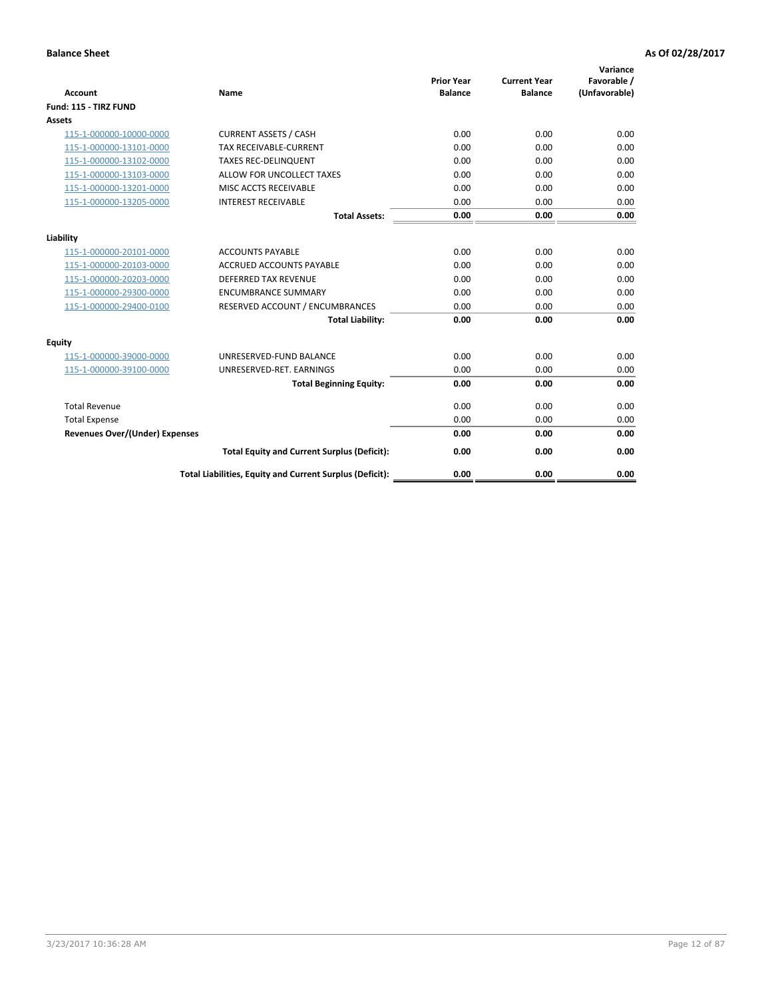| <b>Account</b>                        | <b>Name</b>                                              | <b>Prior Year</b><br><b>Balance</b> | <b>Current Year</b><br><b>Balance</b> | Variance<br>Favorable /<br>(Unfavorable) |
|---------------------------------------|----------------------------------------------------------|-------------------------------------|---------------------------------------|------------------------------------------|
| Fund: 115 - TIRZ FUND                 |                                                          |                                     |                                       |                                          |
| <b>Assets</b>                         |                                                          |                                     |                                       |                                          |
| 115-1-000000-10000-0000               | <b>CURRENT ASSETS / CASH</b>                             | 0.00                                | 0.00                                  | 0.00                                     |
| 115-1-000000-13101-0000               | <b>TAX RECEIVABLE-CURRENT</b>                            | 0.00                                | 0.00                                  | 0.00                                     |
| 115-1-000000-13102-0000               | <b>TAXES REC-DELINQUENT</b>                              | 0.00                                | 0.00                                  | 0.00                                     |
| 115-1-000000-13103-0000               | ALLOW FOR UNCOLLECT TAXES                                | 0.00                                | 0.00                                  | 0.00                                     |
| 115-1-000000-13201-0000               | <b>MISC ACCTS RECEIVABLE</b>                             | 0.00                                | 0.00                                  | 0.00                                     |
| 115-1-000000-13205-0000               | <b>INTEREST RECEIVABLE</b>                               | 0.00                                | 0.00                                  | 0.00                                     |
|                                       | <b>Total Assets:</b>                                     | 0.00                                | 0.00                                  | 0.00                                     |
| Liability                             |                                                          |                                     |                                       |                                          |
| 115-1-000000-20101-0000               | <b>ACCOUNTS PAYABLE</b>                                  | 0.00                                | 0.00                                  | 0.00                                     |
| 115-1-000000-20103-0000               | <b>ACCRUED ACCOUNTS PAYABLE</b>                          | 0.00                                | 0.00                                  | 0.00                                     |
| 115-1-000000-20203-0000               | <b>DEFERRED TAX REVENUE</b>                              | 0.00                                | 0.00                                  | 0.00                                     |
| 115-1-000000-29300-0000               | <b>ENCUMBRANCE SUMMARY</b>                               | 0.00                                | 0.00                                  | 0.00                                     |
| 115-1-000000-29400-0100               | RESERVED ACCOUNT / ENCUMBRANCES                          | 0.00                                | 0.00                                  | 0.00                                     |
|                                       | <b>Total Liability:</b>                                  | 0.00                                | 0.00                                  | 0.00                                     |
| <b>Equity</b>                         |                                                          |                                     |                                       |                                          |
| 115-1-000000-39000-0000               | UNRESERVED-FUND BALANCE                                  | 0.00                                | 0.00                                  | 0.00                                     |
| 115-1-000000-39100-0000               | UNRESERVED-RET. EARNINGS                                 | 0.00                                | 0.00                                  | 0.00                                     |
|                                       | <b>Total Beginning Equity:</b>                           | 0.00                                | 0.00                                  | 0.00                                     |
| <b>Total Revenue</b>                  |                                                          | 0.00                                | 0.00                                  | 0.00                                     |
| <b>Total Expense</b>                  |                                                          | 0.00                                | 0.00                                  | 0.00                                     |
| <b>Revenues Over/(Under) Expenses</b> |                                                          | 0.00                                | 0.00                                  | 0.00                                     |
|                                       | <b>Total Equity and Current Surplus (Deficit):</b>       | 0.00                                | 0.00                                  | 0.00                                     |
|                                       | Total Liabilities, Equity and Current Surplus (Deficit): | 0.00                                | 0.00                                  | 0.00                                     |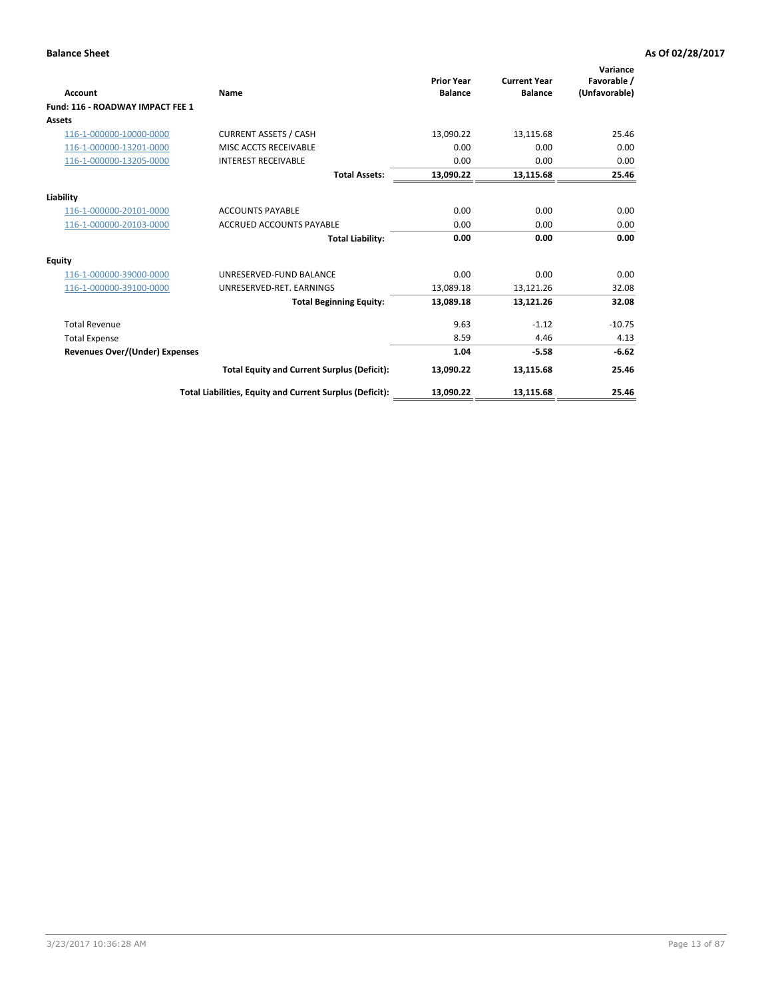| <b>Account</b>                        | Name                                                     | <b>Prior Year</b><br><b>Balance</b> | <b>Current Year</b><br><b>Balance</b> | Variance<br>Favorable /<br>(Unfavorable) |
|---------------------------------------|----------------------------------------------------------|-------------------------------------|---------------------------------------|------------------------------------------|
| Fund: 116 - ROADWAY IMPACT FEE 1      |                                                          |                                     |                                       |                                          |
| Assets                                |                                                          |                                     |                                       |                                          |
| 116-1-000000-10000-0000               | <b>CURRENT ASSETS / CASH</b>                             | 13,090.22                           | 13,115.68                             | 25.46                                    |
| 116-1-000000-13201-0000               | MISC ACCTS RECEIVABLE                                    | 0.00                                | 0.00                                  | 0.00                                     |
| 116-1-000000-13205-0000               | <b>INTEREST RECEIVABLE</b>                               | 0.00                                | 0.00                                  | 0.00                                     |
|                                       | <b>Total Assets:</b>                                     | 13,090.22                           | 13,115.68                             | 25.46                                    |
| Liability                             |                                                          |                                     |                                       |                                          |
| 116-1-000000-20101-0000               | <b>ACCOUNTS PAYABLE</b>                                  | 0.00                                | 0.00                                  | 0.00                                     |
| 116-1-000000-20103-0000               | <b>ACCRUED ACCOUNTS PAYABLE</b>                          | 0.00                                | 0.00                                  | 0.00                                     |
|                                       | <b>Total Liability:</b>                                  | 0.00                                | 0.00                                  | 0.00                                     |
| <b>Equity</b>                         |                                                          |                                     |                                       |                                          |
| 116-1-000000-39000-0000               | UNRESERVED-FUND BALANCE                                  | 0.00                                | 0.00                                  | 0.00                                     |
| 116-1-000000-39100-0000               | UNRESERVED-RET, EARNINGS                                 | 13,089.18                           | 13,121.26                             | 32.08                                    |
|                                       | <b>Total Beginning Equity:</b>                           | 13.089.18                           | 13,121.26                             | 32.08                                    |
| <b>Total Revenue</b>                  |                                                          | 9.63                                | $-1.12$                               | $-10.75$                                 |
| <b>Total Expense</b>                  |                                                          | 8.59                                | 4.46                                  | 4.13                                     |
| <b>Revenues Over/(Under) Expenses</b> |                                                          | 1.04                                | $-5.58$                               | $-6.62$                                  |
|                                       | <b>Total Equity and Current Surplus (Deficit):</b>       | 13,090.22                           | 13,115.68                             | 25.46                                    |
|                                       | Total Liabilities, Equity and Current Surplus (Deficit): | 13,090.22                           | 13,115.68                             | 25.46                                    |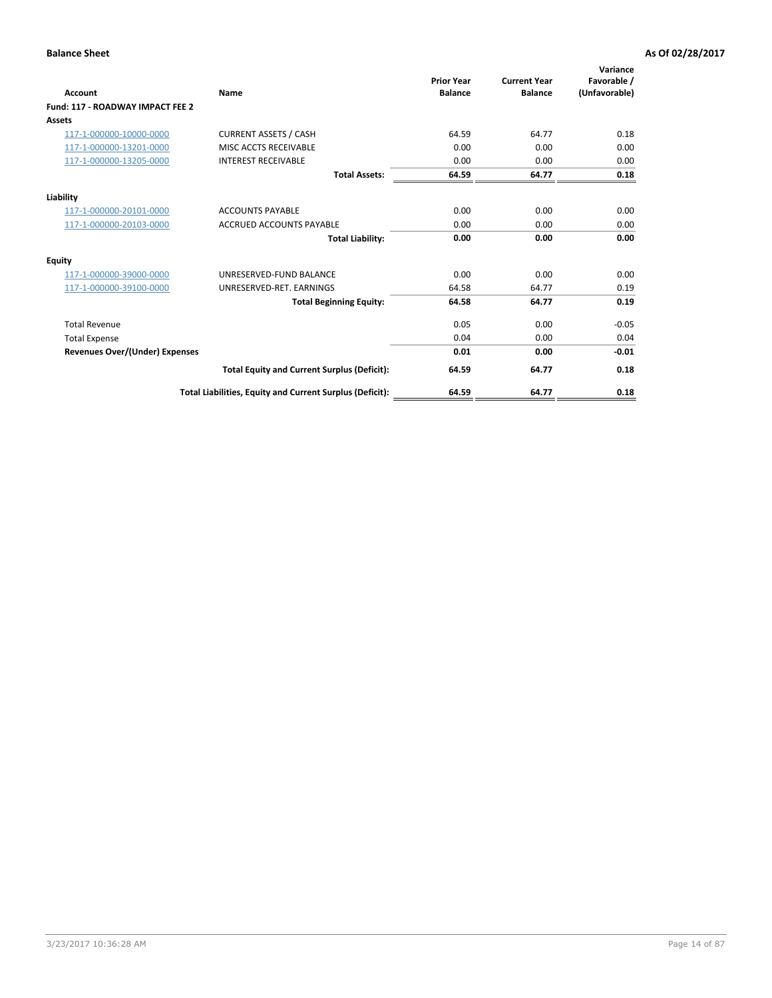| <b>Account</b>                        | Name                                                     | <b>Prior Year</b><br><b>Balance</b> | <b>Current Year</b><br><b>Balance</b> | Variance<br>Favorable /<br>(Unfavorable) |
|---------------------------------------|----------------------------------------------------------|-------------------------------------|---------------------------------------|------------------------------------------|
| Fund: 117 - ROADWAY IMPACT FEE 2      |                                                          |                                     |                                       |                                          |
| Assets                                |                                                          |                                     |                                       |                                          |
| 117-1-000000-10000-0000               | <b>CURRENT ASSETS / CASH</b>                             | 64.59                               | 64.77                                 | 0.18                                     |
| 117-1-000000-13201-0000               | MISC ACCTS RECEIVABLE                                    | 0.00                                | 0.00                                  | 0.00                                     |
| 117-1-000000-13205-0000               | <b>INTEREST RECEIVABLE</b>                               | 0.00                                | 0.00                                  | 0.00                                     |
|                                       | <b>Total Assets:</b>                                     | 64.59                               | 64.77                                 | 0.18                                     |
| Liability                             |                                                          |                                     |                                       |                                          |
| 117-1-000000-20101-0000               | <b>ACCOUNTS PAYABLE</b>                                  | 0.00                                | 0.00                                  | 0.00                                     |
| 117-1-000000-20103-0000               | <b>ACCRUED ACCOUNTS PAYABLE</b>                          | 0.00                                | 0.00                                  | 0.00                                     |
|                                       | <b>Total Liability:</b>                                  | 0.00                                | 0.00                                  | 0.00                                     |
| Equity                                |                                                          |                                     |                                       |                                          |
| 117-1-000000-39000-0000               | UNRESERVED-FUND BALANCE                                  | 0.00                                | 0.00                                  | 0.00                                     |
| 117-1-000000-39100-0000               | UNRESERVED-RET. EARNINGS                                 | 64.58                               | 64.77                                 | 0.19                                     |
|                                       | <b>Total Beginning Equity:</b>                           | 64.58                               | 64.77                                 | 0.19                                     |
| <b>Total Revenue</b>                  |                                                          | 0.05                                | 0.00                                  | $-0.05$                                  |
| <b>Total Expense</b>                  |                                                          | 0.04                                | 0.00                                  | 0.04                                     |
| <b>Revenues Over/(Under) Expenses</b> |                                                          | 0.01                                | 0.00                                  | $-0.01$                                  |
|                                       | <b>Total Equity and Current Surplus (Deficit):</b>       | 64.59                               | 64.77                                 | 0.18                                     |
|                                       | Total Liabilities, Equity and Current Surplus (Deficit): | 64.59                               | 64.77                                 | 0.18                                     |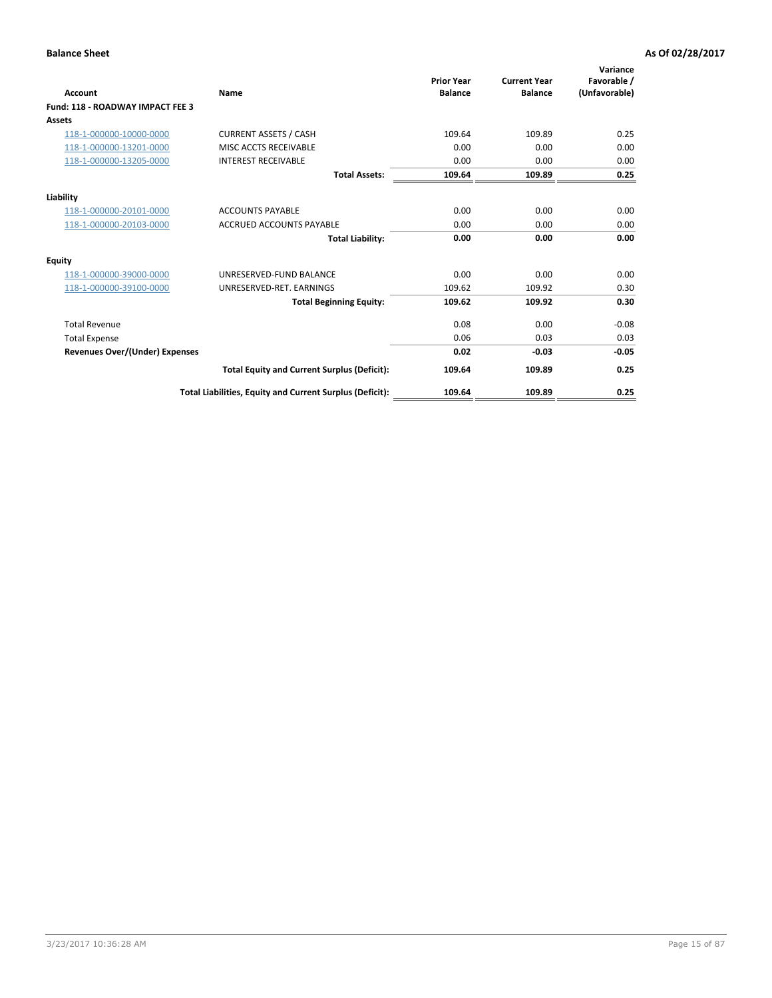| <b>Account</b>                        | Name                                                     | <b>Prior Year</b><br><b>Balance</b> | <b>Current Year</b><br><b>Balance</b> | Variance<br>Favorable /<br>(Unfavorable) |
|---------------------------------------|----------------------------------------------------------|-------------------------------------|---------------------------------------|------------------------------------------|
| Fund: 118 - ROADWAY IMPACT FEE 3      |                                                          |                                     |                                       |                                          |
| Assets                                |                                                          |                                     |                                       |                                          |
| 118-1-000000-10000-0000               | <b>CURRENT ASSETS / CASH</b>                             | 109.64                              | 109.89                                | 0.25                                     |
| 118-1-000000-13201-0000               | MISC ACCTS RECEIVABLE                                    | 0.00                                | 0.00                                  | 0.00                                     |
| 118-1-000000-13205-0000               | <b>INTEREST RECEIVABLE</b>                               | 0.00                                | 0.00                                  | 0.00                                     |
|                                       | <b>Total Assets:</b>                                     | 109.64                              | 109.89                                | 0.25                                     |
| Liability                             |                                                          |                                     |                                       |                                          |
| 118-1-000000-20101-0000               | <b>ACCOUNTS PAYABLE</b>                                  | 0.00                                | 0.00                                  | 0.00                                     |
| 118-1-000000-20103-0000               | <b>ACCRUED ACCOUNTS PAYABLE</b>                          | 0.00                                | 0.00                                  | 0.00                                     |
|                                       | <b>Total Liability:</b>                                  | 0.00                                | 0.00                                  | 0.00                                     |
| <b>Equity</b>                         |                                                          |                                     |                                       |                                          |
| 118-1-000000-39000-0000               | UNRESERVED-FUND BALANCE                                  | 0.00                                | 0.00                                  | 0.00                                     |
| 118-1-000000-39100-0000               | UNRESERVED-RET, EARNINGS                                 | 109.62                              | 109.92                                | 0.30                                     |
|                                       | <b>Total Beginning Equity:</b>                           | 109.62                              | 109.92                                | 0.30                                     |
| <b>Total Revenue</b>                  |                                                          | 0.08                                | 0.00                                  | $-0.08$                                  |
| <b>Total Expense</b>                  |                                                          | 0.06                                | 0.03                                  | 0.03                                     |
| <b>Revenues Over/(Under) Expenses</b> |                                                          | 0.02                                | $-0.03$                               | $-0.05$                                  |
|                                       | <b>Total Equity and Current Surplus (Deficit):</b>       | 109.64                              | 109.89                                | 0.25                                     |
|                                       | Total Liabilities, Equity and Current Surplus (Deficit): | 109.64                              | 109.89                                | 0.25                                     |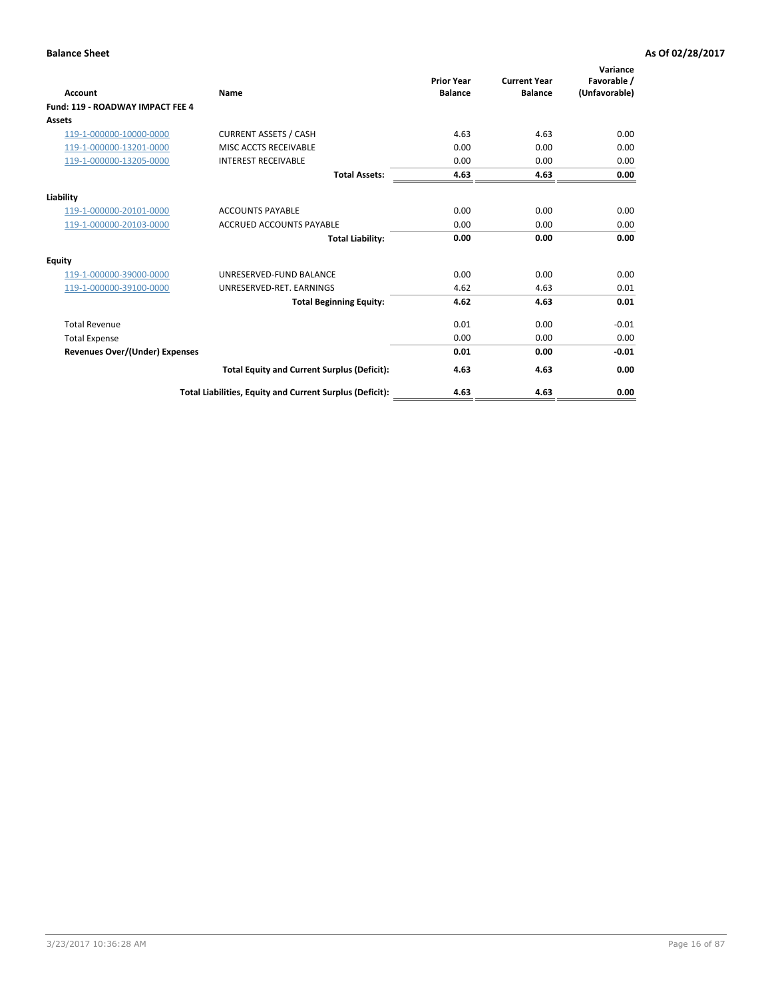| <b>Account</b>                        | Name                                                     | <b>Prior Year</b><br><b>Balance</b> | <b>Current Year</b><br><b>Balance</b> | Variance<br>Favorable /<br>(Unfavorable) |
|---------------------------------------|----------------------------------------------------------|-------------------------------------|---------------------------------------|------------------------------------------|
| Fund: 119 - ROADWAY IMPACT FEE 4      |                                                          |                                     |                                       |                                          |
| Assets                                |                                                          |                                     |                                       |                                          |
| 119-1-000000-10000-0000               | <b>CURRENT ASSETS / CASH</b>                             | 4.63                                | 4.63                                  | 0.00                                     |
| 119-1-000000-13201-0000               | MISC ACCTS RECEIVABLE                                    | 0.00                                | 0.00                                  | 0.00                                     |
| 119-1-000000-13205-0000               | <b>INTEREST RECEIVABLE</b>                               | 0.00                                | 0.00                                  | 0.00                                     |
|                                       | <b>Total Assets:</b>                                     | 4.63                                | 4.63                                  | 0.00                                     |
| Liability                             |                                                          |                                     |                                       |                                          |
| 119-1-000000-20101-0000               | <b>ACCOUNTS PAYABLE</b>                                  | 0.00                                | 0.00                                  | 0.00                                     |
| 119-1-000000-20103-0000               | <b>ACCRUED ACCOUNTS PAYABLE</b>                          | 0.00                                | 0.00                                  | 0.00                                     |
|                                       | <b>Total Liability:</b>                                  | 0.00                                | 0.00                                  | 0.00                                     |
| Equity                                |                                                          |                                     |                                       |                                          |
| 119-1-000000-39000-0000               | UNRESERVED-FUND BALANCE                                  | 0.00                                | 0.00                                  | 0.00                                     |
| 119-1-000000-39100-0000               | UNRESERVED-RET. EARNINGS                                 | 4.62                                | 4.63                                  | 0.01                                     |
|                                       | <b>Total Beginning Equity:</b>                           | 4.62                                | 4.63                                  | 0.01                                     |
| <b>Total Revenue</b>                  |                                                          | 0.01                                | 0.00                                  | $-0.01$                                  |
| <b>Total Expense</b>                  |                                                          | 0.00                                | 0.00                                  | 0.00                                     |
| <b>Revenues Over/(Under) Expenses</b> |                                                          | 0.01                                | 0.00                                  | $-0.01$                                  |
|                                       | <b>Total Equity and Current Surplus (Deficit):</b>       | 4.63                                | 4.63                                  | 0.00                                     |
|                                       | Total Liabilities, Equity and Current Surplus (Deficit): | 4.63                                | 4.63                                  | 0.00                                     |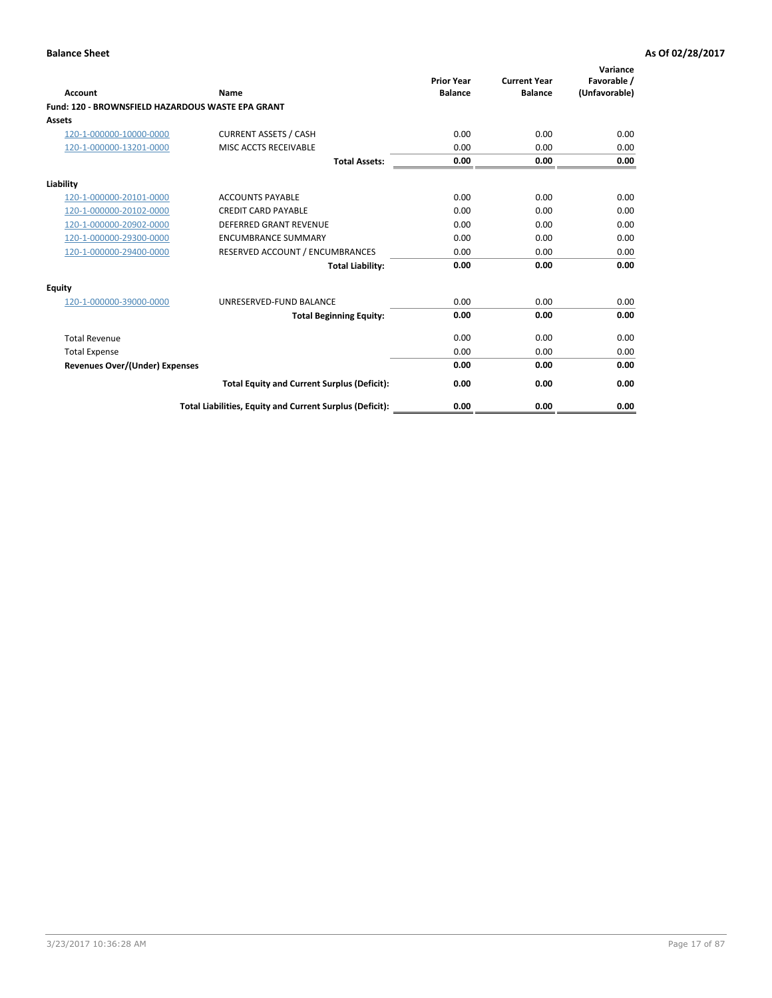|                                                   |                                                          | <b>Prior Year</b> | <b>Current Year</b> | Variance<br>Favorable / |
|---------------------------------------------------|----------------------------------------------------------|-------------------|---------------------|-------------------------|
| <b>Account</b>                                    | Name                                                     | <b>Balance</b>    | <b>Balance</b>      | (Unfavorable)           |
| Fund: 120 - BROWNSFIELD HAZARDOUS WASTE EPA GRANT |                                                          |                   |                     |                         |
| <b>Assets</b>                                     |                                                          |                   |                     |                         |
| 120-1-000000-10000-0000                           | <b>CURRENT ASSETS / CASH</b>                             | 0.00              | 0.00                | 0.00                    |
| 120-1-000000-13201-0000                           | MISC ACCTS RECEIVABLE                                    | 0.00              | 0.00                | 0.00                    |
|                                                   | <b>Total Assets:</b>                                     | 0.00              | 0.00                | 0.00                    |
| Liability                                         |                                                          |                   |                     |                         |
| 120-1-000000-20101-0000                           | <b>ACCOUNTS PAYABLE</b>                                  | 0.00              | 0.00                | 0.00                    |
| 120-1-000000-20102-0000                           | <b>CREDIT CARD PAYABLE</b>                               | 0.00              | 0.00                | 0.00                    |
| 120-1-000000-20902-0000                           | DEFERRED GRANT REVENUE                                   | 0.00              | 0.00                | 0.00                    |
| 120-1-000000-29300-0000                           | <b>ENCUMBRANCE SUMMARY</b>                               | 0.00              | 0.00                | 0.00                    |
| 120-1-000000-29400-0000                           | RESERVED ACCOUNT / ENCUMBRANCES                          | 0.00              | 0.00                | 0.00                    |
|                                                   | <b>Total Liability:</b>                                  | 0.00              | 0.00                | 0.00                    |
| Equity                                            |                                                          |                   |                     |                         |
| 120-1-000000-39000-0000                           | UNRESERVED-FUND BALANCE                                  | 0.00              | 0.00                | 0.00                    |
|                                                   | <b>Total Beginning Equity:</b>                           | 0.00              | 0.00                | 0.00                    |
| <b>Total Revenue</b>                              |                                                          | 0.00              | 0.00                | 0.00                    |
| <b>Total Expense</b>                              |                                                          | 0.00              | 0.00                | 0.00                    |
| Revenues Over/(Under) Expenses                    |                                                          | 0.00              | 0.00                | 0.00                    |
|                                                   | <b>Total Equity and Current Surplus (Deficit):</b>       | 0.00              | 0.00                | 0.00                    |
|                                                   | Total Liabilities, Equity and Current Surplus (Deficit): | 0.00              | 0.00                | 0.00                    |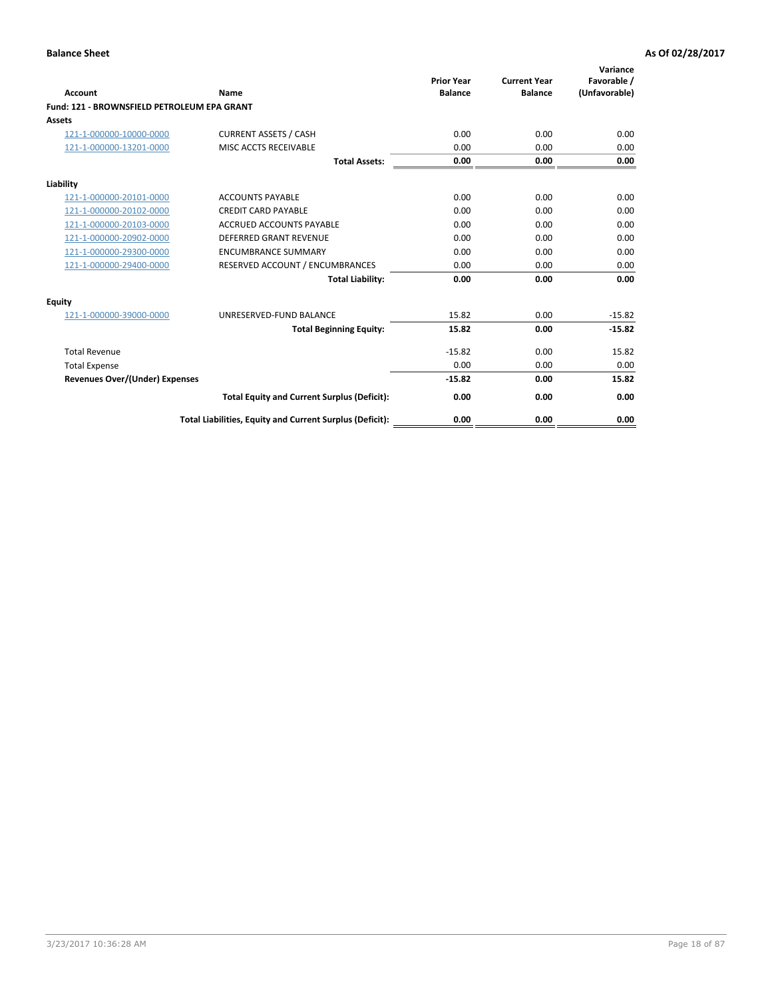| Account                                     | Name                                                     | <b>Prior Year</b><br><b>Balance</b> | <b>Current Year</b><br><b>Balance</b> | Variance<br>Favorable /<br>(Unfavorable) |
|---------------------------------------------|----------------------------------------------------------|-------------------------------------|---------------------------------------|------------------------------------------|
| Fund: 121 - BROWNSFIELD PETROLEUM EPA GRANT |                                                          |                                     |                                       |                                          |
| <b>Assets</b>                               |                                                          |                                     |                                       |                                          |
| 121-1-000000-10000-0000                     | <b>CURRENT ASSETS / CASH</b>                             | 0.00                                | 0.00                                  | 0.00                                     |
| 121-1-000000-13201-0000                     | <b>MISC ACCTS RECEIVABLE</b>                             | 0.00                                | 0.00                                  | 0.00                                     |
|                                             | <b>Total Assets:</b>                                     | 0.00                                | 0.00                                  | 0.00                                     |
| Liability                                   |                                                          |                                     |                                       |                                          |
| 121-1-000000-20101-0000                     | <b>ACCOUNTS PAYABLE</b>                                  | 0.00                                | 0.00                                  | 0.00                                     |
| 121-1-000000-20102-0000                     | <b>CREDIT CARD PAYABLE</b>                               | 0.00                                | 0.00                                  | 0.00                                     |
| 121-1-000000-20103-0000                     | <b>ACCRUED ACCOUNTS PAYABLE</b>                          | 0.00                                | 0.00                                  | 0.00                                     |
| 121-1-000000-20902-0000                     | <b>DEFERRED GRANT REVENUE</b>                            | 0.00                                | 0.00                                  | 0.00                                     |
| 121-1-000000-29300-0000                     | <b>ENCUMBRANCE SUMMARY</b>                               | 0.00                                | 0.00                                  | 0.00                                     |
| 121-1-000000-29400-0000                     | RESERVED ACCOUNT / ENCUMBRANCES                          | 0.00                                | 0.00                                  | 0.00                                     |
|                                             | <b>Total Liability:</b>                                  | 0.00                                | 0.00                                  | 0.00                                     |
| <b>Equity</b>                               |                                                          |                                     |                                       |                                          |
| 121-1-000000-39000-0000                     | UNRESERVED-FUND BALANCE                                  | 15.82                               | 0.00                                  | $-15.82$                                 |
|                                             | <b>Total Beginning Equity:</b>                           | 15.82                               | 0.00                                  | $-15.82$                                 |
| <b>Total Revenue</b>                        |                                                          | $-15.82$                            | 0.00                                  | 15.82                                    |
| <b>Total Expense</b>                        |                                                          | 0.00                                | 0.00                                  | 0.00                                     |
| <b>Revenues Over/(Under) Expenses</b>       |                                                          | $-15.82$                            | 0.00                                  | 15.82                                    |
|                                             | <b>Total Equity and Current Surplus (Deficit):</b>       | 0.00                                | 0.00                                  | 0.00                                     |
|                                             | Total Liabilities, Equity and Current Surplus (Deficit): | 0.00                                | 0.00                                  | 0.00                                     |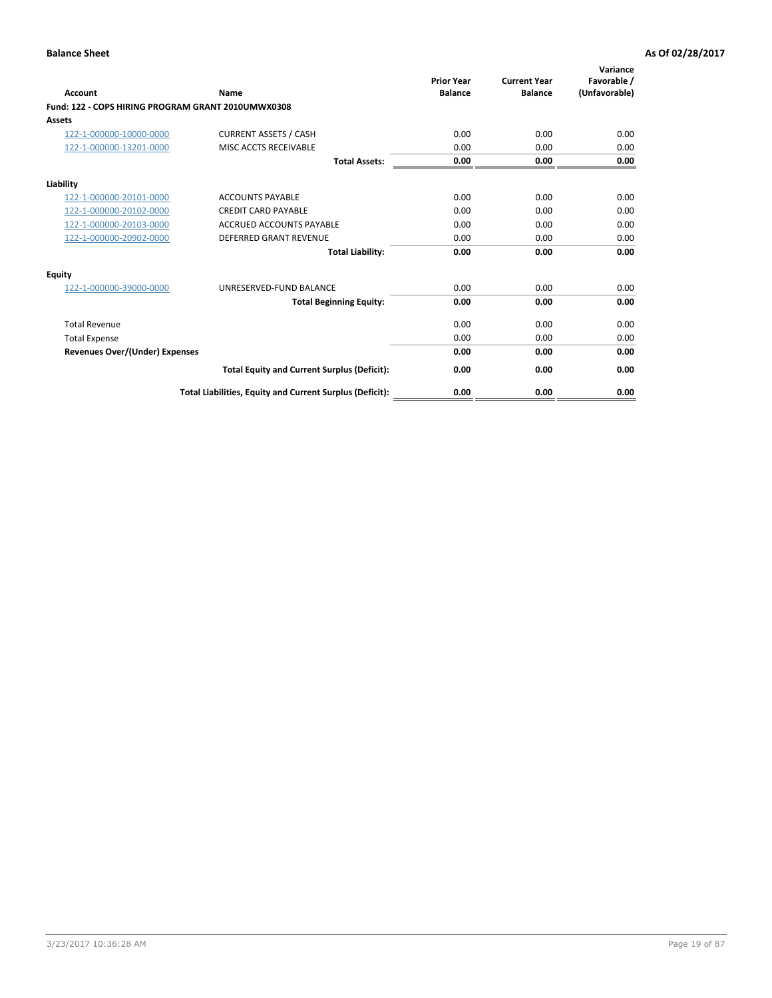| <b>Account</b>                                     | Name                                                     | <b>Prior Year</b><br><b>Balance</b> | <b>Current Year</b><br><b>Balance</b> | Variance<br>Favorable /<br>(Unfavorable) |
|----------------------------------------------------|----------------------------------------------------------|-------------------------------------|---------------------------------------|------------------------------------------|
| Fund: 122 - COPS HIRING PROGRAM GRANT 2010UMWX0308 |                                                          |                                     |                                       |                                          |
| Assets                                             |                                                          |                                     |                                       |                                          |
| 122-1-000000-10000-0000                            | <b>CURRENT ASSETS / CASH</b>                             | 0.00                                | 0.00                                  | 0.00                                     |
| 122-1-000000-13201-0000                            | MISC ACCTS RECEIVABLE                                    | 0.00                                | 0.00                                  | 0.00                                     |
|                                                    | <b>Total Assets:</b>                                     | 0.00                                | 0.00                                  | 0.00                                     |
| Liability                                          |                                                          |                                     |                                       |                                          |
| 122-1-000000-20101-0000                            | <b>ACCOUNTS PAYABLE</b>                                  | 0.00                                | 0.00                                  | 0.00                                     |
| 122-1-000000-20102-0000                            | <b>CREDIT CARD PAYABLE</b>                               | 0.00                                | 0.00                                  | 0.00                                     |
| 122-1-000000-20103-0000                            | <b>ACCRUED ACCOUNTS PAYABLE</b>                          | 0.00                                | 0.00                                  | 0.00                                     |
| 122-1-000000-20902-0000                            | <b>DEFERRED GRANT REVENUE</b>                            | 0.00                                | 0.00                                  | 0.00                                     |
|                                                    | <b>Total Liability:</b>                                  | 0.00                                | 0.00                                  | 0.00                                     |
| Equity                                             |                                                          |                                     |                                       |                                          |
| 122-1-000000-39000-0000                            | UNRESERVED-FUND BALANCE                                  | 0.00                                | 0.00                                  | 0.00                                     |
|                                                    | <b>Total Beginning Equity:</b>                           | 0.00                                | 0.00                                  | 0.00                                     |
| <b>Total Revenue</b>                               |                                                          | 0.00                                | 0.00                                  | 0.00                                     |
| <b>Total Expense</b>                               |                                                          | 0.00                                | 0.00                                  | 0.00                                     |
| <b>Revenues Over/(Under) Expenses</b>              |                                                          | 0.00                                | 0.00                                  | 0.00                                     |
|                                                    | <b>Total Equity and Current Surplus (Deficit):</b>       | 0.00                                | 0.00                                  | 0.00                                     |
|                                                    | Total Liabilities, Equity and Current Surplus (Deficit): | 0.00                                | 0.00                                  | 0.00                                     |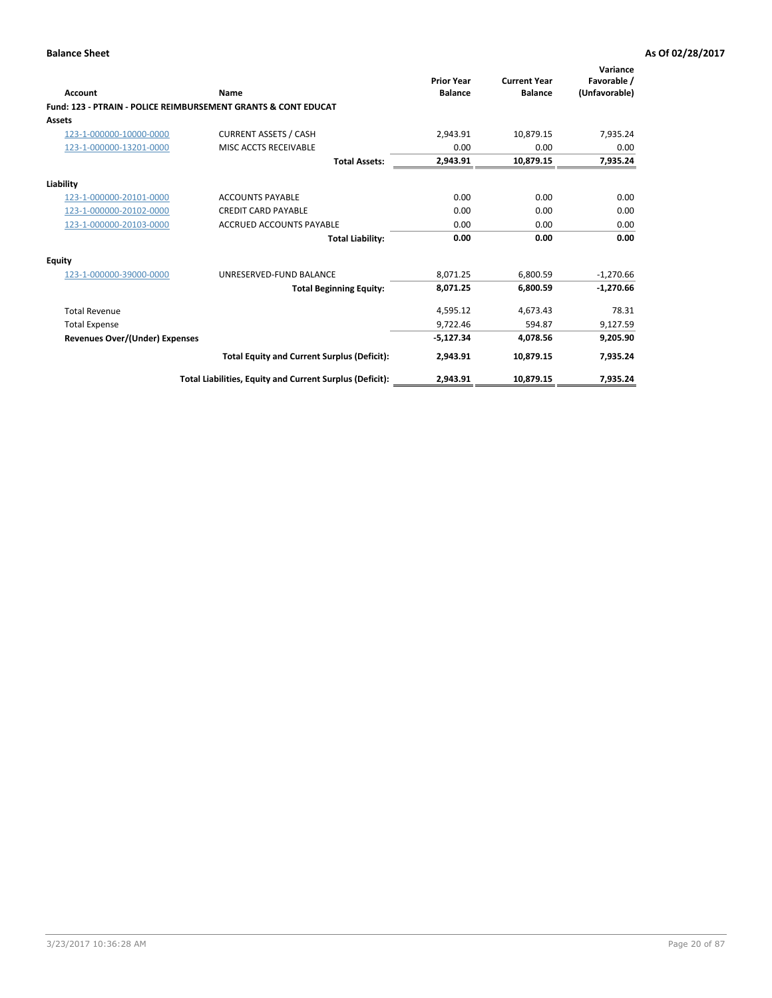| Account                        | Name                                                           | <b>Prior Year</b><br><b>Balance</b> | <b>Current Year</b><br><b>Balance</b> | Variance<br>Favorable /<br>(Unfavorable) |
|--------------------------------|----------------------------------------------------------------|-------------------------------------|---------------------------------------|------------------------------------------|
|                                | Fund: 123 - PTRAIN - POLICE REIMBURSEMENT GRANTS & CONT EDUCAT |                                     |                                       |                                          |
| Assets                         |                                                                |                                     |                                       |                                          |
| 123-1-000000-10000-0000        | <b>CURRENT ASSETS / CASH</b>                                   | 2,943.91                            | 10,879.15                             | 7,935.24                                 |
| 123-1-000000-13201-0000        | MISC ACCTS RECEIVABLE                                          | 0.00                                | 0.00                                  | 0.00                                     |
|                                | <b>Total Assets:</b>                                           | 2,943.91                            | 10,879.15                             | 7,935.24                                 |
| Liability                      |                                                                |                                     |                                       |                                          |
| 123-1-000000-20101-0000        | <b>ACCOUNTS PAYABLE</b>                                        | 0.00                                | 0.00                                  | 0.00                                     |
| 123-1-000000-20102-0000        | <b>CREDIT CARD PAYABLE</b>                                     | 0.00                                | 0.00                                  | 0.00                                     |
| 123-1-000000-20103-0000        | ACCRUED ACCOUNTS PAYABLE                                       | 0.00                                | 0.00                                  | 0.00                                     |
|                                | <b>Total Liability:</b>                                        | 0.00                                | 0.00                                  | 0.00                                     |
| Equity                         |                                                                |                                     |                                       |                                          |
| 123-1-000000-39000-0000        | UNRESERVED-FUND BALANCE                                        | 8,071.25                            | 6,800.59                              | $-1,270.66$                              |
|                                | <b>Total Beginning Equity:</b>                                 | 8,071.25                            | 6,800.59                              | $-1,270.66$                              |
| <b>Total Revenue</b>           |                                                                | 4,595.12                            | 4,673.43                              | 78.31                                    |
| <b>Total Expense</b>           |                                                                | 9,722.46                            | 594.87                                | 9,127.59                                 |
| Revenues Over/(Under) Expenses |                                                                | $-5,127.34$                         | 4,078.56                              | 9,205.90                                 |
|                                | <b>Total Equity and Current Surplus (Deficit):</b>             | 2,943.91                            | 10,879.15                             | 7,935.24                                 |
|                                | Total Liabilities, Equity and Current Surplus (Deficit):       | 2,943.91                            | 10,879.15                             | 7,935.24                                 |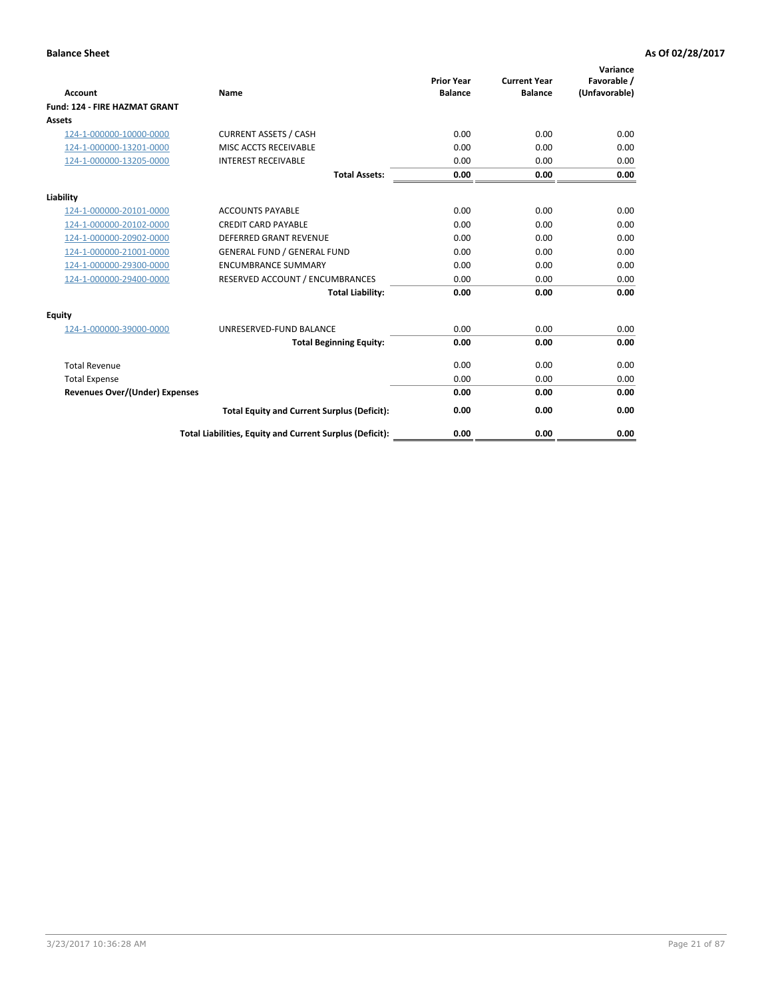| <b>Account</b>                        | Name                                                     | <b>Prior Year</b><br><b>Balance</b> | <b>Current Year</b><br><b>Balance</b> | Variance<br>Favorable /<br>(Unfavorable) |
|---------------------------------------|----------------------------------------------------------|-------------------------------------|---------------------------------------|------------------------------------------|
| <b>Fund: 124 - FIRE HAZMAT GRANT</b>  |                                                          |                                     |                                       |                                          |
| Assets                                |                                                          |                                     |                                       |                                          |
| 124-1-000000-10000-0000               | <b>CURRENT ASSETS / CASH</b>                             | 0.00                                | 0.00                                  | 0.00                                     |
| 124-1-000000-13201-0000               | MISC ACCTS RECEIVABLE                                    | 0.00                                | 0.00                                  | 0.00                                     |
| 124-1-000000-13205-0000               | <b>INTEREST RECEIVABLE</b>                               | 0.00                                | 0.00                                  | 0.00                                     |
|                                       | <b>Total Assets:</b>                                     | 0.00                                | 0.00                                  | 0.00                                     |
| Liability                             |                                                          |                                     |                                       |                                          |
| 124-1-000000-20101-0000               | <b>ACCOUNTS PAYABLE</b>                                  | 0.00                                | 0.00                                  | 0.00                                     |
| 124-1-000000-20102-0000               | <b>CREDIT CARD PAYABLE</b>                               | 0.00                                | 0.00                                  | 0.00                                     |
| 124-1-000000-20902-0000               | <b>DEFERRED GRANT REVENUE</b>                            | 0.00                                | 0.00                                  | 0.00                                     |
| 124-1-000000-21001-0000               | <b>GENERAL FUND / GENERAL FUND</b>                       | 0.00                                | 0.00                                  | 0.00                                     |
| 124-1-000000-29300-0000               | <b>ENCUMBRANCE SUMMARY</b>                               | 0.00                                | 0.00                                  | 0.00                                     |
| 124-1-000000-29400-0000               | RESERVED ACCOUNT / ENCUMBRANCES                          | 0.00                                | 0.00                                  | 0.00                                     |
|                                       | <b>Total Liability:</b>                                  | 0.00                                | 0.00                                  | 0.00                                     |
| <b>Equity</b>                         |                                                          |                                     |                                       |                                          |
| 124-1-000000-39000-0000               | UNRESERVED-FUND BALANCE                                  | 0.00                                | 0.00                                  | 0.00                                     |
|                                       | <b>Total Beginning Equity:</b>                           | 0.00                                | 0.00                                  | 0.00                                     |
| <b>Total Revenue</b>                  |                                                          | 0.00                                | 0.00                                  | 0.00                                     |
| <b>Total Expense</b>                  |                                                          | 0.00                                | 0.00                                  | 0.00                                     |
| <b>Revenues Over/(Under) Expenses</b> |                                                          | 0.00                                | 0.00                                  | 0.00                                     |
|                                       | <b>Total Equity and Current Surplus (Deficit):</b>       | 0.00                                | 0.00                                  | 0.00                                     |
|                                       | Total Liabilities, Equity and Current Surplus (Deficit): | 0.00                                | 0.00                                  | 0.00                                     |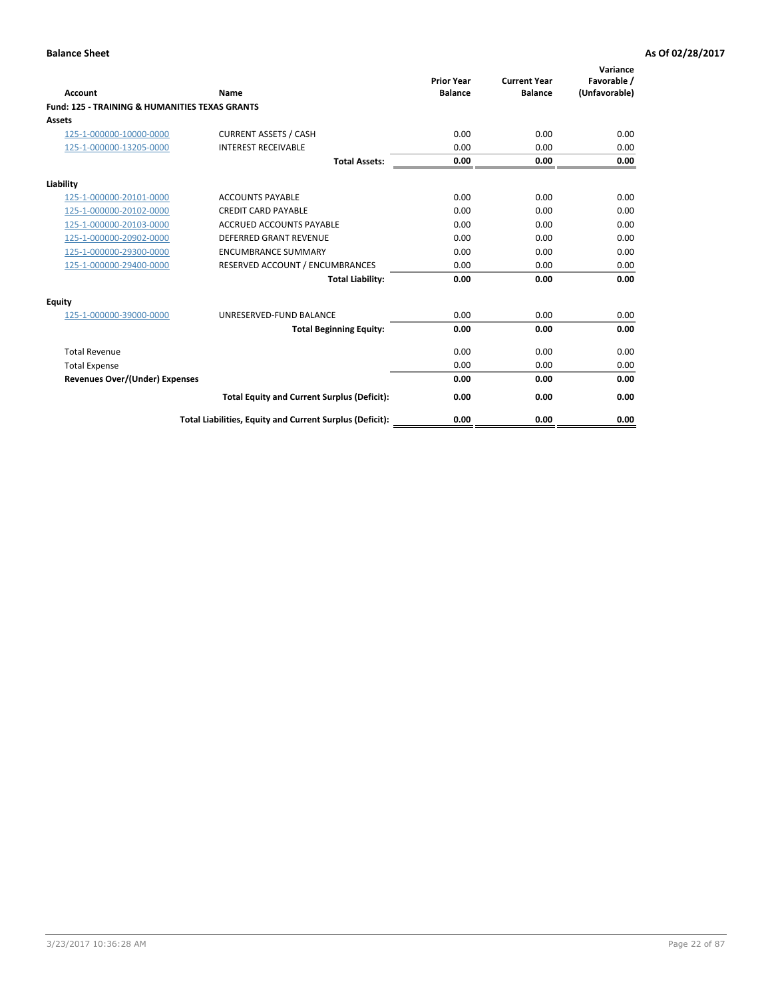| Account                                                   | Name                                                     | <b>Prior Year</b><br><b>Balance</b> | <b>Current Year</b><br><b>Balance</b> | Variance<br>Favorable /<br>(Unfavorable) |
|-----------------------------------------------------------|----------------------------------------------------------|-------------------------------------|---------------------------------------|------------------------------------------|
| <b>Fund: 125 - TRAINING &amp; HUMANITIES TEXAS GRANTS</b> |                                                          |                                     |                                       |                                          |
| <b>Assets</b>                                             |                                                          |                                     |                                       |                                          |
| 125-1-000000-10000-0000                                   | <b>CURRENT ASSETS / CASH</b>                             | 0.00                                | 0.00                                  | 0.00                                     |
| 125-1-000000-13205-0000                                   | <b>INTEREST RECEIVABLE</b>                               | 0.00                                | 0.00                                  | 0.00                                     |
|                                                           | <b>Total Assets:</b>                                     | 0.00                                | 0.00                                  | 0.00                                     |
| Liability                                                 |                                                          |                                     |                                       |                                          |
| 125-1-000000-20101-0000                                   | <b>ACCOUNTS PAYABLE</b>                                  | 0.00                                | 0.00                                  | 0.00                                     |
| 125-1-000000-20102-0000                                   | <b>CREDIT CARD PAYABLE</b>                               | 0.00                                | 0.00                                  | 0.00                                     |
| 125-1-000000-20103-0000                                   | <b>ACCRUED ACCOUNTS PAYABLE</b>                          | 0.00                                | 0.00                                  | 0.00                                     |
| 125-1-000000-20902-0000                                   | DEFERRED GRANT REVENUE                                   | 0.00                                | 0.00                                  | 0.00                                     |
| 125-1-000000-29300-0000                                   | <b>ENCUMBRANCE SUMMARY</b>                               | 0.00                                | 0.00                                  | 0.00                                     |
| 125-1-000000-29400-0000                                   | RESERVED ACCOUNT / ENCUMBRANCES                          | 0.00                                | 0.00                                  | 0.00                                     |
|                                                           | <b>Total Liability:</b>                                  | 0.00                                | 0.00                                  | 0.00                                     |
| <b>Equity</b>                                             |                                                          |                                     |                                       |                                          |
| 125-1-000000-39000-0000                                   | UNRESERVED-FUND BALANCE                                  | 0.00                                | 0.00                                  | 0.00                                     |
|                                                           | <b>Total Beginning Equity:</b>                           | 0.00                                | 0.00                                  | 0.00                                     |
| <b>Total Revenue</b>                                      |                                                          | 0.00                                | 0.00                                  | 0.00                                     |
| <b>Total Expense</b>                                      |                                                          | 0.00                                | 0.00                                  | 0.00                                     |
| <b>Revenues Over/(Under) Expenses</b>                     |                                                          | 0.00                                | 0.00                                  | 0.00                                     |
|                                                           | <b>Total Equity and Current Surplus (Deficit):</b>       | 0.00                                | 0.00                                  | 0.00                                     |
|                                                           | Total Liabilities, Equity and Current Surplus (Deficit): | 0.00                                | 0.00                                  | 0.00                                     |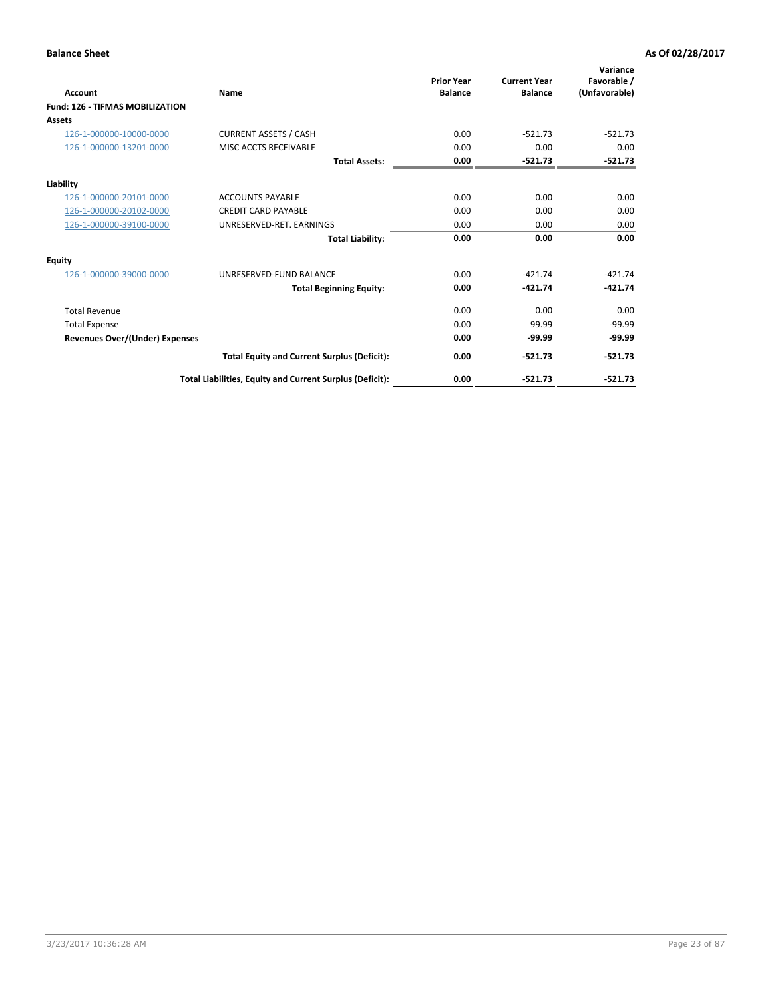| Account                                | Name                                                     | <b>Prior Year</b><br><b>Balance</b> | <b>Current Year</b><br><b>Balance</b> | Variance<br>Favorable /<br>(Unfavorable) |
|----------------------------------------|----------------------------------------------------------|-------------------------------------|---------------------------------------|------------------------------------------|
| <b>Fund: 126 - TIFMAS MOBILIZATION</b> |                                                          |                                     |                                       |                                          |
| Assets                                 |                                                          |                                     |                                       |                                          |
| 126-1-000000-10000-0000                | <b>CURRENT ASSETS / CASH</b>                             | 0.00                                | $-521.73$                             | $-521.73$                                |
| 126-1-000000-13201-0000                | MISC ACCTS RECEIVABLE                                    | 0.00                                | 0.00                                  | 0.00                                     |
|                                        | <b>Total Assets:</b>                                     | 0.00                                | $-521.73$                             | $-521.73$                                |
| Liability                              |                                                          |                                     |                                       |                                          |
| 126-1-000000-20101-0000                | <b>ACCOUNTS PAYABLE</b>                                  | 0.00                                | 0.00                                  | 0.00                                     |
| 126-1-000000-20102-0000                | <b>CREDIT CARD PAYABLE</b>                               | 0.00                                | 0.00                                  | 0.00                                     |
| 126-1-000000-39100-0000                | UNRESERVED-RET. EARNINGS                                 | 0.00                                | 0.00                                  | 0.00                                     |
|                                        | <b>Total Liability:</b>                                  | 0.00                                | 0.00                                  | 0.00                                     |
| Equity                                 |                                                          |                                     |                                       |                                          |
| 126-1-000000-39000-0000                | UNRESERVED-FUND BALANCE                                  | 0.00                                | $-421.74$                             | $-421.74$                                |
|                                        | <b>Total Beginning Equity:</b>                           | 0.00                                | $-421.74$                             | $-421.74$                                |
| <b>Total Revenue</b>                   |                                                          | 0.00                                | 0.00                                  | 0.00                                     |
| <b>Total Expense</b>                   |                                                          | 0.00                                | 99.99                                 | $-99.99$                                 |
| Revenues Over/(Under) Expenses         |                                                          | 0.00                                | $-99.99$                              | $-99.99$                                 |
|                                        | <b>Total Equity and Current Surplus (Deficit):</b>       | 0.00                                | $-521.73$                             | $-521.73$                                |
|                                        | Total Liabilities, Equity and Current Surplus (Deficit): | 0.00                                | $-521.73$                             | $-521.73$                                |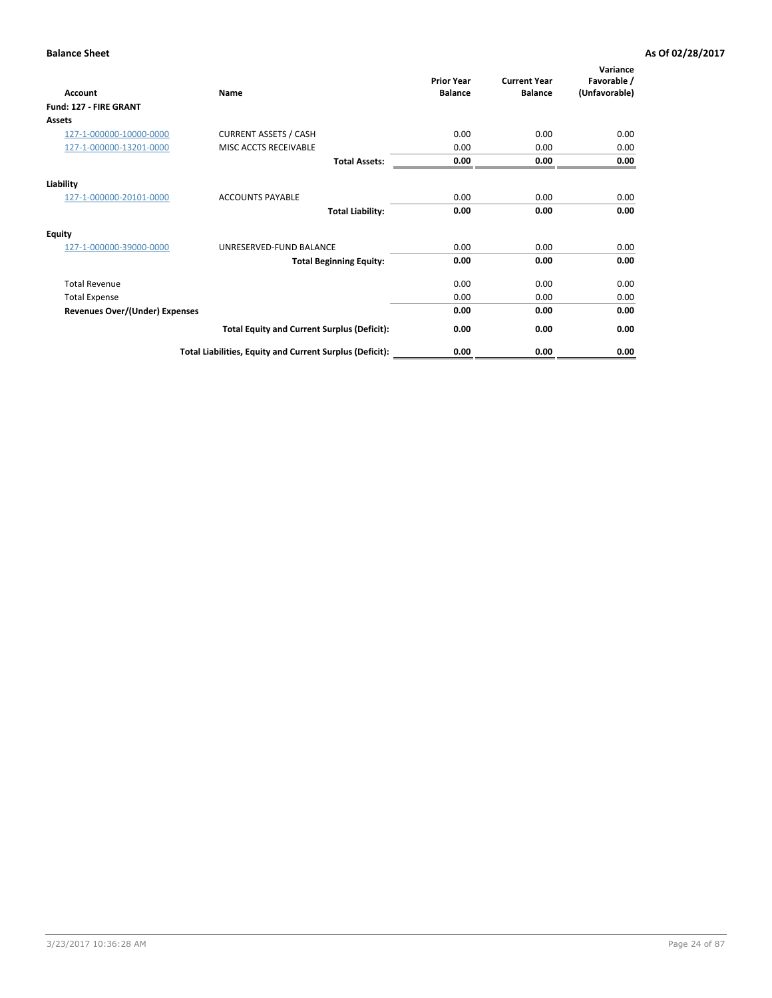| Account                               | Name                                                     | <b>Prior Year</b><br><b>Balance</b> | <b>Current Year</b><br><b>Balance</b> | Variance<br>Favorable /<br>(Unfavorable) |
|---------------------------------------|----------------------------------------------------------|-------------------------------------|---------------------------------------|------------------------------------------|
| Fund: 127 - FIRE GRANT                |                                                          |                                     |                                       |                                          |
| <b>Assets</b>                         |                                                          |                                     |                                       |                                          |
| 127-1-000000-10000-0000               | <b>CURRENT ASSETS / CASH</b>                             | 0.00                                | 0.00                                  | 0.00                                     |
| 127-1-000000-13201-0000               | MISC ACCTS RECEIVABLE                                    | 0.00                                | 0.00                                  | 0.00                                     |
|                                       | <b>Total Assets:</b>                                     | 0.00                                | 0.00                                  | 0.00                                     |
| Liability                             |                                                          |                                     |                                       |                                          |
| 127-1-000000-20101-0000               | <b>ACCOUNTS PAYABLE</b>                                  | 0.00                                | 0.00                                  | 0.00                                     |
|                                       | <b>Total Liability:</b>                                  | 0.00                                | 0.00                                  | 0.00                                     |
| <b>Equity</b>                         |                                                          |                                     |                                       |                                          |
| 127-1-000000-39000-0000               | UNRESERVED-FUND BALANCE                                  | 0.00                                | 0.00                                  | 0.00                                     |
|                                       | <b>Total Beginning Equity:</b>                           | 0.00                                | 0.00                                  | 0.00                                     |
| <b>Total Revenue</b>                  |                                                          | 0.00                                | 0.00                                  | 0.00                                     |
| <b>Total Expense</b>                  |                                                          | 0.00                                | 0.00                                  | 0.00                                     |
| <b>Revenues Over/(Under) Expenses</b> |                                                          | 0.00                                | 0.00                                  | 0.00                                     |
|                                       | <b>Total Equity and Current Surplus (Deficit):</b>       | 0.00                                | 0.00                                  | 0.00                                     |
|                                       | Total Liabilities, Equity and Current Surplus (Deficit): | 0.00                                | 0.00                                  | 0.00                                     |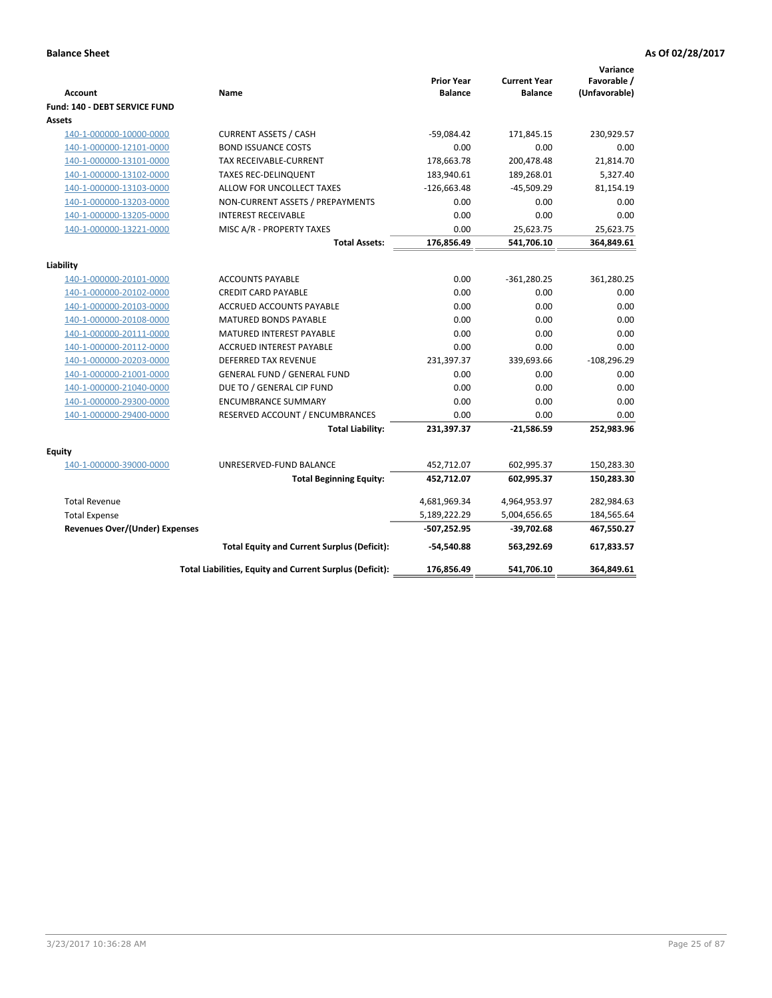| <b>Account</b>                 | Name                                                     | <b>Prior Year</b><br><b>Balance</b> | <b>Current Year</b><br><b>Balance</b> | Variance<br>Favorable /<br>(Unfavorable) |
|--------------------------------|----------------------------------------------------------|-------------------------------------|---------------------------------------|------------------------------------------|
| Fund: 140 - DEBT SERVICE FUND  |                                                          |                                     |                                       |                                          |
| Assets                         |                                                          |                                     |                                       |                                          |
| 140-1-000000-10000-0000        | <b>CURRENT ASSETS / CASH</b>                             | $-59,084.42$                        | 171,845.15                            | 230,929.57                               |
| 140-1-000000-12101-0000        | <b>BOND ISSUANCE COSTS</b>                               | 0.00                                | 0.00                                  | 0.00                                     |
| 140-1-000000-13101-0000        | TAX RECEIVABLE-CURRENT                                   | 178,663.78                          | 200,478.48                            | 21,814.70                                |
| 140-1-000000-13102-0000        | <b>TAXES REC-DELINQUENT</b>                              | 183,940.61                          | 189,268.01                            | 5,327.40                                 |
| 140-1-000000-13103-0000        | ALLOW FOR UNCOLLECT TAXES                                | $-126,663.48$                       | $-45,509.29$                          | 81,154.19                                |
| 140-1-000000-13203-0000        | NON-CURRENT ASSETS / PREPAYMENTS                         | 0.00                                | 0.00                                  | 0.00                                     |
| 140-1-000000-13205-0000        | <b>INTEREST RECEIVABLE</b>                               | 0.00                                | 0.00                                  | 0.00                                     |
| 140-1-000000-13221-0000        | MISC A/R - PROPERTY TAXES                                | 0.00                                | 25,623.75                             | 25,623.75                                |
|                                | <b>Total Assets:</b>                                     | 176,856.49                          | 541,706.10                            | 364,849.61                               |
| Liability                      |                                                          |                                     |                                       |                                          |
| 140-1-000000-20101-0000        | <b>ACCOUNTS PAYABLE</b>                                  | 0.00                                | $-361,280.25$                         | 361,280.25                               |
| 140-1-000000-20102-0000        | <b>CREDIT CARD PAYABLE</b>                               | 0.00                                | 0.00                                  | 0.00                                     |
| 140-1-000000-20103-0000        | ACCRUED ACCOUNTS PAYABLE                                 | 0.00                                | 0.00                                  | 0.00                                     |
| 140-1-000000-20108-0000        | <b>MATURED BONDS PAYABLE</b>                             | 0.00                                | 0.00                                  | 0.00                                     |
| 140-1-000000-20111-0000        | MATURED INTEREST PAYABLE                                 | 0.00                                | 0.00                                  | 0.00                                     |
| 140-1-000000-20112-0000        | <b>ACCRUED INTEREST PAYABLE</b>                          | 0.00                                | 0.00                                  | 0.00                                     |
| 140-1-000000-20203-0000        | <b>DEFERRED TAX REVENUE</b>                              | 231,397.37                          | 339,693.66                            | $-108,296.29$                            |
| 140-1-000000-21001-0000        | <b>GENERAL FUND / GENERAL FUND</b>                       | 0.00                                | 0.00                                  | 0.00                                     |
| 140-1-000000-21040-0000        | DUE TO / GENERAL CIP FUND                                | 0.00                                | 0.00                                  | 0.00                                     |
| 140-1-000000-29300-0000        | <b>ENCUMBRANCE SUMMARY</b>                               | 0.00                                | 0.00                                  | 0.00                                     |
| 140-1-000000-29400-0000        | RESERVED ACCOUNT / ENCUMBRANCES                          | 0.00                                | 0.00                                  | 0.00                                     |
|                                | <b>Total Liability:</b>                                  | 231,397.37                          | $-21,586.59$                          | 252,983.96                               |
| Equity                         |                                                          |                                     |                                       |                                          |
| 140-1-000000-39000-0000        | UNRESERVED-FUND BALANCE                                  | 452,712.07                          | 602,995.37                            | 150,283.30                               |
|                                | <b>Total Beginning Equity:</b>                           | 452,712.07                          | 602,995.37                            | 150,283.30                               |
| <b>Total Revenue</b>           |                                                          | 4,681,969.34                        | 4,964,953.97                          | 282,984.63                               |
| <b>Total Expense</b>           |                                                          | 5,189,222.29                        | 5,004,656.65                          | 184,565.64                               |
| Revenues Over/(Under) Expenses |                                                          | -507,252.95                         | $-39,702.68$                          | 467,550.27                               |
|                                | <b>Total Equity and Current Surplus (Deficit):</b>       | -54.540.88                          | 563,292.69                            | 617,833.57                               |
|                                | Total Liabilities, Equity and Current Surplus (Deficit): | 176,856.49                          | 541,706.10                            | 364,849.61                               |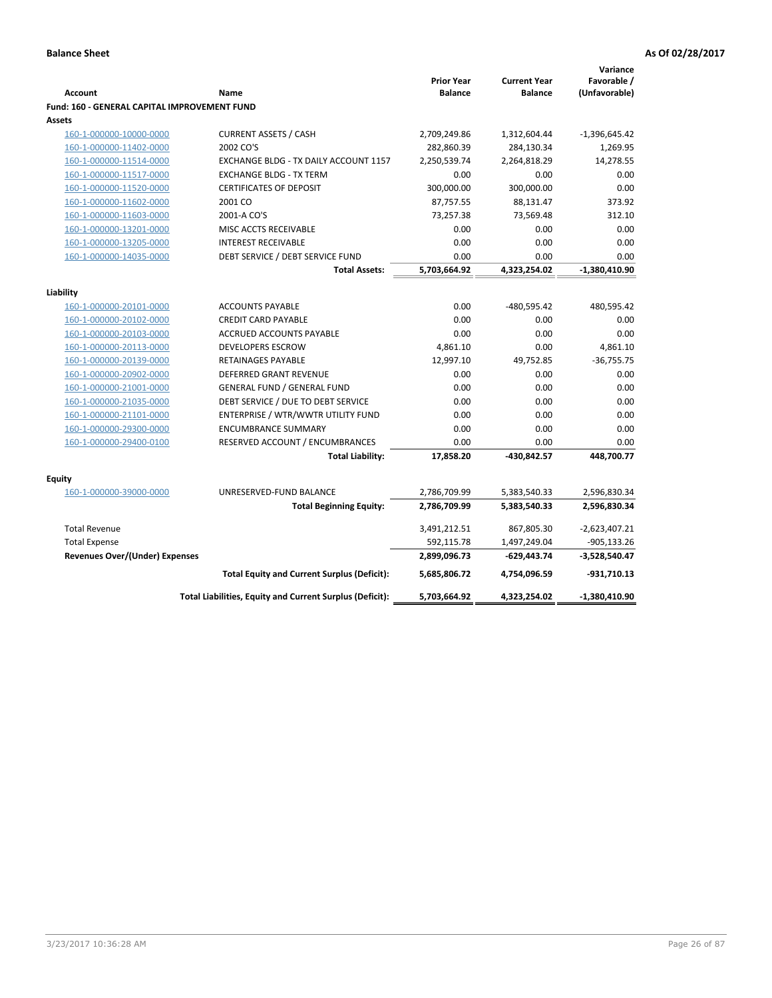| Favorable /<br><b>Prior Year</b><br><b>Current Year</b><br>(Unfavorable)<br><b>Account</b><br><b>Balance</b><br><b>Balance</b><br>Name<br><b>Fund: 160 - GENERAL CAPITAL IMPROVEMENT FUND</b><br>Assets<br><b>CURRENT ASSETS / CASH</b><br>2,709,249.86<br>160-1-000000-10000-0000<br>1,312,604.44<br>$-1,396,645.42$<br>2002 CO'S<br>282,860.39<br>1,269.95<br>160-1-000000-11402-0000<br>284,130.34<br>14,278.55<br>160-1-000000-11514-0000<br>EXCHANGE BLDG - TX DAILY ACCOUNT 1157<br>2,250,539.74<br>2,264,818.29<br>160-1-000000-11517-0000<br><b>EXCHANGE BLDG - TX TERM</b><br>0.00<br>0.00<br>0.00<br>160-1-000000-11520-0000<br><b>CERTIFICATES OF DEPOSIT</b><br>300,000.00<br>300,000.00<br>0.00<br>2001 CO<br>87,757.55<br>88,131.47<br>373.92<br>160-1-000000-11602-0000<br>160-1-000000-11603-0000<br>73,257.38<br>73,569.48<br>2001-A CO'S<br>312.10<br>0.00<br>0.00<br>160-1-000000-13201-0000<br>MISC ACCTS RECEIVABLE<br>0.00<br>160-1-000000-13205-0000<br><b>INTEREST RECEIVABLE</b><br>0.00<br>0.00<br>0.00<br>0.00<br>160-1-000000-14035-0000<br>DEBT SERVICE / DEBT SERVICE FUND<br>0.00<br>0.00<br>5,703,664.92<br>4,323,254.02<br><b>Total Assets:</b><br>-1,380,410.90<br>Liability<br>0.00<br>-480,595.42<br>480,595.42<br>160-1-000000-20101-0000<br><b>ACCOUNTS PAYABLE</b><br>160-1-000000-20102-0000<br><b>CREDIT CARD PAYABLE</b><br>0.00<br>0.00<br>0.00<br>0.00<br>0.00<br>160-1-000000-20103-0000<br><b>ACCRUED ACCOUNTS PAYABLE</b><br>0.00<br><b>DEVELOPERS ESCROW</b><br>4,861.10<br>0.00<br>4,861.10<br>160-1-000000-20113-0000<br>160-1-000000-20139-0000<br>RETAINAGES PAYABLE<br>12,997.10<br>49,752.85<br>$-36,755.75$<br>DEFERRED GRANT REVENUE<br>0.00<br>0.00<br>0.00<br>160-1-000000-20902-0000<br>160-1-000000-21001-0000<br><b>GENERAL FUND / GENERAL FUND</b><br>0.00<br>0.00<br>0.00<br>DEBT SERVICE / DUE TO DEBT SERVICE<br>0.00<br>0.00<br>160-1-000000-21035-0000<br>0.00<br>160-1-000000-21101-0000<br>ENTERPRISE / WTR/WWTR UTILITY FUND<br>0.00<br>0.00<br>0.00<br>0.00<br>160-1-000000-29300-0000<br><b>ENCUMBRANCE SUMMARY</b><br>0.00<br>0.00<br>160-1-000000-29400-0100<br>RESERVED ACCOUNT / ENCUMBRANCES<br>0.00<br>0.00<br>0.00<br>17,858.20<br>448,700.77<br><b>Total Liability:</b><br>-430,842.57<br>Equity<br>160-1-000000-39000-0000<br>UNRESERVED-FUND BALANCE<br>5,383,540.33<br>2,596,830.34<br>2,786,709.99<br>2,786,709.99<br>5,383,540.33<br>2,596,830.34<br><b>Total Beginning Equity:</b><br>$-2,623,407.21$<br><b>Total Revenue</b><br>3,491,212.51<br>867,805.30<br>592,115.78<br><b>Total Expense</b><br>1,497,249.04<br>$-905, 133.26$<br>Revenues Over/(Under) Expenses<br>2,899,096.73<br>-629,443.74<br>$-3,528,540.47$<br>-931,710.13<br><b>Total Equity and Current Surplus (Deficit):</b><br>5,685,806.72<br>4,754,096.59<br>5,703,664.92<br>4,323,254.02<br>$-1,380,410.90$<br>Total Liabilities, Equity and Current Surplus (Deficit): |  |  | Variance |
|-----------------------------------------------------------------------------------------------------------------------------------------------------------------------------------------------------------------------------------------------------------------------------------------------------------------------------------------------------------------------------------------------------------------------------------------------------------------------------------------------------------------------------------------------------------------------------------------------------------------------------------------------------------------------------------------------------------------------------------------------------------------------------------------------------------------------------------------------------------------------------------------------------------------------------------------------------------------------------------------------------------------------------------------------------------------------------------------------------------------------------------------------------------------------------------------------------------------------------------------------------------------------------------------------------------------------------------------------------------------------------------------------------------------------------------------------------------------------------------------------------------------------------------------------------------------------------------------------------------------------------------------------------------------------------------------------------------------------------------------------------------------------------------------------------------------------------------------------------------------------------------------------------------------------------------------------------------------------------------------------------------------------------------------------------------------------------------------------------------------------------------------------------------------------------------------------------------------------------------------------------------------------------------------------------------------------------------------------------------------------------------------------------------------------------------------------------------------------------------------------------------------------------------------------------------------------------------------------------------------------------------------------------------------------------------------------------------------------------------------------------------------------------------------------------------------------------------------------------------------------------------------------------------------------------------|--|--|----------|
|                                                                                                                                                                                                                                                                                                                                                                                                                                                                                                                                                                                                                                                                                                                                                                                                                                                                                                                                                                                                                                                                                                                                                                                                                                                                                                                                                                                                                                                                                                                                                                                                                                                                                                                                                                                                                                                                                                                                                                                                                                                                                                                                                                                                                                                                                                                                                                                                                                                                                                                                                                                                                                                                                                                                                                                                                                                                                                                                   |  |  |          |
|                                                                                                                                                                                                                                                                                                                                                                                                                                                                                                                                                                                                                                                                                                                                                                                                                                                                                                                                                                                                                                                                                                                                                                                                                                                                                                                                                                                                                                                                                                                                                                                                                                                                                                                                                                                                                                                                                                                                                                                                                                                                                                                                                                                                                                                                                                                                                                                                                                                                                                                                                                                                                                                                                                                                                                                                                                                                                                                                   |  |  |          |
|                                                                                                                                                                                                                                                                                                                                                                                                                                                                                                                                                                                                                                                                                                                                                                                                                                                                                                                                                                                                                                                                                                                                                                                                                                                                                                                                                                                                                                                                                                                                                                                                                                                                                                                                                                                                                                                                                                                                                                                                                                                                                                                                                                                                                                                                                                                                                                                                                                                                                                                                                                                                                                                                                                                                                                                                                                                                                                                                   |  |  |          |
|                                                                                                                                                                                                                                                                                                                                                                                                                                                                                                                                                                                                                                                                                                                                                                                                                                                                                                                                                                                                                                                                                                                                                                                                                                                                                                                                                                                                                                                                                                                                                                                                                                                                                                                                                                                                                                                                                                                                                                                                                                                                                                                                                                                                                                                                                                                                                                                                                                                                                                                                                                                                                                                                                                                                                                                                                                                                                                                                   |  |  |          |
|                                                                                                                                                                                                                                                                                                                                                                                                                                                                                                                                                                                                                                                                                                                                                                                                                                                                                                                                                                                                                                                                                                                                                                                                                                                                                                                                                                                                                                                                                                                                                                                                                                                                                                                                                                                                                                                                                                                                                                                                                                                                                                                                                                                                                                                                                                                                                                                                                                                                                                                                                                                                                                                                                                                                                                                                                                                                                                                                   |  |  |          |
|                                                                                                                                                                                                                                                                                                                                                                                                                                                                                                                                                                                                                                                                                                                                                                                                                                                                                                                                                                                                                                                                                                                                                                                                                                                                                                                                                                                                                                                                                                                                                                                                                                                                                                                                                                                                                                                                                                                                                                                                                                                                                                                                                                                                                                                                                                                                                                                                                                                                                                                                                                                                                                                                                                                                                                                                                                                                                                                                   |  |  |          |
|                                                                                                                                                                                                                                                                                                                                                                                                                                                                                                                                                                                                                                                                                                                                                                                                                                                                                                                                                                                                                                                                                                                                                                                                                                                                                                                                                                                                                                                                                                                                                                                                                                                                                                                                                                                                                                                                                                                                                                                                                                                                                                                                                                                                                                                                                                                                                                                                                                                                                                                                                                                                                                                                                                                                                                                                                                                                                                                                   |  |  |          |
|                                                                                                                                                                                                                                                                                                                                                                                                                                                                                                                                                                                                                                                                                                                                                                                                                                                                                                                                                                                                                                                                                                                                                                                                                                                                                                                                                                                                                                                                                                                                                                                                                                                                                                                                                                                                                                                                                                                                                                                                                                                                                                                                                                                                                                                                                                                                                                                                                                                                                                                                                                                                                                                                                                                                                                                                                                                                                                                                   |  |  |          |
|                                                                                                                                                                                                                                                                                                                                                                                                                                                                                                                                                                                                                                                                                                                                                                                                                                                                                                                                                                                                                                                                                                                                                                                                                                                                                                                                                                                                                                                                                                                                                                                                                                                                                                                                                                                                                                                                                                                                                                                                                                                                                                                                                                                                                                                                                                                                                                                                                                                                                                                                                                                                                                                                                                                                                                                                                                                                                                                                   |  |  |          |
|                                                                                                                                                                                                                                                                                                                                                                                                                                                                                                                                                                                                                                                                                                                                                                                                                                                                                                                                                                                                                                                                                                                                                                                                                                                                                                                                                                                                                                                                                                                                                                                                                                                                                                                                                                                                                                                                                                                                                                                                                                                                                                                                                                                                                                                                                                                                                                                                                                                                                                                                                                                                                                                                                                                                                                                                                                                                                                                                   |  |  |          |
|                                                                                                                                                                                                                                                                                                                                                                                                                                                                                                                                                                                                                                                                                                                                                                                                                                                                                                                                                                                                                                                                                                                                                                                                                                                                                                                                                                                                                                                                                                                                                                                                                                                                                                                                                                                                                                                                                                                                                                                                                                                                                                                                                                                                                                                                                                                                                                                                                                                                                                                                                                                                                                                                                                                                                                                                                                                                                                                                   |  |  |          |
|                                                                                                                                                                                                                                                                                                                                                                                                                                                                                                                                                                                                                                                                                                                                                                                                                                                                                                                                                                                                                                                                                                                                                                                                                                                                                                                                                                                                                                                                                                                                                                                                                                                                                                                                                                                                                                                                                                                                                                                                                                                                                                                                                                                                                                                                                                                                                                                                                                                                                                                                                                                                                                                                                                                                                                                                                                                                                                                                   |  |  |          |
|                                                                                                                                                                                                                                                                                                                                                                                                                                                                                                                                                                                                                                                                                                                                                                                                                                                                                                                                                                                                                                                                                                                                                                                                                                                                                                                                                                                                                                                                                                                                                                                                                                                                                                                                                                                                                                                                                                                                                                                                                                                                                                                                                                                                                                                                                                                                                                                                                                                                                                                                                                                                                                                                                                                                                                                                                                                                                                                                   |  |  |          |
|                                                                                                                                                                                                                                                                                                                                                                                                                                                                                                                                                                                                                                                                                                                                                                                                                                                                                                                                                                                                                                                                                                                                                                                                                                                                                                                                                                                                                                                                                                                                                                                                                                                                                                                                                                                                                                                                                                                                                                                                                                                                                                                                                                                                                                                                                                                                                                                                                                                                                                                                                                                                                                                                                                                                                                                                                                                                                                                                   |  |  |          |
|                                                                                                                                                                                                                                                                                                                                                                                                                                                                                                                                                                                                                                                                                                                                                                                                                                                                                                                                                                                                                                                                                                                                                                                                                                                                                                                                                                                                                                                                                                                                                                                                                                                                                                                                                                                                                                                                                                                                                                                                                                                                                                                                                                                                                                                                                                                                                                                                                                                                                                                                                                                                                                                                                                                                                                                                                                                                                                                                   |  |  |          |
|                                                                                                                                                                                                                                                                                                                                                                                                                                                                                                                                                                                                                                                                                                                                                                                                                                                                                                                                                                                                                                                                                                                                                                                                                                                                                                                                                                                                                                                                                                                                                                                                                                                                                                                                                                                                                                                                                                                                                                                                                                                                                                                                                                                                                                                                                                                                                                                                                                                                                                                                                                                                                                                                                                                                                                                                                                                                                                                                   |  |  |          |
|                                                                                                                                                                                                                                                                                                                                                                                                                                                                                                                                                                                                                                                                                                                                                                                                                                                                                                                                                                                                                                                                                                                                                                                                                                                                                                                                                                                                                                                                                                                                                                                                                                                                                                                                                                                                                                                                                                                                                                                                                                                                                                                                                                                                                                                                                                                                                                                                                                                                                                                                                                                                                                                                                                                                                                                                                                                                                                                                   |  |  |          |
|                                                                                                                                                                                                                                                                                                                                                                                                                                                                                                                                                                                                                                                                                                                                                                                                                                                                                                                                                                                                                                                                                                                                                                                                                                                                                                                                                                                                                                                                                                                                                                                                                                                                                                                                                                                                                                                                                                                                                                                                                                                                                                                                                                                                                                                                                                                                                                                                                                                                                                                                                                                                                                                                                                                                                                                                                                                                                                                                   |  |  |          |
|                                                                                                                                                                                                                                                                                                                                                                                                                                                                                                                                                                                                                                                                                                                                                                                                                                                                                                                                                                                                                                                                                                                                                                                                                                                                                                                                                                                                                                                                                                                                                                                                                                                                                                                                                                                                                                                                                                                                                                                                                                                                                                                                                                                                                                                                                                                                                                                                                                                                                                                                                                                                                                                                                                                                                                                                                                                                                                                                   |  |  |          |
|                                                                                                                                                                                                                                                                                                                                                                                                                                                                                                                                                                                                                                                                                                                                                                                                                                                                                                                                                                                                                                                                                                                                                                                                                                                                                                                                                                                                                                                                                                                                                                                                                                                                                                                                                                                                                                                                                                                                                                                                                                                                                                                                                                                                                                                                                                                                                                                                                                                                                                                                                                                                                                                                                                                                                                                                                                                                                                                                   |  |  |          |
|                                                                                                                                                                                                                                                                                                                                                                                                                                                                                                                                                                                                                                                                                                                                                                                                                                                                                                                                                                                                                                                                                                                                                                                                                                                                                                                                                                                                                                                                                                                                                                                                                                                                                                                                                                                                                                                                                                                                                                                                                                                                                                                                                                                                                                                                                                                                                                                                                                                                                                                                                                                                                                                                                                                                                                                                                                                                                                                                   |  |  |          |
|                                                                                                                                                                                                                                                                                                                                                                                                                                                                                                                                                                                                                                                                                                                                                                                                                                                                                                                                                                                                                                                                                                                                                                                                                                                                                                                                                                                                                                                                                                                                                                                                                                                                                                                                                                                                                                                                                                                                                                                                                                                                                                                                                                                                                                                                                                                                                                                                                                                                                                                                                                                                                                                                                                                                                                                                                                                                                                                                   |  |  |          |
|                                                                                                                                                                                                                                                                                                                                                                                                                                                                                                                                                                                                                                                                                                                                                                                                                                                                                                                                                                                                                                                                                                                                                                                                                                                                                                                                                                                                                                                                                                                                                                                                                                                                                                                                                                                                                                                                                                                                                                                                                                                                                                                                                                                                                                                                                                                                                                                                                                                                                                                                                                                                                                                                                                                                                                                                                                                                                                                                   |  |  |          |
|                                                                                                                                                                                                                                                                                                                                                                                                                                                                                                                                                                                                                                                                                                                                                                                                                                                                                                                                                                                                                                                                                                                                                                                                                                                                                                                                                                                                                                                                                                                                                                                                                                                                                                                                                                                                                                                                                                                                                                                                                                                                                                                                                                                                                                                                                                                                                                                                                                                                                                                                                                                                                                                                                                                                                                                                                                                                                                                                   |  |  |          |
|                                                                                                                                                                                                                                                                                                                                                                                                                                                                                                                                                                                                                                                                                                                                                                                                                                                                                                                                                                                                                                                                                                                                                                                                                                                                                                                                                                                                                                                                                                                                                                                                                                                                                                                                                                                                                                                                                                                                                                                                                                                                                                                                                                                                                                                                                                                                                                                                                                                                                                                                                                                                                                                                                                                                                                                                                                                                                                                                   |  |  |          |
|                                                                                                                                                                                                                                                                                                                                                                                                                                                                                                                                                                                                                                                                                                                                                                                                                                                                                                                                                                                                                                                                                                                                                                                                                                                                                                                                                                                                                                                                                                                                                                                                                                                                                                                                                                                                                                                                                                                                                                                                                                                                                                                                                                                                                                                                                                                                                                                                                                                                                                                                                                                                                                                                                                                                                                                                                                                                                                                                   |  |  |          |
|                                                                                                                                                                                                                                                                                                                                                                                                                                                                                                                                                                                                                                                                                                                                                                                                                                                                                                                                                                                                                                                                                                                                                                                                                                                                                                                                                                                                                                                                                                                                                                                                                                                                                                                                                                                                                                                                                                                                                                                                                                                                                                                                                                                                                                                                                                                                                                                                                                                                                                                                                                                                                                                                                                                                                                                                                                                                                                                                   |  |  |          |
|                                                                                                                                                                                                                                                                                                                                                                                                                                                                                                                                                                                                                                                                                                                                                                                                                                                                                                                                                                                                                                                                                                                                                                                                                                                                                                                                                                                                                                                                                                                                                                                                                                                                                                                                                                                                                                                                                                                                                                                                                                                                                                                                                                                                                                                                                                                                                                                                                                                                                                                                                                                                                                                                                                                                                                                                                                                                                                                                   |  |  |          |
|                                                                                                                                                                                                                                                                                                                                                                                                                                                                                                                                                                                                                                                                                                                                                                                                                                                                                                                                                                                                                                                                                                                                                                                                                                                                                                                                                                                                                                                                                                                                                                                                                                                                                                                                                                                                                                                                                                                                                                                                                                                                                                                                                                                                                                                                                                                                                                                                                                                                                                                                                                                                                                                                                                                                                                                                                                                                                                                                   |  |  |          |
|                                                                                                                                                                                                                                                                                                                                                                                                                                                                                                                                                                                                                                                                                                                                                                                                                                                                                                                                                                                                                                                                                                                                                                                                                                                                                                                                                                                                                                                                                                                                                                                                                                                                                                                                                                                                                                                                                                                                                                                                                                                                                                                                                                                                                                                                                                                                                                                                                                                                                                                                                                                                                                                                                                                                                                                                                                                                                                                                   |  |  |          |
|                                                                                                                                                                                                                                                                                                                                                                                                                                                                                                                                                                                                                                                                                                                                                                                                                                                                                                                                                                                                                                                                                                                                                                                                                                                                                                                                                                                                                                                                                                                                                                                                                                                                                                                                                                                                                                                                                                                                                                                                                                                                                                                                                                                                                                                                                                                                                                                                                                                                                                                                                                                                                                                                                                                                                                                                                                                                                                                                   |  |  |          |
|                                                                                                                                                                                                                                                                                                                                                                                                                                                                                                                                                                                                                                                                                                                                                                                                                                                                                                                                                                                                                                                                                                                                                                                                                                                                                                                                                                                                                                                                                                                                                                                                                                                                                                                                                                                                                                                                                                                                                                                                                                                                                                                                                                                                                                                                                                                                                                                                                                                                                                                                                                                                                                                                                                                                                                                                                                                                                                                                   |  |  |          |
|                                                                                                                                                                                                                                                                                                                                                                                                                                                                                                                                                                                                                                                                                                                                                                                                                                                                                                                                                                                                                                                                                                                                                                                                                                                                                                                                                                                                                                                                                                                                                                                                                                                                                                                                                                                                                                                                                                                                                                                                                                                                                                                                                                                                                                                                                                                                                                                                                                                                                                                                                                                                                                                                                                                                                                                                                                                                                                                                   |  |  |          |
|                                                                                                                                                                                                                                                                                                                                                                                                                                                                                                                                                                                                                                                                                                                                                                                                                                                                                                                                                                                                                                                                                                                                                                                                                                                                                                                                                                                                                                                                                                                                                                                                                                                                                                                                                                                                                                                                                                                                                                                                                                                                                                                                                                                                                                                                                                                                                                                                                                                                                                                                                                                                                                                                                                                                                                                                                                                                                                                                   |  |  |          |
|                                                                                                                                                                                                                                                                                                                                                                                                                                                                                                                                                                                                                                                                                                                                                                                                                                                                                                                                                                                                                                                                                                                                                                                                                                                                                                                                                                                                                                                                                                                                                                                                                                                                                                                                                                                                                                                                                                                                                                                                                                                                                                                                                                                                                                                                                                                                                                                                                                                                                                                                                                                                                                                                                                                                                                                                                                                                                                                                   |  |  |          |
|                                                                                                                                                                                                                                                                                                                                                                                                                                                                                                                                                                                                                                                                                                                                                                                                                                                                                                                                                                                                                                                                                                                                                                                                                                                                                                                                                                                                                                                                                                                                                                                                                                                                                                                                                                                                                                                                                                                                                                                                                                                                                                                                                                                                                                                                                                                                                                                                                                                                                                                                                                                                                                                                                                                                                                                                                                                                                                                                   |  |  |          |
|                                                                                                                                                                                                                                                                                                                                                                                                                                                                                                                                                                                                                                                                                                                                                                                                                                                                                                                                                                                                                                                                                                                                                                                                                                                                                                                                                                                                                                                                                                                                                                                                                                                                                                                                                                                                                                                                                                                                                                                                                                                                                                                                                                                                                                                                                                                                                                                                                                                                                                                                                                                                                                                                                                                                                                                                                                                                                                                                   |  |  |          |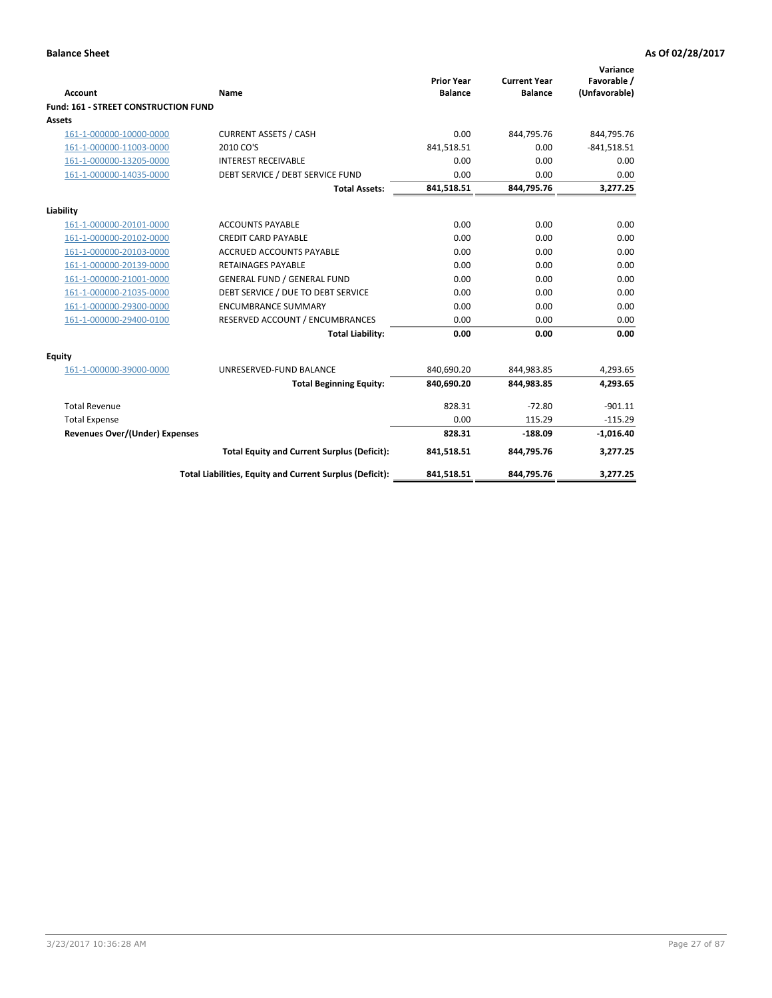| <b>Account</b>                              | Name                                                     | <b>Prior Year</b><br><b>Balance</b> | <b>Current Year</b><br><b>Balance</b> | Variance<br>Favorable /<br>(Unfavorable) |
|---------------------------------------------|----------------------------------------------------------|-------------------------------------|---------------------------------------|------------------------------------------|
| <b>Fund: 161 - STREET CONSTRUCTION FUND</b> |                                                          |                                     |                                       |                                          |
| <b>Assets</b>                               |                                                          |                                     |                                       |                                          |
| 161-1-000000-10000-0000                     | <b>CURRENT ASSETS / CASH</b>                             | 0.00                                | 844,795.76                            | 844,795.76                               |
| 161-1-000000-11003-0000                     | 2010 CO'S                                                | 841,518.51                          | 0.00                                  | $-841,518.51$                            |
| 161-1-000000-13205-0000                     | <b>INTEREST RECEIVABLE</b>                               | 0.00                                | 0.00                                  | 0.00                                     |
| 161-1-000000-14035-0000                     | DEBT SERVICE / DEBT SERVICE FUND                         | 0.00                                | 0.00                                  | 0.00                                     |
|                                             | <b>Total Assets:</b>                                     | 841,518.51                          | 844,795.76                            | 3,277.25                                 |
| Liability                                   |                                                          |                                     |                                       |                                          |
| 161-1-000000-20101-0000                     | <b>ACCOUNTS PAYABLE</b>                                  | 0.00                                | 0.00                                  | 0.00                                     |
| 161-1-000000-20102-0000                     | <b>CREDIT CARD PAYABLE</b>                               | 0.00                                | 0.00                                  | 0.00                                     |
| 161-1-000000-20103-0000                     | <b>ACCRUED ACCOUNTS PAYABLE</b>                          | 0.00                                | 0.00                                  | 0.00                                     |
| 161-1-000000-20139-0000                     | <b>RETAINAGES PAYABLE</b>                                | 0.00                                | 0.00                                  | 0.00                                     |
| 161-1-000000-21001-0000                     | <b>GENERAL FUND / GENERAL FUND</b>                       | 0.00                                | 0.00                                  | 0.00                                     |
| 161-1-000000-21035-0000                     | DEBT SERVICE / DUE TO DEBT SERVICE                       | 0.00                                | 0.00                                  | 0.00                                     |
| 161-1-000000-29300-0000                     | <b>ENCUMBRANCE SUMMARY</b>                               | 0.00                                | 0.00                                  | 0.00                                     |
| 161-1-000000-29400-0100                     | RESERVED ACCOUNT / ENCUMBRANCES                          | 0.00                                | 0.00                                  | 0.00                                     |
|                                             | <b>Total Liability:</b>                                  | 0.00                                | 0.00                                  | 0.00                                     |
| <b>Equity</b>                               |                                                          |                                     |                                       |                                          |
| 161-1-000000-39000-0000                     | UNRESERVED-FUND BALANCE                                  | 840,690.20                          | 844,983.85                            | 4,293.65                                 |
|                                             | <b>Total Beginning Equity:</b>                           | 840,690.20                          | 844,983.85                            | 4,293.65                                 |
| <b>Total Revenue</b>                        |                                                          | 828.31                              | $-72.80$                              | $-901.11$                                |
| <b>Total Expense</b>                        |                                                          | 0.00                                | 115.29                                | $-115.29$                                |
| Revenues Over/(Under) Expenses              |                                                          | 828.31                              | $-188.09$                             | $-1,016.40$                              |
|                                             | <b>Total Equity and Current Surplus (Deficit):</b>       | 841,518.51                          | 844,795.76                            | 3,277.25                                 |
|                                             | Total Liabilities, Equity and Current Surplus (Deficit): | 841,518.51                          | 844,795.76                            | 3,277.25                                 |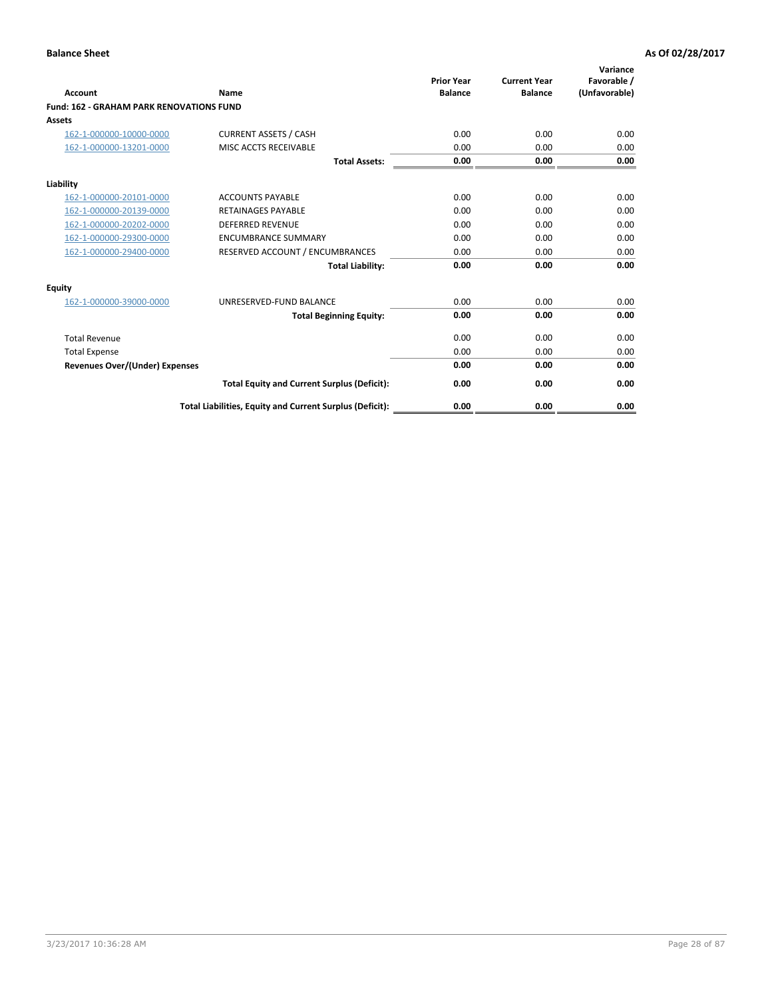|                                                 |                                                          | <b>Prior Year</b><br><b>Balance</b> | <b>Current Year</b> | Variance<br>Favorable / |
|-------------------------------------------------|----------------------------------------------------------|-------------------------------------|---------------------|-------------------------|
| <b>Account</b>                                  | Name                                                     |                                     | <b>Balance</b>      | (Unfavorable)           |
| <b>Fund: 162 - GRAHAM PARK RENOVATIONS FUND</b> |                                                          |                                     |                     |                         |
| <b>Assets</b>                                   |                                                          |                                     |                     |                         |
| 162-1-000000-10000-0000                         | <b>CURRENT ASSETS / CASH</b>                             | 0.00                                | 0.00                | 0.00                    |
| 162-1-000000-13201-0000                         | MISC ACCTS RECEIVABLE                                    | 0.00                                | 0.00                | 0.00                    |
|                                                 | <b>Total Assets:</b>                                     | 0.00                                | 0.00                | 0.00                    |
| Liability                                       |                                                          |                                     |                     |                         |
| 162-1-000000-20101-0000                         | <b>ACCOUNTS PAYABLE</b>                                  | 0.00                                | 0.00                | 0.00                    |
| 162-1-000000-20139-0000                         | <b>RETAINAGES PAYABLE</b>                                | 0.00                                | 0.00                | 0.00                    |
| 162-1-000000-20202-0000                         | <b>DEFERRED REVENUE</b>                                  | 0.00                                | 0.00                | 0.00                    |
| 162-1-000000-29300-0000                         | <b>ENCUMBRANCE SUMMARY</b>                               | 0.00                                | 0.00                | 0.00                    |
| 162-1-000000-29400-0000                         | RESERVED ACCOUNT / ENCUMBRANCES                          | 0.00                                | 0.00                | 0.00                    |
|                                                 | <b>Total Liability:</b>                                  | 0.00                                | 0.00                | 0.00                    |
| Equity                                          |                                                          |                                     |                     |                         |
| 162-1-000000-39000-0000                         | UNRESERVED-FUND BALANCE                                  | 0.00                                | 0.00                | 0.00                    |
|                                                 | <b>Total Beginning Equity:</b>                           | 0.00                                | 0.00                | 0.00                    |
| <b>Total Revenue</b>                            |                                                          | 0.00                                | 0.00                | 0.00                    |
| <b>Total Expense</b>                            |                                                          | 0.00                                | 0.00                | 0.00                    |
| Revenues Over/(Under) Expenses                  |                                                          | 0.00                                | 0.00                | 0.00                    |
|                                                 | <b>Total Equity and Current Surplus (Deficit):</b>       | 0.00                                | 0.00                | 0.00                    |
|                                                 | Total Liabilities, Equity and Current Surplus (Deficit): | 0.00                                | 0.00                | 0.00                    |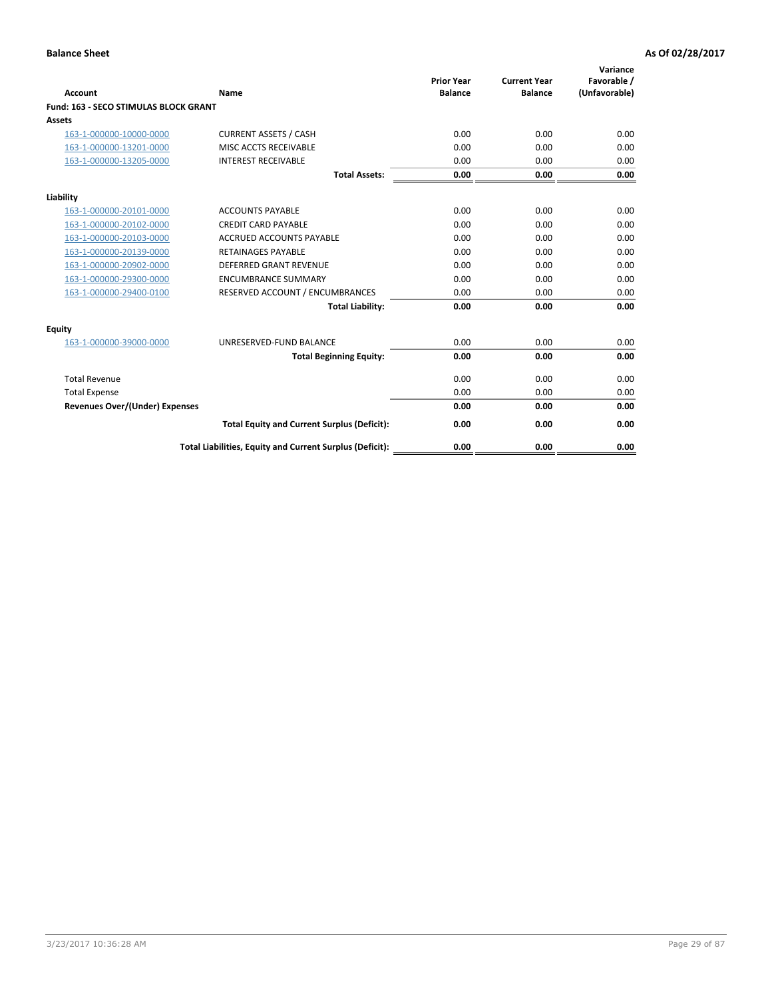|                                              |                                                          | <b>Prior Year</b> | <b>Current Year</b> | Variance<br>Favorable / |
|----------------------------------------------|----------------------------------------------------------|-------------------|---------------------|-------------------------|
| <b>Account</b>                               | Name                                                     | <b>Balance</b>    | <b>Balance</b>      | (Unfavorable)           |
| <b>Fund: 163 - SECO STIMULAS BLOCK GRANT</b> |                                                          |                   |                     |                         |
| Assets                                       |                                                          |                   |                     |                         |
| 163-1-000000-10000-0000                      | <b>CURRENT ASSETS / CASH</b>                             | 0.00              | 0.00                | 0.00                    |
| 163-1-000000-13201-0000                      | MISC ACCTS RECEIVABLE                                    | 0.00              | 0.00                | 0.00                    |
| 163-1-000000-13205-0000                      | <b>INTEREST RECEIVABLE</b>                               | 0.00              | 0.00                | 0.00                    |
|                                              | <b>Total Assets:</b>                                     | 0.00              | 0.00                | 0.00                    |
| Liability                                    |                                                          |                   |                     |                         |
| 163-1-000000-20101-0000                      | <b>ACCOUNTS PAYABLE</b>                                  | 0.00              | 0.00                | 0.00                    |
| 163-1-000000-20102-0000                      | <b>CREDIT CARD PAYABLE</b>                               | 0.00              | 0.00                | 0.00                    |
| 163-1-000000-20103-0000                      | <b>ACCRUED ACCOUNTS PAYABLE</b>                          | 0.00              | 0.00                | 0.00                    |
| 163-1-000000-20139-0000                      | <b>RETAINAGES PAYABLE</b>                                | 0.00              | 0.00                | 0.00                    |
| 163-1-000000-20902-0000                      | <b>DEFERRED GRANT REVENUE</b>                            | 0.00              | 0.00                | 0.00                    |
| 163-1-000000-29300-0000                      | <b>ENCUMBRANCE SUMMARY</b>                               | 0.00              | 0.00                | 0.00                    |
| 163-1-000000-29400-0100                      | RESERVED ACCOUNT / ENCUMBRANCES                          | 0.00              | 0.00                | 0.00                    |
|                                              | <b>Total Liability:</b>                                  | 0.00              | 0.00                | 0.00                    |
| <b>Equity</b>                                |                                                          |                   |                     |                         |
| 163-1-000000-39000-0000                      | UNRESERVED-FUND BALANCE                                  | 0.00              | 0.00                | 0.00                    |
|                                              | <b>Total Beginning Equity:</b>                           | 0.00              | 0.00                | 0.00                    |
| <b>Total Revenue</b>                         |                                                          | 0.00              | 0.00                | 0.00                    |
| <b>Total Expense</b>                         |                                                          | 0.00              | 0.00                | 0.00                    |
| Revenues Over/(Under) Expenses               |                                                          | 0.00              | 0.00                | 0.00                    |
|                                              | <b>Total Equity and Current Surplus (Deficit):</b>       | 0.00              | 0.00                | 0.00                    |
|                                              | Total Liabilities, Equity and Current Surplus (Deficit): | 0.00              | 0.00                | 0.00                    |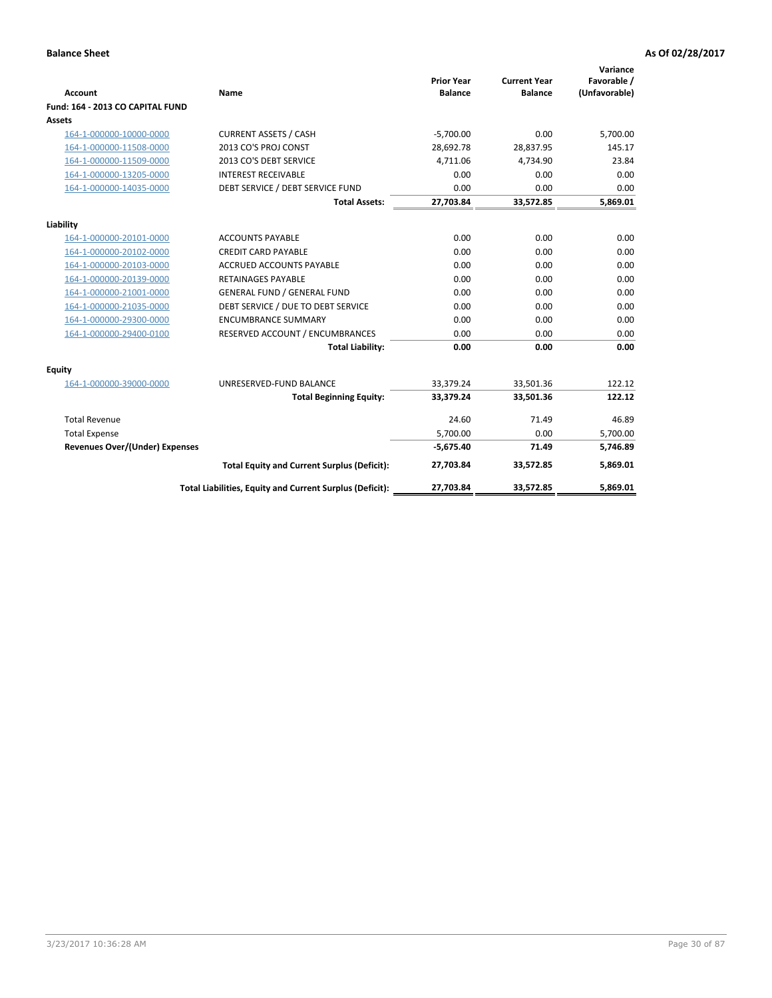|                                                    |                                                          | <b>Prior Year</b><br><b>Balance</b> | <b>Current Year</b><br><b>Balance</b> | Variance<br>Favorable / |
|----------------------------------------------------|----------------------------------------------------------|-------------------------------------|---------------------------------------|-------------------------|
| <b>Account</b><br>Fund: 164 - 2013 CO CAPITAL FUND | Name                                                     |                                     |                                       | (Unfavorable)           |
| Assets                                             |                                                          |                                     |                                       |                         |
|                                                    | <b>CURRENT ASSETS / CASH</b>                             | $-5,700.00$                         | 0.00                                  | 5,700.00                |
| 164-1-000000-10000-0000<br>164-1-000000-11508-0000 | 2013 CO'S PROJ CONST                                     | 28.692.78                           | 28,837.95                             | 145.17                  |
|                                                    | 2013 CO'S DEBT SERVICE                                   |                                     |                                       |                         |
| 164-1-000000-11509-0000                            |                                                          | 4,711.06                            | 4,734.90                              | 23.84                   |
| 164-1-000000-13205-0000                            | <b>INTEREST RECEIVABLE</b>                               | 0.00                                | 0.00                                  | 0.00                    |
| 164-1-000000-14035-0000                            | DEBT SERVICE / DEBT SERVICE FUND                         | 0.00                                | 0.00                                  | 0.00                    |
|                                                    | <b>Total Assets:</b>                                     | 27,703.84                           | 33,572.85                             | 5,869.01                |
| Liability                                          |                                                          |                                     |                                       |                         |
| 164-1-000000-20101-0000                            | <b>ACCOUNTS PAYABLE</b>                                  | 0.00                                | 0.00                                  | 0.00                    |
| 164-1-000000-20102-0000                            | <b>CREDIT CARD PAYABLE</b>                               | 0.00                                | 0.00                                  | 0.00                    |
| 164-1-000000-20103-0000                            | <b>ACCRUED ACCOUNTS PAYABLE</b>                          | 0.00                                | 0.00                                  | 0.00                    |
| 164-1-000000-20139-0000                            | <b>RETAINAGES PAYABLE</b>                                | 0.00                                | 0.00                                  | 0.00                    |
| 164-1-000000-21001-0000                            | <b>GENERAL FUND / GENERAL FUND</b>                       | 0.00                                | 0.00                                  | 0.00                    |
| 164-1-000000-21035-0000                            | DEBT SERVICE / DUE TO DEBT SERVICE                       | 0.00                                | 0.00                                  | 0.00                    |
| 164-1-000000-29300-0000                            | <b>ENCUMBRANCE SUMMARY</b>                               | 0.00                                | 0.00                                  | 0.00                    |
| 164-1-000000-29400-0100                            | RESERVED ACCOUNT / ENCUMBRANCES                          | 0.00                                | 0.00                                  | 0.00                    |
|                                                    | <b>Total Liability:</b>                                  | 0.00                                | 0.00                                  | 0.00                    |
| Equity                                             |                                                          |                                     |                                       |                         |
| 164-1-000000-39000-0000                            | UNRESERVED-FUND BALANCE                                  | 33,379.24                           | 33,501.36                             | 122.12                  |
|                                                    | <b>Total Beginning Equity:</b>                           | 33,379.24                           | 33,501.36                             | 122.12                  |
| <b>Total Revenue</b>                               |                                                          | 24.60                               | 71.49                                 | 46.89                   |
| <b>Total Expense</b>                               |                                                          | 5,700.00                            | 0.00                                  | 5,700.00                |
| <b>Revenues Over/(Under) Expenses</b>              |                                                          | $-5,675.40$                         | 71.49                                 | 5,746.89                |
|                                                    | <b>Total Equity and Current Surplus (Deficit):</b>       | 27,703.84                           | 33,572.85                             | 5.869.01                |
|                                                    | Total Liabilities, Equity and Current Surplus (Deficit): | 27,703.84                           | 33,572.85                             | 5.869.01                |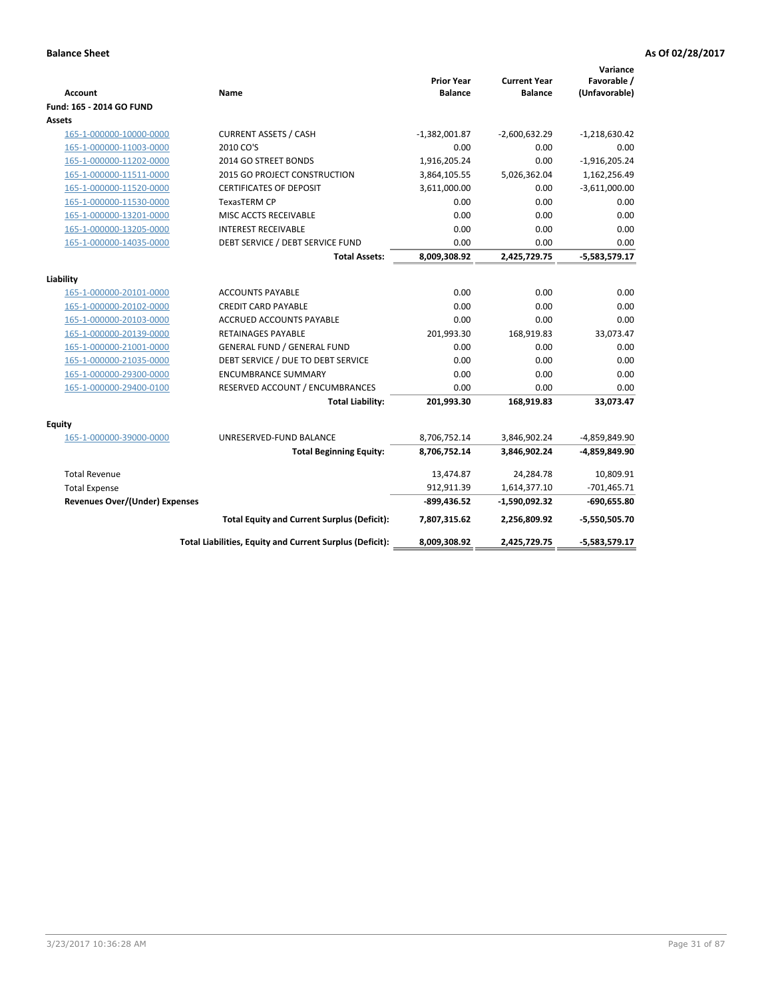| Account                               | Name                                                     | <b>Prior Year</b><br><b>Balance</b> | <b>Current Year</b><br><b>Balance</b> | Variance<br>Favorable /<br>(Unfavorable) |
|---------------------------------------|----------------------------------------------------------|-------------------------------------|---------------------------------------|------------------------------------------|
| Fund: 165 - 2014 GO FUND              |                                                          |                                     |                                       |                                          |
| Assets                                |                                                          |                                     |                                       |                                          |
| 165-1-000000-10000-0000               | <b>CURRENT ASSETS / CASH</b>                             | $-1,382,001.87$                     | $-2,600,632.29$                       | $-1,218,630.42$                          |
| 165-1-000000-11003-0000               | 2010 CO'S                                                | 0.00                                | 0.00                                  | 0.00                                     |
| 165-1-000000-11202-0000               | 2014 GO STREET BONDS                                     | 1,916,205.24                        | 0.00                                  | $-1,916,205.24$                          |
| 165-1-000000-11511-0000               | 2015 GO PROJECT CONSTRUCTION                             | 3,864,105.55                        | 5,026,362.04                          | 1,162,256.49                             |
| 165-1-000000-11520-0000               | <b>CERTIFICATES OF DEPOSIT</b>                           | 3,611,000.00                        | 0.00                                  | $-3,611,000.00$                          |
| 165-1-000000-11530-0000               | TexasTERM CP                                             | 0.00                                | 0.00                                  | 0.00                                     |
| 165-1-000000-13201-0000               | MISC ACCTS RECEIVABLE                                    | 0.00                                | 0.00                                  | 0.00                                     |
| 165-1-000000-13205-0000               | <b>INTEREST RECEIVABLE</b>                               | 0.00                                | 0.00                                  | 0.00                                     |
| 165-1-000000-14035-0000               | DEBT SERVICE / DEBT SERVICE FUND                         | 0.00                                | 0.00                                  | 0.00                                     |
|                                       | <b>Total Assets:</b>                                     | 8,009,308.92                        | 2,425,729.75                          | $-5,583,579.17$                          |
| Liability                             |                                                          |                                     |                                       |                                          |
| 165-1-000000-20101-0000               | <b>ACCOUNTS PAYABLE</b>                                  | 0.00                                | 0.00                                  | 0.00                                     |
| 165-1-000000-20102-0000               | <b>CREDIT CARD PAYABLE</b>                               | 0.00                                | 0.00                                  | 0.00                                     |
| 165-1-000000-20103-0000               | <b>ACCRUED ACCOUNTS PAYABLE</b>                          | 0.00                                | 0.00                                  | 0.00                                     |
| 165-1-000000-20139-0000               | <b>RETAINAGES PAYABLE</b>                                | 201,993.30                          | 168,919.83                            | 33,073.47                                |
| 165-1-000000-21001-0000               | <b>GENERAL FUND / GENERAL FUND</b>                       | 0.00                                | 0.00                                  | 0.00                                     |
| 165-1-000000-21035-0000               | DEBT SERVICE / DUE TO DEBT SERVICE                       | 0.00                                | 0.00                                  | 0.00                                     |
| 165-1-000000-29300-0000               | <b>ENCUMBRANCE SUMMARY</b>                               | 0.00                                | 0.00                                  | 0.00                                     |
| 165-1-000000-29400-0100               | RESERVED ACCOUNT / ENCUMBRANCES                          | 0.00                                | 0.00                                  | 0.00                                     |
|                                       | <b>Total Liability:</b>                                  | 201,993.30                          | 168,919.83                            | 33,073.47                                |
| <b>Equity</b>                         |                                                          |                                     |                                       |                                          |
| 165-1-000000-39000-0000               | UNRESERVED-FUND BALANCE                                  | 8,706,752.14                        | 3,846,902.24                          | -4,859,849.90                            |
|                                       | <b>Total Beginning Equity:</b>                           | 8,706,752.14                        | 3,846,902.24                          | -4,859,849.90                            |
| <b>Total Revenue</b>                  |                                                          | 13,474.87                           | 24,284.78                             | 10,809.91                                |
| <b>Total Expense</b>                  |                                                          | 912,911.39                          | 1,614,377.10                          | $-701,465.71$                            |
| <b>Revenues Over/(Under) Expenses</b> |                                                          | $-899,436.52$                       | -1,590,092.32                         | $-690,655.80$                            |
|                                       | <b>Total Equity and Current Surplus (Deficit):</b>       | 7,807,315.62                        | 2,256,809.92                          | $-5,550,505.70$                          |
|                                       | Total Liabilities, Equity and Current Surplus (Deficit): | 8,009,308.92                        | 2,425,729.75                          | $-5,583,579.17$                          |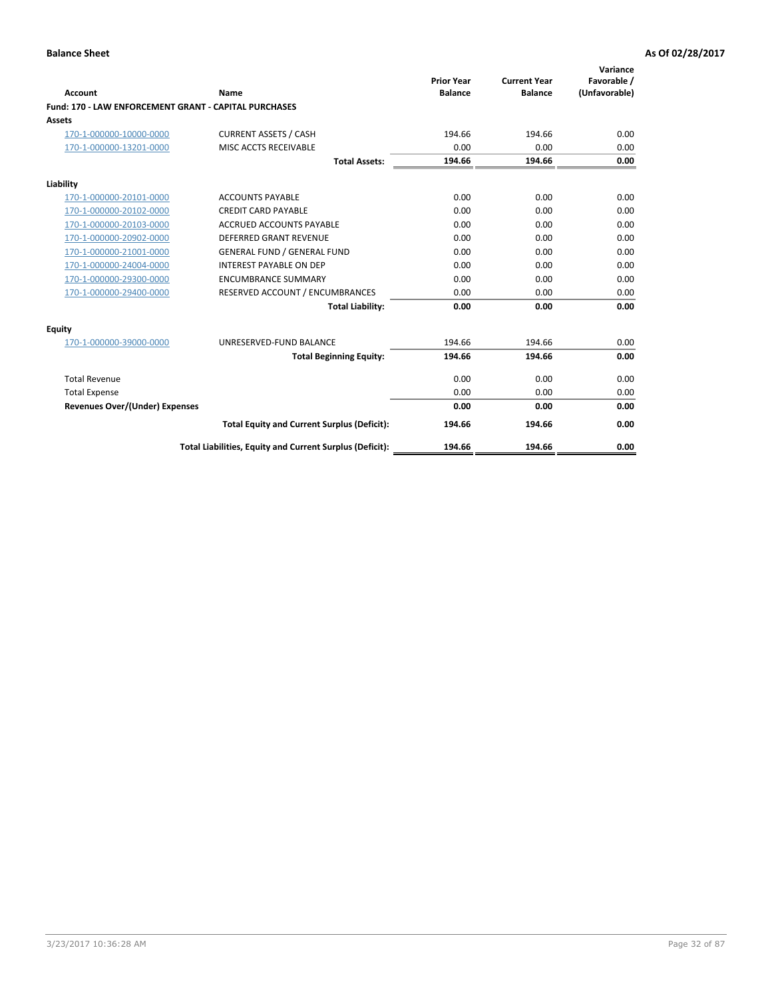|                                                       |                                                          |                                     |                                       | Variance                     |
|-------------------------------------------------------|----------------------------------------------------------|-------------------------------------|---------------------------------------|------------------------------|
| Account                                               | Name                                                     | <b>Prior Year</b><br><b>Balance</b> | <b>Current Year</b><br><b>Balance</b> | Favorable /<br>(Unfavorable) |
| Fund: 170 - LAW ENFORCEMENT GRANT - CAPITAL PURCHASES |                                                          |                                     |                                       |                              |
| Assets                                                |                                                          |                                     |                                       |                              |
| 170-1-000000-10000-0000                               | <b>CURRENT ASSETS / CASH</b>                             | 194.66                              | 194.66                                | 0.00                         |
| 170-1-000000-13201-0000                               | MISC ACCTS RECEIVABLE                                    | 0.00                                | 0.00                                  | 0.00                         |
|                                                       | <b>Total Assets:</b>                                     | 194.66                              | 194.66                                | 0.00                         |
| Liability                                             |                                                          |                                     |                                       |                              |
| 170-1-000000-20101-0000                               | <b>ACCOUNTS PAYABLE</b>                                  | 0.00                                | 0.00                                  | 0.00                         |
| 170-1-000000-20102-0000                               | <b>CREDIT CARD PAYABLE</b>                               | 0.00                                | 0.00                                  | 0.00                         |
| 170-1-000000-20103-0000                               | <b>ACCRUED ACCOUNTS PAYABLE</b>                          | 0.00                                | 0.00                                  | 0.00                         |
| 170-1-000000-20902-0000                               | DEFERRED GRANT REVENUE                                   | 0.00                                | 0.00                                  | 0.00                         |
| 170-1-000000-21001-0000                               | <b>GENERAL FUND / GENERAL FUND</b>                       | 0.00                                | 0.00                                  | 0.00                         |
| 170-1-000000-24004-0000                               | <b>INTEREST PAYABLE ON DEP</b>                           | 0.00                                | 0.00                                  | 0.00                         |
| 170-1-000000-29300-0000                               | <b>ENCUMBRANCE SUMMARY</b>                               | 0.00                                | 0.00                                  | 0.00                         |
| 170-1-000000-29400-0000                               | RESERVED ACCOUNT / ENCUMBRANCES                          | 0.00                                | 0.00                                  | 0.00                         |
|                                                       | <b>Total Liability:</b>                                  | 0.00                                | 0.00                                  | 0.00                         |
| <b>Equity</b>                                         |                                                          |                                     |                                       |                              |
| 170-1-000000-39000-0000                               | UNRESERVED-FUND BALANCE                                  | 194.66                              | 194.66                                | 0.00                         |
|                                                       | <b>Total Beginning Equity:</b>                           | 194.66                              | 194.66                                | 0.00                         |
| <b>Total Revenue</b>                                  |                                                          | 0.00                                | 0.00                                  | 0.00                         |
| <b>Total Expense</b>                                  |                                                          | 0.00                                | 0.00                                  | 0.00                         |
| <b>Revenues Over/(Under) Expenses</b>                 |                                                          | 0.00                                | 0.00                                  | 0.00                         |
|                                                       | <b>Total Equity and Current Surplus (Deficit):</b>       | 194.66                              | 194.66                                | 0.00                         |
|                                                       | Total Liabilities, Equity and Current Surplus (Deficit): | 194.66                              | 194.66                                | 0.00                         |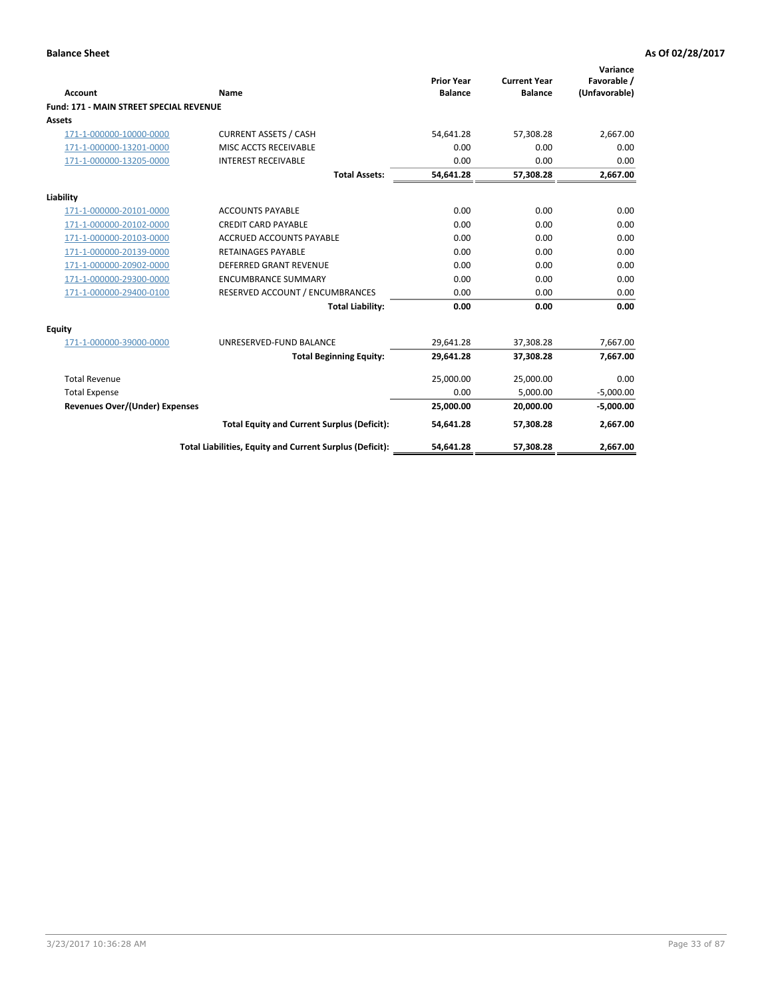|                                         |                                                          | <b>Prior Year</b> | <b>Current Year</b> | Variance<br>Favorable / |
|-----------------------------------------|----------------------------------------------------------|-------------------|---------------------|-------------------------|
| Account                                 | Name                                                     | <b>Balance</b>    | <b>Balance</b>      | (Unfavorable)           |
| Fund: 171 - MAIN STREET SPECIAL REVENUE |                                                          |                   |                     |                         |
| Assets                                  |                                                          |                   |                     |                         |
| 171-1-000000-10000-0000                 | <b>CURRENT ASSETS / CASH</b>                             | 54,641.28         | 57,308.28           | 2,667.00                |
| 171-1-000000-13201-0000                 | MISC ACCTS RECEIVABLE                                    | 0.00              | 0.00                | 0.00                    |
| 171-1-000000-13205-0000                 | <b>INTEREST RECEIVABLE</b>                               | 0.00              | 0.00                | 0.00                    |
|                                         | <b>Total Assets:</b>                                     | 54,641.28         | 57,308.28           | 2,667.00                |
| Liability                               |                                                          |                   |                     |                         |
| 171-1-000000-20101-0000                 | <b>ACCOUNTS PAYABLE</b>                                  | 0.00              | 0.00                | 0.00                    |
| 171-1-000000-20102-0000                 | <b>CREDIT CARD PAYABLE</b>                               | 0.00              | 0.00                | 0.00                    |
| 171-1-000000-20103-0000                 | <b>ACCRUED ACCOUNTS PAYABLE</b>                          | 0.00              | 0.00                | 0.00                    |
| 171-1-000000-20139-0000                 | <b>RETAINAGES PAYABLE</b>                                | 0.00              | 0.00                | 0.00                    |
| 171-1-000000-20902-0000                 | <b>DEFERRED GRANT REVENUE</b>                            | 0.00              | 0.00                | 0.00                    |
| 171-1-000000-29300-0000                 | <b>ENCUMBRANCE SUMMARY</b>                               | 0.00              | 0.00                | 0.00                    |
| 171-1-000000-29400-0100                 | RESERVED ACCOUNT / ENCUMBRANCES                          | 0.00              | 0.00                | 0.00                    |
|                                         | <b>Total Liability:</b>                                  | 0.00              | 0.00                | 0.00                    |
| <b>Equity</b>                           |                                                          |                   |                     |                         |
| 171-1-000000-39000-0000                 | UNRESERVED-FUND BALANCE                                  | 29,641.28         | 37,308.28           | 7,667.00                |
|                                         | <b>Total Beginning Equity:</b>                           | 29.641.28         | 37.308.28           | 7,667.00                |
| <b>Total Revenue</b>                    |                                                          | 25,000.00         | 25,000.00           | 0.00                    |
| <b>Total Expense</b>                    |                                                          | 0.00              | 5,000.00            | $-5,000.00$             |
| <b>Revenues Over/(Under) Expenses</b>   |                                                          | 25,000.00         | 20.000.00           | $-5,000.00$             |
|                                         | <b>Total Equity and Current Surplus (Deficit):</b>       | 54,641.28         | 57,308.28           | 2,667.00                |
|                                         | Total Liabilities, Equity and Current Surplus (Deficit): | 54,641.28         | 57,308.28           | 2,667.00                |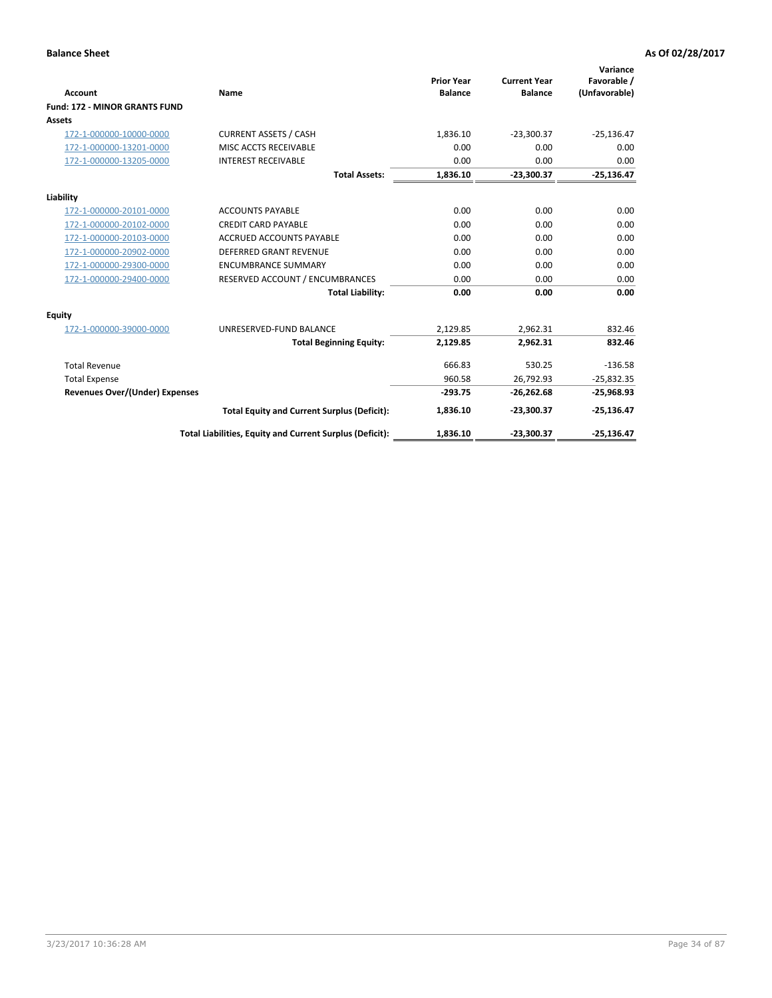|                                       |                                                          |                                     |                                       | Variance                     |
|---------------------------------------|----------------------------------------------------------|-------------------------------------|---------------------------------------|------------------------------|
| <b>Account</b>                        | Name                                                     | <b>Prior Year</b><br><b>Balance</b> | <b>Current Year</b><br><b>Balance</b> | Favorable /<br>(Unfavorable) |
| Fund: 172 - MINOR GRANTS FUND         |                                                          |                                     |                                       |                              |
| Assets                                |                                                          |                                     |                                       |                              |
| 172-1-000000-10000-0000               | <b>CURRENT ASSETS / CASH</b>                             | 1,836.10                            | $-23,300.37$                          | $-25,136.47$                 |
| 172-1-000000-13201-0000               | MISC ACCTS RECEIVABLE                                    | 0.00                                | 0.00                                  | 0.00                         |
| 172-1-000000-13205-0000               | <b>INTEREST RECEIVABLE</b>                               | 0.00                                | 0.00                                  | 0.00                         |
|                                       | <b>Total Assets:</b>                                     | 1,836.10                            | $-23,300.37$                          | $-25,136.47$                 |
| Liability                             |                                                          |                                     |                                       |                              |
| 172-1-000000-20101-0000               | <b>ACCOUNTS PAYABLE</b>                                  | 0.00                                | 0.00                                  | 0.00                         |
| 172-1-000000-20102-0000               | <b>CREDIT CARD PAYABLE</b>                               | 0.00                                | 0.00                                  | 0.00                         |
| 172-1-000000-20103-0000               | <b>ACCRUED ACCOUNTS PAYABLE</b>                          | 0.00                                | 0.00                                  | 0.00                         |
| 172-1-000000-20902-0000               | <b>DEFERRED GRANT REVENUE</b>                            | 0.00                                | 0.00                                  | 0.00                         |
| 172-1-000000-29300-0000               | <b>ENCUMBRANCE SUMMARY</b>                               | 0.00                                | 0.00                                  | 0.00                         |
| 172-1-000000-29400-0000               | RESERVED ACCOUNT / ENCUMBRANCES                          | 0.00                                | 0.00                                  | 0.00                         |
|                                       | <b>Total Liability:</b>                                  | 0.00                                | 0.00                                  | 0.00                         |
| Equity                                |                                                          |                                     |                                       |                              |
| 172-1-000000-39000-0000               | UNRESERVED-FUND BALANCE                                  | 2,129.85                            | 2,962.31                              | 832.46                       |
|                                       | <b>Total Beginning Equity:</b>                           | 2,129.85                            | 2,962.31                              | 832.46                       |
| <b>Total Revenue</b>                  |                                                          | 666.83                              | 530.25                                | $-136.58$                    |
| <b>Total Expense</b>                  |                                                          | 960.58                              | 26,792.93                             | $-25,832.35$                 |
| <b>Revenues Over/(Under) Expenses</b> |                                                          | $-293.75$                           | $-26,262.68$                          | $-25,968.93$                 |
|                                       | <b>Total Equity and Current Surplus (Deficit):</b>       | 1,836.10                            | $-23.300.37$                          | $-25,136.47$                 |
|                                       | Total Liabilities, Equity and Current Surplus (Deficit): | 1,836.10                            | $-23,300.37$                          | $-25,136.47$                 |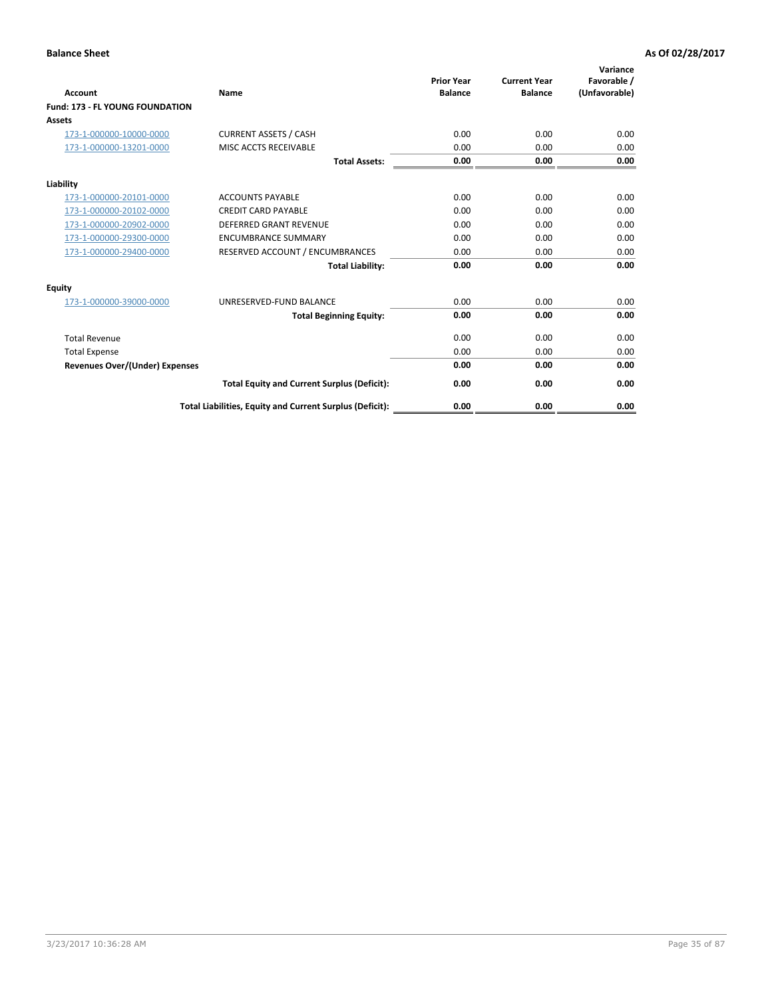| <b>Account</b>                         | <b>Name</b>                                              | <b>Prior Year</b><br><b>Balance</b> | <b>Current Year</b><br><b>Balance</b> | Variance<br>Favorable /<br>(Unfavorable) |
|----------------------------------------|----------------------------------------------------------|-------------------------------------|---------------------------------------|------------------------------------------|
| <b>Fund: 173 - FL YOUNG FOUNDATION</b> |                                                          |                                     |                                       |                                          |
| Assets                                 |                                                          |                                     |                                       |                                          |
| 173-1-000000-10000-0000                | <b>CURRENT ASSETS / CASH</b>                             | 0.00                                | 0.00                                  | 0.00                                     |
| 173-1-000000-13201-0000                | MISC ACCTS RECEIVABLE                                    | 0.00                                | 0.00                                  | 0.00                                     |
|                                        | <b>Total Assets:</b>                                     | 0.00                                | 0.00                                  | 0.00                                     |
| Liability                              |                                                          |                                     |                                       |                                          |
| 173-1-000000-20101-0000                | <b>ACCOUNTS PAYABLE</b>                                  | 0.00                                | 0.00                                  | 0.00                                     |
| 173-1-000000-20102-0000                | <b>CREDIT CARD PAYABLE</b>                               | 0.00                                | 0.00                                  | 0.00                                     |
| 173-1-000000-20902-0000                | <b>DEFERRED GRANT REVENUE</b>                            | 0.00                                | 0.00                                  | 0.00                                     |
| 173-1-000000-29300-0000                | <b>ENCUMBRANCE SUMMARY</b>                               | 0.00                                | 0.00                                  | 0.00                                     |
| 173-1-000000-29400-0000                | RESERVED ACCOUNT / ENCUMBRANCES                          | 0.00                                | 0.00                                  | 0.00                                     |
|                                        | <b>Total Liability:</b>                                  | 0.00                                | 0.00                                  | 0.00                                     |
| Equity                                 |                                                          |                                     |                                       |                                          |
| 173-1-000000-39000-0000                | UNRESERVED-FUND BALANCE                                  | 0.00                                | 0.00                                  | 0.00                                     |
|                                        | <b>Total Beginning Equity:</b>                           | 0.00                                | 0.00                                  | 0.00                                     |
| <b>Total Revenue</b>                   |                                                          | 0.00                                | 0.00                                  | 0.00                                     |
| <b>Total Expense</b>                   |                                                          | 0.00                                | 0.00                                  | 0.00                                     |
| <b>Revenues Over/(Under) Expenses</b>  |                                                          | 0.00                                | 0.00                                  | 0.00                                     |
|                                        | <b>Total Equity and Current Surplus (Deficit):</b>       | 0.00                                | 0.00                                  | 0.00                                     |
|                                        | Total Liabilities, Equity and Current Surplus (Deficit): | 0.00                                | 0.00                                  | 0.00                                     |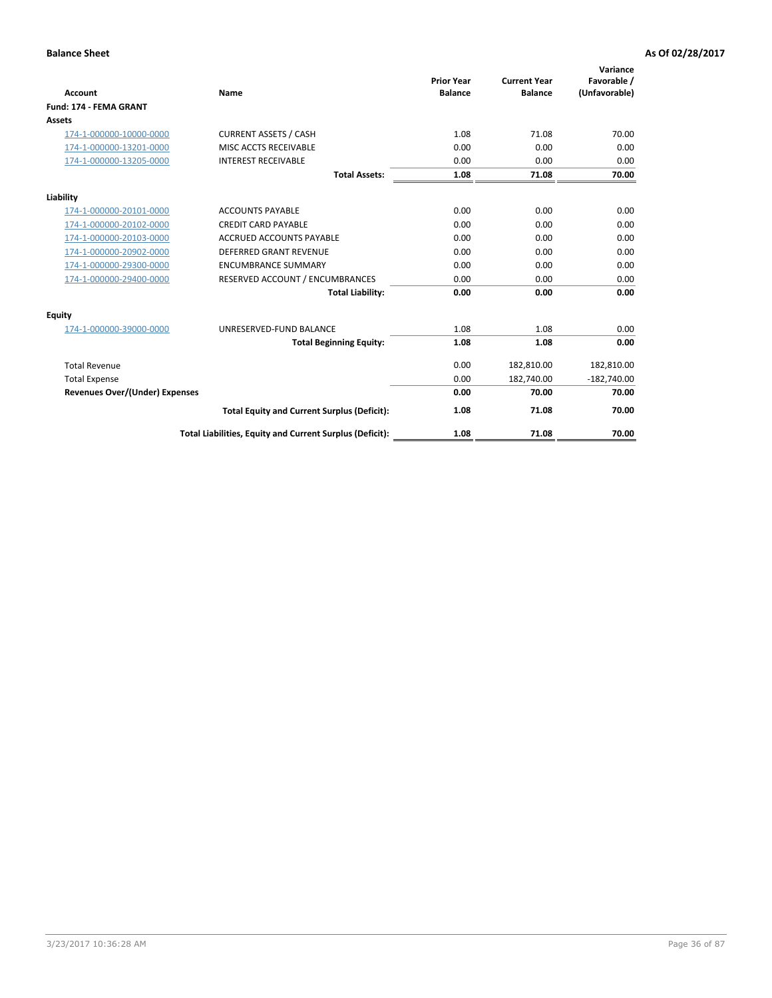|                                       |                                                          | <b>Prior Year</b> | <b>Current Year</b> | Variance<br>Favorable / |
|---------------------------------------|----------------------------------------------------------|-------------------|---------------------|-------------------------|
| <b>Account</b>                        | Name                                                     | <b>Balance</b>    | <b>Balance</b>      | (Unfavorable)           |
| Fund: 174 - FEMA GRANT                |                                                          |                   |                     |                         |
| <b>Assets</b>                         |                                                          |                   |                     |                         |
| 174-1-000000-10000-0000               | <b>CURRENT ASSETS / CASH</b>                             | 1.08              | 71.08               | 70.00                   |
| 174-1-000000-13201-0000               | MISC ACCTS RECEIVABLE                                    | 0.00              | 0.00                | 0.00                    |
| 174-1-000000-13205-0000               | <b>INTEREST RECEIVABLE</b>                               | 0.00              | 0.00                | 0.00                    |
|                                       | <b>Total Assets:</b>                                     | 1.08              | 71.08               | 70.00                   |
| Liability                             |                                                          |                   |                     |                         |
| 174-1-000000-20101-0000               | <b>ACCOUNTS PAYABLE</b>                                  | 0.00              | 0.00                | 0.00                    |
| 174-1-000000-20102-0000               | <b>CREDIT CARD PAYABLE</b>                               | 0.00              | 0.00                | 0.00                    |
| 174-1-000000-20103-0000               | <b>ACCRUED ACCOUNTS PAYABLE</b>                          | 0.00              | 0.00                | 0.00                    |
| 174-1-000000-20902-0000               | <b>DEFERRED GRANT REVENUE</b>                            | 0.00              | 0.00                | 0.00                    |
| 174-1-000000-29300-0000               | <b>ENCUMBRANCE SUMMARY</b>                               | 0.00              | 0.00                | 0.00                    |
| 174-1-000000-29400-0000               | RESERVED ACCOUNT / ENCUMBRANCES                          | 0.00              | 0.00                | 0.00                    |
|                                       | <b>Total Liability:</b>                                  | 0.00              | 0.00                | 0.00                    |
| <b>Equity</b>                         |                                                          |                   |                     |                         |
| 174-1-000000-39000-0000               | UNRESERVED-FUND BALANCE                                  | 1.08              | 1.08                | 0.00                    |
|                                       | <b>Total Beginning Equity:</b>                           | 1.08              | 1.08                | 0.00                    |
| <b>Total Revenue</b>                  |                                                          | 0.00              | 182,810.00          | 182,810.00              |
| <b>Total Expense</b>                  |                                                          | 0.00              | 182,740.00          | $-182,740.00$           |
| <b>Revenues Over/(Under) Expenses</b> |                                                          | 0.00              | 70.00               | 70.00                   |
|                                       | <b>Total Equity and Current Surplus (Deficit):</b>       | 1.08              | 71.08               | 70.00                   |
|                                       | Total Liabilities, Equity and Current Surplus (Deficit): | 1.08              | 71.08               | 70.00                   |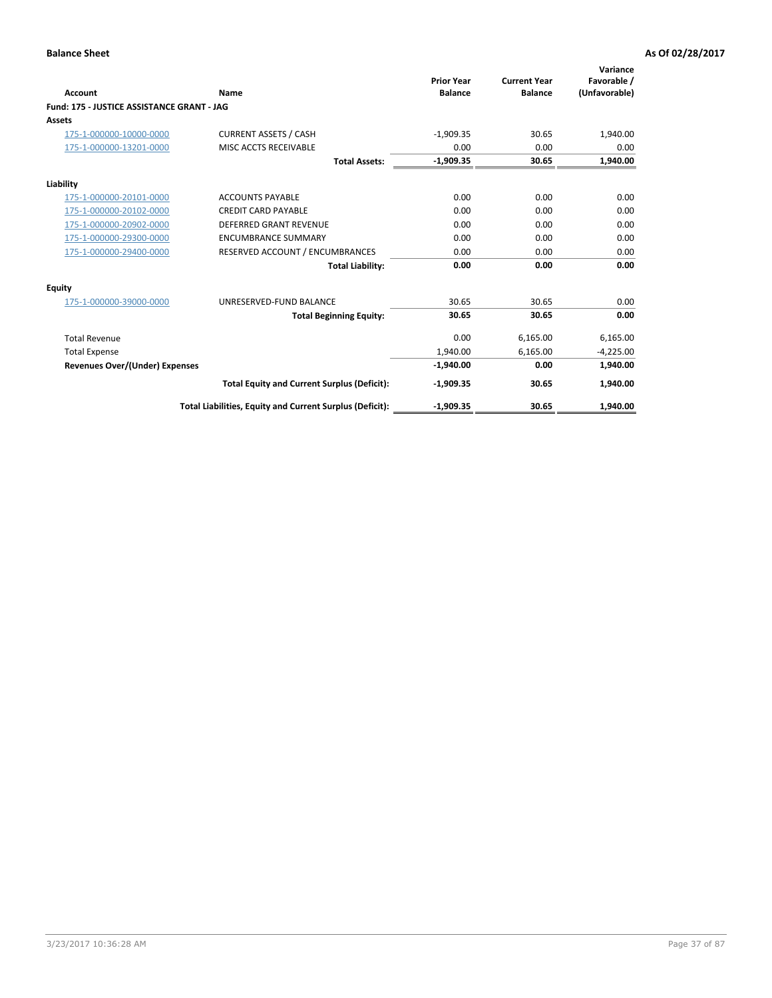| <b>Account</b>                             | Name                                                     | <b>Prior Year</b><br><b>Balance</b> | <b>Current Year</b><br><b>Balance</b> | Variance<br>Favorable /<br>(Unfavorable) |
|--------------------------------------------|----------------------------------------------------------|-------------------------------------|---------------------------------------|------------------------------------------|
| Fund: 175 - JUSTICE ASSISTANCE GRANT - JAG |                                                          |                                     |                                       |                                          |
| <b>Assets</b>                              |                                                          |                                     |                                       |                                          |
| 175-1-000000-10000-0000                    | <b>CURRENT ASSETS / CASH</b>                             | $-1,909.35$                         | 30.65                                 | 1,940.00                                 |
| 175-1-000000-13201-0000                    | MISC ACCTS RECEIVABLE                                    | 0.00                                | 0.00                                  | 0.00                                     |
|                                            | <b>Total Assets:</b>                                     | $-1,909.35$                         | 30.65                                 | 1,940.00                                 |
| Liability                                  |                                                          |                                     |                                       |                                          |
| 175-1-000000-20101-0000                    | <b>ACCOUNTS PAYABLE</b>                                  | 0.00                                | 0.00                                  | 0.00                                     |
| 175-1-000000-20102-0000                    | <b>CREDIT CARD PAYABLE</b>                               | 0.00                                | 0.00                                  | 0.00                                     |
| 175-1-000000-20902-0000                    | DEFERRED GRANT REVENUE                                   | 0.00                                | 0.00                                  | 0.00                                     |
| 175-1-000000-29300-0000                    | <b>ENCUMBRANCE SUMMARY</b>                               | 0.00                                | 0.00                                  | 0.00                                     |
| 175-1-000000-29400-0000                    | RESERVED ACCOUNT / ENCUMBRANCES                          | 0.00                                | 0.00                                  | 0.00                                     |
|                                            | <b>Total Liability:</b>                                  | 0.00                                | 0.00                                  | 0.00                                     |
| <b>Equity</b>                              |                                                          |                                     |                                       |                                          |
| 175-1-000000-39000-0000                    | UNRESERVED-FUND BALANCE                                  | 30.65                               | 30.65                                 | 0.00                                     |
|                                            | <b>Total Beginning Equity:</b>                           | 30.65                               | 30.65                                 | 0.00                                     |
| <b>Total Revenue</b>                       |                                                          | 0.00                                | 6,165.00                              | 6,165.00                                 |
| <b>Total Expense</b>                       |                                                          | 1,940.00                            | 6,165.00                              | $-4,225.00$                              |
| <b>Revenues Over/(Under) Expenses</b>      |                                                          | $-1,940.00$                         | 0.00                                  | 1,940.00                                 |
|                                            | <b>Total Equity and Current Surplus (Deficit):</b>       | $-1,909.35$                         | 30.65                                 | 1,940.00                                 |
|                                            | Total Liabilities, Equity and Current Surplus (Deficit): | $-1.909.35$                         | 30.65                                 | 1,940.00                                 |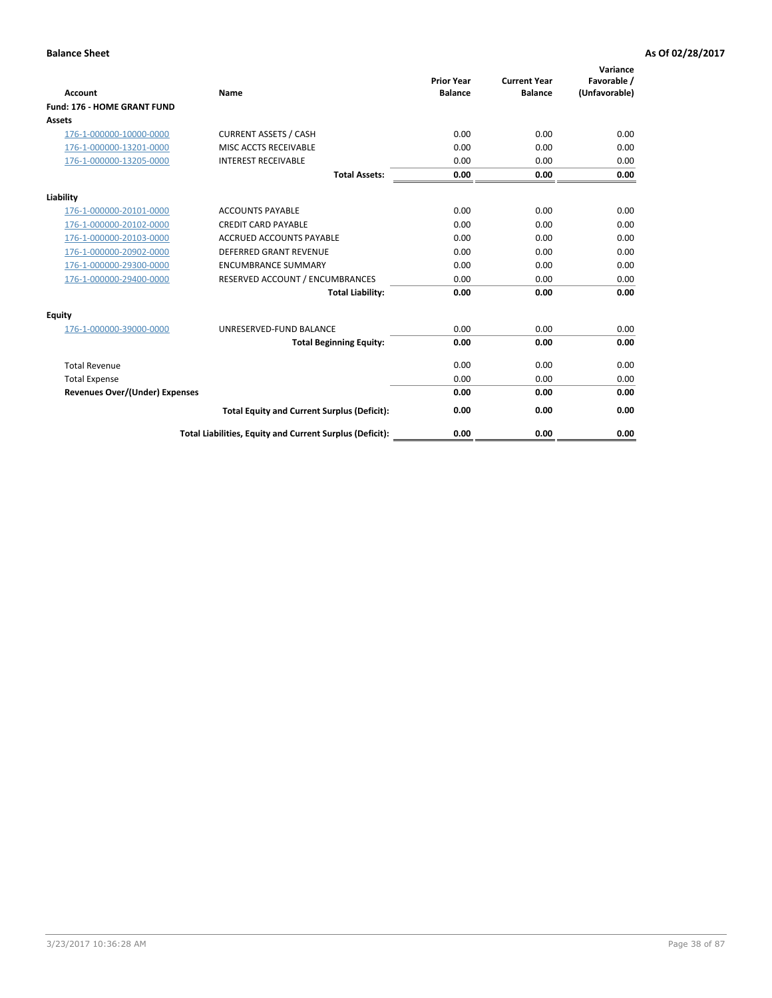| Account                               | Name                                                     | <b>Prior Year</b><br><b>Balance</b> | <b>Current Year</b><br><b>Balance</b> | Variance<br>Favorable /<br>(Unfavorable) |
|---------------------------------------|----------------------------------------------------------|-------------------------------------|---------------------------------------|------------------------------------------|
| Fund: 176 - HOME GRANT FUND           |                                                          |                                     |                                       |                                          |
| Assets                                |                                                          |                                     |                                       |                                          |
| 176-1-000000-10000-0000               | <b>CURRENT ASSETS / CASH</b>                             | 0.00                                | 0.00                                  | 0.00                                     |
| 176-1-000000-13201-0000               | MISC ACCTS RECEIVABLE                                    | 0.00                                | 0.00                                  | 0.00                                     |
| 176-1-000000-13205-0000               | <b>INTEREST RECEIVABLE</b>                               | 0.00                                | 0.00                                  | 0.00                                     |
|                                       | <b>Total Assets:</b>                                     | 0.00                                | 0.00                                  | 0.00                                     |
| Liability                             |                                                          |                                     |                                       |                                          |
| 176-1-000000-20101-0000               | <b>ACCOUNTS PAYABLE</b>                                  | 0.00                                | 0.00                                  | 0.00                                     |
| 176-1-000000-20102-0000               | <b>CREDIT CARD PAYABLE</b>                               | 0.00                                | 0.00                                  | 0.00                                     |
| 176-1-000000-20103-0000               | <b>ACCRUED ACCOUNTS PAYABLE</b>                          | 0.00                                | 0.00                                  | 0.00                                     |
| 176-1-000000-20902-0000               | <b>DEFERRED GRANT REVENUE</b>                            | 0.00                                | 0.00                                  | 0.00                                     |
| 176-1-000000-29300-0000               | <b>ENCUMBRANCE SUMMARY</b>                               | 0.00                                | 0.00                                  | 0.00                                     |
| 176-1-000000-29400-0000               | RESERVED ACCOUNT / ENCUMBRANCES                          | 0.00                                | 0.00                                  | 0.00                                     |
|                                       | <b>Total Liability:</b>                                  | 0.00                                | 0.00                                  | 0.00                                     |
| <b>Equity</b>                         |                                                          |                                     |                                       |                                          |
| 176-1-000000-39000-0000               | UNRESERVED-FUND BALANCE                                  | 0.00                                | 0.00                                  | 0.00                                     |
|                                       | <b>Total Beginning Equity:</b>                           | 0.00                                | 0.00                                  | 0.00                                     |
| <b>Total Revenue</b>                  |                                                          | 0.00                                | 0.00                                  | 0.00                                     |
| <b>Total Expense</b>                  |                                                          | 0.00                                | 0.00                                  | 0.00                                     |
| <b>Revenues Over/(Under) Expenses</b> |                                                          | 0.00                                | 0.00                                  | 0.00                                     |
|                                       | <b>Total Equity and Current Surplus (Deficit):</b>       | 0.00                                | 0.00                                  | 0.00                                     |
|                                       | Total Liabilities, Equity and Current Surplus (Deficit): | 0.00                                | 0.00                                  | 0.00                                     |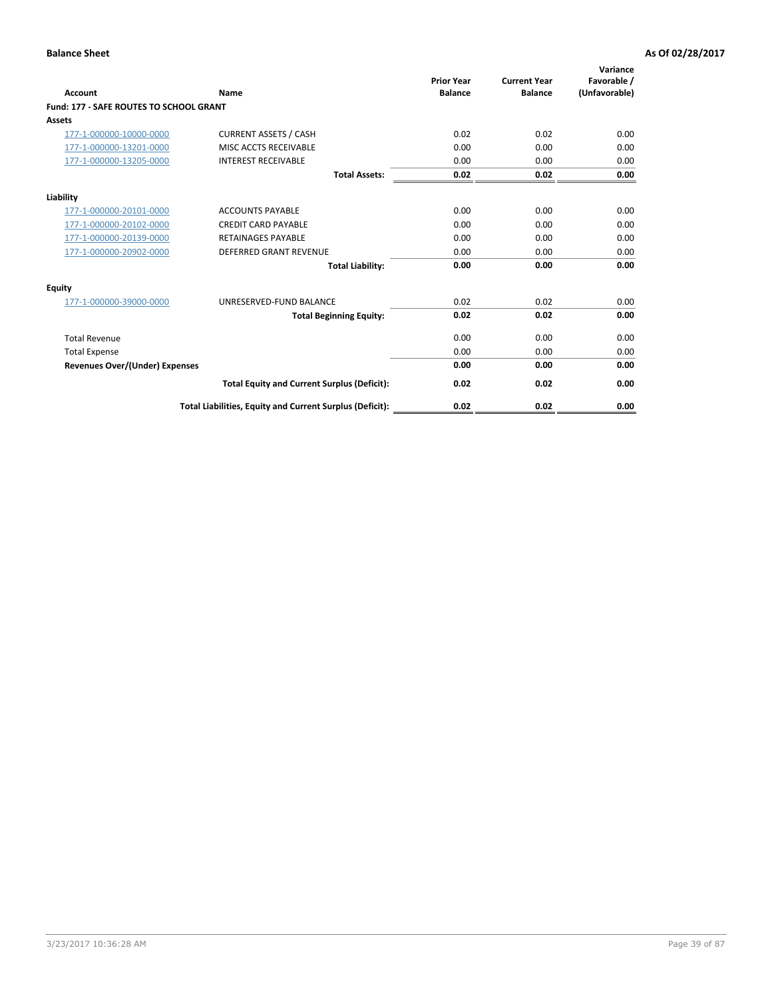| Account                                        | Name                                                     | <b>Prior Year</b><br><b>Balance</b> | <b>Current Year</b><br><b>Balance</b> | Variance<br>Favorable /<br>(Unfavorable) |
|------------------------------------------------|----------------------------------------------------------|-------------------------------------|---------------------------------------|------------------------------------------|
| <b>Fund: 177 - SAFE ROUTES TO SCHOOL GRANT</b> |                                                          |                                     |                                       |                                          |
| <b>Assets</b>                                  |                                                          |                                     |                                       |                                          |
| 177-1-000000-10000-0000                        | <b>CURRENT ASSETS / CASH</b>                             | 0.02                                | 0.02                                  | 0.00                                     |
| 177-1-000000-13201-0000                        | MISC ACCTS RECEIVABLE                                    | 0.00                                | 0.00                                  | 0.00                                     |
| 177-1-000000-13205-0000                        | <b>INTEREST RECEIVABLE</b>                               | 0.00                                | 0.00                                  | 0.00                                     |
|                                                | <b>Total Assets:</b>                                     | 0.02                                | 0.02                                  | 0.00                                     |
| Liability                                      |                                                          |                                     |                                       |                                          |
| 177-1-000000-20101-0000                        | <b>ACCOUNTS PAYABLE</b>                                  | 0.00                                | 0.00                                  | 0.00                                     |
| 177-1-000000-20102-0000                        | <b>CREDIT CARD PAYABLE</b>                               | 0.00                                | 0.00                                  | 0.00                                     |
| 177-1-000000-20139-0000                        | <b>RETAINAGES PAYABLE</b>                                | 0.00                                | 0.00                                  | 0.00                                     |
| 177-1-000000-20902-0000                        | <b>DEFERRED GRANT REVENUE</b>                            | 0.00                                | 0.00                                  | 0.00                                     |
|                                                | <b>Total Liability:</b>                                  | 0.00                                | 0.00                                  | 0.00                                     |
| Equity                                         |                                                          |                                     |                                       |                                          |
| 177-1-000000-39000-0000                        | UNRESERVED-FUND BALANCE                                  | 0.02                                | 0.02                                  | 0.00                                     |
|                                                | <b>Total Beginning Equity:</b>                           | 0.02                                | 0.02                                  | 0.00                                     |
| <b>Total Revenue</b>                           |                                                          | 0.00                                | 0.00                                  | 0.00                                     |
| <b>Total Expense</b>                           |                                                          | 0.00                                | 0.00                                  | 0.00                                     |
| <b>Revenues Over/(Under) Expenses</b>          |                                                          | 0.00                                | 0.00                                  | 0.00                                     |
|                                                | <b>Total Equity and Current Surplus (Deficit):</b>       | 0.02                                | 0.02                                  | 0.00                                     |
|                                                | Total Liabilities, Equity and Current Surplus (Deficit): | 0.02                                | 0.02                                  | 0.00                                     |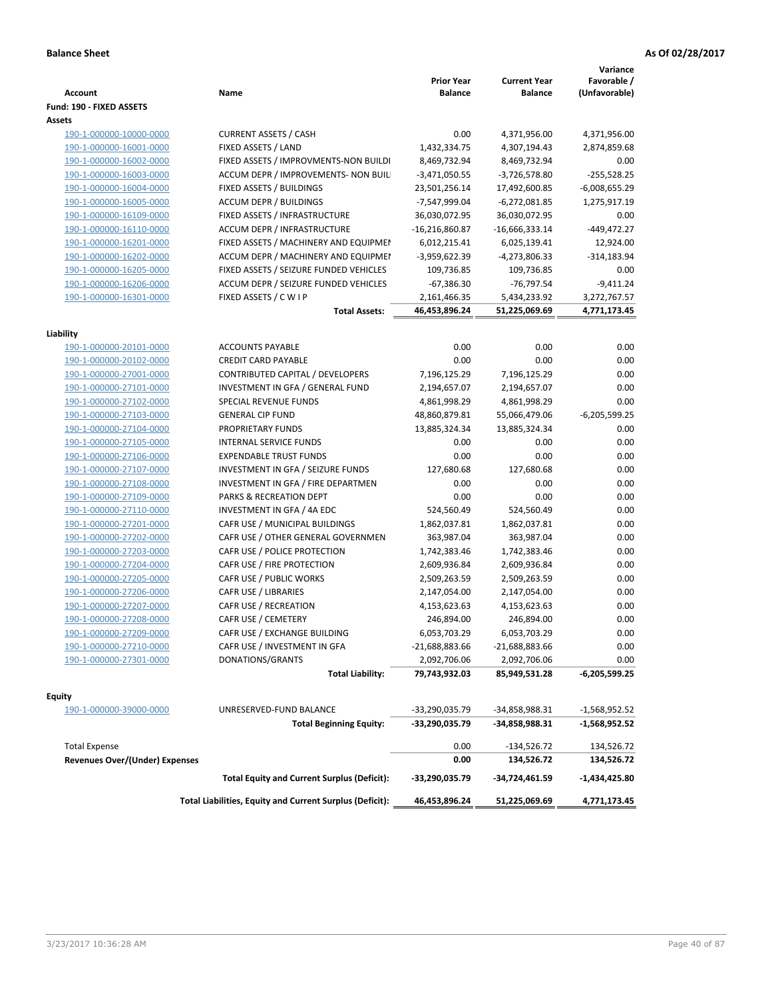| <b>Account</b>                 | Name                                                     | <b>Prior Year</b><br><b>Balance</b> | <b>Current Year</b><br><b>Balance</b> | Variance<br>Favorable /<br>(Unfavorable) |
|--------------------------------|----------------------------------------------------------|-------------------------------------|---------------------------------------|------------------------------------------|
| Fund: 190 - FIXED ASSETS       |                                                          |                                     |                                       |                                          |
| Assets                         |                                                          |                                     |                                       |                                          |
| 190-1-000000-10000-0000        | <b>CURRENT ASSETS / CASH</b>                             | 0.00                                | 4,371,956.00                          | 4,371,956.00                             |
| 190-1-000000-16001-0000        | FIXED ASSETS / LAND                                      | 1,432,334.75                        | 4,307,194.43                          | 2,874,859.68                             |
| 190-1-000000-16002-0000        | FIXED ASSETS / IMPROVMENTS-NON BUILDI                    | 8,469,732.94                        | 8,469,732.94                          | 0.00                                     |
| 190-1-000000-16003-0000        | ACCUM DEPR / IMPROVEMENTS- NON BUIL                      | $-3,471,050.55$                     | $-3,726,578.80$                       | $-255,528.25$                            |
| 190-1-000000-16004-0000        | FIXED ASSETS / BUILDINGS                                 | 23,501,256.14                       | 17,492,600.85                         | $-6,008,655.29$                          |
| 190-1-000000-16005-0000        | <b>ACCUM DEPR / BUILDINGS</b>                            | -7,547,999.04                       | $-6,272,081.85$                       | 1,275,917.19                             |
| 190-1-000000-16109-0000        | FIXED ASSETS / INFRASTRUCTURE                            | 36,030,072.95                       | 36,030,072.95                         | 0.00                                     |
| 190-1-000000-16110-0000        | ACCUM DEPR / INFRASTRUCTURE                              | $-16,216,860.87$                    | $-16,666,333.14$                      | $-449,472.27$                            |
| 190-1-000000-16201-0000        | FIXED ASSETS / MACHINERY AND EQUIPMEN                    | 6,012,215.41                        | 6,025,139.41                          | 12,924.00                                |
| 190-1-000000-16202-0000        | ACCUM DEPR / MACHINERY AND EQUIPMEI                      | -3,959,622.39                       | -4,273,806.33                         | $-314,183.94$                            |
| 190-1-000000-16205-0000        | FIXED ASSETS / SEIZURE FUNDED VEHICLES                   | 109,736.85                          | 109,736.85                            | 0.00                                     |
| 190-1-000000-16206-0000        | ACCUM DEPR / SEIZURE FUNDED VEHICLES                     | $-67,386.30$                        | -76,797.54                            | $-9,411.24$                              |
| 190-1-000000-16301-0000        | FIXED ASSETS / C W I P                                   | 2,161,466.35                        | 5,434,233.92                          | 3,272,767.57                             |
|                                | <b>Total Assets:</b>                                     | 46,453,896.24                       | 51,225,069.69                         | 4,771,173.45                             |
|                                |                                                          |                                     |                                       |                                          |
| Liability                      |                                                          |                                     |                                       |                                          |
| 190-1-000000-20101-0000        | <b>ACCOUNTS PAYABLE</b>                                  | 0.00                                | 0.00                                  | 0.00                                     |
| 190-1-000000-20102-0000        | <b>CREDIT CARD PAYABLE</b>                               | 0.00                                | 0.00                                  | 0.00                                     |
| 190-1-000000-27001-0000        | <b>CONTRIBUTED CAPITAL / DEVELOPERS</b>                  | 7,196,125.29                        | 7,196,125.29                          | 0.00                                     |
| 190-1-000000-27101-0000        | INVESTMENT IN GFA / GENERAL FUND                         | 2,194,657.07                        | 2,194,657.07                          | 0.00                                     |
| 190-1-000000-27102-0000        | SPECIAL REVENUE FUNDS                                    | 4,861,998.29                        | 4,861,998.29                          | 0.00                                     |
| 190-1-000000-27103-0000        | <b>GENERAL CIP FUND</b>                                  | 48,860,879.81                       | 55,066,479.06                         | $-6,205,599.25$                          |
| 190-1-000000-27104-0000        | PROPRIETARY FUNDS                                        | 13,885,324.34                       | 13,885,324.34                         | 0.00                                     |
| 190-1-000000-27105-0000        | <b>INTERNAL SERVICE FUNDS</b>                            | 0.00                                | 0.00                                  | 0.00                                     |
| 190-1-000000-27106-0000        | <b>EXPENDABLE TRUST FUNDS</b>                            | 0.00                                | 0.00                                  | 0.00                                     |
| 190-1-000000-27107-0000        | INVESTMENT IN GFA / SEIZURE FUNDS                        | 127,680.68                          | 127,680.68                            | 0.00                                     |
| 190-1-000000-27108-0000        | INVESTMENT IN GFA / FIRE DEPARTMEN                       | 0.00                                | 0.00                                  | 0.00                                     |
| 190-1-000000-27109-0000        | PARKS & RECREATION DEPT                                  | 0.00                                | 0.00                                  | 0.00                                     |
| 190-1-000000-27110-0000        | INVESTMENT IN GFA / 4A EDC                               | 524,560.49                          | 524,560.49                            | 0.00                                     |
| 190-1-000000-27201-0000        | CAFR USE / MUNICIPAL BUILDINGS                           | 1,862,037.81                        | 1,862,037.81                          | 0.00                                     |
| 190-1-000000-27202-0000        | CAFR USE / OTHER GENERAL GOVERNMEN                       | 363,987.04                          | 363,987.04                            | 0.00                                     |
| 190-1-000000-27203-0000        | CAFR USE / POLICE PROTECTION                             | 1,742,383.46                        | 1,742,383.46                          | 0.00                                     |
| 190-1-000000-27204-0000        | CAFR USE / FIRE PROTECTION                               | 2,609,936.84                        | 2,609,936.84                          | 0.00                                     |
| 190-1-000000-27205-0000        | CAFR USE / PUBLIC WORKS                                  | 2,509,263.59                        | 2,509,263.59                          | 0.00                                     |
| 190-1-000000-27206-0000        | CAFR USE / LIBRARIES                                     | 2,147,054.00                        | 2,147,054.00                          | 0.00                                     |
| 190-1-000000-27207-0000        | CAFR USE / RECREATION                                    | 4,153,623.63                        | 4,153,623.63                          | 0.00                                     |
| 190-1-000000-27208-0000        | CAFR USE / CEMETERY                                      | 246,894.00                          | 246,894.00                            | 0.00                                     |
| 190-1-000000-27209-0000        | CAFR USE / EXCHANGE BUILDING                             | 6,053,703.29                        | 6,053,703.29                          | 0.00                                     |
| 190-1-000000-27210-0000        | CAFR USE / INVESTMENT IN GFA                             | $-21,688,883.66$                    | $-21,688,883.66$                      | 0.00                                     |
| 190-1-000000-27301-0000        | DONATIONS/GRANTS                                         | 2,092,706.06                        | 2,092,706.06                          | 0.00                                     |
|                                | <b>Total Liability:</b>                                  | 79,743,932.03                       | 85,949,531.28                         | $-6,205,599.25$                          |
| <b>Equity</b>                  |                                                          |                                     |                                       |                                          |
| 190-1-000000-39000-0000        | UNRESERVED-FUND BALANCE                                  | -33,290,035.79                      | -34,858,988.31                        | -1,568,952.52                            |
|                                | <b>Total Beginning Equity:</b>                           | -33,290,035.79                      | -34,858,988.31                        | -1,568,952.52                            |
|                                |                                                          |                                     |                                       |                                          |
| <b>Total Expense</b>           |                                                          | 0.00                                | -134,526.72                           | 134,526.72                               |
| Revenues Over/(Under) Expenses |                                                          | 0.00                                | 134,526.72                            | 134,526.72                               |
|                                | <b>Total Equity and Current Surplus (Deficit):</b>       | -33,290,035.79                      | -34,724,461.59                        | -1,434,425.80                            |
|                                | Total Liabilities, Equity and Current Surplus (Deficit): | 46,453,896.24                       | 51,225,069.69                         | 4,771,173.45                             |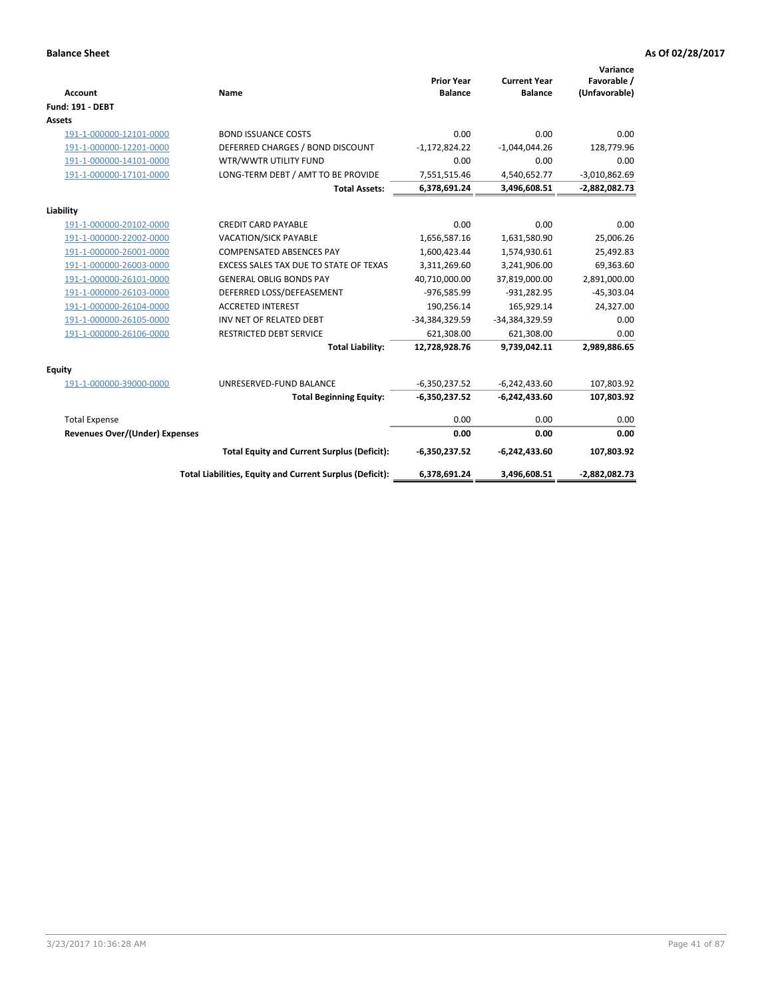| <b>Account</b>                        | Name                                                     | <b>Prior Year</b><br><b>Balance</b> | <b>Current Year</b><br><b>Balance</b> | Variance<br>Favorable /<br>(Unfavorable) |
|---------------------------------------|----------------------------------------------------------|-------------------------------------|---------------------------------------|------------------------------------------|
| <b>Fund: 191 - DEBT</b>               |                                                          |                                     |                                       |                                          |
| Assets                                |                                                          |                                     |                                       |                                          |
| 191-1-000000-12101-0000               | <b>BOND ISSUANCE COSTS</b>                               | 0.00                                | 0.00                                  | 0.00                                     |
| 191-1-000000-12201-0000               | DEFERRED CHARGES / BOND DISCOUNT                         | $-1,172,824.22$                     | $-1,044,044.26$                       | 128,779.96                               |
| 191-1-000000-14101-0000               | WTR/WWTR UTILITY FUND                                    | 0.00                                | 0.00                                  | 0.00                                     |
| 191-1-000000-17101-0000               | LONG-TERM DEBT / AMT TO BE PROVIDE                       | 7,551,515.46                        | 4,540,652.77                          | $-3,010,862.69$                          |
|                                       | <b>Total Assets:</b>                                     | 6,378,691.24                        | 3,496,608.51                          | -2,882,082.73                            |
| Liability                             |                                                          |                                     |                                       |                                          |
| 191-1-000000-20102-0000               | <b>CREDIT CARD PAYABLE</b>                               | 0.00                                | 0.00                                  | 0.00                                     |
| 191-1-000000-22002-0000               | <b>VACATION/SICK PAYABLE</b>                             | 1,656,587.16                        | 1,631,580.90                          | 25,006.26                                |
| 191-1-000000-26001-0000               | <b>COMPENSATED ABSENCES PAY</b>                          | 1,600,423.44                        | 1,574,930.61                          | 25,492.83                                |
| 191-1-000000-26003-0000               | EXCESS SALES TAX DUE TO STATE OF TEXAS                   | 3,311,269.60                        | 3,241,906.00                          | 69,363.60                                |
| 191-1-000000-26101-0000               | <b>GENERAL OBLIG BONDS PAY</b>                           | 40,710,000.00                       | 37,819,000.00                         | 2,891,000.00                             |
| 191-1-000000-26103-0000               | DEFERRED LOSS/DEFEASEMENT                                | -976,585.99                         | $-931,282.95$                         | $-45,303.04$                             |
| 191-1-000000-26104-0000               | <b>ACCRETED INTEREST</b>                                 | 190,256.14                          | 165,929.14                            | 24,327.00                                |
| 191-1-000000-26105-0000               | INV NET OF RELATED DEBT                                  | -34,384,329.59                      | -34,384,329.59                        | 0.00                                     |
| 191-1-000000-26106-0000               | <b>RESTRICTED DEBT SERVICE</b>                           | 621,308.00                          | 621,308.00                            | 0.00                                     |
|                                       | <b>Total Liability:</b>                                  | 12,728,928.76                       | 9,739,042.11                          | 2,989,886.65                             |
| Equity                                |                                                          |                                     |                                       |                                          |
| 191-1-000000-39000-0000               | UNRESERVED-FUND BALANCE                                  | $-6,350,237.52$                     | $-6,242,433.60$                       | 107,803.92                               |
|                                       | <b>Total Beginning Equity:</b>                           | $-6,350,237.52$                     | $-6,242,433.60$                       | 107,803.92                               |
| <b>Total Expense</b>                  |                                                          | 0.00                                | 0.00                                  | 0.00                                     |
| <b>Revenues Over/(Under) Expenses</b> |                                                          | 0.00                                | 0.00                                  | 0.00                                     |
|                                       | <b>Total Equity and Current Surplus (Deficit):</b>       | $-6,350,237.52$                     | $-6,242,433.60$                       | 107,803.92                               |
|                                       | Total Liabilities, Equity and Current Surplus (Deficit): | 6,378,691.24                        | 3,496,608.51                          | -2,882,082.73                            |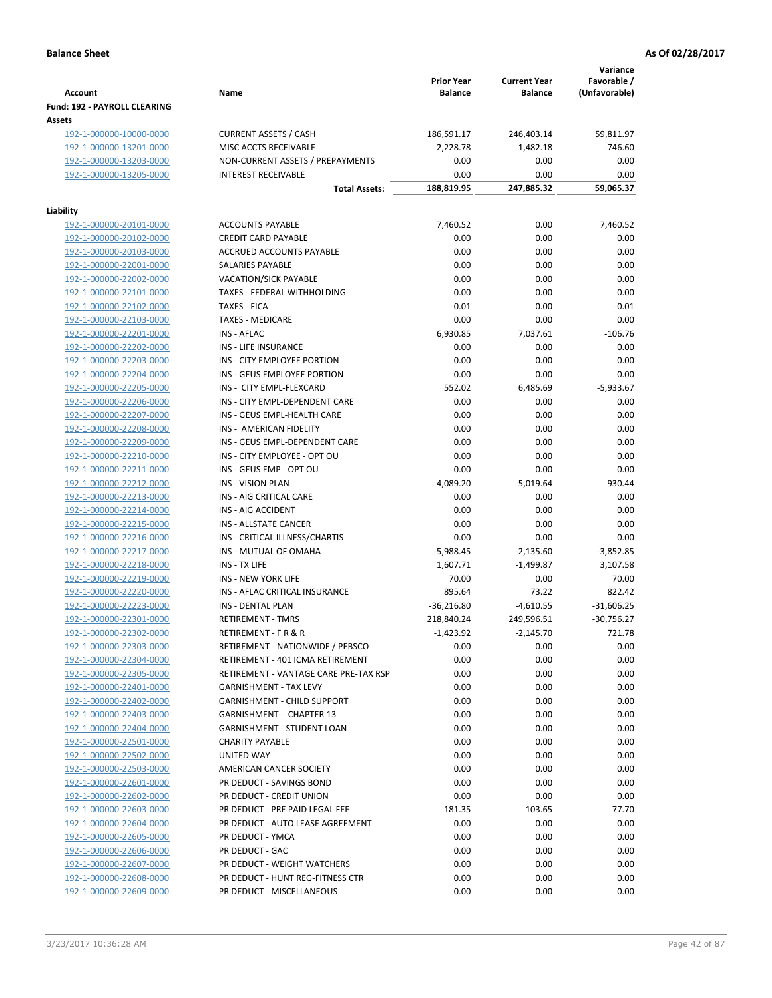|                                                    |                                                                       | <b>Prior Year</b>  | <b>Current Year</b> | Variance<br>Favorable / |
|----------------------------------------------------|-----------------------------------------------------------------------|--------------------|---------------------|-------------------------|
| <b>Account</b>                                     | Name                                                                  | <b>Balance</b>     | <b>Balance</b>      | (Unfavorable)           |
| Fund: 192 - PAYROLL CLEARING                       |                                                                       |                    |                     |                         |
| Assets                                             |                                                                       |                    |                     |                         |
| 192-1-000000-10000-0000                            | <b>CURRENT ASSETS / CASH</b>                                          | 186,591.17         | 246,403.14          | 59,811.97               |
| 192-1-000000-13201-0000                            | MISC ACCTS RECEIVABLE                                                 | 2,228.78           | 1,482.18            | $-746.60$               |
| 192-1-000000-13203-0000                            | NON-CURRENT ASSETS / PREPAYMENTS                                      | 0.00               | 0.00                | 0.00                    |
| 192-1-000000-13205-0000                            | <b>INTEREST RECEIVABLE</b>                                            | 0.00<br>188,819.95 | 0.00                | 0.00<br>59,065.37       |
|                                                    | <b>Total Assets:</b>                                                  |                    | 247,885.32          |                         |
| Liability                                          |                                                                       |                    |                     |                         |
| 192-1-000000-20101-0000                            | <b>ACCOUNTS PAYABLE</b>                                               | 7,460.52           | 0.00                | 7,460.52                |
| 192-1-000000-20102-0000                            | <b>CREDIT CARD PAYABLE</b>                                            | 0.00               | 0.00                | 0.00                    |
| 192-1-000000-20103-0000                            | ACCRUED ACCOUNTS PAYABLE                                              | 0.00               | 0.00                | 0.00                    |
| 192-1-000000-22001-0000                            | SALARIES PAYABLE                                                      | 0.00               | 0.00                | 0.00                    |
| 192-1-000000-22002-0000                            | <b>VACATION/SICK PAYABLE</b>                                          | 0.00               | 0.00                | 0.00                    |
| 192-1-000000-22101-0000                            | TAXES - FEDERAL WITHHOLDING                                           | 0.00               | 0.00                | 0.00                    |
| 192-1-000000-22102-0000                            | <b>TAXES - FICA</b>                                                   | $-0.01$            | 0.00                | $-0.01$                 |
| 192-1-000000-22103-0000                            | <b>TAXES - MEDICARE</b>                                               | 0.00               | 0.00                | 0.00                    |
| 192-1-000000-22201-0000                            | <b>INS - AFLAC</b>                                                    | 6,930.85           | 7,037.61            | $-106.76$               |
| 192-1-000000-22202-0000                            | <b>INS - LIFE INSURANCE</b>                                           | 0.00               | 0.00                | 0.00                    |
| 192-1-000000-22203-0000                            | INS - CITY EMPLOYEE PORTION                                           | 0.00               | 0.00                | 0.00                    |
| 192-1-000000-22204-0000                            | INS - GEUS EMPLOYEE PORTION                                           | 0.00               | 0.00                | 0.00                    |
| 192-1-000000-22205-0000                            | INS - CITY EMPL-FLEXCARD                                              | 552.02             | 6,485.69            | $-5,933.67$             |
| 192-1-000000-22206-0000                            | INS - CITY EMPL-DEPENDENT CARE                                        | 0.00               | 0.00                | 0.00                    |
| 192-1-000000-22207-0000                            | INS - GEUS EMPL-HEALTH CARE                                           | 0.00               | 0.00                | 0.00                    |
| 192-1-000000-22208-0000                            | INS - AMERICAN FIDELITY                                               | 0.00               | 0.00                | 0.00                    |
| 192-1-000000-22209-0000                            | INS - GEUS EMPL-DEPENDENT CARE                                        | 0.00               | 0.00                | 0.00                    |
| 192-1-000000-22210-0000                            | INS - CITY EMPLOYEE - OPT OU                                          | 0.00               | 0.00                | 0.00                    |
| 192-1-000000-22211-0000                            | INS - GEUS EMP - OPT OU                                               | 0.00               | 0.00                | 0.00                    |
| 192-1-000000-22212-0000                            | <b>INS - VISION PLAN</b>                                              | $-4,089.20$        | $-5,019.64$         | 930.44                  |
| 192-1-000000-22213-0000                            | INS - AIG CRITICAL CARE                                               | 0.00               | 0.00                | 0.00                    |
| 192-1-000000-22214-0000                            | INS - AIG ACCIDENT                                                    | 0.00               | 0.00                | 0.00                    |
| 192-1-000000-22215-0000                            | INS - ALLSTATE CANCER                                                 | 0.00               | 0.00                | 0.00                    |
| 192-1-000000-22216-0000                            | INS - CRITICAL ILLNESS/CHARTIS                                        | 0.00               | 0.00                | 0.00                    |
| 192-1-000000-22217-0000                            | INS - MUTUAL OF OMAHA                                                 | $-5,988.45$        | $-2,135.60$         | $-3,852.85$             |
| 192-1-000000-22218-0000                            | INS - TX LIFE                                                         | 1,607.71           | $-1,499.87$         | 3,107.58                |
| 192-1-000000-22219-0000                            | <b>INS - NEW YORK LIFE</b>                                            | 70.00              | 0.00                | 70.00                   |
| 192-1-000000-22220-0000                            | INS - AFLAC CRITICAL INSURANCE                                        | 895.64             | 73.22               | 822.42                  |
| 192-1-000000-22223-0000                            | INS - DENTAL PLAN                                                     | $-36,216.80$       | $-4,610.55$         | $-31,606.25$            |
| 192-1-000000-22301-0000                            | <b>RETIREMENT - TMRS</b>                                              | 218,840.24         | 249,596.51          | $-30,756.27$            |
| 192-1-000000-22302-0000                            | RETIREMENT - F R & R                                                  | -1,423.92          | $-2,145.70$         | 721.78                  |
| 192-1-000000-22303-0000                            | RETIREMENT - NATIONWIDE / PEBSCO                                      | 0.00               | 0.00                | 0.00                    |
| 192-1-000000-22304-0000                            | RETIREMENT - 401 ICMA RETIREMENT                                      | 0.00               | 0.00                | 0.00                    |
| 192-1-000000-22305-0000                            | RETIREMENT - VANTAGE CARE PRE-TAX RSP                                 | 0.00               | 0.00                | 0.00                    |
| 192-1-000000-22401-0000<br>192-1-000000-22402-0000 | <b>GARNISHMENT - TAX LEVY</b>                                         | 0.00<br>0.00       | 0.00<br>0.00        | 0.00<br>0.00            |
| 192-1-000000-22403-0000                            | <b>GARNISHMENT - CHILD SUPPORT</b><br><b>GARNISHMENT - CHAPTER 13</b> | 0.00               | 0.00                | 0.00                    |
| 192-1-000000-22404-0000                            | <b>GARNISHMENT - STUDENT LOAN</b>                                     | 0.00               | 0.00                | 0.00                    |
| 192-1-000000-22501-0000                            | <b>CHARITY PAYABLE</b>                                                | 0.00               | 0.00                | 0.00                    |
| 192-1-000000-22502-0000                            | UNITED WAY                                                            | 0.00               | 0.00                | 0.00                    |
| 192-1-000000-22503-0000                            | AMERICAN CANCER SOCIETY                                               | 0.00               | 0.00                | 0.00                    |
| 192-1-000000-22601-0000                            | PR DEDUCT - SAVINGS BOND                                              | 0.00               | 0.00                | 0.00                    |
| 192-1-000000-22602-0000                            | PR DEDUCT - CREDIT UNION                                              | 0.00               | 0.00                | 0.00                    |
| 192-1-000000-22603-0000                            | PR DEDUCT - PRE PAID LEGAL FEE                                        | 181.35             | 103.65              | 77.70                   |
| 192-1-000000-22604-0000                            | PR DEDUCT - AUTO LEASE AGREEMENT                                      | 0.00               | 0.00                | 0.00                    |
| 192-1-000000-22605-0000                            | PR DEDUCT - YMCA                                                      | 0.00               | 0.00                | 0.00                    |
| 192-1-000000-22606-0000                            | PR DEDUCT - GAC                                                       | 0.00               | 0.00                | 0.00                    |
| 192-1-000000-22607-0000                            | PR DEDUCT - WEIGHT WATCHERS                                           | 0.00               | 0.00                | 0.00                    |
| 192-1-000000-22608-0000                            | PR DEDUCT - HUNT REG-FITNESS CTR                                      | 0.00               | 0.00                | 0.00                    |
| 192-1-000000-22609-0000                            | PR DEDUCT - MISCELLANEOUS                                             | 0.00               | 0.00                | 0.00                    |
|                                                    |                                                                       |                    |                     |                         |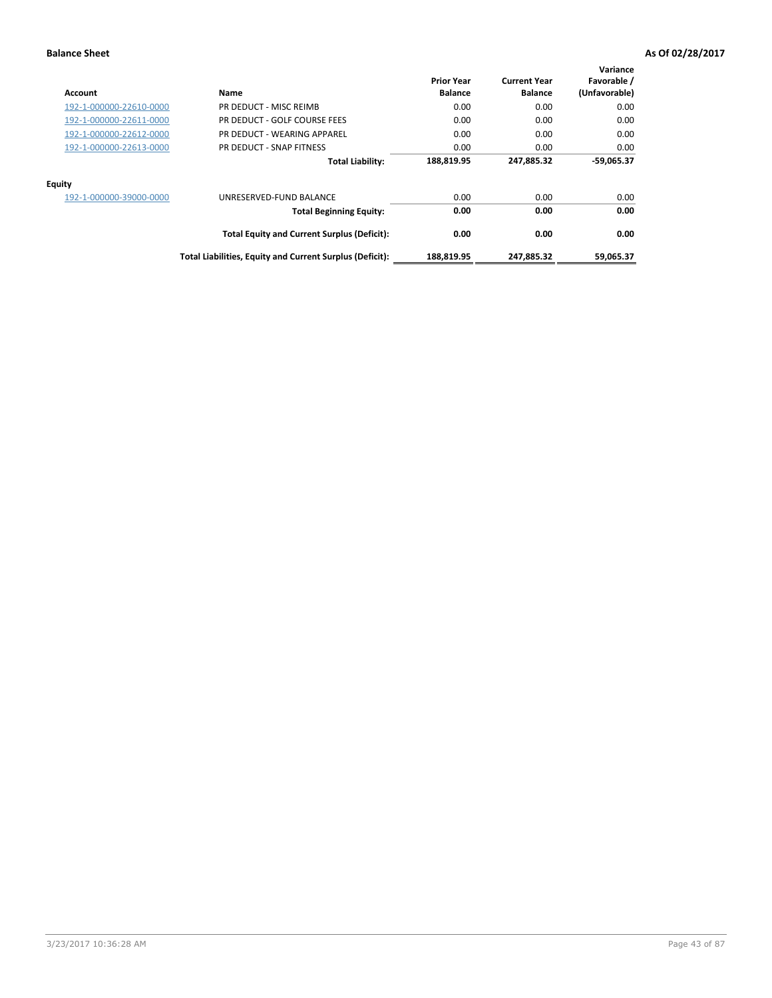| Account                 | Name                                                     | <b>Prior Year</b><br><b>Balance</b> | <b>Current Year</b><br><b>Balance</b> | Variance<br>Favorable /<br>(Unfavorable) |
|-------------------------|----------------------------------------------------------|-------------------------------------|---------------------------------------|------------------------------------------|
| 192-1-000000-22610-0000 | PR DEDUCT - MISC REIMB                                   | 0.00                                | 0.00                                  | 0.00                                     |
| 192-1-000000-22611-0000 | PR DEDUCT - GOLF COURSE FEES                             | 0.00                                | 0.00                                  | 0.00                                     |
| 192-1-000000-22612-0000 | PR DEDUCT - WEARING APPAREL                              | 0.00                                | 0.00                                  | 0.00                                     |
| 192-1-000000-22613-0000 | PR DEDUCT - SNAP FITNESS                                 | 0.00                                | 0.00                                  | 0.00                                     |
|                         | <b>Total Liability:</b>                                  | 188,819.95                          | 247,885.32                            | $-59,065.37$                             |
| Equity                  |                                                          |                                     |                                       |                                          |
| 192-1-000000-39000-0000 | UNRESERVED-FUND BALANCE                                  | 0.00                                | 0.00                                  | 0.00                                     |
|                         | <b>Total Beginning Equity:</b>                           | 0.00                                | 0.00                                  | 0.00                                     |
|                         | <b>Total Equity and Current Surplus (Deficit):</b>       | 0.00                                | 0.00                                  | 0.00                                     |
|                         | Total Liabilities, Equity and Current Surplus (Deficit): | 188,819.95                          | 247,885.32                            | 59,065.37                                |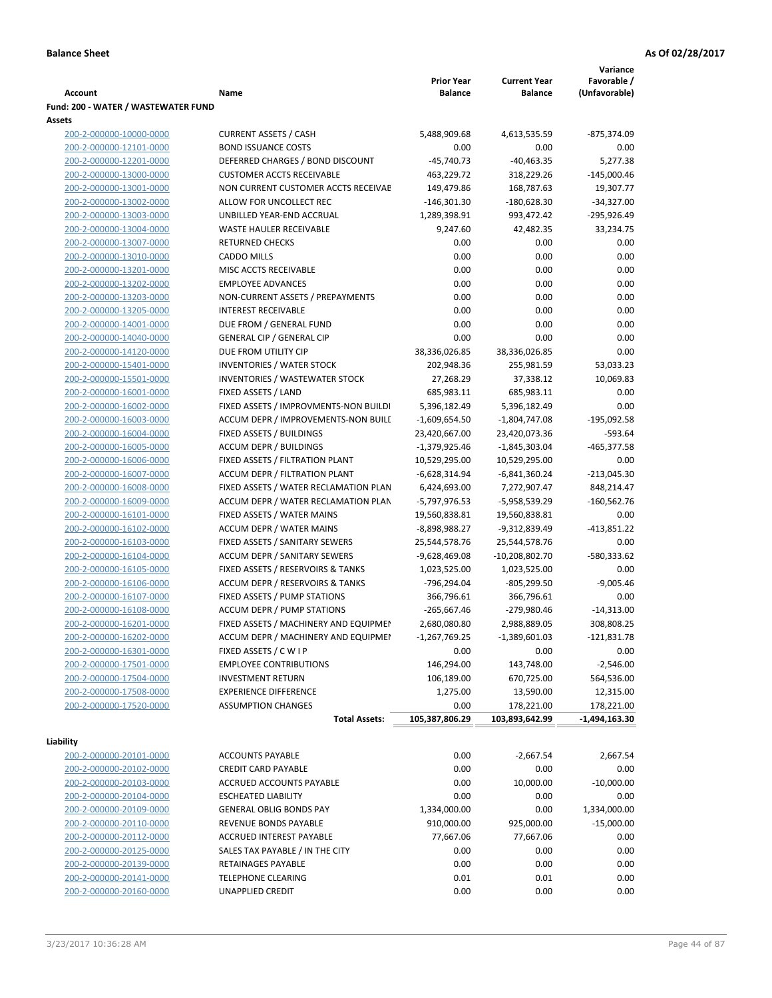|                                                    |                                                           |                                     |                                       | Variance                     |
|----------------------------------------------------|-----------------------------------------------------------|-------------------------------------|---------------------------------------|------------------------------|
| Account                                            | Name                                                      | <b>Prior Year</b><br><b>Balance</b> | <b>Current Year</b><br><b>Balance</b> | Favorable /<br>(Unfavorable) |
| Fund: 200 - WATER / WASTEWATER FUND                |                                                           |                                     |                                       |                              |
| Assets                                             |                                                           |                                     |                                       |                              |
| 200-2-000000-10000-0000                            | <b>CURRENT ASSETS / CASH</b>                              | 5,488,909.68                        | 4,613,535.59                          | -875,374.09                  |
| 200-2-000000-12101-0000                            | <b>BOND ISSUANCE COSTS</b>                                | 0.00                                | 0.00                                  | 0.00                         |
| 200-2-000000-12201-0000                            | DEFERRED CHARGES / BOND DISCOUNT                          | $-45,740.73$                        | $-40,463.35$                          | 5,277.38                     |
| 200-2-000000-13000-0000                            | <b>CUSTOMER ACCTS RECEIVABLE</b>                          | 463,229.72                          | 318,229.26                            | $-145,000.46$                |
| 200-2-000000-13001-0000                            | NON CURRENT CUSTOMER ACCTS RECEIVAE                       | 149,479.86                          | 168,787.63                            | 19,307.77                    |
| 200-2-000000-13002-0000                            | ALLOW FOR UNCOLLECT REC                                   | $-146,301.30$                       | $-180,628.30$                         | $-34,327.00$                 |
| 200-2-000000-13003-0000                            | UNBILLED YEAR-END ACCRUAL                                 | 1,289,398.91                        | 993,472.42                            | -295,926.49                  |
| 200-2-000000-13004-0000                            | <b>WASTE HAULER RECEIVABLE</b>                            | 9,247.60                            | 42,482.35                             | 33,234.75                    |
| 200-2-000000-13007-0000                            | <b>RETURNED CHECKS</b>                                    | 0.00                                | 0.00                                  | 0.00                         |
| 200-2-000000-13010-0000                            | <b>CADDO MILLS</b>                                        | 0.00                                | 0.00                                  | 0.00                         |
| 200-2-000000-13201-0000                            | MISC ACCTS RECEIVABLE                                     | 0.00                                | 0.00                                  | 0.00                         |
| 200-2-000000-13202-0000                            | <b>EMPLOYEE ADVANCES</b>                                  | 0.00                                | 0.00                                  | 0.00                         |
| 200-2-000000-13203-0000                            | NON-CURRENT ASSETS / PREPAYMENTS                          | 0.00                                | 0.00                                  | 0.00                         |
| 200-2-000000-13205-0000                            | <b>INTEREST RECEIVABLE</b>                                | 0.00                                | 0.00                                  | 0.00                         |
| 200-2-000000-14001-0000                            | DUE FROM / GENERAL FUND                                   | 0.00                                | 0.00                                  | 0.00                         |
| 200-2-000000-14040-0000                            | <b>GENERAL CIP / GENERAL CIP</b>                          | 0.00                                | 0.00                                  | 0.00                         |
| 200-2-000000-14120-0000                            | DUE FROM UTILITY CIP                                      | 38,336,026.85                       | 38,336,026.85                         | 0.00                         |
| 200-2-000000-15401-0000                            | <b>INVENTORIES / WATER STOCK</b>                          | 202,948.36                          | 255,981.59                            | 53,033.23                    |
| 200-2-000000-15501-0000                            | <b>INVENTORIES / WASTEWATER STOCK</b>                     | 27,268.29                           | 37,338.12                             | 10,069.83                    |
| 200-2-000000-16001-0000                            | FIXED ASSETS / LAND                                       | 685,983.11                          | 685,983.11                            | 0.00                         |
| 200-2-000000-16002-0000                            | FIXED ASSETS / IMPROVMENTS-NON BUILDI                     | 5,396,182.49                        | 5,396,182.49                          | 0.00                         |
| 200-2-000000-16003-0000                            | ACCUM DEPR / IMPROVEMENTS-NON BUILI                       | $-1,609,654.50$                     | -1,804,747.08                         | -195,092.58                  |
| 200-2-000000-16004-0000<br>200-2-000000-16005-0000 | FIXED ASSETS / BUILDINGS<br><b>ACCUM DEPR / BUILDINGS</b> | 23,420,667.00                       | 23,420,073.36<br>$-1,845,303.04$      | $-593.64$<br>$-465,377.58$   |
| 200-2-000000-16006-0000                            | FIXED ASSETS / FILTRATION PLANT                           | $-1,379,925.46$<br>10,529,295.00    | 10,529,295.00                         | 0.00                         |
| 200-2-000000-16007-0000                            | ACCUM DEPR / FILTRATION PLANT                             | -6,628,314.94                       | -6,841,360.24                         | $-213,045.30$                |
| 200-2-000000-16008-0000                            | FIXED ASSETS / WATER RECLAMATION PLAN                     | 6,424,693.00                        | 7,272,907.47                          | 848,214.47                   |
| 200-2-000000-16009-0000                            | ACCUM DEPR / WATER RECLAMATION PLAN                       | -5,797,976.53                       | -5,958,539.29                         | $-160,562.76$                |
| 200-2-000000-16101-0000                            | FIXED ASSETS / WATER MAINS                                | 19,560,838.81                       | 19,560,838.81                         | 0.00                         |
| 200-2-000000-16102-0000                            | <b>ACCUM DEPR / WATER MAINS</b>                           | -8,898,988.27                       | -9,312,839.49                         | $-413,851.22$                |
| 200-2-000000-16103-0000                            | FIXED ASSETS / SANITARY SEWERS                            | 25,544,578.76                       | 25,544,578.76                         | 0.00                         |
| 200-2-000000-16104-0000                            | <b>ACCUM DEPR / SANITARY SEWERS</b>                       | $-9,628,469.08$                     | $-10,208,802.70$                      | -580,333.62                  |
| 200-2-000000-16105-0000                            | FIXED ASSETS / RESERVOIRS & TANKS                         | 1,023,525.00                        | 1,023,525.00                          | 0.00                         |
| 200-2-000000-16106-0000                            | ACCUM DEPR / RESERVOIRS & TANKS                           | -796,294.04                         | $-805,299.50$                         | $-9,005.46$                  |
| 200-2-000000-16107-0000                            | FIXED ASSETS / PUMP STATIONS                              | 366,796.61                          | 366,796.61                            | 0.00                         |
| 200-2-000000-16108-0000                            | <b>ACCUM DEPR / PUMP STATIONS</b>                         | $-265,667.46$                       | $-279,980.46$                         | $-14,313.00$                 |
| 200-2-000000-16201-0000                            | FIXED ASSETS / MACHINERY AND EQUIPMEN                     | 2,680,080.80                        | 2,988,889.05                          | 308,808.25                   |
| 200-2-000000-16202-0000                            | ACCUM DEPR / MACHINERY AND EQUIPMEI                       | -1,267,769.25                       | $-1,389,601.03$                       | $-121,831.78$                |
| 200-2-000000-16301-0000                            | FIXED ASSETS / C W I P                                    | 0.00                                | 0.00                                  | 0.00                         |
| 200-2-000000-17501-0000                            | <b>EMPLOYEE CONTRIBUTIONS</b>                             | 146,294.00                          | 143,748.00                            | $-2,546.00$                  |
| 200-2-000000-17504-0000                            | <b>INVESTMENT RETURN</b>                                  | 106,189.00                          | 670,725.00                            | 564,536.00                   |
| 200-2-000000-17508-0000                            | <b>EXPERIENCE DIFFERENCE</b>                              | 1,275.00                            | 13,590.00                             | 12,315.00                    |
| 200-2-000000-17520-0000                            | <b>ASSUMPTION CHANGES</b>                                 | 0.00                                | 178,221.00                            | 178,221.00                   |
|                                                    | <b>Total Assets:</b>                                      | 105,387,806.29                      | 103,893,642.99                        | -1,494,163.30                |
| Liability                                          |                                                           |                                     |                                       |                              |
| 200-2-000000-20101-0000                            | <b>ACCOUNTS PAYABLE</b>                                   | 0.00                                | $-2,667.54$                           | 2,667.54                     |
| 200-2-000000-20102-0000                            | <b>CREDIT CARD PAYABLE</b>                                | 0.00                                | 0.00                                  | 0.00                         |
| 200-2-000000-20103-0000                            | ACCRUED ACCOUNTS PAYABLE                                  | 0.00                                | 10,000.00                             | $-10,000.00$                 |
| 200-2-000000-20104-0000                            | <b>ESCHEATED LIABILITY</b>                                | 0.00                                | 0.00                                  | 0.00                         |
| 200-2-000000-20109-0000                            | <b>GENERAL OBLIG BONDS PAY</b>                            | 1,334,000.00                        | 0.00                                  | 1,334,000.00                 |
| 200-2-000000-20110-0000                            | REVENUE BONDS PAYABLE                                     | 910,000.00                          | 925,000.00                            | $-15,000.00$                 |
| 200-2-000000-20112-0000                            | ACCRUED INTEREST PAYABLE                                  | 77,667.06                           | 77,667.06                             | 0.00                         |
| 200-2-000000-20125-0000                            | SALES TAX PAYABLE / IN THE CITY                           | 0.00                                | 0.00                                  | 0.00                         |
| 200-2-000000-20139-0000                            | RETAINAGES PAYABLE                                        | 0.00                                | 0.00                                  | 0.00                         |
| 200-2-000000-20141-0000                            | <b>TELEPHONE CLEARING</b>                                 | 0.01                                | 0.01                                  | 0.00                         |
| 200-2-000000-20160-0000                            | UNAPPLIED CREDIT                                          | 0.00                                | 0.00                                  | 0.00                         |
|                                                    |                                                           |                                     |                                       |                              |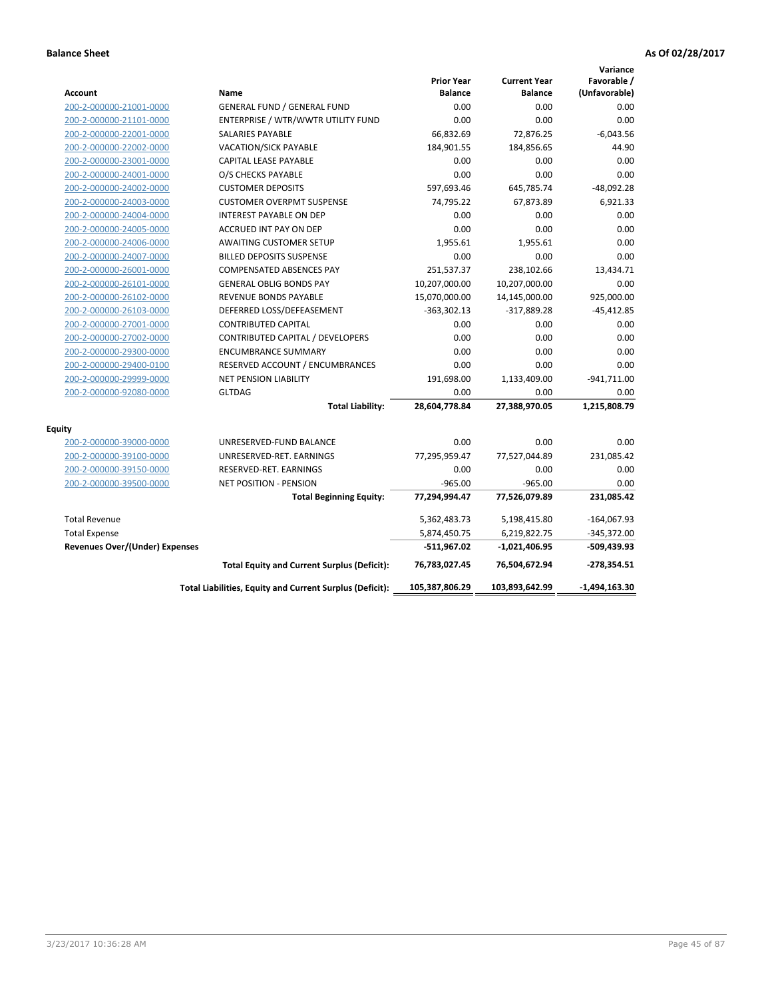|                                       |                                                          |                                     |                                       | Variance                     |
|---------------------------------------|----------------------------------------------------------|-------------------------------------|---------------------------------------|------------------------------|
| <b>Account</b>                        | Name                                                     | <b>Prior Year</b><br><b>Balance</b> | <b>Current Year</b><br><b>Balance</b> | Favorable /<br>(Unfavorable) |
| 200-2-000000-21001-0000               | <b>GENERAL FUND / GENERAL FUND</b>                       | 0.00                                | 0.00                                  | 0.00                         |
| 200-2-000000-21101-0000               | ENTERPRISE / WTR/WWTR UTILITY FUND                       | 0.00                                | 0.00                                  | 0.00                         |
| 200-2-000000-22001-0000               | <b>SALARIES PAYABLE</b>                                  | 66,832.69                           | 72,876.25                             | $-6,043.56$                  |
| 200-2-000000-22002-0000               | <b>VACATION/SICK PAYABLE</b>                             | 184,901.55                          | 184,856.65                            | 44.90                        |
| 200-2-000000-23001-0000               | CAPITAL LEASE PAYABLE                                    | 0.00                                | 0.00                                  | 0.00                         |
| 200-2-000000-24001-0000               | O/S CHECKS PAYABLE                                       | 0.00                                | 0.00                                  | 0.00                         |
| 200-2-000000-24002-0000               | <b>CUSTOMER DEPOSITS</b>                                 | 597,693.46                          | 645,785.74                            | $-48,092.28$                 |
| 200-2-000000-24003-0000               | <b>CUSTOMER OVERPMT SUSPENSE</b>                         | 74,795.22                           | 67,873.89                             | 6,921.33                     |
| 200-2-000000-24004-0000               | <b>INTEREST PAYABLE ON DEP</b>                           | 0.00                                | 0.00                                  | 0.00                         |
| 200-2-000000-24005-0000               | <b>ACCRUED INT PAY ON DEP</b>                            | 0.00                                | 0.00                                  | 0.00                         |
| 200-2-000000-24006-0000               | AWAITING CUSTOMER SETUP                                  | 1,955.61                            | 1,955.61                              | 0.00                         |
| 200-2-000000-24007-0000               | <b>BILLED DEPOSITS SUSPENSE</b>                          | 0.00                                | 0.00                                  | 0.00                         |
| 200-2-000000-26001-0000               | <b>COMPENSATED ABSENCES PAY</b>                          | 251,537.37                          | 238,102.66                            | 13,434.71                    |
| 200-2-000000-26101-0000               | <b>GENERAL OBLIG BONDS PAY</b>                           | 10,207,000.00                       | 10,207,000.00                         | 0.00                         |
| 200-2-000000-26102-0000               | <b>REVENUE BONDS PAYABLE</b>                             | 15,070,000.00                       | 14,145,000.00                         | 925,000.00                   |
| 200-2-000000-26103-0000               | DEFERRED LOSS/DEFEASEMENT                                | $-363,302.13$                       | $-317,889.28$                         | $-45,412.85$                 |
| 200-2-000000-27001-0000               | <b>CONTRIBUTED CAPITAL</b>                               | 0.00                                | 0.00                                  | 0.00                         |
| 200-2-000000-27002-0000               | CONTRIBUTED CAPITAL / DEVELOPERS                         | 0.00                                | 0.00                                  | 0.00                         |
| 200-2-000000-29300-0000               | <b>ENCUMBRANCE SUMMARY</b>                               | 0.00                                | 0.00                                  | 0.00                         |
| 200-2-000000-29400-0100               | RESERVED ACCOUNT / ENCUMBRANCES                          | 0.00                                | 0.00                                  | 0.00                         |
| 200-2-000000-29999-0000               | <b>NET PENSION LIABILITY</b>                             | 191,698.00                          | 1,133,409.00                          | $-941,711.00$                |
| 200-2-000000-92080-0000               | <b>GLTDAG</b>                                            | 0.00                                | 0.00                                  | 0.00                         |
|                                       | <b>Total Liability:</b>                                  | 28,604,778.84                       | 27,388,970.05                         | 1,215,808.79                 |
| Equity                                |                                                          |                                     |                                       |                              |
| 200-2-000000-39000-0000               | UNRESERVED-FUND BALANCE                                  | 0.00                                | 0.00                                  | 0.00                         |
| 200-2-000000-39100-0000               | UNRESERVED-RET. EARNINGS                                 | 77,295,959.47                       | 77,527,044.89                         | 231,085.42                   |
| 200-2-000000-39150-0000               | RESERVED-RET. EARNINGS                                   | 0.00                                | 0.00                                  | 0.00                         |
| 200-2-000000-39500-0000               | NET POSITION - PENSION                                   | $-965.00$                           | $-965.00$                             | 0.00                         |
|                                       | <b>Total Beginning Equity:</b>                           | 77,294,994.47                       | 77,526,079.89                         | 231,085.42                   |
| <b>Total Revenue</b>                  |                                                          | 5,362,483.73                        | 5,198,415.80                          | $-164,067.93$                |
| <b>Total Expense</b>                  |                                                          | 5,874,450.75                        | 6,219,822.75                          | $-345,372.00$                |
| <b>Revenues Over/(Under) Expenses</b> |                                                          | $-511,967.02$                       | -1,021,406.95                         | -509,439.93                  |
|                                       | <b>Total Equity and Current Surplus (Deficit):</b>       | 76,783,027.45                       | 76,504,672.94                         | $-278,354.51$                |
|                                       | Total Liabilities, Equity and Current Surplus (Deficit): | 105,387,806.29                      | 103,893,642.99                        | $-1,494,163.30$              |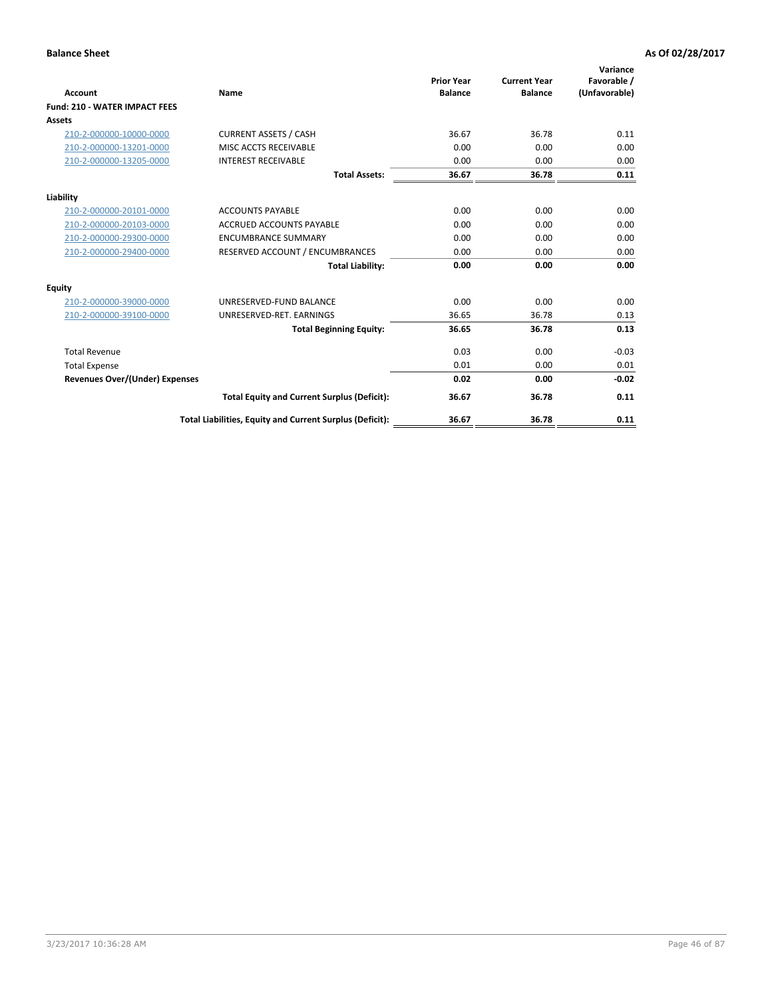|                                       |                                                          | <b>Prior Year</b> | <b>Current Year</b> | Variance                     |
|---------------------------------------|----------------------------------------------------------|-------------------|---------------------|------------------------------|
| <b>Account</b>                        | Name                                                     | <b>Balance</b>    | <b>Balance</b>      | Favorable /<br>(Unfavorable) |
| <b>Fund: 210 - WATER IMPACT FEES</b>  |                                                          |                   |                     |                              |
| <b>Assets</b>                         |                                                          |                   |                     |                              |
| 210-2-000000-10000-0000               | <b>CURRENT ASSETS / CASH</b>                             | 36.67             | 36.78               | 0.11                         |
| 210-2-000000-13201-0000               | MISC ACCTS RECEIVABLE                                    | 0.00              | 0.00                | 0.00                         |
| 210-2-000000-13205-0000               | <b>INTEREST RECEIVABLE</b>                               | 0.00              | 0.00                | 0.00                         |
|                                       | <b>Total Assets:</b>                                     | 36.67             | 36.78               | 0.11                         |
| Liability                             |                                                          |                   |                     |                              |
| 210-2-000000-20101-0000               | <b>ACCOUNTS PAYABLE</b>                                  | 0.00              | 0.00                | 0.00                         |
| 210-2-000000-20103-0000               | <b>ACCRUED ACCOUNTS PAYABLE</b>                          | 0.00              | 0.00                | 0.00                         |
| 210-2-000000-29300-0000               | <b>ENCUMBRANCE SUMMARY</b>                               | 0.00              | 0.00                | 0.00                         |
| 210-2-000000-29400-0000               | RESERVED ACCOUNT / ENCUMBRANCES                          | 0.00              | 0.00                | 0.00                         |
|                                       | <b>Total Liability:</b>                                  | 0.00              | 0.00                | 0.00                         |
| <b>Equity</b>                         |                                                          |                   |                     |                              |
| 210-2-000000-39000-0000               | UNRESERVED-FUND BALANCE                                  | 0.00              | 0.00                | 0.00                         |
| 210-2-000000-39100-0000               | UNRESERVED-RET. EARNINGS                                 | 36.65             | 36.78               | 0.13                         |
|                                       | <b>Total Beginning Equity:</b>                           | 36.65             | 36.78               | 0.13                         |
| <b>Total Revenue</b>                  |                                                          | 0.03              | 0.00                | $-0.03$                      |
| <b>Total Expense</b>                  |                                                          | 0.01              | 0.00                | 0.01                         |
| <b>Revenues Over/(Under) Expenses</b> |                                                          | 0.02              | 0.00                | $-0.02$                      |
|                                       | <b>Total Equity and Current Surplus (Deficit):</b>       | 36.67             | 36.78               | 0.11                         |
|                                       | Total Liabilities, Equity and Current Surplus (Deficit): | 36.67             | 36.78               | 0.11                         |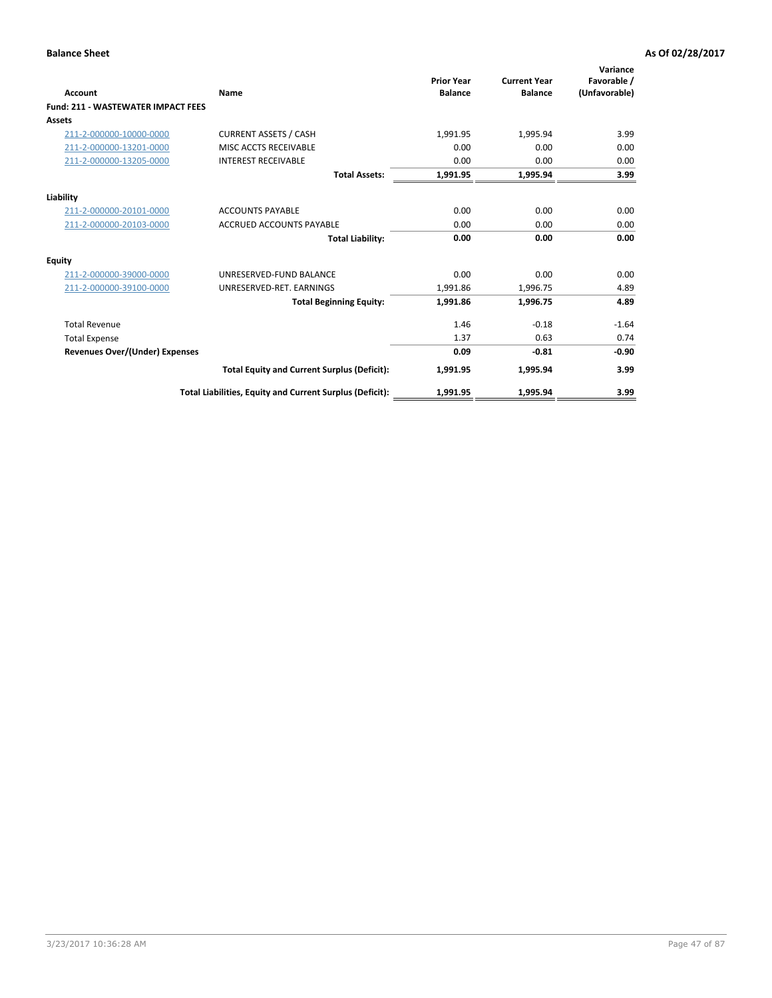| <b>Account</b>                            | Name                                                     | <b>Prior Year</b><br><b>Balance</b> | <b>Current Year</b><br><b>Balance</b> | Variance<br>Favorable /<br>(Unfavorable) |
|-------------------------------------------|----------------------------------------------------------|-------------------------------------|---------------------------------------|------------------------------------------|
| <b>Fund: 211 - WASTEWATER IMPACT FEES</b> |                                                          |                                     |                                       |                                          |
| <b>Assets</b>                             |                                                          |                                     |                                       |                                          |
| 211-2-000000-10000-0000                   | <b>CURRENT ASSETS / CASH</b>                             | 1,991.95                            | 1,995.94                              | 3.99                                     |
| 211-2-000000-13201-0000                   | MISC ACCTS RECEIVABLE                                    | 0.00                                | 0.00                                  | 0.00                                     |
| 211-2-000000-13205-0000                   | <b>INTEREST RECEIVABLE</b>                               | 0.00                                | 0.00                                  | 0.00                                     |
|                                           | <b>Total Assets:</b>                                     | 1,991.95                            | 1,995.94                              | 3.99                                     |
| Liability                                 |                                                          |                                     |                                       |                                          |
| 211-2-000000-20101-0000                   | <b>ACCOUNTS PAYABLE</b>                                  | 0.00                                | 0.00                                  | 0.00                                     |
| 211-2-000000-20103-0000                   | <b>ACCRUED ACCOUNTS PAYABLE</b>                          | 0.00                                | 0.00                                  | 0.00                                     |
|                                           | <b>Total Liability:</b>                                  | 0.00                                | 0.00                                  | 0.00                                     |
| Equity                                    |                                                          |                                     |                                       |                                          |
| 211-2-000000-39000-0000                   | UNRESERVED-FUND BALANCE                                  | 0.00                                | 0.00                                  | 0.00                                     |
| 211-2-000000-39100-0000                   | UNRESERVED-RET. EARNINGS                                 | 1,991.86                            | 1,996.75                              | 4.89                                     |
|                                           | <b>Total Beginning Equity:</b>                           | 1,991.86                            | 1.996.75                              | 4.89                                     |
| <b>Total Revenue</b>                      |                                                          | 1.46                                | $-0.18$                               | $-1.64$                                  |
| <b>Total Expense</b>                      |                                                          | 1.37                                | 0.63                                  | 0.74                                     |
| <b>Revenues Over/(Under) Expenses</b>     |                                                          | 0.09                                | $-0.81$                               | $-0.90$                                  |
|                                           | <b>Total Equity and Current Surplus (Deficit):</b>       | 1,991.95                            | 1,995.94                              | 3.99                                     |
|                                           | Total Liabilities, Equity and Current Surplus (Deficit): | 1,991.95                            | 1,995.94                              | 3.99                                     |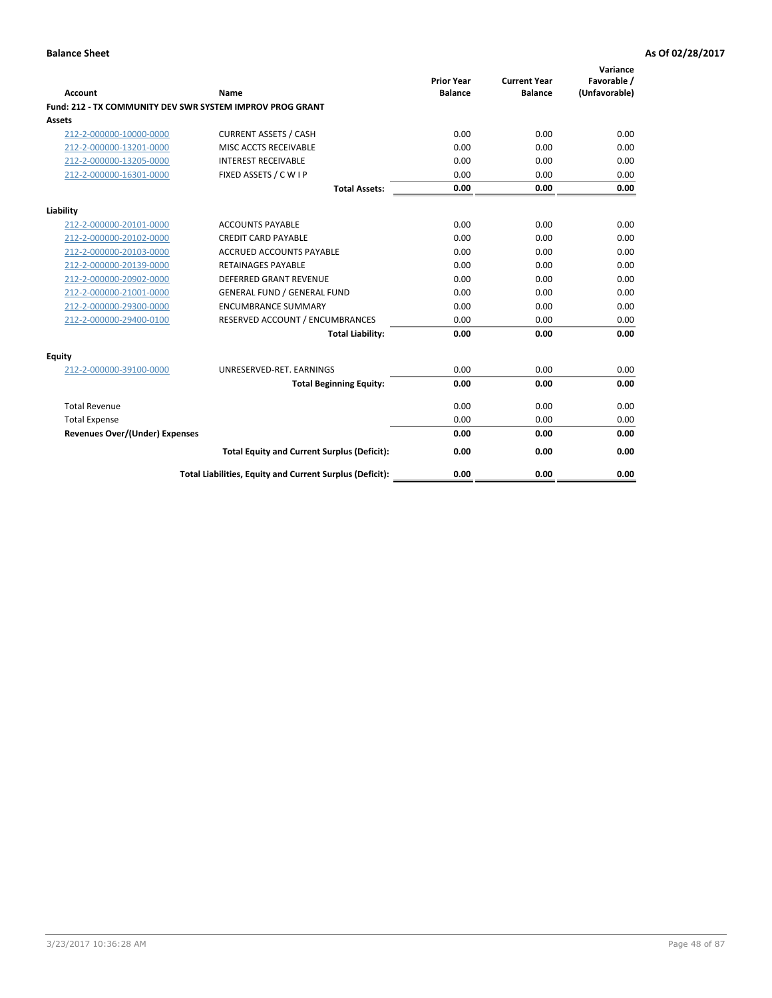| <b>Account</b>                        | Name                                                      | <b>Prior Year</b><br><b>Balance</b> | <b>Current Year</b><br><b>Balance</b> | Variance<br>Favorable /<br>(Unfavorable) |
|---------------------------------------|-----------------------------------------------------------|-------------------------------------|---------------------------------------|------------------------------------------|
|                                       | Fund: 212 - TX COMMUNITY DEV SWR SYSTEM IMPROV PROG GRANT |                                     |                                       |                                          |
| <b>Assets</b>                         |                                                           |                                     |                                       |                                          |
| 212-2-000000-10000-0000               | <b>CURRENT ASSETS / CASH</b>                              | 0.00                                | 0.00                                  | 0.00                                     |
| 212-2-000000-13201-0000               | MISC ACCTS RECEIVABLE                                     | 0.00                                | 0.00                                  | 0.00                                     |
| 212-2-000000-13205-0000               | <b>INTEREST RECEIVABLE</b>                                | 0.00                                | 0.00                                  | 0.00                                     |
| 212-2-000000-16301-0000               | FIXED ASSETS / C W I P                                    | 0.00                                | 0.00                                  | 0.00                                     |
|                                       | <b>Total Assets:</b>                                      | 0.00                                | 0.00                                  | 0.00                                     |
| Liability                             |                                                           |                                     |                                       |                                          |
| 212-2-000000-20101-0000               | <b>ACCOUNTS PAYABLE</b>                                   | 0.00                                | 0.00                                  | 0.00                                     |
| 212-2-000000-20102-0000               | <b>CREDIT CARD PAYABLE</b>                                | 0.00                                | 0.00                                  | 0.00                                     |
| 212-2-000000-20103-0000               | <b>ACCRUED ACCOUNTS PAYABLE</b>                           | 0.00                                | 0.00                                  | 0.00                                     |
| 212-2-000000-20139-0000               | <b>RETAINAGES PAYABLE</b>                                 | 0.00                                | 0.00                                  | 0.00                                     |
| 212-2-000000-20902-0000               | DEFERRED GRANT REVENUE                                    | 0.00                                | 0.00                                  | 0.00                                     |
| 212-2-000000-21001-0000               | <b>GENERAL FUND / GENERAL FUND</b>                        | 0.00                                | 0.00                                  | 0.00                                     |
| 212-2-000000-29300-0000               | <b>ENCUMBRANCE SUMMARY</b>                                | 0.00                                | 0.00                                  | 0.00                                     |
| 212-2-000000-29400-0100               | RESERVED ACCOUNT / ENCUMBRANCES                           | 0.00                                | 0.00                                  | 0.00                                     |
|                                       | <b>Total Liability:</b>                                   | 0.00                                | 0.00                                  | 0.00                                     |
| <b>Equity</b>                         |                                                           |                                     |                                       |                                          |
| 212-2-000000-39100-0000               | UNRESERVED-RET. EARNINGS                                  | 0.00                                | 0.00                                  | 0.00                                     |
|                                       | <b>Total Beginning Equity:</b>                            | 0.00                                | 0.00                                  | 0.00                                     |
| <b>Total Revenue</b>                  |                                                           | 0.00                                | 0.00                                  | 0.00                                     |
| <b>Total Expense</b>                  |                                                           | 0.00                                | 0.00                                  | 0.00                                     |
| <b>Revenues Over/(Under) Expenses</b> |                                                           | 0.00                                | 0.00                                  | 0.00                                     |
|                                       | <b>Total Equity and Current Surplus (Deficit):</b>        | 0.00                                | 0.00                                  | 0.00                                     |
|                                       | Total Liabilities, Equity and Current Surplus (Deficit):  | 0.00                                | 0.00                                  | 0.00                                     |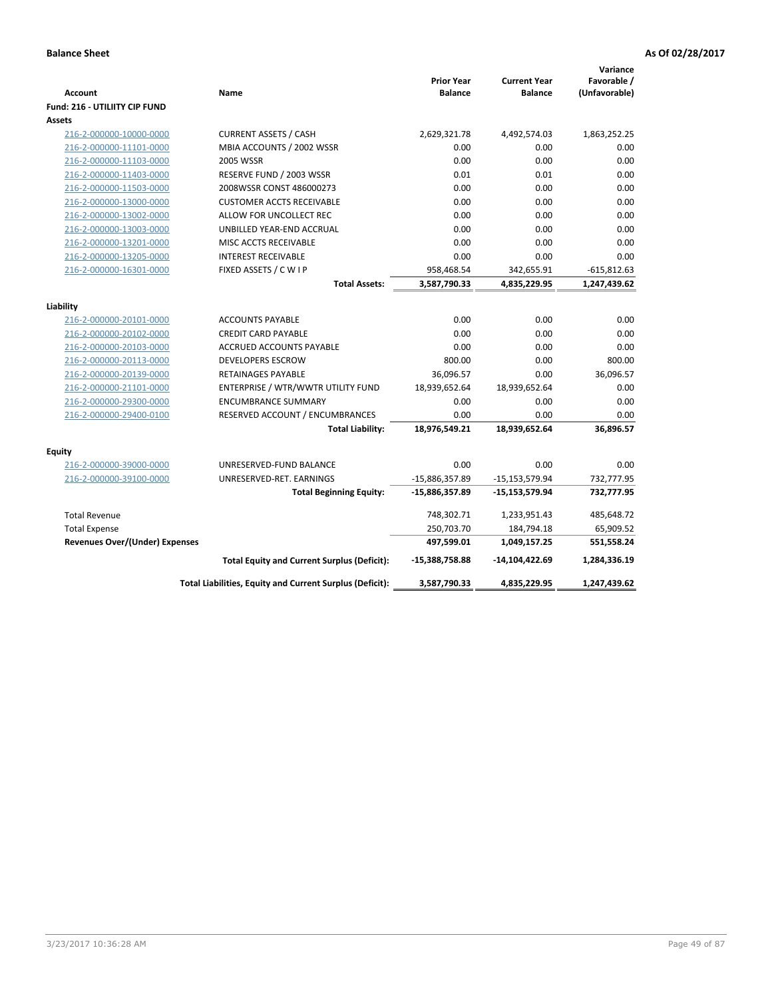| <b>Account</b>                        | Name                                                     | <b>Prior Year</b><br><b>Balance</b> | <b>Current Year</b><br><b>Balance</b> | Variance<br>Favorable /<br>(Unfavorable) |
|---------------------------------------|----------------------------------------------------------|-------------------------------------|---------------------------------------|------------------------------------------|
| Fund: 216 - UTILIITY CIP FUND         |                                                          |                                     |                                       |                                          |
| Assets                                |                                                          |                                     |                                       |                                          |
| 216-2-000000-10000-0000               | <b>CURRENT ASSETS / CASH</b>                             | 2,629,321.78                        | 4,492,574.03                          | 1,863,252.25                             |
| 216-2-000000-11101-0000               | MBIA ACCOUNTS / 2002 WSSR                                | 0.00                                | 0.00                                  | 0.00                                     |
| 216-2-000000-11103-0000               | 2005 WSSR                                                | 0.00                                | 0.00                                  | 0.00                                     |
| 216-2-000000-11403-0000               | RESERVE FUND / 2003 WSSR                                 | 0.01                                | 0.01                                  | 0.00                                     |
| 216-2-000000-11503-0000               | 2008WSSR CONST 486000273                                 | 0.00                                | 0.00                                  | 0.00                                     |
| 216-2-000000-13000-0000               | <b>CUSTOMER ACCTS RECEIVABLE</b>                         | 0.00                                | 0.00                                  | 0.00                                     |
| 216-2-000000-13002-0000               | ALLOW FOR UNCOLLECT REC                                  | 0.00                                | 0.00                                  | 0.00                                     |
| 216-2-000000-13003-0000               | UNBILLED YEAR-END ACCRUAL                                | 0.00                                | 0.00                                  | 0.00                                     |
| 216-2-000000-13201-0000               | MISC ACCTS RECEIVABLE                                    | 0.00                                | 0.00                                  | 0.00                                     |
| 216-2-000000-13205-0000               | <b>INTEREST RECEIVABLE</b>                               | 0.00                                | 0.00                                  | 0.00                                     |
| 216-2-000000-16301-0000               | FIXED ASSETS / C W I P                                   | 958,468.54                          | 342,655.91                            | $-615,812.63$                            |
|                                       | <b>Total Assets:</b>                                     | 3,587,790.33                        | 4,835,229.95                          | 1,247,439.62                             |
|                                       |                                                          |                                     |                                       |                                          |
| Liability                             |                                                          |                                     |                                       |                                          |
| 216-2-000000-20101-0000               | <b>ACCOUNTS PAYABLE</b>                                  | 0.00                                | 0.00                                  | 0.00                                     |
| 216-2-000000-20102-0000               | <b>CREDIT CARD PAYABLE</b>                               | 0.00                                | 0.00                                  | 0.00                                     |
| 216-2-000000-20103-0000               | <b>ACCRUED ACCOUNTS PAYABLE</b>                          | 0.00                                | 0.00                                  | 0.00                                     |
| 216-2-000000-20113-0000               | <b>DEVELOPERS ESCROW</b>                                 | 800.00                              | 0.00                                  | 800.00                                   |
| 216-2-000000-20139-0000               | <b>RETAINAGES PAYABLE</b>                                | 36,096.57                           | 0.00                                  | 36,096.57                                |
| 216-2-000000-21101-0000               | ENTERPRISE / WTR/WWTR UTILITY FUND                       | 18,939,652.64                       | 18,939,652.64                         | 0.00                                     |
| 216-2-000000-29300-0000               | <b>ENCUMBRANCE SUMMARY</b>                               | 0.00                                | 0.00                                  | 0.00                                     |
| 216-2-000000-29400-0100               | RESERVED ACCOUNT / ENCUMBRANCES                          | 0.00                                | 0.00                                  | 0.00                                     |
|                                       | <b>Total Liability:</b>                                  | 18,976,549.21                       | 18,939,652.64                         | 36,896.57                                |
| <b>Equity</b>                         |                                                          |                                     |                                       |                                          |
| 216-2-000000-39000-0000               | UNRESERVED-FUND BALANCE                                  | 0.00                                | 0.00                                  | 0.00                                     |
| 216-2-000000-39100-0000               | UNRESERVED-RET. EARNINGS                                 | -15,886,357.89                      | $-15, 153, 579.94$                    | 732,777.95                               |
|                                       | <b>Total Beginning Equity:</b>                           | $-15,886,357.89$                    | $-15,153,579.94$                      | 732,777.95                               |
|                                       |                                                          |                                     |                                       |                                          |
| <b>Total Revenue</b>                  |                                                          | 748,302.71                          | 1,233,951.43                          | 485,648.72                               |
| <b>Total Expense</b>                  |                                                          | 250,703.70                          | 184,794.18                            | 65,909.52                                |
| <b>Revenues Over/(Under) Expenses</b> |                                                          | 497,599.01                          | 1,049,157.25                          | 551,558.24                               |
|                                       | <b>Total Equity and Current Surplus (Deficit):</b>       | -15,388,758.88                      | -14,104,422.69                        | 1,284,336.19                             |
|                                       | Total Liabilities, Equity and Current Surplus (Deficit): | 3,587,790.33                        | 4,835,229.95                          | 1,247,439.62                             |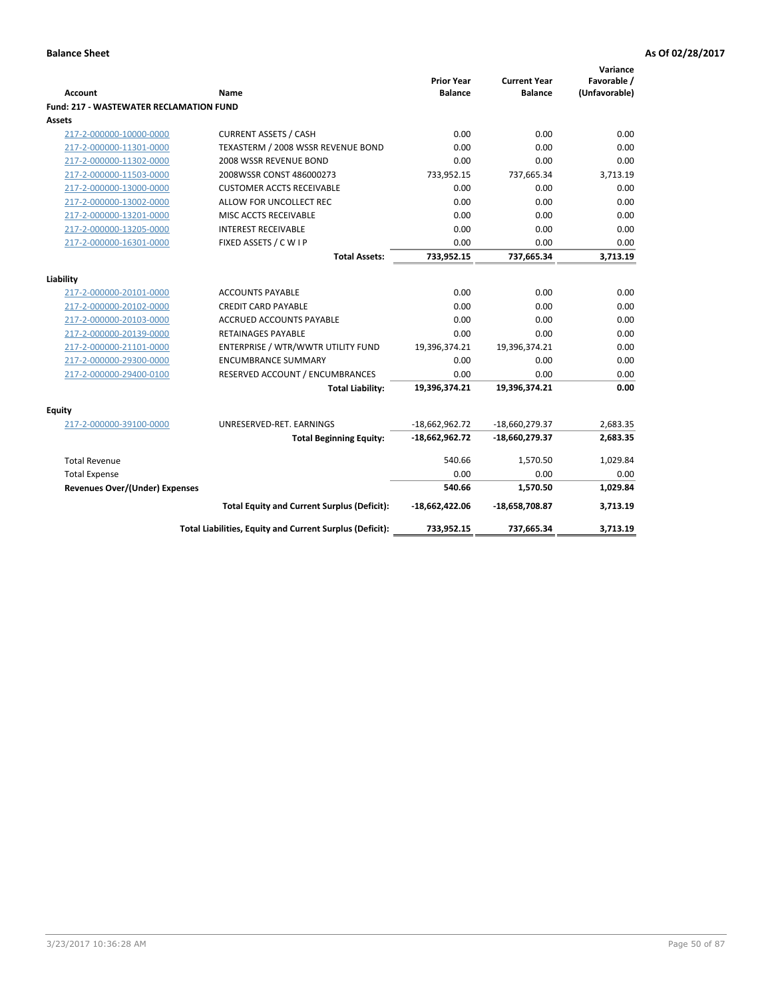| <b>Account</b>                                 | <b>Name</b>                                              | <b>Prior Year</b><br><b>Balance</b> | <b>Current Year</b><br><b>Balance</b> | Variance<br>Favorable /<br>(Unfavorable) |
|------------------------------------------------|----------------------------------------------------------|-------------------------------------|---------------------------------------|------------------------------------------|
| <b>Fund: 217 - WASTEWATER RECLAMATION FUND</b> |                                                          |                                     |                                       |                                          |
| Assets                                         |                                                          |                                     |                                       |                                          |
| 217-2-000000-10000-0000                        | <b>CURRENT ASSETS / CASH</b>                             | 0.00                                | 0.00                                  | 0.00                                     |
| 217-2-000000-11301-0000                        | TEXASTERM / 2008 WSSR REVENUE BOND                       | 0.00                                | 0.00                                  | 0.00                                     |
| 217-2-000000-11302-0000                        | 2008 WSSR REVENUE BOND                                   | 0.00                                | 0.00                                  | 0.00                                     |
| 217-2-000000-11503-0000                        | 2008WSSR CONST 486000273                                 | 733,952.15                          | 737,665.34                            | 3,713.19                                 |
| 217-2-000000-13000-0000                        | <b>CUSTOMER ACCTS RECEIVABLE</b>                         | 0.00                                | 0.00                                  | 0.00                                     |
| 217-2-000000-13002-0000                        | ALLOW FOR UNCOLLECT REC                                  | 0.00                                | 0.00                                  | 0.00                                     |
| 217-2-000000-13201-0000                        | MISC ACCTS RECEIVABLE                                    | 0.00                                | 0.00                                  | 0.00                                     |
| 217-2-000000-13205-0000                        | <b>INTEREST RECEIVABLE</b>                               | 0.00                                | 0.00                                  | 0.00                                     |
| 217-2-000000-16301-0000                        | FIXED ASSETS / C W I P                                   | 0.00                                | 0.00                                  | 0.00                                     |
|                                                | <b>Total Assets:</b>                                     | 733,952.15                          | 737,665.34                            | 3,713.19                                 |
|                                                |                                                          |                                     |                                       |                                          |
| Liability                                      |                                                          |                                     |                                       |                                          |
| 217-2-000000-20101-0000                        | <b>ACCOUNTS PAYABLE</b>                                  | 0.00                                | 0.00                                  | 0.00                                     |
| 217-2-000000-20102-0000                        | <b>CREDIT CARD PAYABLE</b>                               | 0.00                                | 0.00                                  | 0.00                                     |
| 217-2-000000-20103-0000                        | <b>ACCRUED ACCOUNTS PAYABLE</b>                          | 0.00                                | 0.00                                  | 0.00                                     |
| 217-2-000000-20139-0000                        | <b>RETAINAGES PAYABLE</b>                                | 0.00                                | 0.00                                  | 0.00                                     |
| 217-2-000000-21101-0000                        | ENTERPRISE / WTR/WWTR UTILITY FUND                       | 19,396,374.21                       | 19,396,374.21                         | 0.00                                     |
| 217-2-000000-29300-0000                        | <b>ENCUMBRANCE SUMMARY</b>                               | 0.00                                | 0.00                                  | 0.00                                     |
| 217-2-000000-29400-0100                        | RESERVED ACCOUNT / ENCUMBRANCES                          | 0.00                                | 0.00                                  | 0.00                                     |
|                                                | <b>Total Liability:</b>                                  | 19,396,374.21                       | 19,396,374.21                         | 0.00                                     |
| <b>Equity</b>                                  |                                                          |                                     |                                       |                                          |
| 217-2-000000-39100-0000                        | UNRESERVED-RET. EARNINGS                                 | $-18,662,962.72$                    | -18,660,279.37                        | 2,683.35                                 |
|                                                | <b>Total Beginning Equity:</b>                           | $-18,662,962.72$                    | -18,660,279.37                        | 2,683.35                                 |
| <b>Total Revenue</b>                           |                                                          | 540.66                              | 1,570.50                              | 1,029.84                                 |
| <b>Total Expense</b>                           |                                                          | 0.00                                | 0.00                                  | 0.00                                     |
| Revenues Over/(Under) Expenses                 |                                                          | 540.66                              | 1,570.50                              | 1,029.84                                 |
|                                                | <b>Total Equity and Current Surplus (Deficit):</b>       | $-18,662,422.06$                    | -18,658,708.87                        | 3,713.19                                 |
|                                                | Total Liabilities, Equity and Current Surplus (Deficit): | 733,952.15                          | 737,665.34                            | 3,713.19                                 |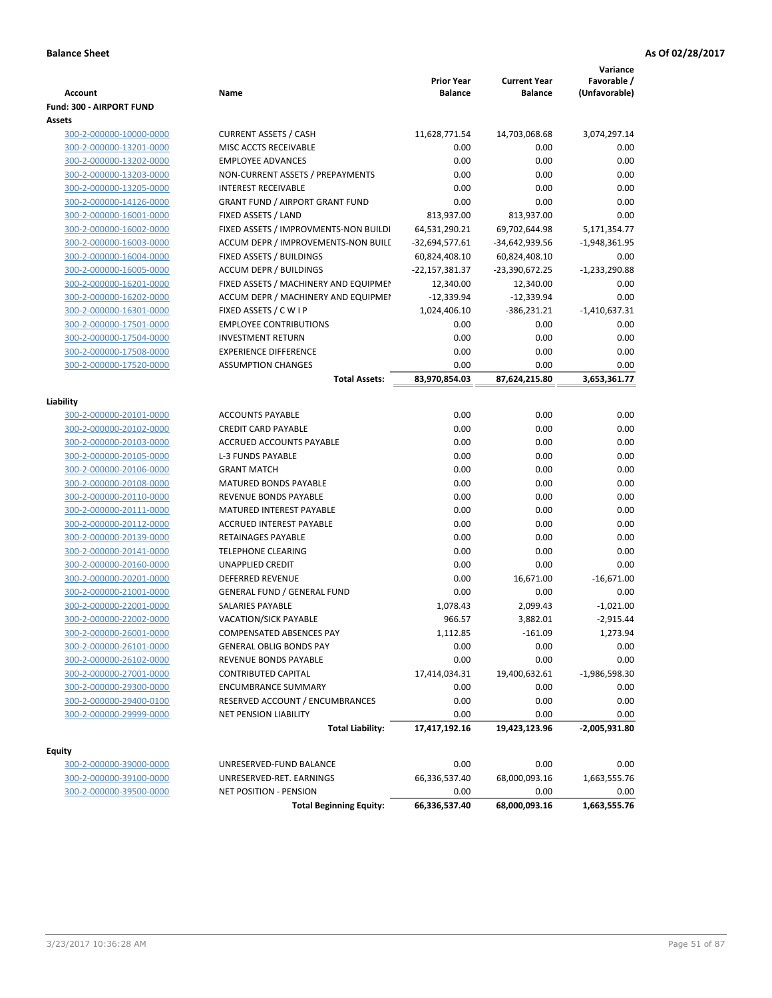| <b>Account</b>                                     | Name                                                    | <b>Prior Year</b><br><b>Balance</b> | <b>Current Year</b><br><b>Balance</b> | Variance<br>Favorable /<br>(Unfavorable) |
|----------------------------------------------------|---------------------------------------------------------|-------------------------------------|---------------------------------------|------------------------------------------|
| <b>Fund: 300 - AIRPORT FUND</b>                    |                                                         |                                     |                                       |                                          |
| Assets                                             |                                                         |                                     |                                       |                                          |
| 300-2-000000-10000-0000                            | <b>CURRENT ASSETS / CASH</b>                            | 11,628,771.54                       | 14,703,068.68                         | 3,074,297.14                             |
| 300-2-000000-13201-0000                            | MISC ACCTS RECEIVABLE                                   | 0.00                                | 0.00                                  | 0.00                                     |
| 300-2-000000-13202-0000                            | <b>EMPLOYEE ADVANCES</b>                                | 0.00                                | 0.00                                  | 0.00                                     |
| 300-2-000000-13203-0000                            | NON-CURRENT ASSETS / PREPAYMENTS                        | 0.00                                | 0.00                                  | 0.00                                     |
| 300-2-000000-13205-0000                            | <b>INTEREST RECEIVABLE</b>                              | 0.00                                | 0.00                                  | 0.00                                     |
| 300-2-000000-14126-0000                            | <b>GRANT FUND / AIRPORT GRANT FUND</b>                  | 0.00                                | 0.00                                  | 0.00                                     |
| 300-2-000000-16001-0000                            | FIXED ASSETS / LAND                                     | 813,937.00                          | 813,937.00                            | 0.00                                     |
| 300-2-000000-16002-0000                            | FIXED ASSETS / IMPROVMENTS-NON BUILDI                   | 64,531,290.21                       | 69,702,644.98                         | 5,171,354.77                             |
| 300-2-000000-16003-0000                            | ACCUM DEPR / IMPROVEMENTS-NON BUILI                     | -32,694,577.61                      | -34,642,939.56                        | $-1,948,361.95$                          |
| 300-2-000000-16004-0000                            | FIXED ASSETS / BUILDINGS                                | 60,824,408.10                       | 60,824,408.10                         | 0.00                                     |
| 300-2-000000-16005-0000                            | <b>ACCUM DEPR / BUILDINGS</b>                           | -22,157,381.37                      | -23,390,672.25                        | $-1,233,290.88$                          |
| 300-2-000000-16201-0000                            | FIXED ASSETS / MACHINERY AND EQUIPMEN                   | 12,340.00                           | 12,340.00                             | 0.00                                     |
| 300-2-000000-16202-0000                            | ACCUM DEPR / MACHINERY AND EQUIPMEI                     | $-12,339.94$                        | $-12,339.94$                          | 0.00                                     |
| 300-2-000000-16301-0000                            | FIXED ASSETS / C W I P<br><b>EMPLOYEE CONTRIBUTIONS</b> | 1,024,406.10<br>0.00                | -386,231.21<br>0.00                   | $-1,410,637.31$<br>0.00                  |
| 300-2-000000-17501-0000<br>300-2-000000-17504-0000 | <b>INVESTMENT RETURN</b>                                | 0.00                                | 0.00                                  | 0.00                                     |
| 300-2-000000-17508-0000                            | <b>EXPERIENCE DIFFERENCE</b>                            | 0.00                                | 0.00                                  | 0.00                                     |
| 300-2-000000-17520-0000                            | <b>ASSUMPTION CHANGES</b>                               | 0.00                                | 0.00                                  | 0.00                                     |
|                                                    | <b>Total Assets:</b>                                    | 83,970,854.03                       | 87,624,215.80                         | 3,653,361.77                             |
|                                                    |                                                         |                                     |                                       |                                          |
| Liability                                          |                                                         |                                     |                                       |                                          |
| 300-2-000000-20101-0000                            | <b>ACCOUNTS PAYABLE</b>                                 | 0.00                                | 0.00                                  | 0.00                                     |
| 300-2-000000-20102-0000                            | <b>CREDIT CARD PAYABLE</b>                              | 0.00                                | 0.00                                  | 0.00                                     |
| 300-2-000000-20103-0000                            | ACCRUED ACCOUNTS PAYABLE                                | 0.00                                | 0.00                                  | 0.00                                     |
| 300-2-000000-20105-0000                            | <b>L-3 FUNDS PAYABLE</b>                                | 0.00                                | 0.00                                  | 0.00                                     |
| 300-2-000000-20106-0000                            | <b>GRANT MATCH</b>                                      | 0.00                                | 0.00                                  | 0.00                                     |
| 300-2-000000-20108-0000                            | <b>MATURED BONDS PAYABLE</b>                            | 0.00                                | 0.00                                  | 0.00                                     |
| 300-2-000000-20110-0000                            | REVENUE BONDS PAYABLE                                   | 0.00                                | 0.00                                  | 0.00                                     |
| 300-2-000000-20111-0000                            | MATURED INTEREST PAYABLE                                | 0.00                                | 0.00                                  | 0.00                                     |
| 300-2-000000-20112-0000                            | <b>ACCRUED INTEREST PAYABLE</b>                         | 0.00                                | 0.00                                  | 0.00                                     |
| 300-2-000000-20139-0000                            | RETAINAGES PAYABLE                                      | 0.00                                | 0.00                                  | 0.00                                     |
| 300-2-000000-20141-0000                            | <b>TELEPHONE CLEARING</b><br><b>UNAPPLIED CREDIT</b>    | 0.00                                | 0.00<br>0.00                          | 0.00<br>0.00                             |
| 300-2-000000-20160-0000<br>300-2-000000-20201-0000 | DEFERRED REVENUE                                        | 0.00<br>0.00                        | 16,671.00                             | $-16,671.00$                             |
| 300-2-000000-21001-0000                            | <b>GENERAL FUND / GENERAL FUND</b>                      | 0.00                                | 0.00                                  | 0.00                                     |
| 300-2-000000-22001-0000                            | <b>SALARIES PAYABLE</b>                                 | 1,078.43                            | 2,099.43                              | $-1,021.00$                              |
| 300-2-000000-22002-0000                            | <b>VACATION/SICK PAYABLE</b>                            | 966.57                              | 3,882.01                              | $-2,915.44$                              |
| 300-2-000000-26001-0000                            | COMPENSATED ABSENCES PAY                                | 1,112.85                            | $-161.09$                             | 1,273.94                                 |
| 300-2-000000-26101-0000                            | <b>GENERAL OBLIG BONDS PAY</b>                          | 0.00                                | 0.00                                  | 0.00                                     |
| 300-2-000000-26102-0000                            | REVENUE BONDS PAYABLE                                   | 0.00                                | 0.00                                  | 0.00                                     |
| 300-2-000000-27001-0000                            | CONTRIBUTED CAPITAL                                     | 17,414,034.31                       | 19,400,632.61                         | $-1,986,598.30$                          |
| 300-2-000000-29300-0000                            | <b>ENCUMBRANCE SUMMARY</b>                              | 0.00                                | 0.00                                  | 0.00                                     |
| 300-2-000000-29400-0100                            | RESERVED ACCOUNT / ENCUMBRANCES                         | 0.00                                | 0.00                                  | 0.00                                     |
| 300-2-000000-29999-0000                            | <b>NET PENSION LIABILITY</b>                            | 0.00                                | 0.00                                  | 0.00                                     |
|                                                    | <b>Total Liability:</b>                                 | 17,417,192.16                       | 19,423,123.96                         | $-2,005,931.80$                          |
|                                                    |                                                         |                                     |                                       |                                          |
| <b>Equity</b>                                      |                                                         |                                     |                                       |                                          |
| 300-2-000000-39000-0000                            | UNRESERVED-FUND BALANCE<br>UNRESERVED-RET. EARNINGS     | 0.00<br>66,336,537.40               | 0.00<br>68,000,093.16                 | 0.00<br>1,663,555.76                     |
| 300-2-000000-39100-0000<br>300-2-000000-39500-0000 | <b>NET POSITION - PENSION</b>                           | 0.00                                | 0.00                                  | 0.00                                     |
|                                                    | <b>Total Beginning Equity:</b>                          | 66,336,537.40                       | 68,000,093.16                         | 1,663,555.76                             |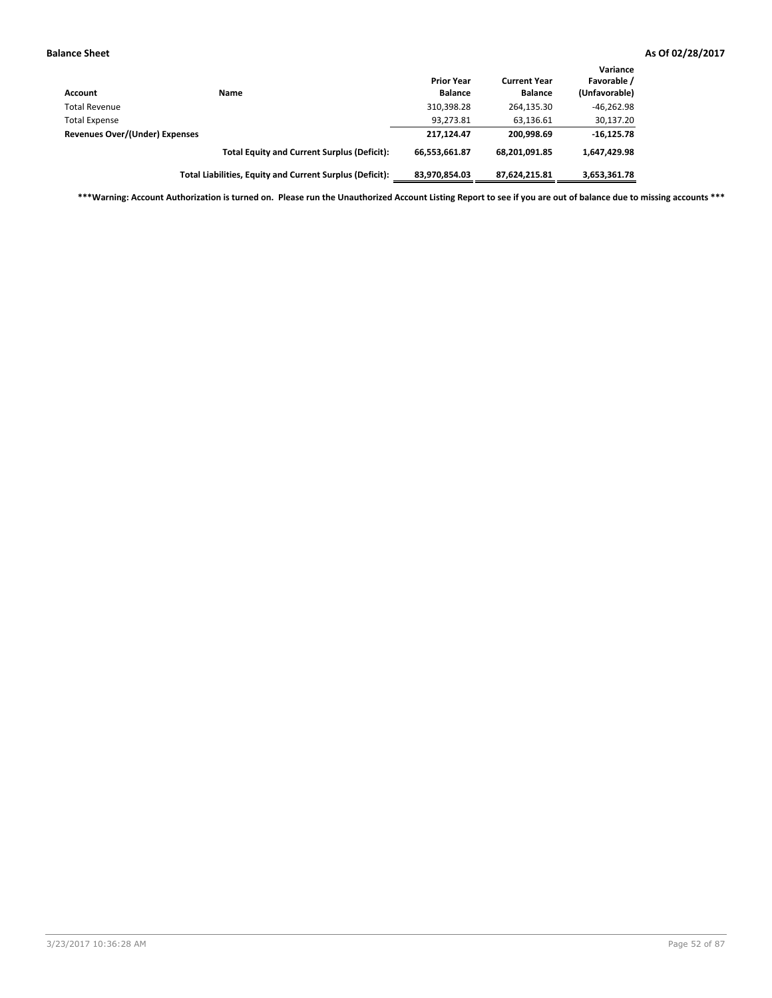| <b>Account</b>                 | Name                                                     | <b>Prior Year</b><br><b>Balance</b> | <b>Current Year</b><br><b>Balance</b> | Variance<br>Favorable /<br>(Unfavorable) |
|--------------------------------|----------------------------------------------------------|-------------------------------------|---------------------------------------|------------------------------------------|
| <b>Total Revenue</b>           |                                                          | 310,398.28                          | 264,135.30                            | $-46,262.98$                             |
| <b>Total Expense</b>           |                                                          | 93,273.81                           | 63.136.61                             | 30,137.20                                |
| Revenues Over/(Under) Expenses |                                                          | 217.124.47                          | 200.998.69                            | $-16, 125.78$                            |
|                                | <b>Total Equity and Current Surplus (Deficit):</b>       | 66,553,661.87                       | 68.201.091.85                         | 1,647,429.98                             |
|                                | Total Liabilities, Equity and Current Surplus (Deficit): | 83,970,854.03                       | 87,624,215.81                         | 3,653,361.78                             |

**\*\*\*Warning: Account Authorization is turned on. Please run the Unauthorized Account Listing Report to see if you are out of balance due to missing accounts \*\*\***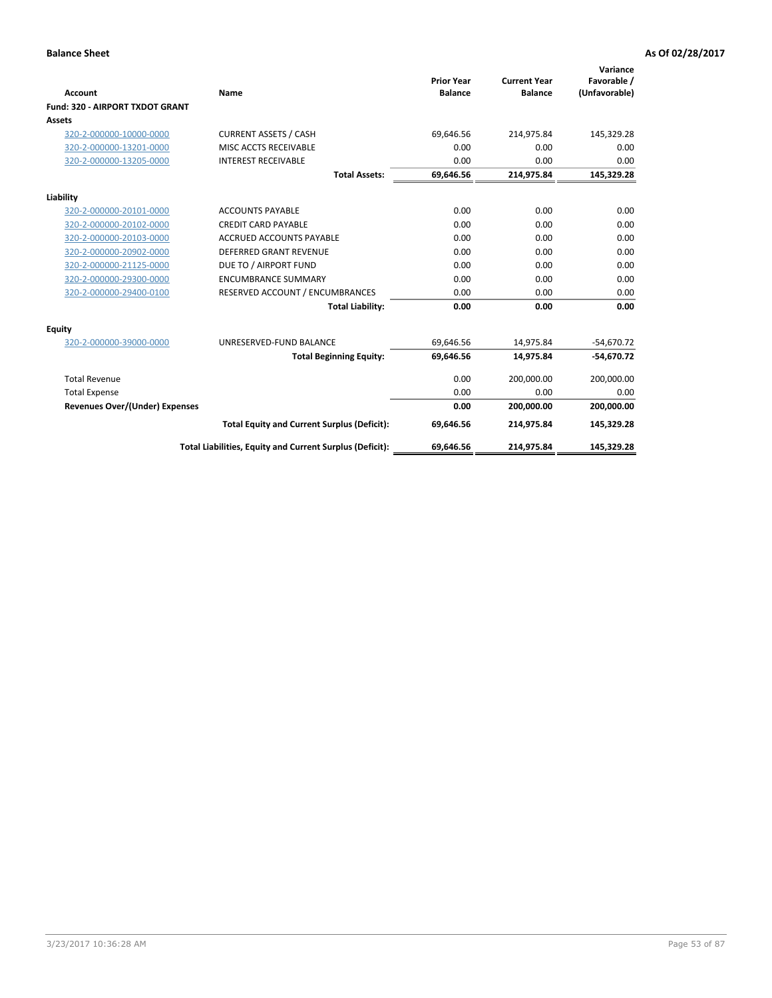|                                       |                                                          |                                     |                                       | Variance                     |
|---------------------------------------|----------------------------------------------------------|-------------------------------------|---------------------------------------|------------------------------|
| <b>Account</b>                        | Name                                                     | <b>Prior Year</b><br><b>Balance</b> | <b>Current Year</b><br><b>Balance</b> | Favorable /<br>(Unfavorable) |
| Fund: 320 - AIRPORT TXDOT GRANT       |                                                          |                                     |                                       |                              |
| Assets                                |                                                          |                                     |                                       |                              |
| 320-2-000000-10000-0000               | <b>CURRENT ASSETS / CASH</b>                             | 69,646.56                           | 214,975.84                            | 145,329.28                   |
| 320-2-000000-13201-0000               | MISC ACCTS RECEIVABLE                                    | 0.00                                | 0.00                                  | 0.00                         |
| 320-2-000000-13205-0000               | <b>INTEREST RECEIVABLE</b>                               | 0.00                                | 0.00                                  | 0.00                         |
|                                       | <b>Total Assets:</b>                                     | 69,646.56                           | 214,975.84                            | 145,329.28                   |
| Liability                             |                                                          |                                     |                                       |                              |
| 320-2-000000-20101-0000               | <b>ACCOUNTS PAYABLE</b>                                  | 0.00                                | 0.00                                  | 0.00                         |
| 320-2-000000-20102-0000               | <b>CREDIT CARD PAYABLE</b>                               | 0.00                                | 0.00                                  | 0.00                         |
| 320-2-000000-20103-0000               | <b>ACCRUED ACCOUNTS PAYABLE</b>                          | 0.00                                | 0.00                                  | 0.00                         |
| 320-2-000000-20902-0000               | <b>DEFERRED GRANT REVENUE</b>                            | 0.00                                | 0.00                                  | 0.00                         |
| 320-2-000000-21125-0000               | DUE TO / AIRPORT FUND                                    | 0.00                                | 0.00                                  | 0.00                         |
| 320-2-000000-29300-0000               | <b>ENCUMBRANCE SUMMARY</b>                               | 0.00                                | 0.00                                  | 0.00                         |
| 320-2-000000-29400-0100               | RESERVED ACCOUNT / ENCUMBRANCES                          | 0.00                                | 0.00                                  | 0.00                         |
|                                       | <b>Total Liability:</b>                                  | 0.00                                | 0.00                                  | 0.00                         |
| <b>Equity</b>                         |                                                          |                                     |                                       |                              |
| 320-2-000000-39000-0000               | UNRESERVED-FUND BALANCE                                  | 69,646.56                           | 14,975.84                             | $-54,670.72$                 |
|                                       | <b>Total Beginning Equity:</b>                           | 69,646.56                           | 14,975.84                             | $-54,670.72$                 |
| <b>Total Revenue</b>                  |                                                          | 0.00                                | 200,000.00                            | 200,000.00                   |
| <b>Total Expense</b>                  |                                                          | 0.00                                | 0.00                                  | 0.00                         |
| <b>Revenues Over/(Under) Expenses</b> |                                                          | 0.00                                | 200,000.00                            | 200,000.00                   |
|                                       | <b>Total Equity and Current Surplus (Deficit):</b>       | 69,646.56                           | 214,975.84                            | 145,329.28                   |
|                                       | Total Liabilities, Equity and Current Surplus (Deficit): | 69,646.56                           | 214,975.84                            | 145,329.28                   |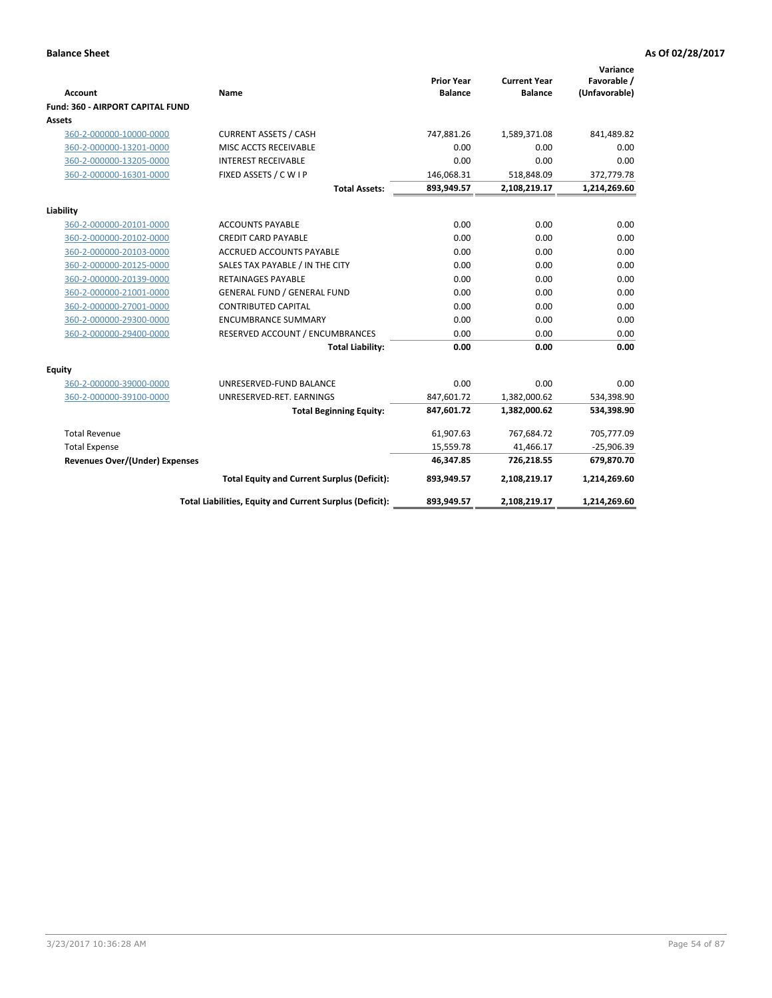| <b>Account</b><br>Fund: 360 - AIRPORT CAPITAL FUND | Name                                                     | <b>Prior Year</b><br><b>Balance</b> | <b>Current Year</b><br><b>Balance</b> | Variance<br>Favorable /<br>(Unfavorable) |
|----------------------------------------------------|----------------------------------------------------------|-------------------------------------|---------------------------------------|------------------------------------------|
| Assets                                             |                                                          |                                     |                                       |                                          |
| 360-2-000000-10000-0000                            | <b>CURRENT ASSETS / CASH</b>                             | 747,881.26                          | 1,589,371.08                          | 841,489.82                               |
| 360-2-000000-13201-0000                            | MISC ACCTS RECEIVABLE                                    | 0.00                                | 0.00                                  | 0.00                                     |
| 360-2-000000-13205-0000                            | <b>INTEREST RECEIVABLE</b>                               | 0.00                                | 0.00                                  | 0.00                                     |
| 360-2-000000-16301-0000                            | FIXED ASSETS / C W I P                                   | 146,068.31                          | 518,848.09                            | 372,779.78                               |
|                                                    | <b>Total Assets:</b>                                     | 893,949.57                          | 2,108,219.17                          | 1,214,269.60                             |
| Liability                                          |                                                          |                                     |                                       |                                          |
| 360-2-000000-20101-0000                            | <b>ACCOUNTS PAYABLE</b>                                  | 0.00                                | 0.00                                  | 0.00                                     |
| 360-2-000000-20102-0000                            | <b>CREDIT CARD PAYABLE</b>                               | 0.00                                | 0.00                                  | 0.00                                     |
| 360-2-000000-20103-0000                            | ACCRUED ACCOUNTS PAYABLE                                 | 0.00                                | 0.00                                  | 0.00                                     |
| 360-2-000000-20125-0000                            | SALES TAX PAYABLE / IN THE CITY                          | 0.00                                | 0.00                                  | 0.00                                     |
| 360-2-000000-20139-0000                            | <b>RETAINAGES PAYABLE</b>                                | 0.00                                | 0.00                                  | 0.00                                     |
| 360-2-000000-21001-0000                            | <b>GENERAL FUND / GENERAL FUND</b>                       | 0.00                                | 0.00                                  | 0.00                                     |
| 360-2-000000-27001-0000                            | <b>CONTRIBUTED CAPITAL</b>                               | 0.00                                | 0.00                                  | 0.00                                     |
| 360-2-000000-29300-0000                            | <b>ENCUMBRANCE SUMMARY</b>                               | 0.00                                | 0.00                                  | 0.00                                     |
| 360-2-000000-29400-0000                            | RESERVED ACCOUNT / ENCUMBRANCES                          | 0.00                                | 0.00                                  | 0.00                                     |
|                                                    | <b>Total Liability:</b>                                  | 0.00                                | 0.00                                  | 0.00                                     |
| Equity                                             |                                                          |                                     |                                       |                                          |
| 360-2-000000-39000-0000                            | UNRESERVED-FUND BALANCE                                  | 0.00                                | 0.00                                  | 0.00                                     |
| 360-2-000000-39100-0000                            | UNRESERVED-RET. EARNINGS                                 | 847,601.72                          | 1,382,000.62                          | 534,398.90                               |
|                                                    | <b>Total Beginning Equity:</b>                           | 847,601.72                          | 1,382,000.62                          | 534,398.90                               |
| <b>Total Revenue</b>                               |                                                          | 61,907.63                           | 767,684.72                            | 705,777.09                               |
| <b>Total Expense</b>                               |                                                          | 15,559.78                           | 41,466.17                             | $-25,906.39$                             |
| <b>Revenues Over/(Under) Expenses</b>              |                                                          | 46,347.85                           | 726,218.55                            | 679,870.70                               |
|                                                    | <b>Total Equity and Current Surplus (Deficit):</b>       | 893,949.57                          | 2,108,219.17                          | 1,214,269.60                             |
|                                                    | Total Liabilities, Equity and Current Surplus (Deficit): | 893,949.57                          | 2,108,219.17                          | 1,214,269.60                             |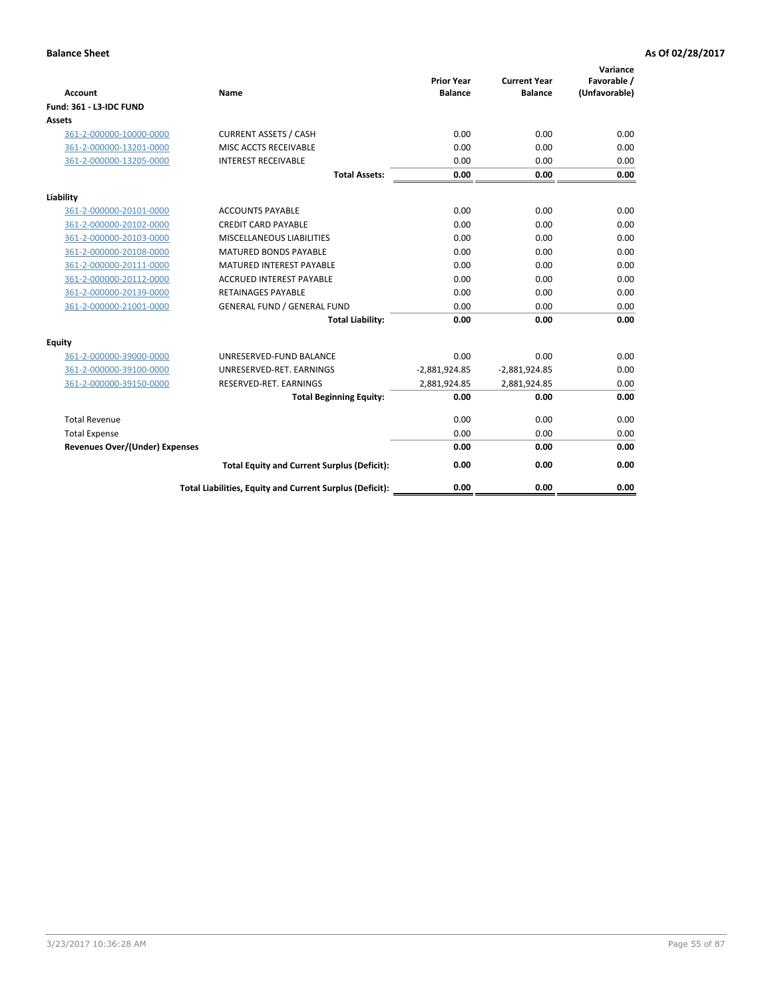| <b>Account</b>                        | <b>Name</b>                                              | <b>Prior Year</b><br><b>Balance</b> | <b>Current Year</b><br><b>Balance</b> | Variance<br>Favorable /<br>(Unfavorable) |
|---------------------------------------|----------------------------------------------------------|-------------------------------------|---------------------------------------|------------------------------------------|
| <b>Fund: 361 - L3-IDC FUND</b>        |                                                          |                                     |                                       |                                          |
| Assets                                |                                                          |                                     |                                       |                                          |
| 361-2-000000-10000-0000               | <b>CURRENT ASSETS / CASH</b>                             | 0.00                                | 0.00                                  | 0.00                                     |
| 361-2-000000-13201-0000               | MISC ACCTS RECEIVABLE                                    | 0.00                                | 0.00                                  | 0.00                                     |
| 361-2-000000-13205-0000               | <b>INTEREST RECEIVABLE</b>                               | 0.00                                | 0.00                                  | 0.00                                     |
|                                       | <b>Total Assets:</b>                                     | 0.00                                | 0.00                                  | 0.00                                     |
| Liability                             |                                                          |                                     |                                       |                                          |
| 361-2-000000-20101-0000               | <b>ACCOUNTS PAYABLE</b>                                  | 0.00                                | 0.00                                  | 0.00                                     |
| 361-2-000000-20102-0000               | <b>CREDIT CARD PAYABLE</b>                               | 0.00                                | 0.00                                  | 0.00                                     |
| 361-2-000000-20103-0000               | MISCELLANEOUS LIABILITIES                                | 0.00                                | 0.00                                  | 0.00                                     |
| 361-2-000000-20108-0000               | <b>MATURED BONDS PAYABLE</b>                             | 0.00                                | 0.00                                  | 0.00                                     |
| 361-2-000000-20111-0000               | <b>MATURED INTEREST PAYABLE</b>                          | 0.00                                | 0.00                                  | 0.00                                     |
| 361-2-000000-20112-0000               | <b>ACCRUED INTEREST PAYABLE</b>                          | 0.00                                | 0.00                                  | 0.00                                     |
| 361-2-000000-20139-0000               | <b>RETAINAGES PAYABLE</b>                                | 0.00                                | 0.00                                  | 0.00                                     |
| 361-2-000000-21001-0000               | <b>GENERAL FUND / GENERAL FUND</b>                       | 0.00                                | 0.00                                  | 0.00                                     |
|                                       | <b>Total Liability:</b>                                  | 0.00                                | 0.00                                  | 0.00                                     |
| Equity                                |                                                          |                                     |                                       |                                          |
| 361-2-000000-39000-0000               | UNRESERVED-FUND BALANCE                                  | 0.00                                | 0.00                                  | 0.00                                     |
| 361-2-000000-39100-0000               | UNRESERVED-RET. EARNINGS                                 | $-2,881,924.85$                     | $-2,881,924.85$                       | 0.00                                     |
| 361-2-000000-39150-0000               | RESERVED-RET. EARNINGS                                   | 2,881,924.85                        | 2,881,924.85                          | 0.00                                     |
|                                       | <b>Total Beginning Equity:</b>                           | 0.00                                | 0.00                                  | 0.00                                     |
| <b>Total Revenue</b>                  |                                                          | 0.00                                | 0.00                                  | 0.00                                     |
| <b>Total Expense</b>                  |                                                          | 0.00                                | 0.00                                  | 0.00                                     |
| <b>Revenues Over/(Under) Expenses</b> |                                                          | 0.00                                | 0.00                                  | 0.00                                     |
|                                       | <b>Total Equity and Current Surplus (Deficit):</b>       | 0.00                                | 0.00                                  | 0.00                                     |
|                                       | Total Liabilities, Equity and Current Surplus (Deficit): | 0.00                                | 0.00                                  | 0.00                                     |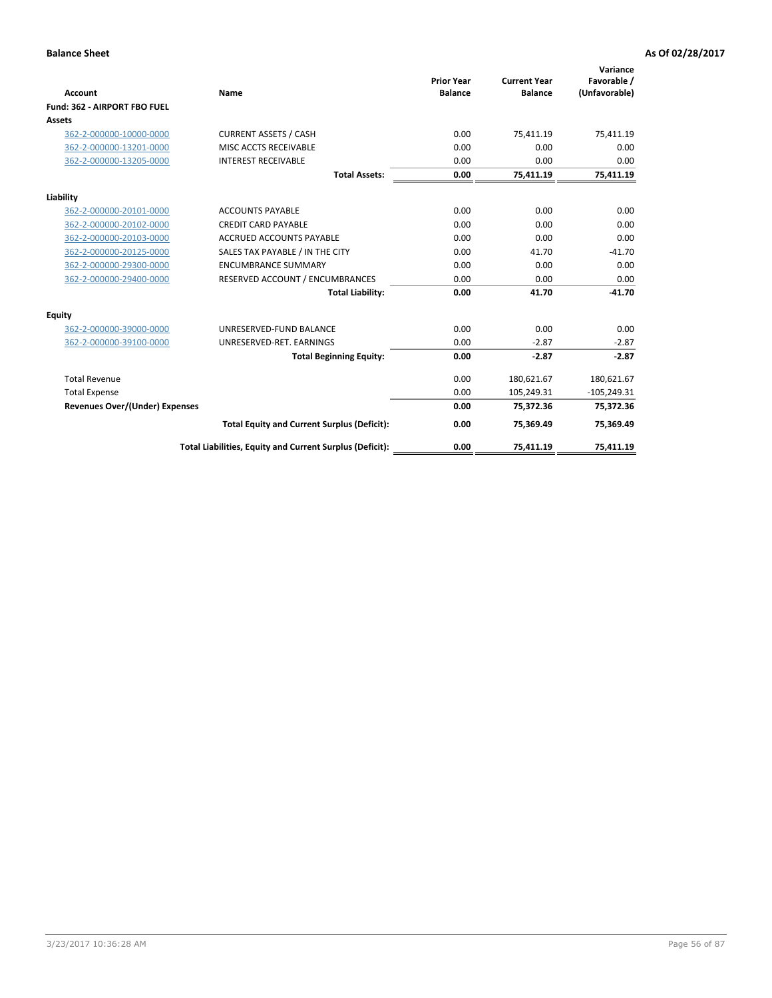|                                       |                                                          |                                     |                                       | Variance                     |
|---------------------------------------|----------------------------------------------------------|-------------------------------------|---------------------------------------|------------------------------|
| <b>Account</b>                        | <b>Name</b>                                              | <b>Prior Year</b><br><b>Balance</b> | <b>Current Year</b><br><b>Balance</b> | Favorable /<br>(Unfavorable) |
| Fund: 362 - AIRPORT FBO FUEL          |                                                          |                                     |                                       |                              |
| Assets                                |                                                          |                                     |                                       |                              |
| 362-2-000000-10000-0000               | <b>CURRENT ASSETS / CASH</b>                             | 0.00                                | 75.411.19                             | 75,411.19                    |
| 362-2-000000-13201-0000               | MISC ACCTS RECEIVABLE                                    | 0.00                                | 0.00                                  | 0.00                         |
| 362-2-000000-13205-0000               | <b>INTEREST RECEIVABLE</b>                               | 0.00                                | 0.00                                  | 0.00                         |
|                                       | <b>Total Assets:</b>                                     | 0.00                                | 75,411.19                             | 75,411.19                    |
| Liability                             |                                                          |                                     |                                       |                              |
| 362-2-000000-20101-0000               | <b>ACCOUNTS PAYABLE</b>                                  | 0.00                                | 0.00                                  | 0.00                         |
| 362-2-000000-20102-0000               | <b>CREDIT CARD PAYABLE</b>                               | 0.00                                | 0.00                                  | 0.00                         |
| 362-2-000000-20103-0000               | <b>ACCRUED ACCOUNTS PAYABLE</b>                          | 0.00                                | 0.00                                  | 0.00                         |
| 362-2-000000-20125-0000               | SALES TAX PAYABLE / IN THE CITY                          | 0.00                                | 41.70                                 | $-41.70$                     |
| 362-2-000000-29300-0000               | <b>ENCUMBRANCE SUMMARY</b>                               | 0.00                                | 0.00                                  | 0.00                         |
| 362-2-000000-29400-0000               | RESERVED ACCOUNT / ENCUMBRANCES                          | 0.00                                | 0.00                                  | 0.00                         |
|                                       | <b>Total Liability:</b>                                  | 0.00                                | 41.70                                 | $-41.70$                     |
| <b>Equity</b>                         |                                                          |                                     |                                       |                              |
| 362-2-000000-39000-0000               | UNRESERVED-FUND BALANCE                                  | 0.00                                | 0.00                                  | 0.00                         |
| 362-2-000000-39100-0000               | UNRESERVED-RET. EARNINGS                                 | 0.00                                | $-2.87$                               | $-2.87$                      |
|                                       | <b>Total Beginning Equity:</b>                           | 0.00                                | $-2.87$                               | $-2.87$                      |
| <b>Total Revenue</b>                  |                                                          | 0.00                                | 180,621.67                            | 180,621.67                   |
| <b>Total Expense</b>                  |                                                          | 0.00                                | 105,249.31                            | $-105,249.31$                |
| <b>Revenues Over/(Under) Expenses</b> |                                                          | 0.00                                | 75,372.36                             | 75,372.36                    |
|                                       | <b>Total Equity and Current Surplus (Deficit):</b>       | 0.00                                | 75,369.49                             | 75,369.49                    |
|                                       | Total Liabilities, Equity and Current Surplus (Deficit): | 0.00                                | 75,411.19                             | 75,411.19                    |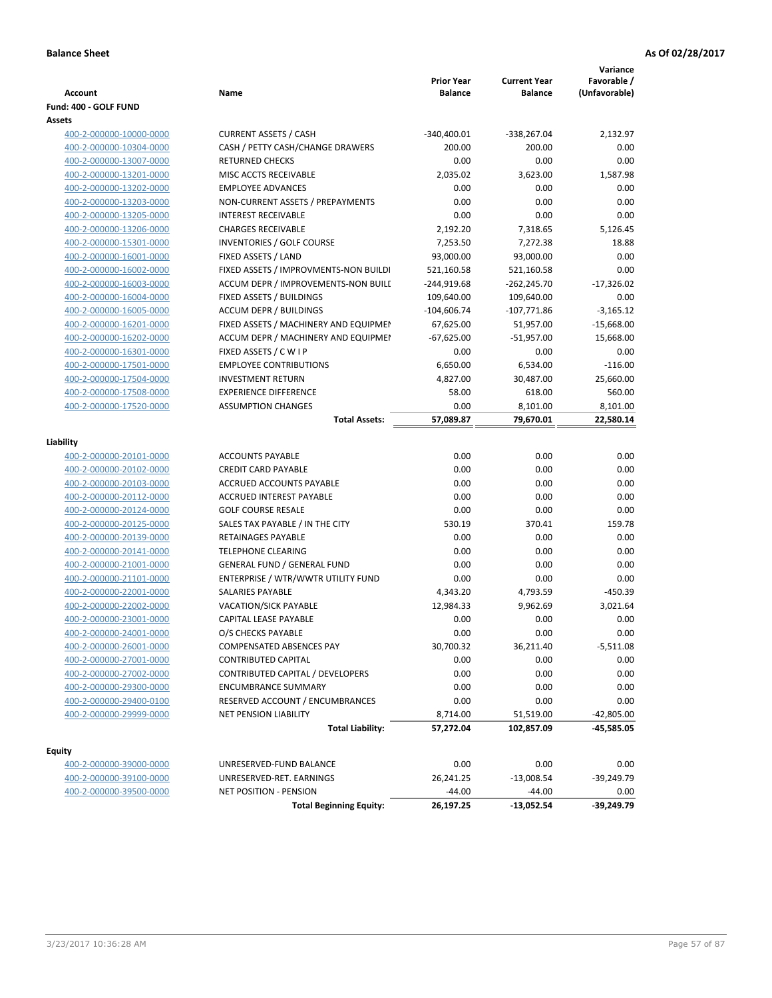|                                 |                                       | <b>Prior Year</b> | <b>Current Year</b>  | Variance<br>Favorable / |
|---------------------------------|---------------------------------------|-------------------|----------------------|-------------------------|
| <b>Account</b>                  | Name                                  | <b>Balance</b>    | <b>Balance</b>       | (Unfavorable)           |
| Fund: 400 - GOLF FUND<br>Assets |                                       |                   |                      |                         |
| 400-2-000000-10000-0000         | <b>CURRENT ASSETS / CASH</b>          | $-340,400.01$     | -338,267.04          | 2,132.97                |
| 400-2-000000-10304-0000         | CASH / PETTY CASH/CHANGE DRAWERS      | 200.00            | 200.00               | 0.00                    |
| 400-2-000000-13007-0000         | <b>RETURNED CHECKS</b>                | 0.00              | 0.00                 | 0.00                    |
| 400-2-000000-13201-0000         | MISC ACCTS RECEIVABLE                 | 2,035.02          | 3,623.00             | 1,587.98                |
| 400-2-000000-13202-0000         | <b>EMPLOYEE ADVANCES</b>              | 0.00              | 0.00                 | 0.00                    |
| 400-2-000000-13203-0000         | NON-CURRENT ASSETS / PREPAYMENTS      | 0.00              | 0.00                 | 0.00                    |
| 400-2-000000-13205-0000         | <b>INTEREST RECEIVABLE</b>            | 0.00              | 0.00                 | 0.00                    |
|                                 | <b>CHARGES RECEIVABLE</b>             | 2,192.20          |                      | 5,126.45                |
| 400-2-000000-13206-0000         |                                       | 7,253.50          | 7,318.65<br>7,272.38 |                         |
| 400-2-000000-15301-0000         | INVENTORIES / GOLF COURSE             |                   |                      | 18.88                   |
| 400-2-000000-16001-0000         | FIXED ASSETS / LAND                   | 93,000.00         | 93,000.00            | 0.00                    |
| 400-2-000000-16002-0000         | FIXED ASSETS / IMPROVMENTS-NON BUILDI | 521,160.58        | 521,160.58           | 0.00                    |
| 400-2-000000-16003-0000         | ACCUM DEPR / IMPROVEMENTS-NON BUILI   | $-244,919.68$     | $-262,245.70$        | $-17,326.02$            |
| 400-2-000000-16004-0000         | FIXED ASSETS / BUILDINGS              | 109,640.00        | 109,640.00           | 0.00                    |
| 400-2-000000-16005-0000         | <b>ACCUM DEPR / BUILDINGS</b>         | $-104,606.74$     | $-107,771.86$        | $-3,165.12$             |
| 400-2-000000-16201-0000         | FIXED ASSETS / MACHINERY AND EQUIPMEN | 67,625.00         | 51,957.00            | $-15,668.00$            |
| 400-2-000000-16202-0000         | ACCUM DEPR / MACHINERY AND EQUIPMEI   | $-67,625.00$      | $-51,957.00$         | 15,668.00               |
| 400-2-000000-16301-0000         | FIXED ASSETS / C W I P                | 0.00              | 0.00                 | 0.00                    |
| 400-2-000000-17501-0000         | <b>EMPLOYEE CONTRIBUTIONS</b>         | 6,650.00          | 6,534.00             | $-116.00$               |
| 400-2-000000-17504-0000         | <b>INVESTMENT RETURN</b>              | 4,827.00          | 30,487.00            | 25,660.00               |
| 400-2-000000-17508-0000         | <b>EXPERIENCE DIFFERENCE</b>          | 58.00             | 618.00               | 560.00                  |
| 400-2-000000-17520-0000         | <b>ASSUMPTION CHANGES</b>             | 0.00              | 8,101.00             | 8,101.00                |
|                                 | <b>Total Assets:</b>                  | 57,089.87         | 79,670.01            | 22,580.14               |
| Liability                       |                                       |                   |                      |                         |
| 400-2-000000-20101-0000         | <b>ACCOUNTS PAYABLE</b>               | 0.00              | 0.00                 | 0.00                    |
| 400-2-000000-20102-0000         | <b>CREDIT CARD PAYABLE</b>            | 0.00              | 0.00                 | 0.00                    |
| 400-2-000000-20103-0000         | ACCRUED ACCOUNTS PAYABLE              | 0.00              | 0.00                 | 0.00                    |
| 400-2-000000-20112-0000         | <b>ACCRUED INTEREST PAYABLE</b>       | 0.00              | 0.00                 | 0.00                    |
| 400-2-000000-20124-0000         | <b>GOLF COURSE RESALE</b>             | 0.00              | 0.00                 | 0.00                    |
| 400-2-000000-20125-0000         | SALES TAX PAYABLE / IN THE CITY       | 530.19            | 370.41               | 159.78                  |
| 400-2-000000-20139-0000         | RETAINAGES PAYABLE                    | 0.00              | 0.00                 | 0.00                    |
| 400-2-000000-20141-0000         | <b>TELEPHONE CLEARING</b>             | 0.00              | 0.00                 | 0.00                    |
| 400-2-000000-21001-0000         | <b>GENERAL FUND / GENERAL FUND</b>    | 0.00              | 0.00                 | 0.00                    |
| 400-2-000000-21101-0000         | ENTERPRISE / WTR/WWTR UTILITY FUND    | 0.00              | 0.00                 | 0.00                    |
| 400-2-000000-22001-0000         | SALARIES PAYABLE                      | 4,343.20          | 4,793.59             | $-450.39$               |
| 400-2-000000-22002-0000         | <b>VACATION/SICK PAYABLE</b>          | 12,984.33         | 9,962.69             | 3,021.64                |
| 400-2-000000-23001-0000         | CAPITAL LEASE PAYABLE                 | 0.00              | 0.00                 | 0.00                    |
| 400-2-000000-24001-0000         | O/S CHECKS PAYABLE                    | 0.00              | 0.00                 | 0.00                    |
| 400-2-000000-26001-0000         | COMPENSATED ABSENCES PAY              | 30,700.32         | 36,211.40            | -5,511.08               |
| 400-2-000000-27001-0000         | <b>CONTRIBUTED CAPITAL</b>            | 0.00              | 0.00                 | 0.00                    |
| 400-2-000000-27002-0000         | CONTRIBUTED CAPITAL / DEVELOPERS      | 0.00              | 0.00                 | 0.00                    |
| 400-2-000000-29300-0000         | <b>ENCUMBRANCE SUMMARY</b>            | 0.00              | 0.00                 | 0.00                    |
| 400-2-000000-29400-0100         | RESERVED ACCOUNT / ENCUMBRANCES       | 0.00              | 0.00                 | 0.00                    |
| 400-2-000000-29999-0000         | <b>NET PENSION LIABILITY</b>          |                   |                      |                         |
|                                 |                                       | 8,714.00          | 51,519.00            | $-42,805.00$            |
|                                 | <b>Total Liability:</b>               | 57,272.04         | 102,857.09           | -45,585.05              |
| <b>Equity</b>                   |                                       |                   |                      |                         |
| 400-2-000000-39000-0000         | UNRESERVED-FUND BALANCE               | 0.00              | 0.00                 | 0.00                    |
| 400-2-000000-39100-0000         | UNRESERVED-RET. EARNINGS              | 26,241.25         | $-13,008.54$         | -39,249.79              |
| 400-2-000000-39500-0000         | <b>NET POSITION - PENSION</b>         | $-44.00$          | $-44.00$             | 0.00                    |

**Total Beginning Equity: 26,197.25 -13,052.54 -39,249.79**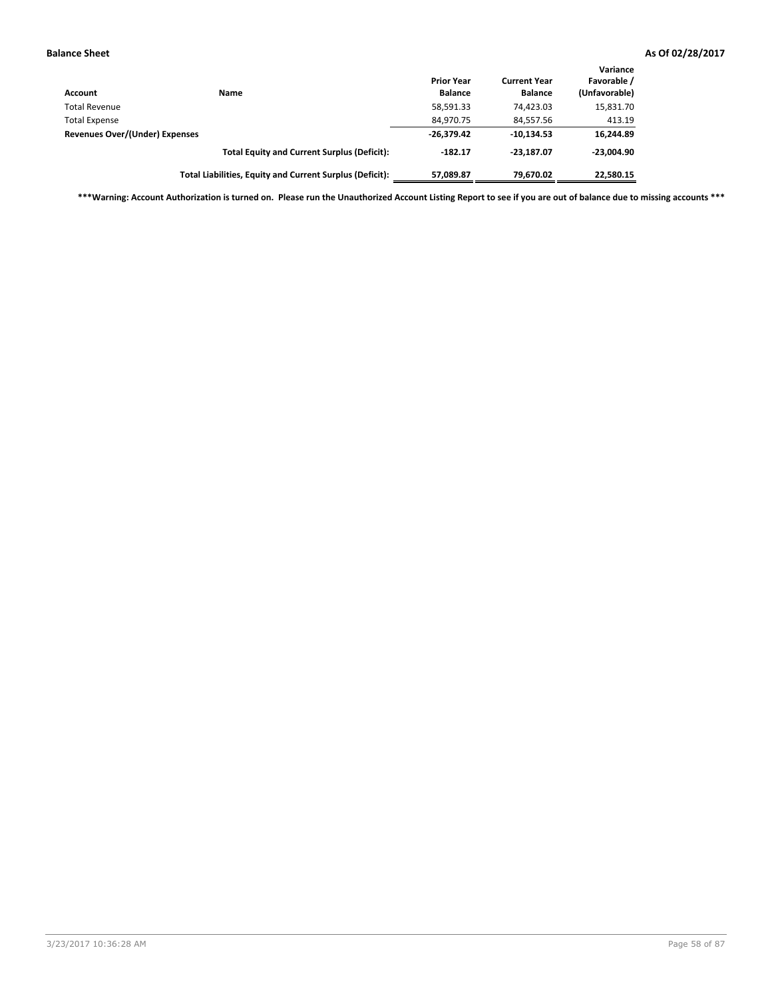| Account                        | <b>Name</b>                                              | <b>Prior Year</b><br><b>Balance</b> | <b>Current Year</b><br><b>Balance</b> | Variance<br>Favorable /<br>(Unfavorable) |
|--------------------------------|----------------------------------------------------------|-------------------------------------|---------------------------------------|------------------------------------------|
| <b>Total Revenue</b>           |                                                          | 58,591.33                           | 74.423.03                             | 15,831.70                                |
| <b>Total Expense</b>           |                                                          | 84,970.75                           | 84,557.56                             | 413.19                                   |
| Revenues Over/(Under) Expenses |                                                          | $-26,379.42$                        | $-10.134.53$                          | 16,244.89                                |
|                                | <b>Total Equity and Current Surplus (Deficit):</b>       | $-182.17$                           | $-23.187.07$                          | $-23,004.90$                             |
|                                | Total Liabilities, Equity and Current Surplus (Deficit): | 57,089.87                           | 79,670.02                             | 22,580.15                                |

**\*\*\*Warning: Account Authorization is turned on. Please run the Unauthorized Account Listing Report to see if you are out of balance due to missing accounts \*\*\***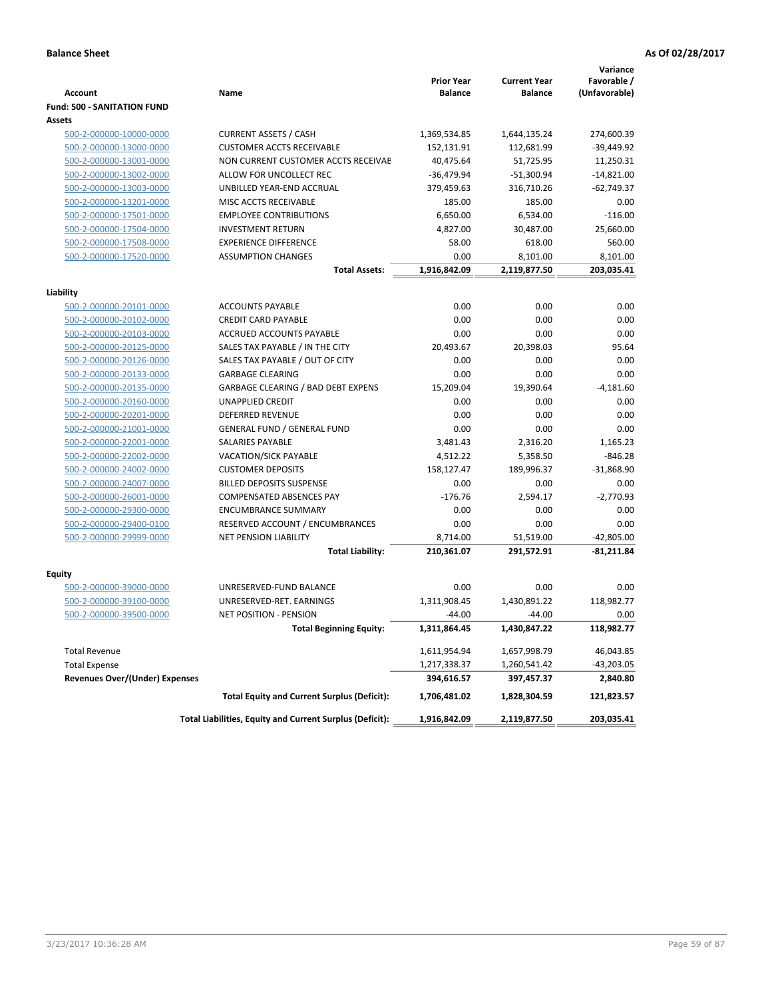|                                       |                                                          | <b>Prior Year</b> | <b>Current Year</b> | Variance<br>Favorable / |
|---------------------------------------|----------------------------------------------------------|-------------------|---------------------|-------------------------|
| <b>Account</b>                        | Name                                                     | <b>Balance</b>    | <b>Balance</b>      | (Unfavorable)           |
| <b>Fund: 500 - SANITATION FUND</b>    |                                                          |                   |                     |                         |
| Assets                                |                                                          |                   |                     |                         |
| 500-2-000000-10000-0000               | <b>CURRENT ASSETS / CASH</b>                             | 1,369,534.85      | 1,644,135.24        | 274,600.39              |
| 500-2-000000-13000-0000               | <b>CUSTOMER ACCTS RECEIVABLE</b>                         | 152,131.91        | 112,681.99          | $-39,449.92$            |
| 500-2-000000-13001-0000               | NON CURRENT CUSTOMER ACCTS RECEIVAE                      | 40,475.64         | 51,725.95           | 11,250.31               |
| 500-2-000000-13002-0000               | ALLOW FOR UNCOLLECT REC                                  | $-36,479.94$      | $-51,300.94$        | $-14,821.00$            |
| 500-2-000000-13003-0000               | UNBILLED YEAR-END ACCRUAL                                | 379,459.63        | 316,710.26          | $-62,749.37$            |
| 500-2-000000-13201-0000               | MISC ACCTS RECEIVABLE                                    | 185.00            | 185.00              | 0.00                    |
| 500-2-000000-17501-0000               | <b>EMPLOYEE CONTRIBUTIONS</b>                            | 6,650.00          | 6,534.00            | $-116.00$               |
| 500-2-000000-17504-0000               | <b>INVESTMENT RETURN</b>                                 | 4,827.00          | 30,487.00           | 25,660.00               |
| 500-2-000000-17508-0000               | <b>EXPERIENCE DIFFERENCE</b>                             | 58.00             | 618.00              | 560.00                  |
| 500-2-000000-17520-0000               | <b>ASSUMPTION CHANGES</b>                                | 0.00              | 8,101.00            | 8,101.00                |
|                                       | <b>Total Assets:</b>                                     | 1,916,842.09      | 2,119,877.50        | 203,035.41              |
| Liability                             |                                                          |                   |                     |                         |
| 500-2-000000-20101-0000               | <b>ACCOUNTS PAYABLE</b>                                  | 0.00              | 0.00                | 0.00                    |
| 500-2-000000-20102-0000               | <b>CREDIT CARD PAYABLE</b>                               | 0.00              | 0.00                | 0.00                    |
| 500-2-000000-20103-0000               | ACCRUED ACCOUNTS PAYABLE                                 | 0.00              | 0.00                | 0.00                    |
| 500-2-000000-20125-0000               | SALES TAX PAYABLE / IN THE CITY                          | 20,493.67         | 20,398.03           | 95.64                   |
| 500-2-000000-20126-0000               | SALES TAX PAYABLE / OUT OF CITY                          | 0.00              | 0.00                | 0.00                    |
| 500-2-000000-20133-0000               | <b>GARBAGE CLEARING</b>                                  | 0.00              | 0.00                | 0.00                    |
| 500-2-000000-20135-0000               | GARBAGE CLEARING / BAD DEBT EXPENS                       | 15,209.04         | 19,390.64           | $-4,181.60$             |
| 500-2-000000-20160-0000               | UNAPPLIED CREDIT                                         | 0.00              | 0.00                | 0.00                    |
| 500-2-000000-20201-0000               | DEFERRED REVENUE                                         | 0.00              | 0.00                | 0.00                    |
| 500-2-000000-21001-0000               | <b>GENERAL FUND / GENERAL FUND</b>                       | 0.00              | 0.00                | 0.00                    |
| 500-2-000000-22001-0000               | SALARIES PAYABLE                                         | 3,481.43          | 2,316.20            | 1,165.23                |
| 500-2-000000-22002-0000               | <b>VACATION/SICK PAYABLE</b>                             | 4,512.22          | 5,358.50            | $-846.28$               |
| 500-2-000000-24002-0000               | <b>CUSTOMER DEPOSITS</b>                                 | 158,127.47        | 189,996.37          | $-31,868.90$            |
| 500-2-000000-24007-0000               | <b>BILLED DEPOSITS SUSPENSE</b>                          | 0.00              | 0.00                | 0.00                    |
| 500-2-000000-26001-0000               | COMPENSATED ABSENCES PAY                                 | $-176.76$         | 2,594.17            | $-2,770.93$             |
| 500-2-000000-29300-0000               | <b>ENCUMBRANCE SUMMARY</b>                               | 0.00              | 0.00                | 0.00                    |
| 500-2-000000-29400-0100               | RESERVED ACCOUNT / ENCUMBRANCES                          | 0.00              | 0.00                | 0.00                    |
| 500-2-000000-29999-0000               | <b>NET PENSION LIABILITY</b>                             | 8,714.00          | 51,519.00           | $-42,805.00$            |
|                                       | <b>Total Liability:</b>                                  | 210,361.07        | 291,572.91          | $-81,211.84$            |
|                                       |                                                          |                   |                     |                         |
| <b>Equity</b>                         |                                                          |                   |                     |                         |
| 500-2-000000-39000-0000               | UNRESERVED-FUND BALANCE                                  | 0.00              | 0.00                | 0.00                    |
| 500-2-000000-39100-0000               | UNRESERVED-RET. EARNINGS                                 | 1,311,908.45      | 1.430.891.22        | 118,982.77              |
| 500-2-000000-39500-0000               | <b>NET POSITION - PENSION</b>                            | $-44.00$          | $-44.00$            | 0.00                    |
|                                       | Total Beginning Equity:                                  | 1,311,864.45      | 1,430,847.22        | 118,982.77              |
| <b>Total Revenue</b>                  |                                                          | 1,611,954.94      | 1,657,998.79        | 46,043.85               |
| <b>Total Expense</b>                  |                                                          | 1,217,338.37      | 1,260,541.42        | $-43,203.05$            |
| <b>Revenues Over/(Under) Expenses</b> |                                                          | 394,616.57        | 397,457.37          | 2,840.80                |
|                                       | <b>Total Equity and Current Surplus (Deficit):</b>       | 1,706,481.02      | 1,828,304.59        | 121,823.57              |
|                                       | Total Liabilities, Equity and Current Surplus (Deficit): | 1,916,842.09      | 2,119,877.50        | 203,035.41              |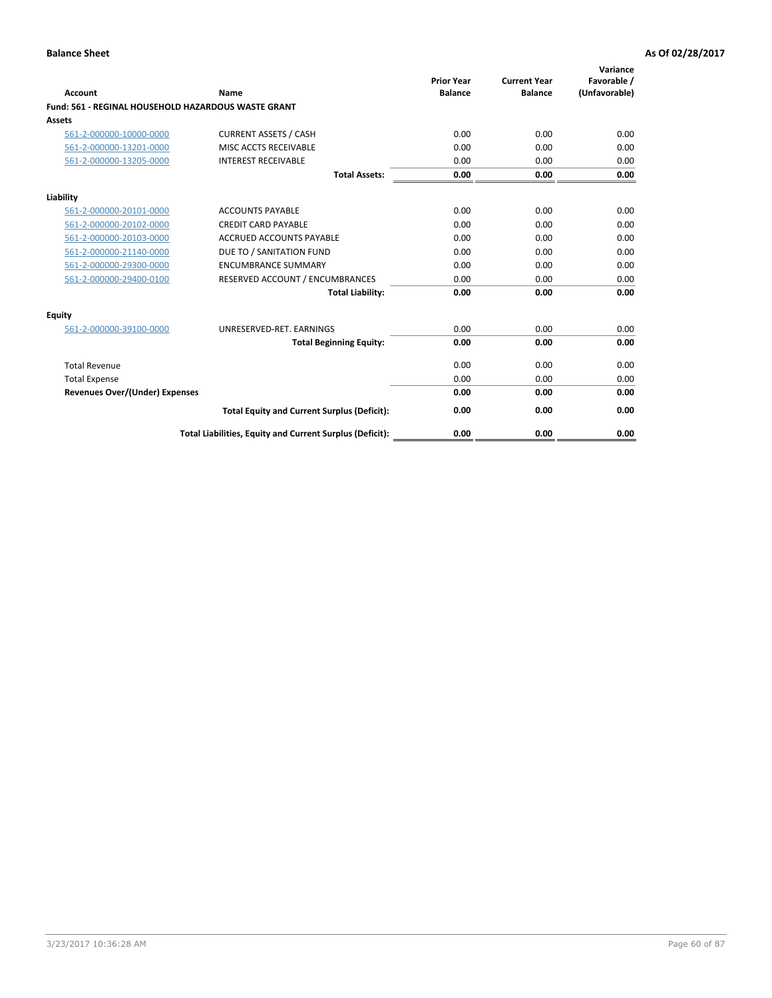| <b>Account</b>                        | Name                                                       | <b>Prior Year</b><br><b>Balance</b> | <b>Current Year</b><br><b>Balance</b> | Variance<br>Favorable /<br>(Unfavorable) |
|---------------------------------------|------------------------------------------------------------|-------------------------------------|---------------------------------------|------------------------------------------|
|                                       | <b>Fund: 561 - REGINAL HOUSEHOLD HAZARDOUS WASTE GRANT</b> |                                     |                                       |                                          |
| Assets                                |                                                            |                                     |                                       |                                          |
| 561-2-000000-10000-0000               | <b>CURRENT ASSETS / CASH</b>                               | 0.00                                | 0.00                                  | 0.00                                     |
| 561-2-000000-13201-0000               | MISC ACCTS RECEIVABLE                                      | 0.00                                | 0.00                                  | 0.00                                     |
| 561-2-000000-13205-0000               | <b>INTEREST RECEIVABLE</b>                                 | 0.00                                | 0.00                                  | 0.00                                     |
|                                       | <b>Total Assets:</b>                                       | 0.00                                | 0.00                                  | 0.00                                     |
| Liability                             |                                                            |                                     |                                       |                                          |
| 561-2-000000-20101-0000               | <b>ACCOUNTS PAYABLE</b>                                    | 0.00                                | 0.00                                  | 0.00                                     |
| 561-2-000000-20102-0000               | <b>CREDIT CARD PAYABLE</b>                                 | 0.00                                | 0.00                                  | 0.00                                     |
| 561-2-000000-20103-0000               | <b>ACCRUED ACCOUNTS PAYABLE</b>                            | 0.00                                | 0.00                                  | 0.00                                     |
| 561-2-000000-21140-0000               | DUE TO / SANITATION FUND                                   | 0.00                                | 0.00                                  | 0.00                                     |
| 561-2-000000-29300-0000               | <b>ENCUMBRANCE SUMMARY</b>                                 | 0.00                                | 0.00                                  | 0.00                                     |
| 561-2-000000-29400-0100               | RESERVED ACCOUNT / ENCUMBRANCES                            | 0.00                                | 0.00                                  | 0.00                                     |
|                                       | <b>Total Liability:</b>                                    | 0.00                                | 0.00                                  | 0.00                                     |
| <b>Equity</b>                         |                                                            |                                     |                                       |                                          |
| 561-2-000000-39100-0000               | UNRESERVED-RET. EARNINGS                                   | 0.00                                | 0.00                                  | 0.00                                     |
|                                       | <b>Total Beginning Equity:</b>                             | 0.00                                | 0.00                                  | 0.00                                     |
| <b>Total Revenue</b>                  |                                                            | 0.00                                | 0.00                                  | 0.00                                     |
| <b>Total Expense</b>                  |                                                            | 0.00                                | 0.00                                  | 0.00                                     |
| <b>Revenues Over/(Under) Expenses</b> |                                                            | 0.00                                | 0.00                                  | 0.00                                     |
|                                       | <b>Total Equity and Current Surplus (Deficit):</b>         | 0.00                                | 0.00                                  | 0.00                                     |
|                                       | Total Liabilities, Equity and Current Surplus (Deficit):   | 0.00                                | 0.00                                  | 0.00                                     |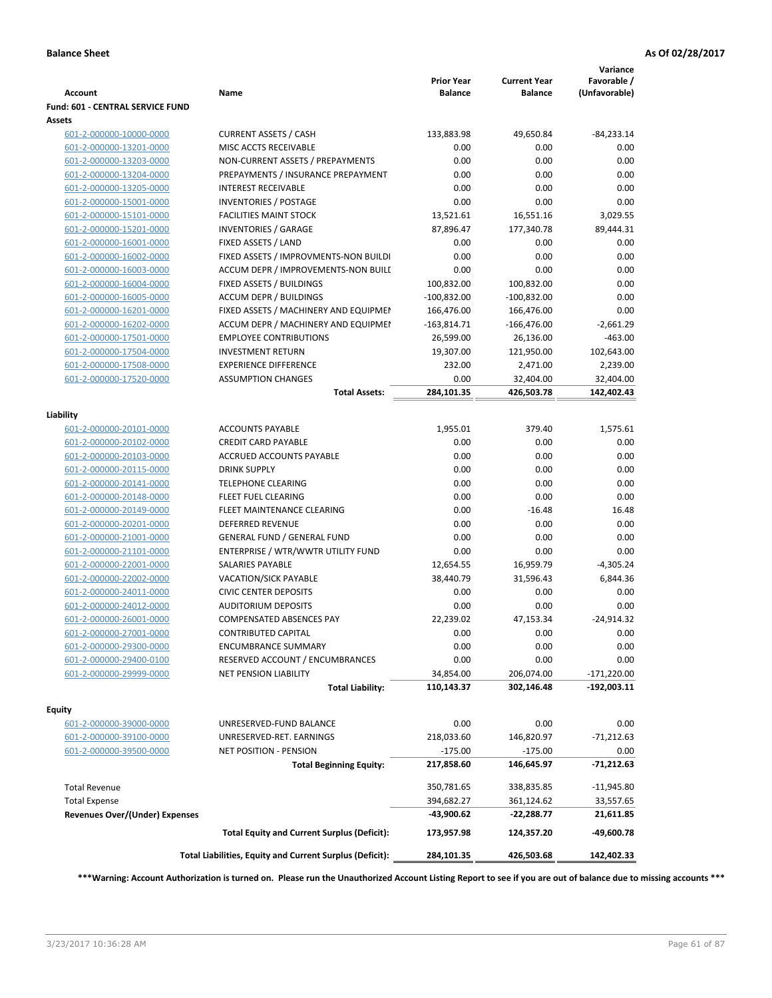| <b>CURRENT ASSETS / CASH</b><br>133,883.98<br>$-84,233.14$<br>601-2-000000-10000-0000<br>49,650.84<br>601-2-000000-13201-0000<br>MISC ACCTS RECEIVABLE<br>0.00<br>0.00<br>0.00<br>601-2-000000-13203-0000<br>NON-CURRENT ASSETS / PREPAYMENTS<br>0.00<br>0.00<br>0.00<br>0.00<br>601-2-000000-13204-0000<br>PREPAYMENTS / INSURANCE PREPAYMENT<br>0.00<br>0.00<br>0.00<br>601-2-000000-13205-0000<br><b>INTEREST RECEIVABLE</b><br>0.00<br>0.00<br>601-2-000000-15001-0000<br><b>INVENTORIES / POSTAGE</b><br>0.00<br>0.00<br>601-2-000000-15101-0000<br><b>FACILITIES MAINT STOCK</b><br>13,521.61<br>16,551.16<br>3,029.55<br>601-2-000000-15201-0000<br><b>INVENTORIES / GARAGE</b><br>87,896.47<br>177,340.78<br>89,444.31<br>601-2-000000-16001-0000<br>FIXED ASSETS / LAND<br>0.00<br>0.00<br>0.00<br>0.00<br>0.00<br>601-2-000000-16002-0000<br>FIXED ASSETS / IMPROVMENTS-NON BUILDI<br>0.00<br>0.00<br>0.00<br>601-2-000000-16003-0000<br>ACCUM DEPR / IMPROVEMENTS-NON BUILI<br>0.00<br>601-2-000000-16004-0000<br>FIXED ASSETS / BUILDINGS<br>100,832.00<br>100,832.00<br>0.00<br>601-2-000000-16005-0000<br><b>ACCUM DEPR / BUILDINGS</b><br>$-100,832.00$<br>$-100,832.00$<br>0.00<br>601-2-000000-16201-0000<br>FIXED ASSETS / MACHINERY AND EQUIPMEN<br>166,476.00<br>166,476.00<br>0.00<br>601-2-000000-16202-0000<br>ACCUM DEPR / MACHINERY AND EQUIPMEI<br>$-163,814.71$<br>$-166,476.00$<br>$-2,661.29$<br>$-463.00$<br>601-2-000000-17501-0000<br><b>EMPLOYEE CONTRIBUTIONS</b><br>26,599.00<br>26,136.00<br>601-2-000000-17504-0000<br><b>INVESTMENT RETURN</b><br>19,307.00<br>102,643.00<br>121,950.00<br>601-2-000000-17508-0000<br><b>EXPERIENCE DIFFERENCE</b><br>232.00<br>2,471.00<br>2,239.00<br>601-2-000000-17520-0000<br><b>ASSUMPTION CHANGES</b><br>0.00<br>32,404.00<br>32,404.00<br>284,101.35<br>426,503.78<br><b>Total Assets:</b><br>379.40<br>1,575.61<br>601-2-000000-20101-0000<br><b>ACCOUNTS PAYABLE</b><br>1,955.01<br><b>CREDIT CARD PAYABLE</b><br>0.00<br>0.00<br>0.00<br>601-2-000000-20102-0000<br>601-2-000000-20103-0000<br>ACCRUED ACCOUNTS PAYABLE<br>0.00<br>0.00<br>0.00<br>0.00<br>0.00<br>601-2-000000-20115-0000<br><b>DRINK SUPPLY</b><br>0.00<br>0.00<br>0.00<br>601-2-000000-20141-0000<br><b>TELEPHONE CLEARING</b><br>0.00<br>601-2-000000-20148-0000<br><b>FLEET FUEL CLEARING</b><br>0.00<br>0.00<br>0.00<br>FLEET MAINTENANCE CLEARING<br>0.00<br>$-16.48$<br>16.48<br>601-2-000000-20149-0000<br>601-2-000000-20201-0000<br><b>DEFERRED REVENUE</b><br>0.00<br>0.00<br>0.00<br>0.00<br>601-2-000000-21001-0000<br><b>GENERAL FUND / GENERAL FUND</b><br>0.00<br>0.00<br>0.00<br>0.00<br>601-2-000000-21101-0000<br>ENTERPRISE / WTR/WWTR UTILITY FUND<br>601-2-000000-22001-0000<br><b>SALARIES PAYABLE</b><br>12,654.55<br>16,959.79<br>$-4,305.24$<br>601-2-000000-22002-0000<br><b>VACATION/SICK PAYABLE</b><br>38,440.79<br>31,596.43<br>601-2-000000-24011-0000<br><b>CIVIC CENTER DEPOSITS</b><br>0.00<br>0.00<br>0.00<br>601-2-000000-24012-0000<br><b>AUDITORIUM DEPOSITS</b><br>0.00<br>0.00<br>0.00<br>601-2-000000-26001-0000<br><b>COMPENSATED ABSENCES PAY</b><br>22,239.02<br>47,153.34<br>$-24,914.32$<br><b>CONTRIBUTED CAPITAL</b><br>0.00<br>0.00<br>0.00<br>601-2-000000-27001-0000<br>601-2-000000-29300-0000<br><b>ENCUMBRANCE SUMMARY</b><br>0.00<br>0.00<br>601-2-000000-29400-0100<br>RESERVED ACCOUNT / ENCUMBRANCES<br>0.00<br>0.00<br>601-2-000000-29999-0000<br><b>NET PENSION LIABILITY</b><br>34,854.00<br>206,074.00<br>$-171,220.00$<br><b>Total Liability:</b><br>110,143.37<br>302,146.48<br>-192,003.11<br>Equity<br>0.00<br>0.00<br>601-2-000000-39000-0000<br>UNRESERVED-FUND BALANCE<br>0.00<br>218,033.60<br>146,820.97<br>$-71,212.63$<br>601-2-000000-39100-0000<br>UNRESERVED-RET. EARNINGS<br>601-2-000000-39500-0000<br><b>NET POSITION - PENSION</b><br>$-175.00$<br>$-175.00$<br>0.00<br><b>Total Beginning Equity:</b><br>217,858.60<br>146,645.97<br>-71,212.63<br><b>Total Revenue</b><br>350,781.65<br>338,835.85<br>$-11,945.80$<br>394,682.27<br>361,124.62<br><b>Total Expense</b><br>33,557.65<br><b>Revenues Over/(Under) Expenses</b><br>-43,900.62<br>-22,288.77<br>21,611.85<br><b>Total Equity and Current Surplus (Deficit):</b><br>-49,600.78<br>173,957.98<br>124,357.20<br>Total Liabilities, Equity and Current Surplus (Deficit):<br>284,101.35<br>426,503.68<br>142,402.33 | <b>Account</b>                   | Name | <b>Prior Year</b><br><b>Balance</b> | <b>Current Year</b><br><b>Balance</b> | Variance<br>Favorable /<br>(Unfavorable) |
|------------------------------------------------------------------------------------------------------------------------------------------------------------------------------------------------------------------------------------------------------------------------------------------------------------------------------------------------------------------------------------------------------------------------------------------------------------------------------------------------------------------------------------------------------------------------------------------------------------------------------------------------------------------------------------------------------------------------------------------------------------------------------------------------------------------------------------------------------------------------------------------------------------------------------------------------------------------------------------------------------------------------------------------------------------------------------------------------------------------------------------------------------------------------------------------------------------------------------------------------------------------------------------------------------------------------------------------------------------------------------------------------------------------------------------------------------------------------------------------------------------------------------------------------------------------------------------------------------------------------------------------------------------------------------------------------------------------------------------------------------------------------------------------------------------------------------------------------------------------------------------------------------------------------------------------------------------------------------------------------------------------------------------------------------------------------------------------------------------------------------------------------------------------------------------------------------------------------------------------------------------------------------------------------------------------------------------------------------------------------------------------------------------------------------------------------------------------------------------------------------------------------------------------------------------------------------------------------------------------------------------------------------------------------------------------------------------------------------------------------------------------------------------------------------------------------------------------------------------------------------------------------------------------------------------------------------------------------------------------------------------------------------------------------------------------------------------------------------------------------------------------------------------------------------------------------------------------------------------------------------------------------------------------------------------------------------------------------------------------------------------------------------------------------------------------------------------------------------------------------------------------------------------------------------------------------------------------------------------------------------------------------------------------------------------------------------------------------------------------------------------------------------------------------------------------------------------------------------------------------------------------------------------------------------------------------------------------------------------------------------------------------------------------------------------------------------------------------------------------------------------------------------------------------------------------------------------------------------------------------------------------------------------------------------------------------------------------------------------------------------------------------------------------|----------------------------------|------|-------------------------------------|---------------------------------------|------------------------------------------|
|                                                                                                                                                                                                                                                                                                                                                                                                                                                                                                                                                                                                                                                                                                                                                                                                                                                                                                                                                                                                                                                                                                                                                                                                                                                                                                                                                                                                                                                                                                                                                                                                                                                                                                                                                                                                                                                                                                                                                                                                                                                                                                                                                                                                                                                                                                                                                                                                                                                                                                                                                                                                                                                                                                                                                                                                                                                                                                                                                                                                                                                                                                                                                                                                                                                                                                                                                                                                                                                                                                                                                                                                                                                                                                                                                                                                                                                                                                                                                                                                                                                                                                                                                                                                                                                                                                                                                                                                                  | Fund: 601 - CENTRAL SERVICE FUND |      |                                     |                                       |                                          |
|                                                                                                                                                                                                                                                                                                                                                                                                                                                                                                                                                                                                                                                                                                                                                                                                                                                                                                                                                                                                                                                                                                                                                                                                                                                                                                                                                                                                                                                                                                                                                                                                                                                                                                                                                                                                                                                                                                                                                                                                                                                                                                                                                                                                                                                                                                                                                                                                                                                                                                                                                                                                                                                                                                                                                                                                                                                                                                                                                                                                                                                                                                                                                                                                                                                                                                                                                                                                                                                                                                                                                                                                                                                                                                                                                                                                                                                                                                                                                                                                                                                                                                                                                                                                                                                                                                                                                                                                                  | Assets                           |      |                                     |                                       |                                          |
|                                                                                                                                                                                                                                                                                                                                                                                                                                                                                                                                                                                                                                                                                                                                                                                                                                                                                                                                                                                                                                                                                                                                                                                                                                                                                                                                                                                                                                                                                                                                                                                                                                                                                                                                                                                                                                                                                                                                                                                                                                                                                                                                                                                                                                                                                                                                                                                                                                                                                                                                                                                                                                                                                                                                                                                                                                                                                                                                                                                                                                                                                                                                                                                                                                                                                                                                                                                                                                                                                                                                                                                                                                                                                                                                                                                                                                                                                                                                                                                                                                                                                                                                                                                                                                                                                                                                                                                                                  |                                  |      |                                     |                                       |                                          |
|                                                                                                                                                                                                                                                                                                                                                                                                                                                                                                                                                                                                                                                                                                                                                                                                                                                                                                                                                                                                                                                                                                                                                                                                                                                                                                                                                                                                                                                                                                                                                                                                                                                                                                                                                                                                                                                                                                                                                                                                                                                                                                                                                                                                                                                                                                                                                                                                                                                                                                                                                                                                                                                                                                                                                                                                                                                                                                                                                                                                                                                                                                                                                                                                                                                                                                                                                                                                                                                                                                                                                                                                                                                                                                                                                                                                                                                                                                                                                                                                                                                                                                                                                                                                                                                                                                                                                                                                                  |                                  |      |                                     |                                       |                                          |
|                                                                                                                                                                                                                                                                                                                                                                                                                                                                                                                                                                                                                                                                                                                                                                                                                                                                                                                                                                                                                                                                                                                                                                                                                                                                                                                                                                                                                                                                                                                                                                                                                                                                                                                                                                                                                                                                                                                                                                                                                                                                                                                                                                                                                                                                                                                                                                                                                                                                                                                                                                                                                                                                                                                                                                                                                                                                                                                                                                                                                                                                                                                                                                                                                                                                                                                                                                                                                                                                                                                                                                                                                                                                                                                                                                                                                                                                                                                                                                                                                                                                                                                                                                                                                                                                                                                                                                                                                  |                                  |      |                                     |                                       | 0.00                                     |
|                                                                                                                                                                                                                                                                                                                                                                                                                                                                                                                                                                                                                                                                                                                                                                                                                                                                                                                                                                                                                                                                                                                                                                                                                                                                                                                                                                                                                                                                                                                                                                                                                                                                                                                                                                                                                                                                                                                                                                                                                                                                                                                                                                                                                                                                                                                                                                                                                                                                                                                                                                                                                                                                                                                                                                                                                                                                                                                                                                                                                                                                                                                                                                                                                                                                                                                                                                                                                                                                                                                                                                                                                                                                                                                                                                                                                                                                                                                                                                                                                                                                                                                                                                                                                                                                                                                                                                                                                  |                                  |      |                                     |                                       |                                          |
|                                                                                                                                                                                                                                                                                                                                                                                                                                                                                                                                                                                                                                                                                                                                                                                                                                                                                                                                                                                                                                                                                                                                                                                                                                                                                                                                                                                                                                                                                                                                                                                                                                                                                                                                                                                                                                                                                                                                                                                                                                                                                                                                                                                                                                                                                                                                                                                                                                                                                                                                                                                                                                                                                                                                                                                                                                                                                                                                                                                                                                                                                                                                                                                                                                                                                                                                                                                                                                                                                                                                                                                                                                                                                                                                                                                                                                                                                                                                                                                                                                                                                                                                                                                                                                                                                                                                                                                                                  |                                  |      |                                     |                                       |                                          |
|                                                                                                                                                                                                                                                                                                                                                                                                                                                                                                                                                                                                                                                                                                                                                                                                                                                                                                                                                                                                                                                                                                                                                                                                                                                                                                                                                                                                                                                                                                                                                                                                                                                                                                                                                                                                                                                                                                                                                                                                                                                                                                                                                                                                                                                                                                                                                                                                                                                                                                                                                                                                                                                                                                                                                                                                                                                                                                                                                                                                                                                                                                                                                                                                                                                                                                                                                                                                                                                                                                                                                                                                                                                                                                                                                                                                                                                                                                                                                                                                                                                                                                                                                                                                                                                                                                                                                                                                                  |                                  |      |                                     |                                       |                                          |
|                                                                                                                                                                                                                                                                                                                                                                                                                                                                                                                                                                                                                                                                                                                                                                                                                                                                                                                                                                                                                                                                                                                                                                                                                                                                                                                                                                                                                                                                                                                                                                                                                                                                                                                                                                                                                                                                                                                                                                                                                                                                                                                                                                                                                                                                                                                                                                                                                                                                                                                                                                                                                                                                                                                                                                                                                                                                                                                                                                                                                                                                                                                                                                                                                                                                                                                                                                                                                                                                                                                                                                                                                                                                                                                                                                                                                                                                                                                                                                                                                                                                                                                                                                                                                                                                                                                                                                                                                  |                                  |      |                                     |                                       |                                          |
|                                                                                                                                                                                                                                                                                                                                                                                                                                                                                                                                                                                                                                                                                                                                                                                                                                                                                                                                                                                                                                                                                                                                                                                                                                                                                                                                                                                                                                                                                                                                                                                                                                                                                                                                                                                                                                                                                                                                                                                                                                                                                                                                                                                                                                                                                                                                                                                                                                                                                                                                                                                                                                                                                                                                                                                                                                                                                                                                                                                                                                                                                                                                                                                                                                                                                                                                                                                                                                                                                                                                                                                                                                                                                                                                                                                                                                                                                                                                                                                                                                                                                                                                                                                                                                                                                                                                                                                                                  |                                  |      |                                     |                                       |                                          |
|                                                                                                                                                                                                                                                                                                                                                                                                                                                                                                                                                                                                                                                                                                                                                                                                                                                                                                                                                                                                                                                                                                                                                                                                                                                                                                                                                                                                                                                                                                                                                                                                                                                                                                                                                                                                                                                                                                                                                                                                                                                                                                                                                                                                                                                                                                                                                                                                                                                                                                                                                                                                                                                                                                                                                                                                                                                                                                                                                                                                                                                                                                                                                                                                                                                                                                                                                                                                                                                                                                                                                                                                                                                                                                                                                                                                                                                                                                                                                                                                                                                                                                                                                                                                                                                                                                                                                                                                                  |                                  |      |                                     |                                       |                                          |
|                                                                                                                                                                                                                                                                                                                                                                                                                                                                                                                                                                                                                                                                                                                                                                                                                                                                                                                                                                                                                                                                                                                                                                                                                                                                                                                                                                                                                                                                                                                                                                                                                                                                                                                                                                                                                                                                                                                                                                                                                                                                                                                                                                                                                                                                                                                                                                                                                                                                                                                                                                                                                                                                                                                                                                                                                                                                                                                                                                                                                                                                                                                                                                                                                                                                                                                                                                                                                                                                                                                                                                                                                                                                                                                                                                                                                                                                                                                                                                                                                                                                                                                                                                                                                                                                                                                                                                                                                  |                                  |      |                                     |                                       |                                          |
|                                                                                                                                                                                                                                                                                                                                                                                                                                                                                                                                                                                                                                                                                                                                                                                                                                                                                                                                                                                                                                                                                                                                                                                                                                                                                                                                                                                                                                                                                                                                                                                                                                                                                                                                                                                                                                                                                                                                                                                                                                                                                                                                                                                                                                                                                                                                                                                                                                                                                                                                                                                                                                                                                                                                                                                                                                                                                                                                                                                                                                                                                                                                                                                                                                                                                                                                                                                                                                                                                                                                                                                                                                                                                                                                                                                                                                                                                                                                                                                                                                                                                                                                                                                                                                                                                                                                                                                                                  |                                  |      |                                     |                                       |                                          |
|                                                                                                                                                                                                                                                                                                                                                                                                                                                                                                                                                                                                                                                                                                                                                                                                                                                                                                                                                                                                                                                                                                                                                                                                                                                                                                                                                                                                                                                                                                                                                                                                                                                                                                                                                                                                                                                                                                                                                                                                                                                                                                                                                                                                                                                                                                                                                                                                                                                                                                                                                                                                                                                                                                                                                                                                                                                                                                                                                                                                                                                                                                                                                                                                                                                                                                                                                                                                                                                                                                                                                                                                                                                                                                                                                                                                                                                                                                                                                                                                                                                                                                                                                                                                                                                                                                                                                                                                                  |                                  |      |                                     |                                       |                                          |
|                                                                                                                                                                                                                                                                                                                                                                                                                                                                                                                                                                                                                                                                                                                                                                                                                                                                                                                                                                                                                                                                                                                                                                                                                                                                                                                                                                                                                                                                                                                                                                                                                                                                                                                                                                                                                                                                                                                                                                                                                                                                                                                                                                                                                                                                                                                                                                                                                                                                                                                                                                                                                                                                                                                                                                                                                                                                                                                                                                                                                                                                                                                                                                                                                                                                                                                                                                                                                                                                                                                                                                                                                                                                                                                                                                                                                                                                                                                                                                                                                                                                                                                                                                                                                                                                                                                                                                                                                  |                                  |      |                                     |                                       |                                          |
|                                                                                                                                                                                                                                                                                                                                                                                                                                                                                                                                                                                                                                                                                                                                                                                                                                                                                                                                                                                                                                                                                                                                                                                                                                                                                                                                                                                                                                                                                                                                                                                                                                                                                                                                                                                                                                                                                                                                                                                                                                                                                                                                                                                                                                                                                                                                                                                                                                                                                                                                                                                                                                                                                                                                                                                                                                                                                                                                                                                                                                                                                                                                                                                                                                                                                                                                                                                                                                                                                                                                                                                                                                                                                                                                                                                                                                                                                                                                                                                                                                                                                                                                                                                                                                                                                                                                                                                                                  |                                  |      |                                     |                                       |                                          |
|                                                                                                                                                                                                                                                                                                                                                                                                                                                                                                                                                                                                                                                                                                                                                                                                                                                                                                                                                                                                                                                                                                                                                                                                                                                                                                                                                                                                                                                                                                                                                                                                                                                                                                                                                                                                                                                                                                                                                                                                                                                                                                                                                                                                                                                                                                                                                                                                                                                                                                                                                                                                                                                                                                                                                                                                                                                                                                                                                                                                                                                                                                                                                                                                                                                                                                                                                                                                                                                                                                                                                                                                                                                                                                                                                                                                                                                                                                                                                                                                                                                                                                                                                                                                                                                                                                                                                                                                                  |                                  |      |                                     |                                       |                                          |
|                                                                                                                                                                                                                                                                                                                                                                                                                                                                                                                                                                                                                                                                                                                                                                                                                                                                                                                                                                                                                                                                                                                                                                                                                                                                                                                                                                                                                                                                                                                                                                                                                                                                                                                                                                                                                                                                                                                                                                                                                                                                                                                                                                                                                                                                                                                                                                                                                                                                                                                                                                                                                                                                                                                                                                                                                                                                                                                                                                                                                                                                                                                                                                                                                                                                                                                                                                                                                                                                                                                                                                                                                                                                                                                                                                                                                                                                                                                                                                                                                                                                                                                                                                                                                                                                                                                                                                                                                  |                                  |      |                                     |                                       |                                          |
|                                                                                                                                                                                                                                                                                                                                                                                                                                                                                                                                                                                                                                                                                                                                                                                                                                                                                                                                                                                                                                                                                                                                                                                                                                                                                                                                                                                                                                                                                                                                                                                                                                                                                                                                                                                                                                                                                                                                                                                                                                                                                                                                                                                                                                                                                                                                                                                                                                                                                                                                                                                                                                                                                                                                                                                                                                                                                                                                                                                                                                                                                                                                                                                                                                                                                                                                                                                                                                                                                                                                                                                                                                                                                                                                                                                                                                                                                                                                                                                                                                                                                                                                                                                                                                                                                                                                                                                                                  |                                  |      |                                     |                                       |                                          |
|                                                                                                                                                                                                                                                                                                                                                                                                                                                                                                                                                                                                                                                                                                                                                                                                                                                                                                                                                                                                                                                                                                                                                                                                                                                                                                                                                                                                                                                                                                                                                                                                                                                                                                                                                                                                                                                                                                                                                                                                                                                                                                                                                                                                                                                                                                                                                                                                                                                                                                                                                                                                                                                                                                                                                                                                                                                                                                                                                                                                                                                                                                                                                                                                                                                                                                                                                                                                                                                                                                                                                                                                                                                                                                                                                                                                                                                                                                                                                                                                                                                                                                                                                                                                                                                                                                                                                                                                                  |                                  |      |                                     |                                       |                                          |
|                                                                                                                                                                                                                                                                                                                                                                                                                                                                                                                                                                                                                                                                                                                                                                                                                                                                                                                                                                                                                                                                                                                                                                                                                                                                                                                                                                                                                                                                                                                                                                                                                                                                                                                                                                                                                                                                                                                                                                                                                                                                                                                                                                                                                                                                                                                                                                                                                                                                                                                                                                                                                                                                                                                                                                                                                                                                                                                                                                                                                                                                                                                                                                                                                                                                                                                                                                                                                                                                                                                                                                                                                                                                                                                                                                                                                                                                                                                                                                                                                                                                                                                                                                                                                                                                                                                                                                                                                  |                                  |      |                                     |                                       |                                          |
|                                                                                                                                                                                                                                                                                                                                                                                                                                                                                                                                                                                                                                                                                                                                                                                                                                                                                                                                                                                                                                                                                                                                                                                                                                                                                                                                                                                                                                                                                                                                                                                                                                                                                                                                                                                                                                                                                                                                                                                                                                                                                                                                                                                                                                                                                                                                                                                                                                                                                                                                                                                                                                                                                                                                                                                                                                                                                                                                                                                                                                                                                                                                                                                                                                                                                                                                                                                                                                                                                                                                                                                                                                                                                                                                                                                                                                                                                                                                                                                                                                                                                                                                                                                                                                                                                                                                                                                                                  |                                  |      |                                     |                                       | 142,402.43                               |
|                                                                                                                                                                                                                                                                                                                                                                                                                                                                                                                                                                                                                                                                                                                                                                                                                                                                                                                                                                                                                                                                                                                                                                                                                                                                                                                                                                                                                                                                                                                                                                                                                                                                                                                                                                                                                                                                                                                                                                                                                                                                                                                                                                                                                                                                                                                                                                                                                                                                                                                                                                                                                                                                                                                                                                                                                                                                                                                                                                                                                                                                                                                                                                                                                                                                                                                                                                                                                                                                                                                                                                                                                                                                                                                                                                                                                                                                                                                                                                                                                                                                                                                                                                                                                                                                                                                                                                                                                  | Liability                        |      |                                     |                                       |                                          |
|                                                                                                                                                                                                                                                                                                                                                                                                                                                                                                                                                                                                                                                                                                                                                                                                                                                                                                                                                                                                                                                                                                                                                                                                                                                                                                                                                                                                                                                                                                                                                                                                                                                                                                                                                                                                                                                                                                                                                                                                                                                                                                                                                                                                                                                                                                                                                                                                                                                                                                                                                                                                                                                                                                                                                                                                                                                                                                                                                                                                                                                                                                                                                                                                                                                                                                                                                                                                                                                                                                                                                                                                                                                                                                                                                                                                                                                                                                                                                                                                                                                                                                                                                                                                                                                                                                                                                                                                                  |                                  |      |                                     |                                       |                                          |
|                                                                                                                                                                                                                                                                                                                                                                                                                                                                                                                                                                                                                                                                                                                                                                                                                                                                                                                                                                                                                                                                                                                                                                                                                                                                                                                                                                                                                                                                                                                                                                                                                                                                                                                                                                                                                                                                                                                                                                                                                                                                                                                                                                                                                                                                                                                                                                                                                                                                                                                                                                                                                                                                                                                                                                                                                                                                                                                                                                                                                                                                                                                                                                                                                                                                                                                                                                                                                                                                                                                                                                                                                                                                                                                                                                                                                                                                                                                                                                                                                                                                                                                                                                                                                                                                                                                                                                                                                  |                                  |      |                                     |                                       |                                          |
|                                                                                                                                                                                                                                                                                                                                                                                                                                                                                                                                                                                                                                                                                                                                                                                                                                                                                                                                                                                                                                                                                                                                                                                                                                                                                                                                                                                                                                                                                                                                                                                                                                                                                                                                                                                                                                                                                                                                                                                                                                                                                                                                                                                                                                                                                                                                                                                                                                                                                                                                                                                                                                                                                                                                                                                                                                                                                                                                                                                                                                                                                                                                                                                                                                                                                                                                                                                                                                                                                                                                                                                                                                                                                                                                                                                                                                                                                                                                                                                                                                                                                                                                                                                                                                                                                                                                                                                                                  |                                  |      |                                     |                                       |                                          |
|                                                                                                                                                                                                                                                                                                                                                                                                                                                                                                                                                                                                                                                                                                                                                                                                                                                                                                                                                                                                                                                                                                                                                                                                                                                                                                                                                                                                                                                                                                                                                                                                                                                                                                                                                                                                                                                                                                                                                                                                                                                                                                                                                                                                                                                                                                                                                                                                                                                                                                                                                                                                                                                                                                                                                                                                                                                                                                                                                                                                                                                                                                                                                                                                                                                                                                                                                                                                                                                                                                                                                                                                                                                                                                                                                                                                                                                                                                                                                                                                                                                                                                                                                                                                                                                                                                                                                                                                                  |                                  |      |                                     |                                       |                                          |
|                                                                                                                                                                                                                                                                                                                                                                                                                                                                                                                                                                                                                                                                                                                                                                                                                                                                                                                                                                                                                                                                                                                                                                                                                                                                                                                                                                                                                                                                                                                                                                                                                                                                                                                                                                                                                                                                                                                                                                                                                                                                                                                                                                                                                                                                                                                                                                                                                                                                                                                                                                                                                                                                                                                                                                                                                                                                                                                                                                                                                                                                                                                                                                                                                                                                                                                                                                                                                                                                                                                                                                                                                                                                                                                                                                                                                                                                                                                                                                                                                                                                                                                                                                                                                                                                                                                                                                                                                  |                                  |      |                                     |                                       |                                          |
|                                                                                                                                                                                                                                                                                                                                                                                                                                                                                                                                                                                                                                                                                                                                                                                                                                                                                                                                                                                                                                                                                                                                                                                                                                                                                                                                                                                                                                                                                                                                                                                                                                                                                                                                                                                                                                                                                                                                                                                                                                                                                                                                                                                                                                                                                                                                                                                                                                                                                                                                                                                                                                                                                                                                                                                                                                                                                                                                                                                                                                                                                                                                                                                                                                                                                                                                                                                                                                                                                                                                                                                                                                                                                                                                                                                                                                                                                                                                                                                                                                                                                                                                                                                                                                                                                                                                                                                                                  |                                  |      |                                     |                                       |                                          |
|                                                                                                                                                                                                                                                                                                                                                                                                                                                                                                                                                                                                                                                                                                                                                                                                                                                                                                                                                                                                                                                                                                                                                                                                                                                                                                                                                                                                                                                                                                                                                                                                                                                                                                                                                                                                                                                                                                                                                                                                                                                                                                                                                                                                                                                                                                                                                                                                                                                                                                                                                                                                                                                                                                                                                                                                                                                                                                                                                                                                                                                                                                                                                                                                                                                                                                                                                                                                                                                                                                                                                                                                                                                                                                                                                                                                                                                                                                                                                                                                                                                                                                                                                                                                                                                                                                                                                                                                                  |                                  |      |                                     |                                       |                                          |
|                                                                                                                                                                                                                                                                                                                                                                                                                                                                                                                                                                                                                                                                                                                                                                                                                                                                                                                                                                                                                                                                                                                                                                                                                                                                                                                                                                                                                                                                                                                                                                                                                                                                                                                                                                                                                                                                                                                                                                                                                                                                                                                                                                                                                                                                                                                                                                                                                                                                                                                                                                                                                                                                                                                                                                                                                                                                                                                                                                                                                                                                                                                                                                                                                                                                                                                                                                                                                                                                                                                                                                                                                                                                                                                                                                                                                                                                                                                                                                                                                                                                                                                                                                                                                                                                                                                                                                                                                  |                                  |      |                                     |                                       |                                          |
|                                                                                                                                                                                                                                                                                                                                                                                                                                                                                                                                                                                                                                                                                                                                                                                                                                                                                                                                                                                                                                                                                                                                                                                                                                                                                                                                                                                                                                                                                                                                                                                                                                                                                                                                                                                                                                                                                                                                                                                                                                                                                                                                                                                                                                                                                                                                                                                                                                                                                                                                                                                                                                                                                                                                                                                                                                                                                                                                                                                                                                                                                                                                                                                                                                                                                                                                                                                                                                                                                                                                                                                                                                                                                                                                                                                                                                                                                                                                                                                                                                                                                                                                                                                                                                                                                                                                                                                                                  |                                  |      |                                     |                                       |                                          |
|                                                                                                                                                                                                                                                                                                                                                                                                                                                                                                                                                                                                                                                                                                                                                                                                                                                                                                                                                                                                                                                                                                                                                                                                                                                                                                                                                                                                                                                                                                                                                                                                                                                                                                                                                                                                                                                                                                                                                                                                                                                                                                                                                                                                                                                                                                                                                                                                                                                                                                                                                                                                                                                                                                                                                                                                                                                                                                                                                                                                                                                                                                                                                                                                                                                                                                                                                                                                                                                                                                                                                                                                                                                                                                                                                                                                                                                                                                                                                                                                                                                                                                                                                                                                                                                                                                                                                                                                                  |                                  |      |                                     |                                       | 0.00                                     |
|                                                                                                                                                                                                                                                                                                                                                                                                                                                                                                                                                                                                                                                                                                                                                                                                                                                                                                                                                                                                                                                                                                                                                                                                                                                                                                                                                                                                                                                                                                                                                                                                                                                                                                                                                                                                                                                                                                                                                                                                                                                                                                                                                                                                                                                                                                                                                                                                                                                                                                                                                                                                                                                                                                                                                                                                                                                                                                                                                                                                                                                                                                                                                                                                                                                                                                                                                                                                                                                                                                                                                                                                                                                                                                                                                                                                                                                                                                                                                                                                                                                                                                                                                                                                                                                                                                                                                                                                                  |                                  |      |                                     |                                       |                                          |
|                                                                                                                                                                                                                                                                                                                                                                                                                                                                                                                                                                                                                                                                                                                                                                                                                                                                                                                                                                                                                                                                                                                                                                                                                                                                                                                                                                                                                                                                                                                                                                                                                                                                                                                                                                                                                                                                                                                                                                                                                                                                                                                                                                                                                                                                                                                                                                                                                                                                                                                                                                                                                                                                                                                                                                                                                                                                                                                                                                                                                                                                                                                                                                                                                                                                                                                                                                                                                                                                                                                                                                                                                                                                                                                                                                                                                                                                                                                                                                                                                                                                                                                                                                                                                                                                                                                                                                                                                  |                                  |      |                                     |                                       | 6,844.36                                 |
|                                                                                                                                                                                                                                                                                                                                                                                                                                                                                                                                                                                                                                                                                                                                                                                                                                                                                                                                                                                                                                                                                                                                                                                                                                                                                                                                                                                                                                                                                                                                                                                                                                                                                                                                                                                                                                                                                                                                                                                                                                                                                                                                                                                                                                                                                                                                                                                                                                                                                                                                                                                                                                                                                                                                                                                                                                                                                                                                                                                                                                                                                                                                                                                                                                                                                                                                                                                                                                                                                                                                                                                                                                                                                                                                                                                                                                                                                                                                                                                                                                                                                                                                                                                                                                                                                                                                                                                                                  |                                  |      |                                     |                                       |                                          |
|                                                                                                                                                                                                                                                                                                                                                                                                                                                                                                                                                                                                                                                                                                                                                                                                                                                                                                                                                                                                                                                                                                                                                                                                                                                                                                                                                                                                                                                                                                                                                                                                                                                                                                                                                                                                                                                                                                                                                                                                                                                                                                                                                                                                                                                                                                                                                                                                                                                                                                                                                                                                                                                                                                                                                                                                                                                                                                                                                                                                                                                                                                                                                                                                                                                                                                                                                                                                                                                                                                                                                                                                                                                                                                                                                                                                                                                                                                                                                                                                                                                                                                                                                                                                                                                                                                                                                                                                                  |                                  |      |                                     |                                       |                                          |
|                                                                                                                                                                                                                                                                                                                                                                                                                                                                                                                                                                                                                                                                                                                                                                                                                                                                                                                                                                                                                                                                                                                                                                                                                                                                                                                                                                                                                                                                                                                                                                                                                                                                                                                                                                                                                                                                                                                                                                                                                                                                                                                                                                                                                                                                                                                                                                                                                                                                                                                                                                                                                                                                                                                                                                                                                                                                                                                                                                                                                                                                                                                                                                                                                                                                                                                                                                                                                                                                                                                                                                                                                                                                                                                                                                                                                                                                                                                                                                                                                                                                                                                                                                                                                                                                                                                                                                                                                  |                                  |      |                                     |                                       |                                          |
|                                                                                                                                                                                                                                                                                                                                                                                                                                                                                                                                                                                                                                                                                                                                                                                                                                                                                                                                                                                                                                                                                                                                                                                                                                                                                                                                                                                                                                                                                                                                                                                                                                                                                                                                                                                                                                                                                                                                                                                                                                                                                                                                                                                                                                                                                                                                                                                                                                                                                                                                                                                                                                                                                                                                                                                                                                                                                                                                                                                                                                                                                                                                                                                                                                                                                                                                                                                                                                                                                                                                                                                                                                                                                                                                                                                                                                                                                                                                                                                                                                                                                                                                                                                                                                                                                                                                                                                                                  |                                  |      |                                     |                                       |                                          |
|                                                                                                                                                                                                                                                                                                                                                                                                                                                                                                                                                                                                                                                                                                                                                                                                                                                                                                                                                                                                                                                                                                                                                                                                                                                                                                                                                                                                                                                                                                                                                                                                                                                                                                                                                                                                                                                                                                                                                                                                                                                                                                                                                                                                                                                                                                                                                                                                                                                                                                                                                                                                                                                                                                                                                                                                                                                                                                                                                                                                                                                                                                                                                                                                                                                                                                                                                                                                                                                                                                                                                                                                                                                                                                                                                                                                                                                                                                                                                                                                                                                                                                                                                                                                                                                                                                                                                                                                                  |                                  |      |                                     |                                       | 0.00                                     |
|                                                                                                                                                                                                                                                                                                                                                                                                                                                                                                                                                                                                                                                                                                                                                                                                                                                                                                                                                                                                                                                                                                                                                                                                                                                                                                                                                                                                                                                                                                                                                                                                                                                                                                                                                                                                                                                                                                                                                                                                                                                                                                                                                                                                                                                                                                                                                                                                                                                                                                                                                                                                                                                                                                                                                                                                                                                                                                                                                                                                                                                                                                                                                                                                                                                                                                                                                                                                                                                                                                                                                                                                                                                                                                                                                                                                                                                                                                                                                                                                                                                                                                                                                                                                                                                                                                                                                                                                                  |                                  |      |                                     |                                       | 0.00                                     |
|                                                                                                                                                                                                                                                                                                                                                                                                                                                                                                                                                                                                                                                                                                                                                                                                                                                                                                                                                                                                                                                                                                                                                                                                                                                                                                                                                                                                                                                                                                                                                                                                                                                                                                                                                                                                                                                                                                                                                                                                                                                                                                                                                                                                                                                                                                                                                                                                                                                                                                                                                                                                                                                                                                                                                                                                                                                                                                                                                                                                                                                                                                                                                                                                                                                                                                                                                                                                                                                                                                                                                                                                                                                                                                                                                                                                                                                                                                                                                                                                                                                                                                                                                                                                                                                                                                                                                                                                                  |                                  |      |                                     |                                       |                                          |
|                                                                                                                                                                                                                                                                                                                                                                                                                                                                                                                                                                                                                                                                                                                                                                                                                                                                                                                                                                                                                                                                                                                                                                                                                                                                                                                                                                                                                                                                                                                                                                                                                                                                                                                                                                                                                                                                                                                                                                                                                                                                                                                                                                                                                                                                                                                                                                                                                                                                                                                                                                                                                                                                                                                                                                                                                                                                                                                                                                                                                                                                                                                                                                                                                                                                                                                                                                                                                                                                                                                                                                                                                                                                                                                                                                                                                                                                                                                                                                                                                                                                                                                                                                                                                                                                                                                                                                                                                  |                                  |      |                                     |                                       |                                          |
|                                                                                                                                                                                                                                                                                                                                                                                                                                                                                                                                                                                                                                                                                                                                                                                                                                                                                                                                                                                                                                                                                                                                                                                                                                                                                                                                                                                                                                                                                                                                                                                                                                                                                                                                                                                                                                                                                                                                                                                                                                                                                                                                                                                                                                                                                                                                                                                                                                                                                                                                                                                                                                                                                                                                                                                                                                                                                                                                                                                                                                                                                                                                                                                                                                                                                                                                                                                                                                                                                                                                                                                                                                                                                                                                                                                                                                                                                                                                                                                                                                                                                                                                                                                                                                                                                                                                                                                                                  |                                  |      |                                     |                                       |                                          |
|                                                                                                                                                                                                                                                                                                                                                                                                                                                                                                                                                                                                                                                                                                                                                                                                                                                                                                                                                                                                                                                                                                                                                                                                                                                                                                                                                                                                                                                                                                                                                                                                                                                                                                                                                                                                                                                                                                                                                                                                                                                                                                                                                                                                                                                                                                                                                                                                                                                                                                                                                                                                                                                                                                                                                                                                                                                                                                                                                                                                                                                                                                                                                                                                                                                                                                                                                                                                                                                                                                                                                                                                                                                                                                                                                                                                                                                                                                                                                                                                                                                                                                                                                                                                                                                                                                                                                                                                                  |                                  |      |                                     |                                       |                                          |
|                                                                                                                                                                                                                                                                                                                                                                                                                                                                                                                                                                                                                                                                                                                                                                                                                                                                                                                                                                                                                                                                                                                                                                                                                                                                                                                                                                                                                                                                                                                                                                                                                                                                                                                                                                                                                                                                                                                                                                                                                                                                                                                                                                                                                                                                                                                                                                                                                                                                                                                                                                                                                                                                                                                                                                                                                                                                                                                                                                                                                                                                                                                                                                                                                                                                                                                                                                                                                                                                                                                                                                                                                                                                                                                                                                                                                                                                                                                                                                                                                                                                                                                                                                                                                                                                                                                                                                                                                  |                                  |      |                                     |                                       |                                          |
|                                                                                                                                                                                                                                                                                                                                                                                                                                                                                                                                                                                                                                                                                                                                                                                                                                                                                                                                                                                                                                                                                                                                                                                                                                                                                                                                                                                                                                                                                                                                                                                                                                                                                                                                                                                                                                                                                                                                                                                                                                                                                                                                                                                                                                                                                                                                                                                                                                                                                                                                                                                                                                                                                                                                                                                                                                                                                                                                                                                                                                                                                                                                                                                                                                                                                                                                                                                                                                                                                                                                                                                                                                                                                                                                                                                                                                                                                                                                                                                                                                                                                                                                                                                                                                                                                                                                                                                                                  |                                  |      |                                     |                                       |                                          |
|                                                                                                                                                                                                                                                                                                                                                                                                                                                                                                                                                                                                                                                                                                                                                                                                                                                                                                                                                                                                                                                                                                                                                                                                                                                                                                                                                                                                                                                                                                                                                                                                                                                                                                                                                                                                                                                                                                                                                                                                                                                                                                                                                                                                                                                                                                                                                                                                                                                                                                                                                                                                                                                                                                                                                                                                                                                                                                                                                                                                                                                                                                                                                                                                                                                                                                                                                                                                                                                                                                                                                                                                                                                                                                                                                                                                                                                                                                                                                                                                                                                                                                                                                                                                                                                                                                                                                                                                                  |                                  |      |                                     |                                       |                                          |
|                                                                                                                                                                                                                                                                                                                                                                                                                                                                                                                                                                                                                                                                                                                                                                                                                                                                                                                                                                                                                                                                                                                                                                                                                                                                                                                                                                                                                                                                                                                                                                                                                                                                                                                                                                                                                                                                                                                                                                                                                                                                                                                                                                                                                                                                                                                                                                                                                                                                                                                                                                                                                                                                                                                                                                                                                                                                                                                                                                                                                                                                                                                                                                                                                                                                                                                                                                                                                                                                                                                                                                                                                                                                                                                                                                                                                                                                                                                                                                                                                                                                                                                                                                                                                                                                                                                                                                                                                  |                                  |      |                                     |                                       |                                          |
|                                                                                                                                                                                                                                                                                                                                                                                                                                                                                                                                                                                                                                                                                                                                                                                                                                                                                                                                                                                                                                                                                                                                                                                                                                                                                                                                                                                                                                                                                                                                                                                                                                                                                                                                                                                                                                                                                                                                                                                                                                                                                                                                                                                                                                                                                                                                                                                                                                                                                                                                                                                                                                                                                                                                                                                                                                                                                                                                                                                                                                                                                                                                                                                                                                                                                                                                                                                                                                                                                                                                                                                                                                                                                                                                                                                                                                                                                                                                                                                                                                                                                                                                                                                                                                                                                                                                                                                                                  |                                  |      |                                     |                                       |                                          |
|                                                                                                                                                                                                                                                                                                                                                                                                                                                                                                                                                                                                                                                                                                                                                                                                                                                                                                                                                                                                                                                                                                                                                                                                                                                                                                                                                                                                                                                                                                                                                                                                                                                                                                                                                                                                                                                                                                                                                                                                                                                                                                                                                                                                                                                                                                                                                                                                                                                                                                                                                                                                                                                                                                                                                                                                                                                                                                                                                                                                                                                                                                                                                                                                                                                                                                                                                                                                                                                                                                                                                                                                                                                                                                                                                                                                                                                                                                                                                                                                                                                                                                                                                                                                                                                                                                                                                                                                                  |                                  |      |                                     |                                       |                                          |
|                                                                                                                                                                                                                                                                                                                                                                                                                                                                                                                                                                                                                                                                                                                                                                                                                                                                                                                                                                                                                                                                                                                                                                                                                                                                                                                                                                                                                                                                                                                                                                                                                                                                                                                                                                                                                                                                                                                                                                                                                                                                                                                                                                                                                                                                                                                                                                                                                                                                                                                                                                                                                                                                                                                                                                                                                                                                                                                                                                                                                                                                                                                                                                                                                                                                                                                                                                                                                                                                                                                                                                                                                                                                                                                                                                                                                                                                                                                                                                                                                                                                                                                                                                                                                                                                                                                                                                                                                  |                                  |      |                                     |                                       |                                          |
|                                                                                                                                                                                                                                                                                                                                                                                                                                                                                                                                                                                                                                                                                                                                                                                                                                                                                                                                                                                                                                                                                                                                                                                                                                                                                                                                                                                                                                                                                                                                                                                                                                                                                                                                                                                                                                                                                                                                                                                                                                                                                                                                                                                                                                                                                                                                                                                                                                                                                                                                                                                                                                                                                                                                                                                                                                                                                                                                                                                                                                                                                                                                                                                                                                                                                                                                                                                                                                                                                                                                                                                                                                                                                                                                                                                                                                                                                                                                                                                                                                                                                                                                                                                                                                                                                                                                                                                                                  |                                  |      |                                     |                                       |                                          |

**\*\*\*Warning: Account Authorization is turned on. Please run the Unauthorized Account Listing Report to see if you are out of balance due to missing accounts \*\*\***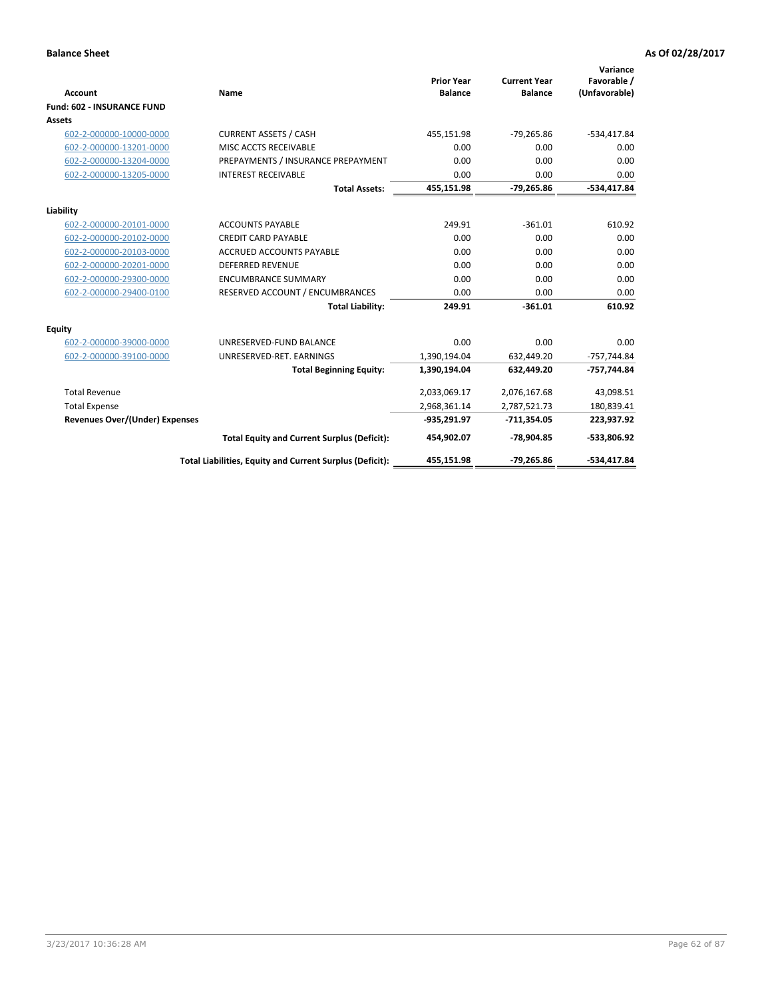| <b>Account</b>                        | Name                                                     | <b>Prior Year</b><br><b>Balance</b> | <b>Current Year</b><br><b>Balance</b> | Variance<br>Favorable /<br>(Unfavorable) |
|---------------------------------------|----------------------------------------------------------|-------------------------------------|---------------------------------------|------------------------------------------|
| <b>Fund: 602 - INSURANCE FUND</b>     |                                                          |                                     |                                       |                                          |
| <b>Assets</b>                         |                                                          |                                     |                                       |                                          |
| 602-2-000000-10000-0000               | <b>CURRENT ASSETS / CASH</b>                             | 455,151.98                          | $-79,265.86$                          | $-534,417.84$                            |
| 602-2-000000-13201-0000               | MISC ACCTS RECEIVABLE                                    | 0.00                                | 0.00                                  | 0.00                                     |
| 602-2-000000-13204-0000               | PREPAYMENTS / INSURANCE PREPAYMENT                       | 0.00                                | 0.00                                  | 0.00                                     |
| 602-2-000000-13205-0000               | <b>INTEREST RECEIVABLE</b>                               | 0.00                                | 0.00                                  | 0.00                                     |
|                                       | <b>Total Assets:</b>                                     | 455,151.98                          | $-79,265.86$                          | $-534,417.84$                            |
| Liability                             |                                                          |                                     |                                       |                                          |
| 602-2-000000-20101-0000               | <b>ACCOUNTS PAYABLE</b>                                  | 249.91                              | $-361.01$                             | 610.92                                   |
| 602-2-000000-20102-0000               | <b>CREDIT CARD PAYABLE</b>                               | 0.00                                | 0.00                                  | 0.00                                     |
| 602-2-000000-20103-0000               | <b>ACCRUED ACCOUNTS PAYABLE</b>                          | 0.00                                | 0.00                                  | 0.00                                     |
| 602-2-000000-20201-0000               | <b>DEFERRED REVENUE</b>                                  | 0.00                                | 0.00                                  | 0.00                                     |
| 602-2-000000-29300-0000               | <b>ENCUMBRANCE SUMMARY</b>                               | 0.00                                | 0.00                                  | 0.00                                     |
| 602-2-000000-29400-0100               | RESERVED ACCOUNT / ENCUMBRANCES                          | 0.00                                | 0.00                                  | 0.00                                     |
|                                       | <b>Total Liability:</b>                                  | 249.91                              | $-361.01$                             | 610.92                                   |
| <b>Equity</b>                         |                                                          |                                     |                                       |                                          |
| 602-2-000000-39000-0000               | UNRESERVED-FUND BALANCE                                  | 0.00                                | 0.00                                  | 0.00                                     |
| 602-2-000000-39100-0000               | UNRESERVED-RET. EARNINGS                                 | 1,390,194.04                        | 632,449.20                            | $-757,744.84$                            |
|                                       | <b>Total Beginning Equity:</b>                           | 1,390,194.04                        | 632,449.20                            | -757,744.84                              |
| <b>Total Revenue</b>                  |                                                          | 2,033,069.17                        | 2,076,167.68                          | 43,098.51                                |
| <b>Total Expense</b>                  |                                                          | 2,968,361.14                        | 2,787,521.73                          | 180,839.41                               |
| <b>Revenues Over/(Under) Expenses</b> |                                                          | $-935,291.97$                       | $-711,354.05$                         | 223,937.92                               |
|                                       | <b>Total Equity and Current Surplus (Deficit):</b>       | 454,902.07                          | $-78,904.85$                          | -533,806.92                              |
|                                       | Total Liabilities, Equity and Current Surplus (Deficit): | 455,151.98                          | $-79,265.86$                          | -534.417.84                              |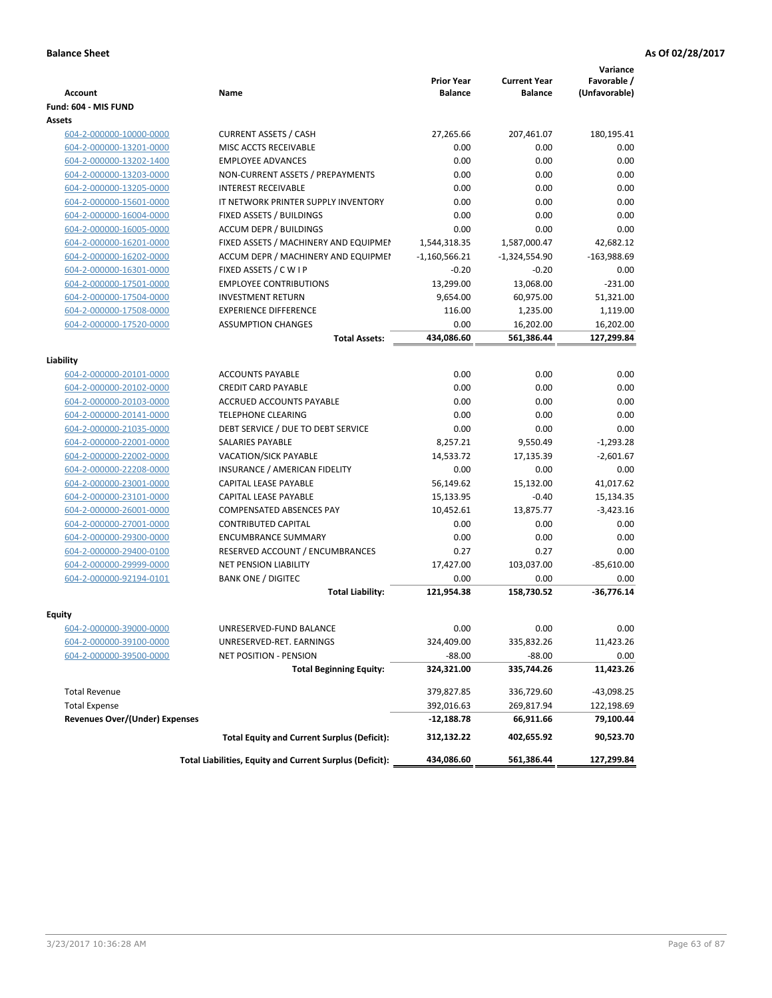| <b>Account</b>                        | Name                                                     | <b>Prior Year</b><br><b>Balance</b> | <b>Current Year</b><br><b>Balance</b> | Variance<br>Favorable /<br>(Unfavorable) |
|---------------------------------------|----------------------------------------------------------|-------------------------------------|---------------------------------------|------------------------------------------|
| Fund: 604 - MIS FUND                  |                                                          |                                     |                                       |                                          |
| <b>Assets</b>                         |                                                          |                                     |                                       |                                          |
| 604-2-000000-10000-0000               | <b>CURRENT ASSETS / CASH</b>                             | 27,265.66                           | 207,461.07                            | 180,195.41                               |
| 604-2-000000-13201-0000               | MISC ACCTS RECEIVABLE                                    | 0.00                                | 0.00                                  | 0.00                                     |
| 604-2-000000-13202-1400               | <b>EMPLOYEE ADVANCES</b>                                 | 0.00                                | 0.00                                  | 0.00                                     |
| 604-2-000000-13203-0000               | NON-CURRENT ASSETS / PREPAYMENTS                         | 0.00                                | 0.00                                  | 0.00                                     |
| 604-2-000000-13205-0000               | <b>INTEREST RECEIVABLE</b>                               | 0.00                                | 0.00                                  | 0.00                                     |
| 604-2-000000-15601-0000               | IT NETWORK PRINTER SUPPLY INVENTORY                      | 0.00                                | 0.00                                  | 0.00                                     |
| 604-2-000000-16004-0000               | FIXED ASSETS / BUILDINGS                                 | 0.00                                | 0.00                                  | 0.00                                     |
| 604-2-000000-16005-0000               | <b>ACCUM DEPR / BUILDINGS</b>                            | 0.00                                | 0.00                                  | 0.00                                     |
| 604-2-000000-16201-0000               | FIXED ASSETS / MACHINERY AND EQUIPMEN                    | 1,544,318.35                        | 1,587,000.47                          | 42,682.12                                |
| 604-2-000000-16202-0000               | ACCUM DEPR / MACHINERY AND EQUIPMEI                      | $-1,160,566.21$                     | $-1,324,554.90$                       | $-163,988.69$                            |
| 604-2-000000-16301-0000               | FIXED ASSETS / C W I P                                   | $-0.20$                             | $-0.20$                               | 0.00                                     |
| 604-2-000000-17501-0000               | <b>EMPLOYEE CONTRIBUTIONS</b>                            | 13,299.00                           | 13,068.00                             | $-231.00$                                |
| 604-2-000000-17504-0000               | <b>INVESTMENT RETURN</b>                                 | 9,654.00                            | 60,975.00                             | 51,321.00                                |
| 604-2-000000-17508-0000               | <b>EXPERIENCE DIFFERENCE</b>                             | 116.00                              | 1,235.00                              | 1,119.00                                 |
| 604-2-000000-17520-0000               | <b>ASSUMPTION CHANGES</b>                                | 0.00                                | 16,202.00                             | 16,202.00                                |
|                                       | <b>Total Assets:</b>                                     | 434,086.60                          | 561,386.44                            | 127,299.84                               |
|                                       |                                                          |                                     |                                       |                                          |
| Liability                             |                                                          |                                     |                                       |                                          |
| 604-2-000000-20101-0000               | <b>ACCOUNTS PAYABLE</b>                                  | 0.00                                | 0.00                                  | 0.00                                     |
| 604-2-000000-20102-0000               | <b>CREDIT CARD PAYABLE</b>                               | 0.00                                | 0.00                                  | 0.00                                     |
| 604-2-000000-20103-0000               | ACCRUED ACCOUNTS PAYABLE                                 | 0.00                                | 0.00                                  | 0.00                                     |
| 604-2-000000-20141-0000               | <b>TELEPHONE CLEARING</b>                                | 0.00                                | 0.00                                  | 0.00                                     |
| 604-2-000000-21035-0000               | DEBT SERVICE / DUE TO DEBT SERVICE                       | 0.00                                | 0.00                                  | 0.00                                     |
| 604-2-000000-22001-0000               | SALARIES PAYABLE                                         | 8,257.21                            | 9,550.49                              | $-1,293.28$                              |
| 604-2-000000-22002-0000               | <b>VACATION/SICK PAYABLE</b>                             | 14,533.72                           | 17,135.39                             | $-2,601.67$                              |
| 604-2-000000-22208-0000               | INSURANCE / AMERICAN FIDELITY                            | 0.00                                | 0.00                                  | 0.00                                     |
| 604-2-000000-23001-0000               | CAPITAL LEASE PAYABLE                                    | 56,149.62                           | 15,132.00                             | 41,017.62                                |
| 604-2-000000-23101-0000               | CAPITAL LEASE PAYABLE                                    | 15,133.95                           | $-0.40$                               | 15,134.35                                |
| 604-2-000000-26001-0000               | <b>COMPENSATED ABSENCES PAY</b>                          | 10,452.61                           | 13,875.77                             | $-3,423.16$                              |
| 604-2-000000-27001-0000               | <b>CONTRIBUTED CAPITAL</b>                               | 0.00                                | 0.00                                  | 0.00                                     |
| 604-2-000000-29300-0000               | <b>ENCUMBRANCE SUMMARY</b>                               | 0.00                                | 0.00                                  | 0.00                                     |
| 604-2-000000-29400-0100               | RESERVED ACCOUNT / ENCUMBRANCES                          | 0.27                                | 0.27                                  | 0.00                                     |
| 604-2-000000-29999-0000               | <b>NET PENSION LIABILITY</b>                             | 17,427.00                           | 103,037.00                            | $-85,610.00$                             |
| 604-2-000000-92194-0101               | <b>BANK ONE / DIGITEC</b>                                | 0.00                                | 0.00                                  | 0.00                                     |
|                                       | <b>Total Liability:</b>                                  | 121,954.38                          | 158,730.52                            | $-36,776.14$                             |
| Equity                                |                                                          |                                     |                                       |                                          |
| <u>604-2-000000-39000-0000</u>        | UNRESERVED-FUND BALANCE                                  | 0.00                                | 0.00                                  | 0.00                                     |
| 604-2-000000-39100-0000               | UNRESERVED-RET. EARNINGS                                 | 324,409.00                          | 335,832.26                            | 11,423.26                                |
| 604-2-000000-39500-0000               | <b>NET POSITION - PENSION</b>                            | $-88.00$                            | $-88.00$                              | 0.00                                     |
|                                       | <b>Total Beginning Equity:</b>                           | 324,321.00                          | 335,744.26                            | 11,423.26                                |
| <b>Total Revenue</b>                  |                                                          | 379,827.85                          | 336,729.60                            | $-43,098.25$                             |
| <b>Total Expense</b>                  |                                                          | 392,016.63                          | 269,817.94                            | 122,198.69                               |
| <b>Revenues Over/(Under) Expenses</b> |                                                          | $-12,188.78$                        | 66,911.66                             | 79,100.44                                |
|                                       | <b>Total Equity and Current Surplus (Deficit):</b>       | 312,132.22                          | 402,655.92                            | 90,523.70                                |
|                                       | Total Liabilities, Equity and Current Surplus (Deficit): | 434,086.60                          | 561,386.44                            | 127,299.84                               |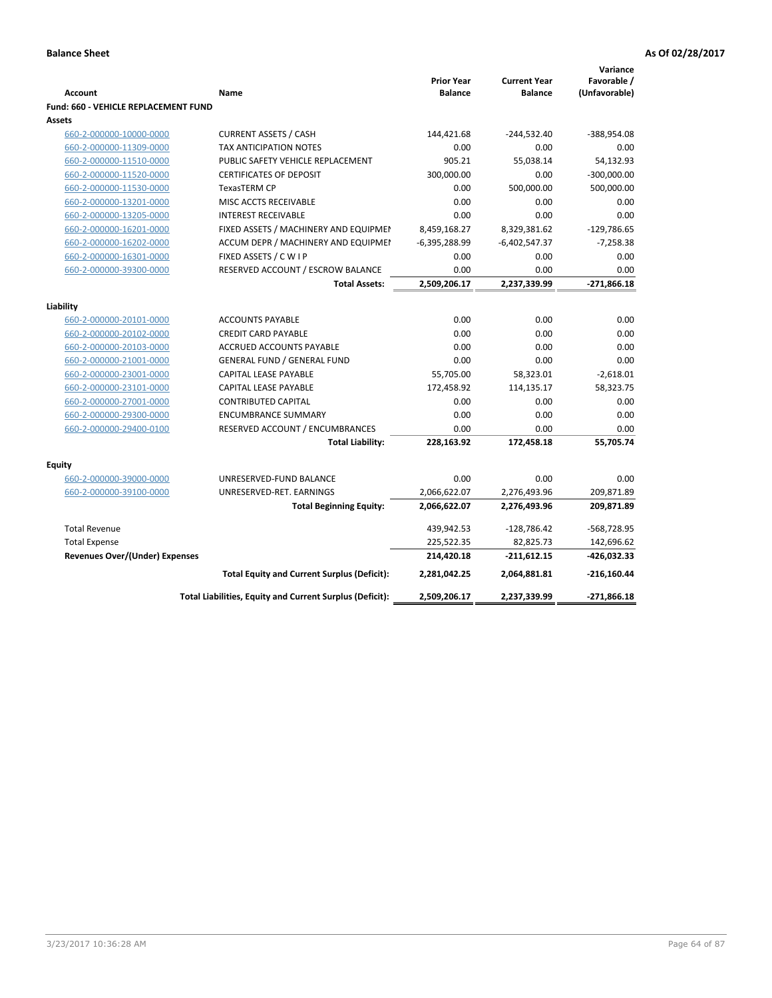|                                             |                                                          |                                     |                                       | Variance                     |
|---------------------------------------------|----------------------------------------------------------|-------------------------------------|---------------------------------------|------------------------------|
| <b>Account</b>                              | Name                                                     | <b>Prior Year</b><br><b>Balance</b> | <b>Current Year</b><br><b>Balance</b> | Favorable /<br>(Unfavorable) |
| <b>Fund: 660 - VEHICLE REPLACEMENT FUND</b> |                                                          |                                     |                                       |                              |
| Assets                                      |                                                          |                                     |                                       |                              |
| 660-2-000000-10000-0000                     | <b>CURRENT ASSETS / CASH</b>                             | 144,421.68                          | $-244,532.40$                         | -388,954.08                  |
| 660-2-000000-11309-0000                     | TAX ANTICIPATION NOTES                                   | 0.00                                | 0.00                                  | 0.00                         |
| 660-2-000000-11510-0000                     | PUBLIC SAFETY VEHICLE REPLACEMENT                        | 905.21                              | 55,038.14                             | 54,132.93                    |
| 660-2-000000-11520-0000                     | <b>CERTIFICATES OF DEPOSIT</b>                           | 300,000.00                          | 0.00                                  | $-300,000.00$                |
| 660-2-000000-11530-0000                     | <b>TexasTERM CP</b>                                      | 0.00                                | 500,000.00                            | 500,000.00                   |
| 660-2-000000-13201-0000                     | MISC ACCTS RECEIVABLE                                    | 0.00                                | 0.00                                  | 0.00                         |
| 660-2-000000-13205-0000                     | <b>INTEREST RECEIVABLE</b>                               | 0.00                                | 0.00                                  | 0.00                         |
| 660-2-000000-16201-0000                     | FIXED ASSETS / MACHINERY AND EQUIPMEN                    | 8,459,168.27                        | 8,329,381.62                          | $-129,786.65$                |
| 660-2-000000-16202-0000                     | ACCUM DEPR / MACHINERY AND EQUIPMEI                      | $-6,395,288.99$                     | $-6,402,547.37$                       | $-7,258.38$                  |
| 660-2-000000-16301-0000                     | FIXED ASSETS / C W I P                                   | 0.00                                | 0.00                                  | 0.00                         |
| 660-2-000000-39300-0000                     | RESERVED ACCOUNT / ESCROW BALANCE                        | 0.00                                | 0.00                                  | 0.00                         |
|                                             | <b>Total Assets:</b>                                     | 2,509,206.17                        | 2,237,339.99                          | $-271,866.18$                |
|                                             |                                                          |                                     |                                       |                              |
| Liability                                   |                                                          |                                     |                                       |                              |
| 660-2-000000-20101-0000                     | <b>ACCOUNTS PAYABLE</b>                                  | 0.00                                | 0.00                                  | 0.00                         |
| 660-2-000000-20102-0000                     | <b>CREDIT CARD PAYABLE</b>                               | 0.00                                | 0.00                                  | 0.00                         |
| 660-2-000000-20103-0000                     | ACCRUED ACCOUNTS PAYABLE                                 | 0.00                                | 0.00                                  | 0.00                         |
| 660-2-000000-21001-0000                     | <b>GENERAL FUND / GENERAL FUND</b>                       | 0.00                                | 0.00                                  | 0.00                         |
| 660-2-000000-23001-0000                     | <b>CAPITAL LEASE PAYABLE</b>                             | 55,705.00                           | 58,323.01                             | $-2,618.01$                  |
| 660-2-000000-23101-0000                     | <b>CAPITAL LEASE PAYABLE</b>                             | 172,458.92                          | 114,135.17                            | 58,323.75                    |
| 660-2-000000-27001-0000                     | <b>CONTRIBUTED CAPITAL</b>                               | 0.00                                | 0.00                                  | 0.00                         |
| 660-2-000000-29300-0000                     | <b>ENCUMBRANCE SUMMARY</b>                               | 0.00                                | 0.00                                  | 0.00                         |
| 660-2-000000-29400-0100                     | RESERVED ACCOUNT / ENCUMBRANCES                          | 0.00                                | 0.00                                  | 0.00                         |
|                                             | <b>Total Liability:</b>                                  | 228,163.92                          | 172,458.18                            | 55,705.74                    |
| <b>Equity</b>                               |                                                          |                                     |                                       |                              |
| 660-2-000000-39000-0000                     | UNRESERVED-FUND BALANCE                                  | 0.00                                | 0.00                                  | 0.00                         |
| 660-2-000000-39100-0000                     | UNRESERVED-RET. EARNINGS                                 | 2,066,622.07                        | 2,276,493.96                          | 209,871.89                   |
|                                             | <b>Total Beginning Equity:</b>                           | 2,066,622.07                        | 2,276,493.96                          | 209,871.89                   |
| <b>Total Revenue</b>                        |                                                          | 439,942.53                          | $-128,786.42$                         | -568,728.95                  |
| <b>Total Expense</b>                        |                                                          | 225,522.35                          | 82,825.73                             | 142,696.62                   |
| <b>Revenues Over/(Under) Expenses</b>       |                                                          | 214,420.18                          | $-211,612.15$                         | -426,032.33                  |
|                                             | <b>Total Equity and Current Surplus (Deficit):</b>       | 2,281,042.25                        | 2,064,881.81                          | $-216,160.44$                |
|                                             | Total Liabilities, Equity and Current Surplus (Deficit): | 2,509,206.17                        | 2,237,339.99                          | $-271,866.18$                |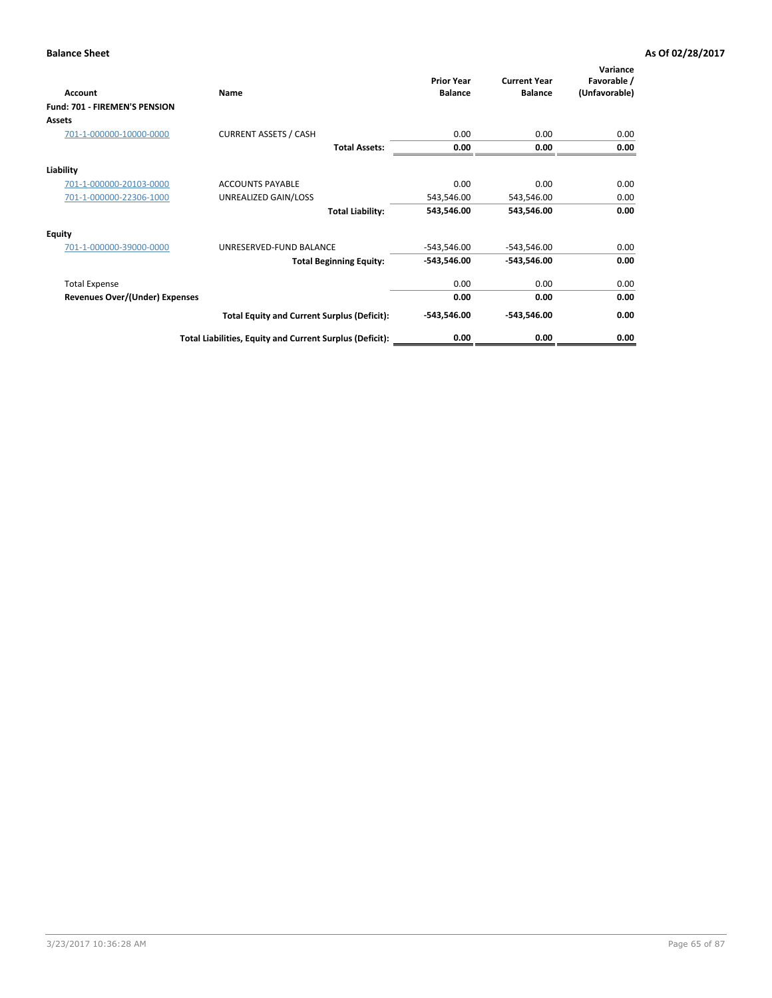| Account                               | Name                                                     | <b>Prior Year</b><br><b>Balance</b> | <b>Current Year</b><br><b>Balance</b> | Variance<br>Favorable /<br>(Unfavorable) |
|---------------------------------------|----------------------------------------------------------|-------------------------------------|---------------------------------------|------------------------------------------|
| Fund: 701 - FIREMEN'S PENSION         |                                                          |                                     |                                       |                                          |
| <b>Assets</b>                         |                                                          |                                     |                                       |                                          |
| 701-1-000000-10000-0000               | <b>CURRENT ASSETS / CASH</b>                             | 0.00                                | 0.00                                  | 0.00                                     |
|                                       | <b>Total Assets:</b>                                     | 0.00                                | 0.00                                  | 0.00                                     |
| Liability                             |                                                          |                                     |                                       |                                          |
| 701-1-000000-20103-0000               | <b>ACCOUNTS PAYABLE</b>                                  | 0.00                                | 0.00                                  | 0.00                                     |
| 701-1-000000-22306-1000               | UNREALIZED GAIN/LOSS                                     | 543,546.00                          | 543,546.00                            | 0.00                                     |
|                                       | <b>Total Liability:</b>                                  | 543,546.00                          | 543,546.00                            | 0.00                                     |
| <b>Equity</b>                         |                                                          |                                     |                                       |                                          |
| 701-1-000000-39000-0000               | UNRESERVED-FUND BALANCE                                  | $-543,546.00$                       | $-543,546.00$                         | 0.00                                     |
|                                       | <b>Total Beginning Equity:</b>                           | $-543,546.00$                       | $-543,546.00$                         | 0.00                                     |
| <b>Total Expense</b>                  |                                                          | 0.00                                | 0.00                                  | 0.00                                     |
| <b>Revenues Over/(Under) Expenses</b> |                                                          | 0.00                                | 0.00                                  | 0.00                                     |
|                                       | <b>Total Equity and Current Surplus (Deficit):</b>       | $-543,546.00$                       | $-543,546.00$                         | 0.00                                     |
|                                       | Total Liabilities, Equity and Current Surplus (Deficit): | 0.00                                | 0.00                                  | 0.00                                     |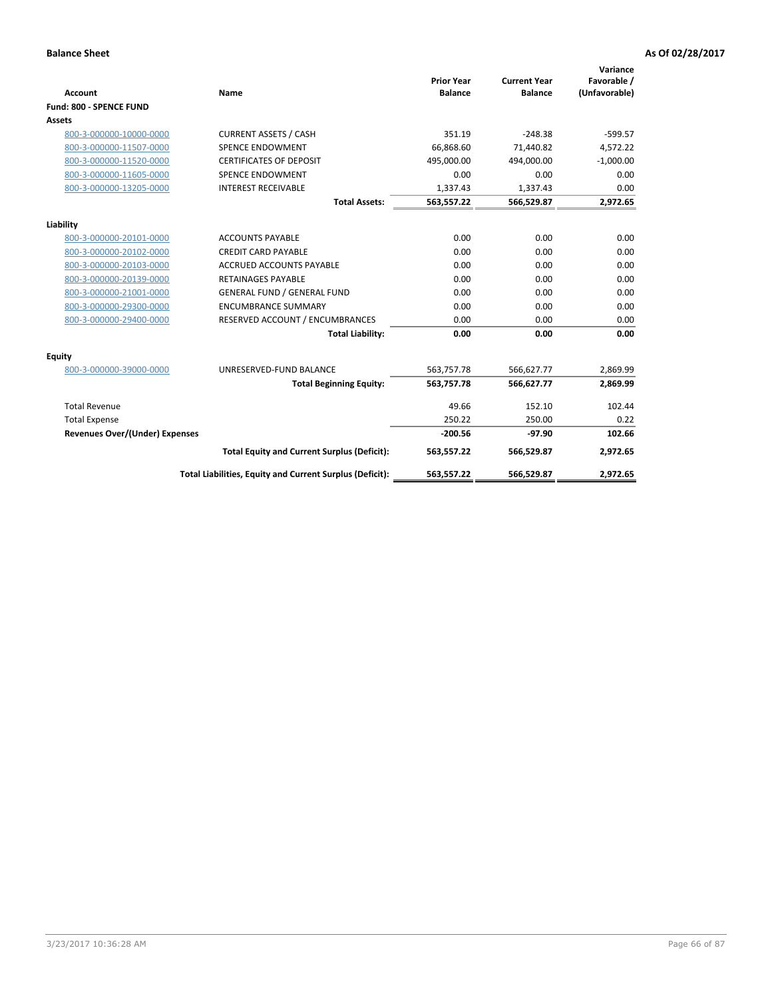|                                       |                                                          |                                     |                                       | Variance                     |
|---------------------------------------|----------------------------------------------------------|-------------------------------------|---------------------------------------|------------------------------|
| <b>Account</b>                        | Name                                                     | <b>Prior Year</b><br><b>Balance</b> | <b>Current Year</b><br><b>Balance</b> | Favorable /<br>(Unfavorable) |
| Fund: 800 - SPENCE FUND               |                                                          |                                     |                                       |                              |
|                                       |                                                          |                                     |                                       |                              |
| Assets                                |                                                          |                                     |                                       |                              |
| 800-3-000000-10000-0000               | <b>CURRENT ASSETS / CASH</b>                             | 351.19                              | $-248.38$                             | $-599.57$                    |
| 800-3-000000-11507-0000               | SPENCE ENDOWMENT                                         | 66.868.60                           | 71,440.82                             | 4,572.22                     |
| 800-3-000000-11520-0000               | <b>CERTIFICATES OF DEPOSIT</b>                           | 495.000.00                          | 494.000.00                            | $-1,000.00$                  |
| 800-3-000000-11605-0000               | <b>SPENCE ENDOWMENT</b>                                  | 0.00                                | 0.00                                  | 0.00                         |
| 800-3-000000-13205-0000               | <b>INTEREST RECEIVABLE</b>                               | 1,337.43                            | 1,337.43                              | 0.00                         |
|                                       | <b>Total Assets:</b>                                     | 563,557.22                          | 566,529.87                            | 2,972.65                     |
| Liability                             |                                                          |                                     |                                       |                              |
| 800-3-000000-20101-0000               | <b>ACCOUNTS PAYABLE</b>                                  | 0.00                                | 0.00                                  | 0.00                         |
| 800-3-000000-20102-0000               | <b>CREDIT CARD PAYABLE</b>                               | 0.00                                | 0.00                                  | 0.00                         |
| 800-3-000000-20103-0000               | <b>ACCRUED ACCOUNTS PAYABLE</b>                          | 0.00                                | 0.00                                  | 0.00                         |
| 800-3-000000-20139-0000               | <b>RETAINAGES PAYABLE</b>                                | 0.00                                | 0.00                                  | 0.00                         |
| 800-3-000000-21001-0000               | <b>GENERAL FUND / GENERAL FUND</b>                       | 0.00                                | 0.00                                  | 0.00                         |
| 800-3-000000-29300-0000               | <b>ENCUMBRANCE SUMMARY</b>                               | 0.00                                | 0.00                                  | 0.00                         |
| 800-3-000000-29400-0000               | RESERVED ACCOUNT / ENCUMBRANCES                          | 0.00                                | 0.00                                  | 0.00                         |
|                                       | <b>Total Liability:</b>                                  | 0.00                                | 0.00                                  | 0.00                         |
| Equity                                |                                                          |                                     |                                       |                              |
| 800-3-000000-39000-0000               | UNRESERVED-FUND BALANCE                                  | 563,757.78                          | 566,627.77                            | 2,869.99                     |
|                                       | <b>Total Beginning Equity:</b>                           | 563,757.78                          | 566,627.77                            | 2,869.99                     |
| <b>Total Revenue</b>                  |                                                          | 49.66                               | 152.10                                | 102.44                       |
| <b>Total Expense</b>                  |                                                          | 250.22                              | 250.00                                | 0.22                         |
| <b>Revenues Over/(Under) Expenses</b> |                                                          | $-200.56$                           | $-97.90$                              | 102.66                       |
|                                       | <b>Total Equity and Current Surplus (Deficit):</b>       | 563,557.22                          | 566,529.87                            | 2,972.65                     |
|                                       | Total Liabilities, Equity and Current Surplus (Deficit): | 563,557.22                          | 566,529.87                            | 2,972.65                     |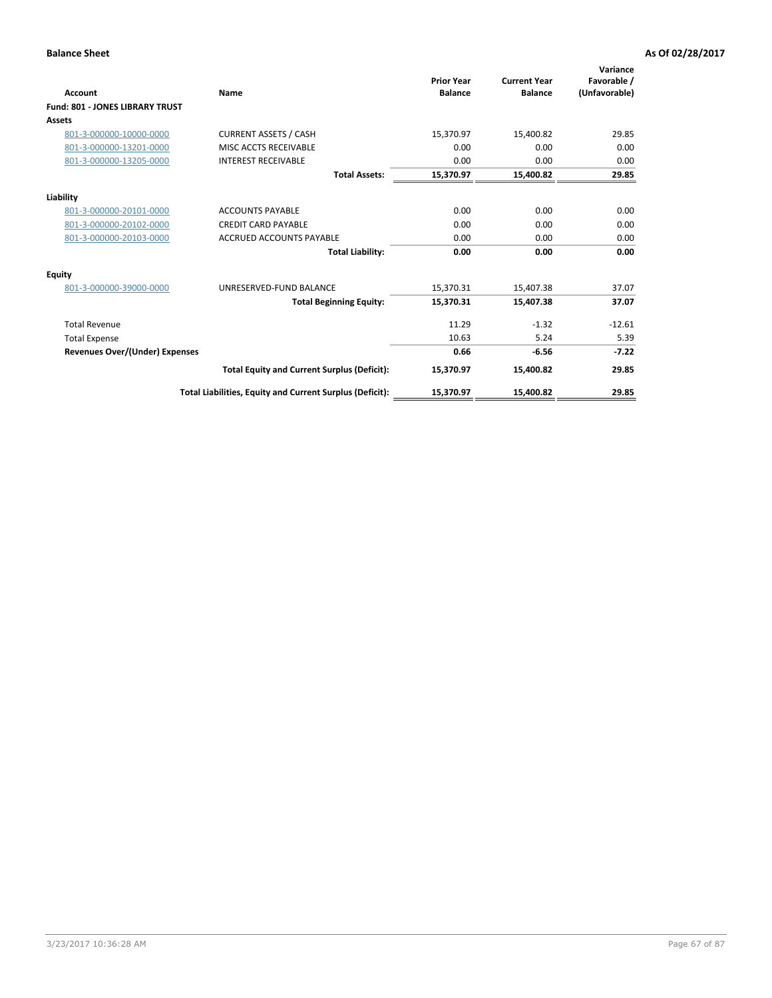| <b>Account</b>                         | Name                                                     | <b>Prior Year</b><br><b>Balance</b> | <b>Current Year</b><br><b>Balance</b> | Variance<br>Favorable /<br>(Unfavorable) |
|----------------------------------------|----------------------------------------------------------|-------------------------------------|---------------------------------------|------------------------------------------|
| <b>Fund: 801 - JONES LIBRARY TRUST</b> |                                                          |                                     |                                       |                                          |
| <b>Assets</b>                          |                                                          |                                     |                                       |                                          |
| 801-3-000000-10000-0000                | <b>CURRENT ASSETS / CASH</b>                             | 15,370.97                           | 15,400.82                             | 29.85                                    |
| 801-3-000000-13201-0000                | MISC ACCTS RECEIVABLE                                    | 0.00                                | 0.00                                  | 0.00                                     |
| 801-3-000000-13205-0000                | <b>INTEREST RECEIVABLE</b>                               | 0.00                                | 0.00                                  | 0.00                                     |
|                                        | <b>Total Assets:</b>                                     | 15,370.97                           | 15,400.82                             | 29.85                                    |
| Liability                              |                                                          |                                     |                                       |                                          |
| 801-3-000000-20101-0000                | <b>ACCOUNTS PAYABLE</b>                                  | 0.00                                | 0.00                                  | 0.00                                     |
| 801-3-000000-20102-0000                | <b>CREDIT CARD PAYABLE</b>                               | 0.00                                | 0.00                                  | 0.00                                     |
| 801-3-000000-20103-0000                | <b>ACCRUED ACCOUNTS PAYABLE</b>                          | 0.00                                | 0.00                                  | 0.00                                     |
|                                        | <b>Total Liability:</b>                                  | 0.00                                | 0.00                                  | 0.00                                     |
| Equity                                 |                                                          |                                     |                                       |                                          |
| 801-3-000000-39000-0000                | UNRESERVED-FUND BALANCE                                  | 15,370.31                           | 15,407.38                             | 37.07                                    |
|                                        | <b>Total Beginning Equity:</b>                           | 15,370.31                           | 15,407.38                             | 37.07                                    |
| <b>Total Revenue</b>                   |                                                          | 11.29                               | $-1.32$                               | $-12.61$                                 |
| <b>Total Expense</b>                   |                                                          | 10.63                               | 5.24                                  | 5.39                                     |
| <b>Revenues Over/(Under) Expenses</b>  |                                                          | 0.66                                | $-6.56$                               | $-7.22$                                  |
|                                        | <b>Total Equity and Current Surplus (Deficit):</b>       | 15,370.97                           | 15,400.82                             | 29.85                                    |
|                                        | Total Liabilities, Equity and Current Surplus (Deficit): | 15,370.97                           | 15,400.82                             | 29.85                                    |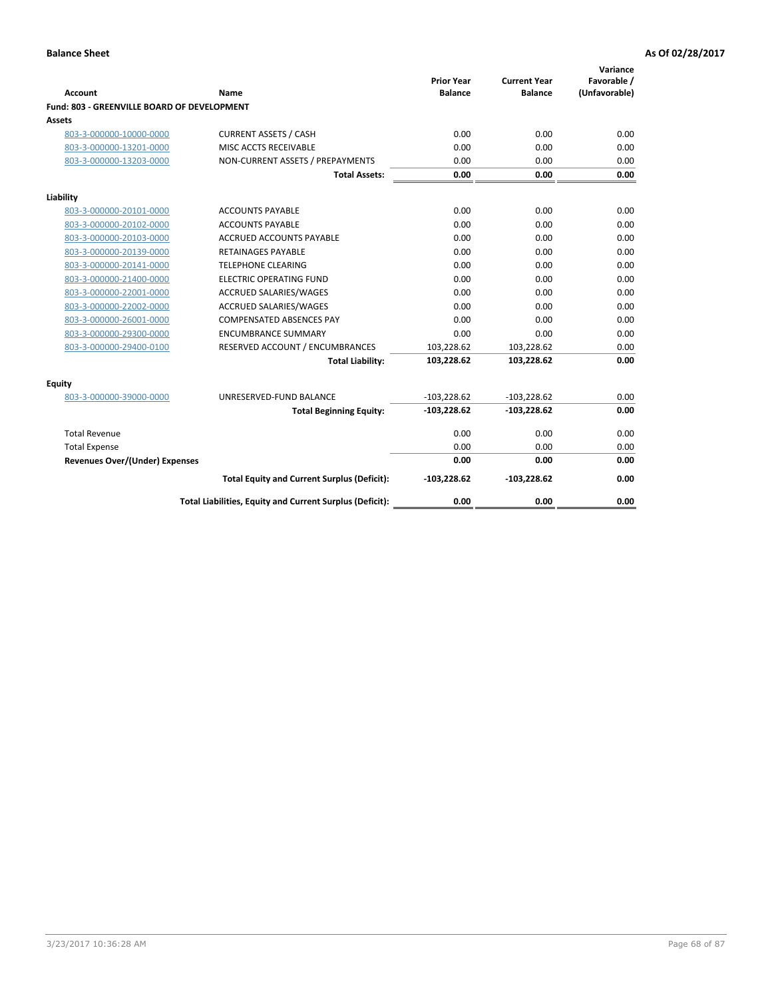| <b>Account</b>                              | Name                                                     | <b>Prior Year</b><br><b>Balance</b> | <b>Current Year</b><br><b>Balance</b> | Variance<br>Favorable /<br>(Unfavorable) |
|---------------------------------------------|----------------------------------------------------------|-------------------------------------|---------------------------------------|------------------------------------------|
| Fund: 803 - GREENVILLE BOARD OF DEVELOPMENT |                                                          |                                     |                                       |                                          |
| Assets                                      |                                                          |                                     |                                       |                                          |
| 803-3-000000-10000-0000                     | <b>CURRENT ASSETS / CASH</b>                             | 0.00                                | 0.00                                  | 0.00                                     |
| 803-3-000000-13201-0000                     | MISC ACCTS RECEIVABLE                                    | 0.00                                | 0.00                                  | 0.00                                     |
| 803-3-000000-13203-0000                     | NON-CURRENT ASSETS / PREPAYMENTS                         | 0.00                                | 0.00                                  | 0.00                                     |
|                                             | <b>Total Assets:</b>                                     | 0.00                                | 0.00                                  | 0.00                                     |
| Liability                                   |                                                          |                                     |                                       |                                          |
| 803-3-000000-20101-0000                     | <b>ACCOUNTS PAYABLE</b>                                  | 0.00                                | 0.00                                  | 0.00                                     |
| 803-3-000000-20102-0000                     | <b>ACCOUNTS PAYABLE</b>                                  | 0.00                                | 0.00                                  | 0.00                                     |
| 803-3-000000-20103-0000                     | <b>ACCRUED ACCOUNTS PAYABLE</b>                          | 0.00                                | 0.00                                  | 0.00                                     |
| 803-3-000000-20139-0000                     | RETAINAGES PAYABLE                                       | 0.00                                | 0.00                                  | 0.00                                     |
| 803-3-000000-20141-0000                     | <b>TELEPHONE CLEARING</b>                                | 0.00                                | 0.00                                  | 0.00                                     |
| 803-3-000000-21400-0000                     | <b>ELECTRIC OPERATING FUND</b>                           | 0.00                                | 0.00                                  | 0.00                                     |
| 803-3-000000-22001-0000                     | <b>ACCRUED SALARIES/WAGES</b>                            | 0.00                                | 0.00                                  | 0.00                                     |
| 803-3-000000-22002-0000                     | <b>ACCRUED SALARIES/WAGES</b>                            | 0.00                                | 0.00                                  | 0.00                                     |
| 803-3-000000-26001-0000                     | <b>COMPENSATED ABSENCES PAY</b>                          | 0.00                                | 0.00                                  | 0.00                                     |
| 803-3-000000-29300-0000                     | <b>ENCUMBRANCE SUMMARY</b>                               | 0.00                                | 0.00                                  | 0.00                                     |
| 803-3-000000-29400-0100                     | RESERVED ACCOUNT / ENCUMBRANCES                          | 103,228.62                          | 103,228.62                            | 0.00                                     |
|                                             | <b>Total Liability:</b>                                  | 103,228.62                          | 103,228.62                            | 0.00                                     |
| <b>Equity</b>                               |                                                          |                                     |                                       |                                          |
| 803-3-000000-39000-0000                     | UNRESERVED-FUND BALANCE                                  | $-103,228.62$                       | $-103,228.62$                         | 0.00                                     |
|                                             | <b>Total Beginning Equity:</b>                           | $-103,228.62$                       | $-103,228.62$                         | 0.00                                     |
| <b>Total Revenue</b>                        |                                                          | 0.00                                | 0.00                                  | 0.00                                     |
| <b>Total Expense</b>                        |                                                          | 0.00                                | 0.00                                  | 0.00                                     |
| <b>Revenues Over/(Under) Expenses</b>       |                                                          | 0.00                                | 0.00                                  | 0.00                                     |
|                                             | <b>Total Equity and Current Surplus (Deficit):</b>       | $-103,228.62$                       | $-103,228.62$                         | 0.00                                     |
|                                             | Total Liabilities, Equity and Current Surplus (Deficit): | 0.00                                | 0.00                                  | 0.00                                     |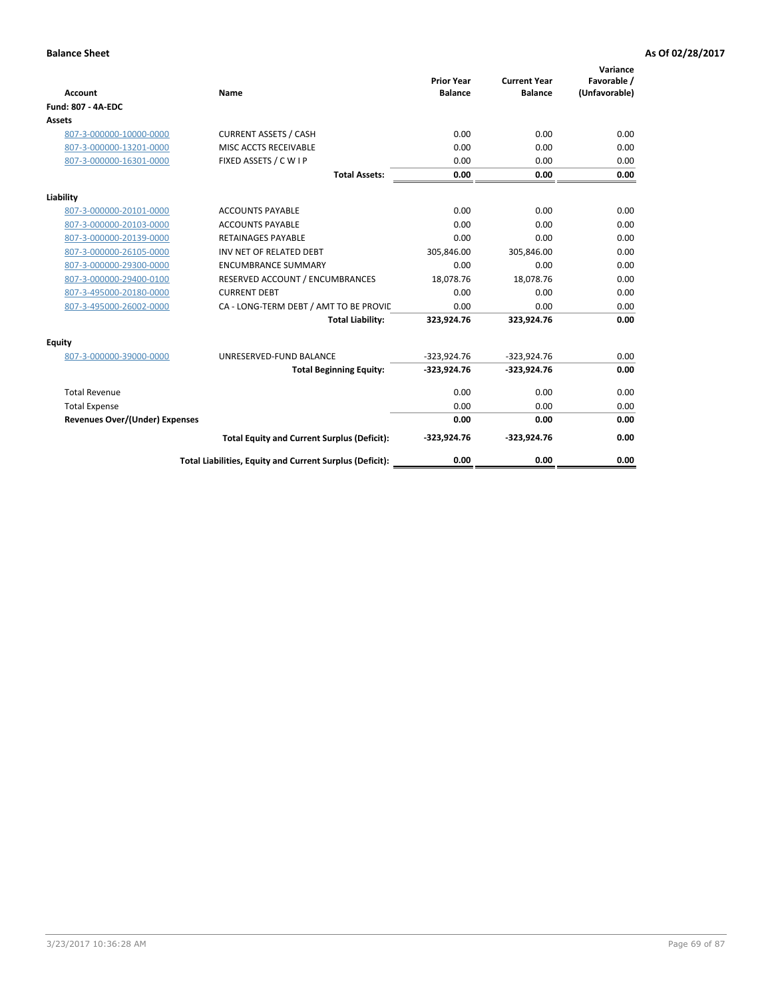| <b>Account</b>                        | Name                                                     | <b>Prior Year</b><br><b>Balance</b> | <b>Current Year</b><br><b>Balance</b> | Variance<br>Favorable /<br>(Unfavorable) |
|---------------------------------------|----------------------------------------------------------|-------------------------------------|---------------------------------------|------------------------------------------|
| <b>Fund: 807 - 4A-EDC</b>             |                                                          |                                     |                                       |                                          |
| <b>Assets</b>                         |                                                          |                                     |                                       |                                          |
| 807-3-000000-10000-0000               | <b>CURRENT ASSETS / CASH</b>                             | 0.00                                | 0.00                                  | 0.00                                     |
| 807-3-000000-13201-0000               | MISC ACCTS RECEIVABLE                                    | 0.00                                | 0.00                                  | 0.00                                     |
| 807-3-000000-16301-0000               | FIXED ASSETS / C W I P                                   | 0.00                                | 0.00                                  | 0.00                                     |
|                                       | <b>Total Assets:</b>                                     | 0.00                                | 0.00                                  | 0.00                                     |
| Liability                             |                                                          |                                     |                                       |                                          |
| 807-3-000000-20101-0000               | <b>ACCOUNTS PAYABLE</b>                                  | 0.00                                | 0.00                                  | 0.00                                     |
| 807-3-000000-20103-0000               | <b>ACCOUNTS PAYABLE</b>                                  | 0.00                                | 0.00                                  | 0.00                                     |
| 807-3-000000-20139-0000               | <b>RETAINAGES PAYABLE</b>                                | 0.00                                | 0.00                                  | 0.00                                     |
| 807-3-000000-26105-0000               | INV NET OF RELATED DEBT                                  | 305,846.00                          | 305,846.00                            | 0.00                                     |
| 807-3-000000-29300-0000               | <b>ENCUMBRANCE SUMMARY</b>                               | 0.00                                | 0.00                                  | 0.00                                     |
| 807-3-000000-29400-0100               | RESERVED ACCOUNT / ENCUMBRANCES                          | 18,078.76                           | 18,078.76                             | 0.00                                     |
| 807-3-495000-20180-0000               | <b>CURRENT DEBT</b>                                      | 0.00                                | 0.00                                  | 0.00                                     |
| 807-3-495000-26002-0000               | CA - LONG-TERM DEBT / AMT TO BE PROVIL                   | 0.00                                | 0.00                                  | 0.00                                     |
|                                       | <b>Total Liability:</b>                                  | 323,924.76                          | 323,924.76                            | 0.00                                     |
| Equity                                |                                                          |                                     |                                       |                                          |
| 807-3-000000-39000-0000               | UNRESERVED-FUND BALANCE                                  | $-323,924.76$                       | $-323,924.76$                         | 0.00                                     |
|                                       | <b>Total Beginning Equity:</b>                           | $-323,924.76$                       | $-323,924.76$                         | 0.00                                     |
| <b>Total Revenue</b>                  |                                                          | 0.00                                | 0.00                                  | 0.00                                     |
| <b>Total Expense</b>                  |                                                          | 0.00                                | 0.00                                  | 0.00                                     |
| <b>Revenues Over/(Under) Expenses</b> |                                                          | 0.00                                | 0.00                                  | 0.00                                     |
|                                       | <b>Total Equity and Current Surplus (Deficit):</b>       | $-323,924.76$                       | $-323,924.76$                         | 0.00                                     |
|                                       | Total Liabilities, Equity and Current Surplus (Deficit): | 0.00                                | 0.00                                  | 0.00                                     |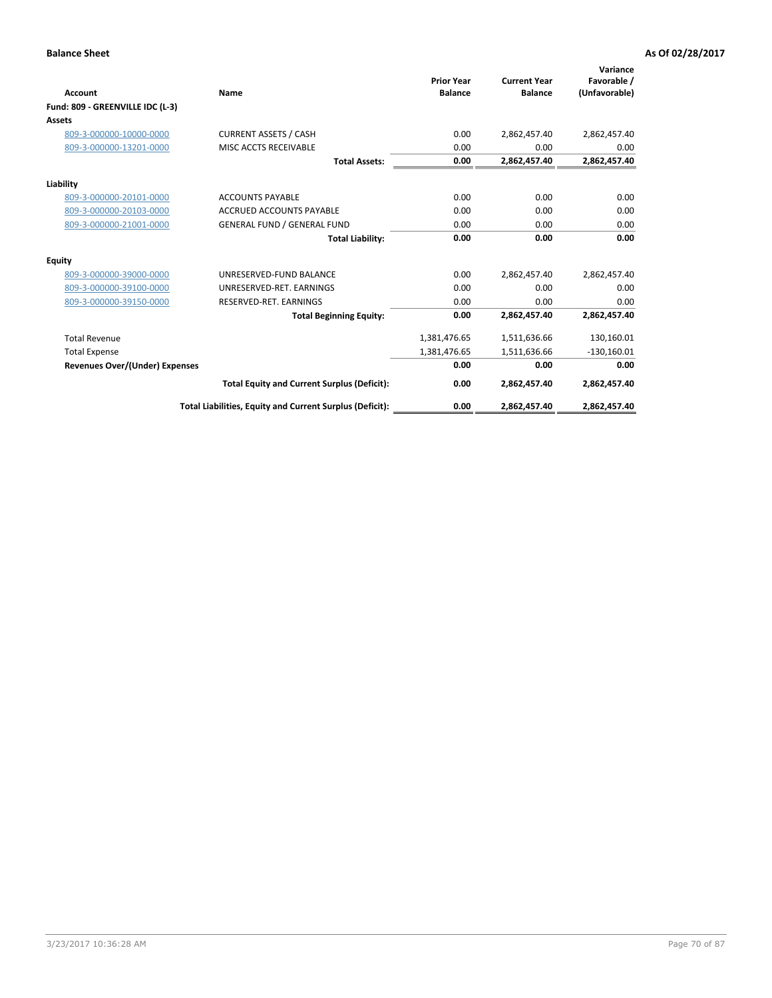| <b>Account</b>                   | Name                                                     | <b>Prior Year</b><br><b>Balance</b> | <b>Current Year</b><br><b>Balance</b> | Variance<br>Favorable /<br>(Unfavorable) |
|----------------------------------|----------------------------------------------------------|-------------------------------------|---------------------------------------|------------------------------------------|
| Fund: 809 - GREENVILLE IDC (L-3) |                                                          |                                     |                                       |                                          |
| Assets                           |                                                          |                                     |                                       |                                          |
| 809-3-000000-10000-0000          | <b>CURRENT ASSETS / CASH</b>                             | 0.00                                | 2,862,457.40                          | 2,862,457.40                             |
| 809-3-000000-13201-0000          | MISC ACCTS RECEIVABLE                                    | 0.00                                | 0.00                                  | 0.00                                     |
|                                  | <b>Total Assets:</b>                                     | 0.00                                | 2,862,457.40                          | 2,862,457.40                             |
| Liability                        |                                                          |                                     |                                       |                                          |
| 809-3-000000-20101-0000          | <b>ACCOUNTS PAYABLE</b>                                  | 0.00                                | 0.00                                  | 0.00                                     |
| 809-3-000000-20103-0000          | <b>ACCRUED ACCOUNTS PAYABLE</b>                          | 0.00                                | 0.00                                  | 0.00                                     |
| 809-3-000000-21001-0000          | <b>GENERAL FUND / GENERAL FUND</b>                       | 0.00                                | 0.00                                  | 0.00                                     |
|                                  | <b>Total Liability:</b>                                  | 0.00                                | 0.00                                  | 0.00                                     |
| Equity                           |                                                          |                                     |                                       |                                          |
| 809-3-000000-39000-0000          | UNRESERVED-FUND BALANCE                                  | 0.00                                | 2,862,457.40                          | 2,862,457.40                             |
| 809-3-000000-39100-0000          | UNRESERVED-RET, EARNINGS                                 | 0.00                                | 0.00                                  | 0.00                                     |
| 809-3-000000-39150-0000          | RESERVED-RET. EARNINGS                                   | 0.00                                | 0.00                                  | 0.00                                     |
|                                  | <b>Total Beginning Equity:</b>                           | 0.00                                | 2,862,457.40                          | 2,862,457.40                             |
| <b>Total Revenue</b>             |                                                          | 1,381,476.65                        | 1,511,636.66                          | 130,160.01                               |
| <b>Total Expense</b>             |                                                          | 1,381,476.65                        | 1,511,636.66                          | $-130,160.01$                            |
| Revenues Over/(Under) Expenses   |                                                          | 0.00                                | 0.00                                  | 0.00                                     |
|                                  | <b>Total Equity and Current Surplus (Deficit):</b>       | 0.00                                | 2,862,457.40                          | 2,862,457.40                             |
|                                  | Total Liabilities, Equity and Current Surplus (Deficit): | 0.00                                | 2,862,457.40                          | 2,862,457.40                             |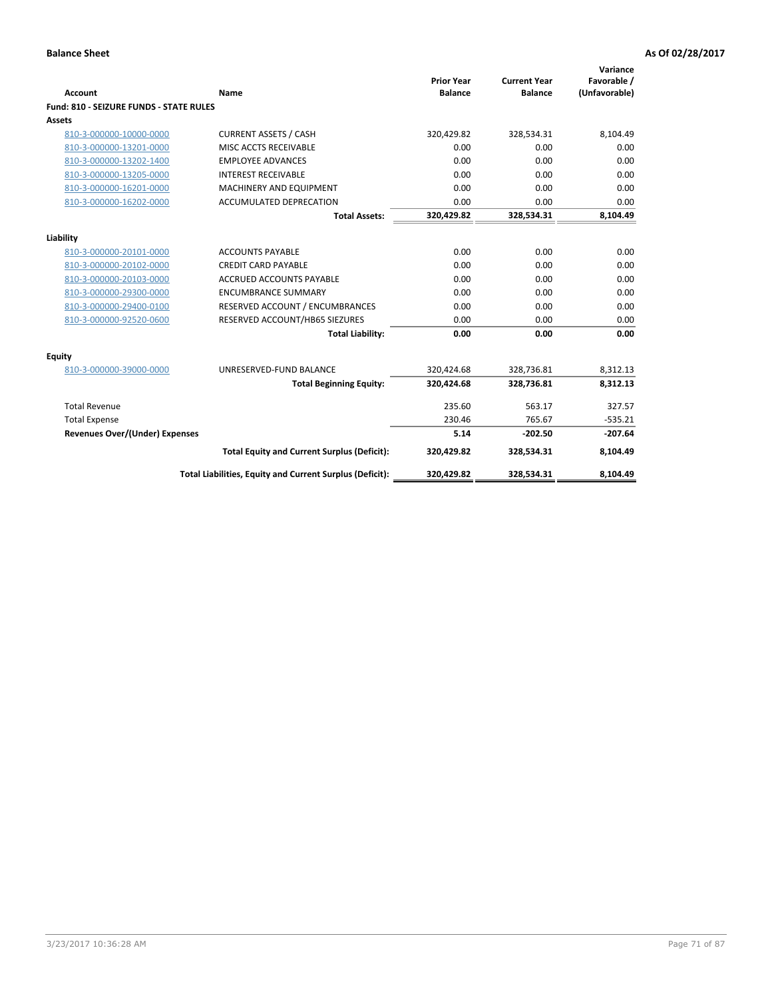| <b>Account</b>                                 | <b>Name</b>                                              | <b>Prior Year</b><br><b>Balance</b> | <b>Current Year</b><br><b>Balance</b> | Variance<br>Favorable /<br>(Unfavorable) |
|------------------------------------------------|----------------------------------------------------------|-------------------------------------|---------------------------------------|------------------------------------------|
| <b>Fund: 810 - SEIZURE FUNDS - STATE RULES</b> |                                                          |                                     |                                       |                                          |
| <b>Assets</b>                                  |                                                          |                                     |                                       |                                          |
| 810-3-000000-10000-0000                        | <b>CURRENT ASSETS / CASH</b>                             | 320,429.82                          | 328,534.31                            | 8,104.49                                 |
| 810-3-000000-13201-0000                        | MISC ACCTS RECEIVABLE                                    | 0.00                                | 0.00                                  | 0.00                                     |
| 810-3-000000-13202-1400                        | <b>EMPLOYEE ADVANCES</b>                                 | 0.00                                | 0.00                                  | 0.00                                     |
| 810-3-000000-13205-0000                        | <b>INTEREST RECEIVABLE</b>                               | 0.00                                | 0.00                                  | 0.00                                     |
| 810-3-000000-16201-0000                        | <b>MACHINERY AND EQUIPMENT</b>                           | 0.00                                | 0.00                                  | 0.00                                     |
| 810-3-000000-16202-0000                        | ACCUMULATED DEPRECATION                                  | 0.00                                | 0.00                                  | 0.00                                     |
|                                                | <b>Total Assets:</b>                                     | 320,429.82                          | 328,534.31                            | 8,104.49                                 |
| Liability                                      |                                                          |                                     |                                       |                                          |
| 810-3-000000-20101-0000                        | <b>ACCOUNTS PAYABLE</b>                                  | 0.00                                | 0.00                                  | 0.00                                     |
| 810-3-000000-20102-0000                        | <b>CREDIT CARD PAYABLE</b>                               | 0.00                                | 0.00                                  | 0.00                                     |
| 810-3-000000-20103-0000                        | <b>ACCRUED ACCOUNTS PAYABLE</b>                          | 0.00                                | 0.00                                  | 0.00                                     |
| 810-3-000000-29300-0000                        | <b>ENCUMBRANCE SUMMARY</b>                               | 0.00                                | 0.00                                  | 0.00                                     |
| 810-3-000000-29400-0100                        | RESERVED ACCOUNT / ENCUMBRANCES                          | 0.00                                | 0.00                                  | 0.00                                     |
| 810-3-000000-92520-0600                        | RESERVED ACCOUNT/HB65 SIEZURES                           | 0.00                                | 0.00                                  | 0.00                                     |
|                                                | <b>Total Liability:</b>                                  | 0.00                                | 0.00                                  | 0.00                                     |
| Equity                                         |                                                          |                                     |                                       |                                          |
| 810-3-000000-39000-0000                        | UNRESERVED-FUND BALANCE                                  | 320,424.68                          | 328,736.81                            | 8,312.13                                 |
|                                                | <b>Total Beginning Equity:</b>                           | 320,424.68                          | 328,736.81                            | 8,312.13                                 |
| <b>Total Revenue</b>                           |                                                          | 235.60                              | 563.17                                | 327.57                                   |
| <b>Total Expense</b>                           |                                                          | 230.46                              | 765.67                                | $-535.21$                                |
| Revenues Over/(Under) Expenses                 |                                                          | 5.14                                | $-202.50$                             | $-207.64$                                |
|                                                | <b>Total Equity and Current Surplus (Deficit):</b>       | 320,429.82                          | 328,534.31                            | 8,104.49                                 |
|                                                | Total Liabilities, Equity and Current Surplus (Deficit): | 320,429.82                          | 328,534.31                            | 8,104.49                                 |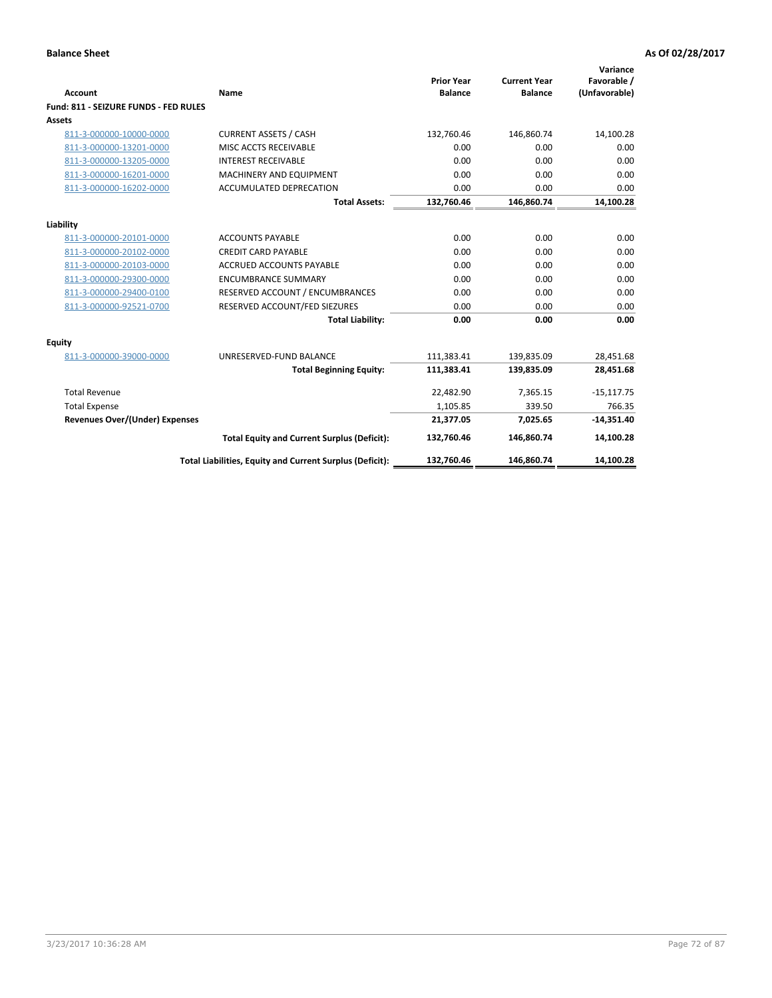| Account                               | Name                                                     | <b>Prior Year</b><br><b>Balance</b> | <b>Current Year</b><br><b>Balance</b> | Variance<br>Favorable /<br>(Unfavorable) |
|---------------------------------------|----------------------------------------------------------|-------------------------------------|---------------------------------------|------------------------------------------|
| Fund: 811 - SEIZURE FUNDS - FED RULES |                                                          |                                     |                                       |                                          |
| <b>Assets</b>                         |                                                          |                                     |                                       |                                          |
| 811-3-000000-10000-0000               | <b>CURRENT ASSETS / CASH</b>                             | 132,760.46                          | 146,860.74                            | 14,100.28                                |
| 811-3-000000-13201-0000               | MISC ACCTS RECEIVABLE                                    | 0.00                                | 0.00                                  | 0.00                                     |
| 811-3-000000-13205-0000               | <b>INTEREST RECEIVABLE</b>                               | 0.00                                | 0.00                                  | 0.00                                     |
| 811-3-000000-16201-0000               | <b>MACHINERY AND EQUIPMENT</b>                           | 0.00                                | 0.00                                  | 0.00                                     |
| 811-3-000000-16202-0000               | ACCUMULATED DEPRECATION                                  | 0.00                                | 0.00                                  | 0.00                                     |
|                                       | <b>Total Assets:</b>                                     | 132,760.46                          | 146,860.74                            | 14,100.28                                |
| Liability                             |                                                          |                                     |                                       |                                          |
| 811-3-000000-20101-0000               | <b>ACCOUNTS PAYABLE</b>                                  | 0.00                                | 0.00                                  | 0.00                                     |
| 811-3-000000-20102-0000               | <b>CREDIT CARD PAYABLE</b>                               | 0.00                                | 0.00                                  | 0.00                                     |
| 811-3-000000-20103-0000               | <b>ACCRUED ACCOUNTS PAYABLE</b>                          | 0.00                                | 0.00                                  | 0.00                                     |
| 811-3-000000-29300-0000               | <b>ENCUMBRANCE SUMMARY</b>                               | 0.00                                | 0.00                                  | 0.00                                     |
| 811-3-000000-29400-0100               | RESERVED ACCOUNT / ENCUMBRANCES                          | 0.00                                | 0.00                                  | 0.00                                     |
| 811-3-000000-92521-0700               | RESERVED ACCOUNT/FED SIEZURES                            | 0.00                                | 0.00                                  | 0.00                                     |
|                                       | <b>Total Liability:</b>                                  | 0.00                                | 0.00                                  | 0.00                                     |
| Equity                                |                                                          |                                     |                                       |                                          |
| 811-3-000000-39000-0000               | UNRESERVED-FUND BALANCE                                  | 111,383.41                          | 139,835.09                            | 28,451.68                                |
|                                       | <b>Total Beginning Equity:</b>                           | 111,383.41                          | 139,835.09                            | 28,451.68                                |
| <b>Total Revenue</b>                  |                                                          | 22,482.90                           | 7.365.15                              | $-15,117.75$                             |
| <b>Total Expense</b>                  |                                                          | 1,105.85                            | 339.50                                | 766.35                                   |
| Revenues Over/(Under) Expenses        |                                                          | 21,377.05                           | 7,025.65                              | $-14,351.40$                             |
|                                       | <b>Total Equity and Current Surplus (Deficit):</b>       | 132,760.46                          | 146,860.74                            | 14,100.28                                |
|                                       | Total Liabilities, Equity and Current Surplus (Deficit): | 132,760.46                          | 146,860.74                            | 14,100.28                                |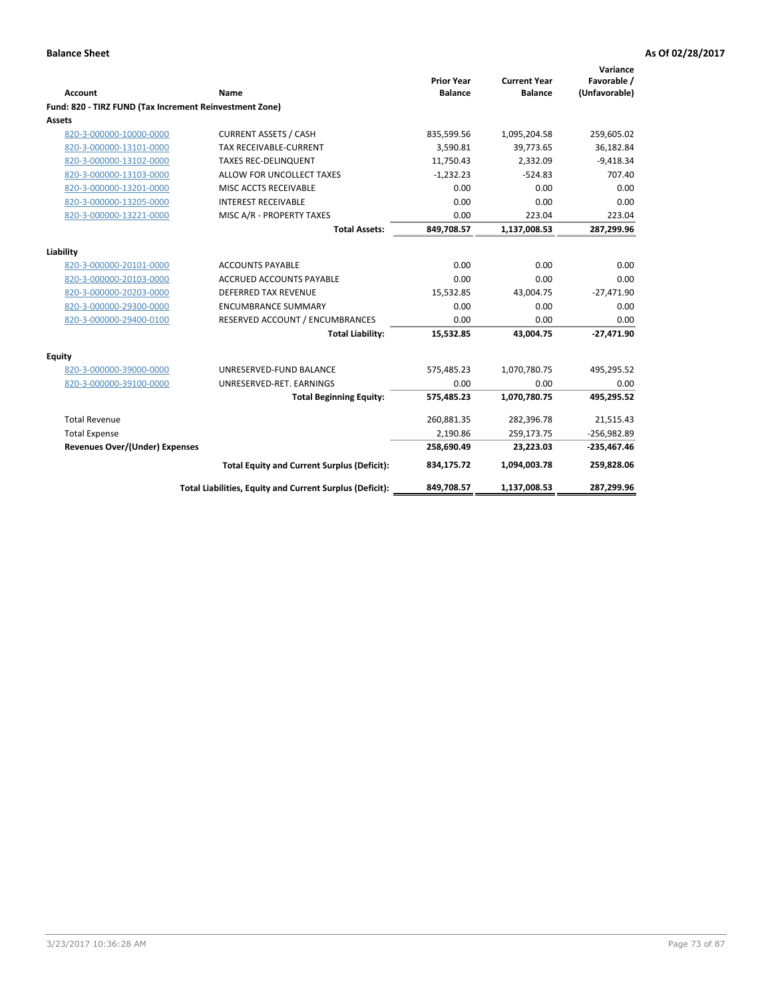| <b>Account</b>                                          | Name                                                     | <b>Prior Year</b><br><b>Balance</b> | <b>Current Year</b><br><b>Balance</b> | Variance<br>Favorable /<br>(Unfavorable) |
|---------------------------------------------------------|----------------------------------------------------------|-------------------------------------|---------------------------------------|------------------------------------------|
| Fund: 820 - TIRZ FUND (Tax Increment Reinvestment Zone) |                                                          |                                     |                                       |                                          |
| <b>Assets</b>                                           |                                                          |                                     |                                       |                                          |
| 820-3-000000-10000-0000                                 | <b>CURRENT ASSETS / CASH</b>                             | 835,599.56                          | 1,095,204.58                          | 259,605.02                               |
| 820-3-000000-13101-0000                                 | <b>TAX RECEIVABLE-CURRENT</b>                            | 3,590.81                            | 39,773.65                             | 36,182.84                                |
| 820-3-000000-13102-0000                                 | <b>TAXES REC-DELINQUENT</b>                              | 11,750.43                           | 2,332.09                              | $-9,418.34$                              |
| 820-3-000000-13103-0000                                 | ALLOW FOR UNCOLLECT TAXES                                | $-1,232.23$                         | $-524.83$                             | 707.40                                   |
| 820-3-000000-13201-0000                                 | MISC ACCTS RECEIVABLE                                    | 0.00                                | 0.00                                  | 0.00                                     |
| 820-3-000000-13205-0000                                 | <b>INTEREST RECEIVABLE</b>                               | 0.00                                | 0.00                                  | 0.00                                     |
| 820-3-000000-13221-0000                                 | MISC A/R - PROPERTY TAXES                                | 0.00                                | 223.04                                | 223.04                                   |
|                                                         | <b>Total Assets:</b>                                     | 849,708.57                          | 1,137,008.53                          | 287,299.96                               |
| Liability                                               |                                                          |                                     |                                       |                                          |
| 820-3-000000-20101-0000                                 | <b>ACCOUNTS PAYABLE</b>                                  | 0.00                                | 0.00                                  | 0.00                                     |
| 820-3-000000-20103-0000                                 | ACCRUED ACCOUNTS PAYABLE                                 | 0.00                                | 0.00                                  | 0.00                                     |
| 820-3-000000-20203-0000                                 | <b>DEFERRED TAX REVENUE</b>                              | 15,532.85                           | 43,004.75                             | $-27,471.90$                             |
| 820-3-000000-29300-0000                                 | <b>ENCUMBRANCE SUMMARY</b>                               | 0.00                                | 0.00                                  | 0.00                                     |
| 820-3-000000-29400-0100                                 | RESERVED ACCOUNT / ENCUMBRANCES                          | 0.00                                | 0.00                                  | 0.00                                     |
|                                                         | <b>Total Liability:</b>                                  | 15,532.85                           | 43,004.75                             | $-27,471.90$                             |
| Equity                                                  |                                                          |                                     |                                       |                                          |
| 820-3-000000-39000-0000                                 | UNRESERVED-FUND BALANCE                                  | 575,485.23                          | 1,070,780.75                          | 495,295.52                               |
| 820-3-000000-39100-0000                                 | UNRESERVED-RET. EARNINGS                                 | 0.00                                | 0.00                                  | 0.00                                     |
|                                                         | <b>Total Beginning Equity:</b>                           | 575,485.23                          | 1,070,780.75                          | 495,295.52                               |
| <b>Total Revenue</b>                                    |                                                          | 260,881.35                          | 282,396.78                            | 21,515.43                                |
| <b>Total Expense</b>                                    |                                                          | 2,190.86                            | 259,173.75                            | $-256,982.89$                            |
| <b>Revenues Over/(Under) Expenses</b>                   |                                                          | 258,690.49                          | 23,223.03                             | $-235,467.46$                            |
|                                                         | <b>Total Equity and Current Surplus (Deficit):</b>       | 834,175.72                          | 1,094,003.78                          | 259,828.06                               |
|                                                         | Total Liabilities, Equity and Current Surplus (Deficit): | 849,708.57                          | 1,137,008.53                          | 287,299.96                               |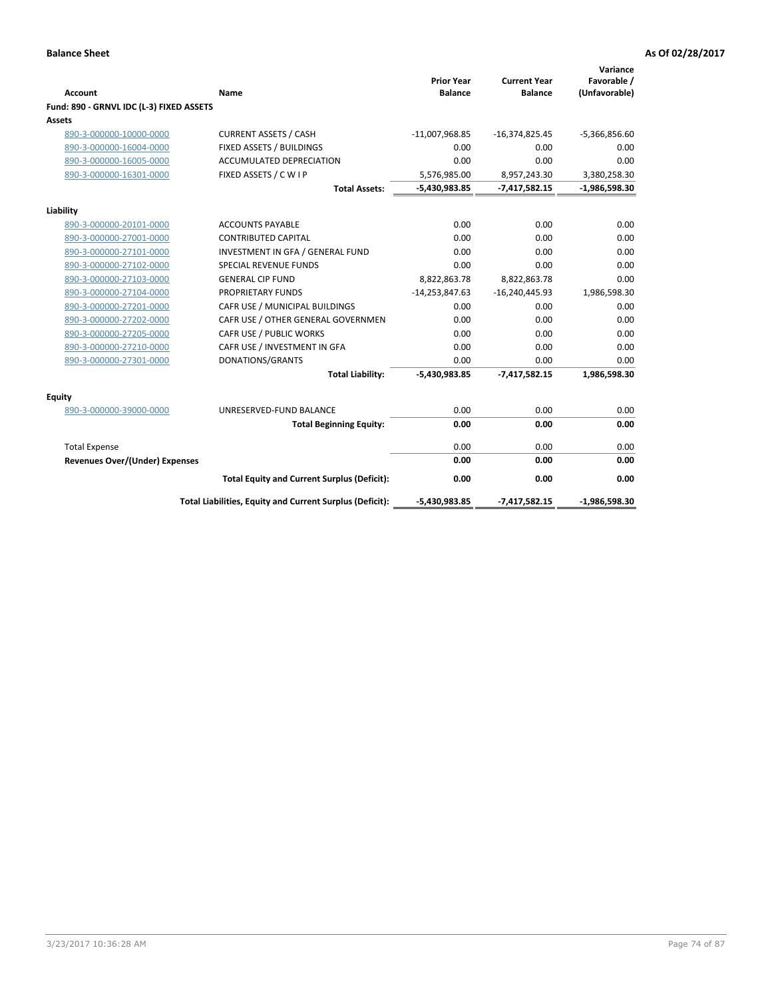|                                          |                                                          | <b>Prior Year</b> | <b>Current Year</b> | Variance<br>Favorable / |
|------------------------------------------|----------------------------------------------------------|-------------------|---------------------|-------------------------|
| <b>Account</b>                           | Name                                                     | <b>Balance</b>    | <b>Balance</b>      | (Unfavorable)           |
| Fund: 890 - GRNVL IDC (L-3) FIXED ASSETS |                                                          |                   |                     |                         |
| Assets                                   |                                                          |                   |                     |                         |
| 890-3-000000-10000-0000                  | <b>CURRENT ASSETS / CASH</b>                             | $-11,007,968.85$  | $-16,374,825.45$    | $-5,366,856.60$         |
| 890-3-000000-16004-0000                  | FIXED ASSETS / BUILDINGS                                 | 0.00              | 0.00                | 0.00                    |
| 890-3-000000-16005-0000                  | <b>ACCUMULATED DEPRECIATION</b>                          | 0.00              | 0.00                | 0.00                    |
| 890-3-000000-16301-0000                  | FIXED ASSETS / C W I P                                   | 5,576,985.00      | 8,957,243.30        | 3,380,258.30            |
|                                          | <b>Total Assets:</b>                                     | -5,430,983.85     | $-7,417,582.15$     | $-1,986,598.30$         |
| Liability                                |                                                          |                   |                     |                         |
| 890-3-000000-20101-0000                  | <b>ACCOUNTS PAYABLE</b>                                  | 0.00              | 0.00                | 0.00                    |
| 890-3-000000-27001-0000                  | <b>CONTRIBUTED CAPITAL</b>                               | 0.00              | 0.00                | 0.00                    |
| 890-3-000000-27101-0000                  | INVESTMENT IN GFA / GENERAL FUND                         | 0.00              | 0.00                | 0.00                    |
| 890-3-000000-27102-0000                  | <b>SPECIAL REVENUE FUNDS</b>                             | 0.00              | 0.00                | 0.00                    |
| 890-3-000000-27103-0000                  | <b>GENERAL CIP FUND</b>                                  | 8,822,863.78      | 8,822,863.78        | 0.00                    |
| 890-3-000000-27104-0000                  | PROPRIETARY FUNDS                                        | $-14,253,847.63$  | $-16,240,445.93$    | 1,986,598.30            |
| 890-3-000000-27201-0000                  | CAFR USE / MUNICIPAL BUILDINGS                           | 0.00              | 0.00                | 0.00                    |
| 890-3-000000-27202-0000                  | CAFR USE / OTHER GENERAL GOVERNMEN                       | 0.00              | 0.00                | 0.00                    |
| 890-3-000000-27205-0000                  | CAFR USE / PUBLIC WORKS                                  | 0.00              | 0.00                | 0.00                    |
| 890-3-000000-27210-0000                  | CAFR USE / INVESTMENT IN GFA                             | 0.00              | 0.00                | 0.00                    |
| 890-3-000000-27301-0000                  | DONATIONS/GRANTS                                         | 0.00              | 0.00                | 0.00                    |
|                                          | <b>Total Liability:</b>                                  | $-5,430,983.85$   | $-7,417,582.15$     | 1,986,598.30            |
| Equity                                   |                                                          |                   |                     |                         |
| 890-3-000000-39000-0000                  | UNRESERVED-FUND BALANCE                                  | 0.00              | 0.00                | 0.00                    |
|                                          | <b>Total Beginning Equity:</b>                           | 0.00              | 0.00                | 0.00                    |
| <b>Total Expense</b>                     |                                                          | 0.00              | 0.00                | 0.00                    |
| <b>Revenues Over/(Under) Expenses</b>    |                                                          | 0.00              | 0.00                | 0.00                    |
|                                          | <b>Total Equity and Current Surplus (Deficit):</b>       | 0.00              | 0.00                | 0.00                    |
|                                          | Total Liabilities, Equity and Current Surplus (Deficit): | $-5,430,983.85$   | $-7,417,582.15$     | $-1,986,598.30$         |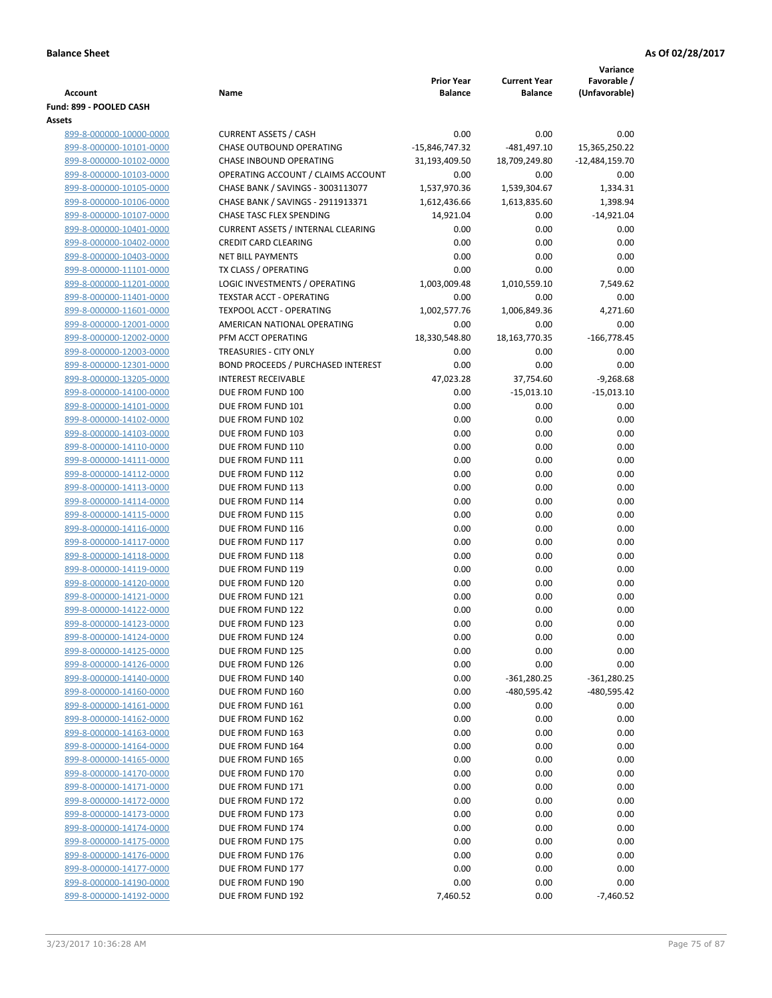|                         |                                           |                   |                     | Variance         |
|-------------------------|-------------------------------------------|-------------------|---------------------|------------------|
|                         |                                           | <b>Prior Year</b> | <b>Current Year</b> | Favorable /      |
| Account                 | Name                                      | <b>Balance</b>    | <b>Balance</b>      | (Unfavorable)    |
| Fund: 899 - POOLED CASH |                                           |                   |                     |                  |
| Assets                  |                                           |                   |                     |                  |
| 899-8-000000-10000-0000 | <b>CURRENT ASSETS / CASH</b>              | 0.00              | 0.00                | 0.00             |
| 899-8-000000-10101-0000 | <b>CHASE OUTBOUND OPERATING</b>           | -15,846,747.32    | $-481,497.10$       | 15,365,250.22    |
| 899-8-000000-10102-0000 | CHASE INBOUND OPERATING                   | 31,193,409.50     | 18,709,249.80       | $-12,484,159.70$ |
| 899-8-000000-10103-0000 | OPERATING ACCOUNT / CLAIMS ACCOUNT        | 0.00              | 0.00                | 0.00             |
| 899-8-000000-10105-0000 | CHASE BANK / SAVINGS - 3003113077         | 1,537,970.36      | 1,539,304.67        | 1,334.31         |
| 899-8-000000-10106-0000 | CHASE BANK / SAVINGS - 2911913371         | 1,612,436.66      | 1,613,835.60        | 1,398.94         |
| 899-8-000000-10107-0000 | CHASE TASC FLEX SPENDING                  | 14,921.04         | 0.00                | $-14,921.04$     |
| 899-8-000000-10401-0000 | <b>CURRENT ASSETS / INTERNAL CLEARING</b> | 0.00              | 0.00                | 0.00             |
| 899-8-000000-10402-0000 | <b>CREDIT CARD CLEARING</b>               | 0.00              | 0.00                | 0.00             |
| 899-8-000000-10403-0000 | <b>NET BILL PAYMENTS</b>                  | 0.00              | 0.00                | 0.00             |
| 899-8-000000-11101-0000 | TX CLASS / OPERATING                      | 0.00              | 0.00                | 0.00             |
| 899-8-000000-11201-0000 | LOGIC INVESTMENTS / OPERATING             | 1,003,009.48      | 1,010,559.10        | 7,549.62         |
| 899-8-000000-11401-0000 | <b>TEXSTAR ACCT - OPERATING</b>           | 0.00              | 0.00                | 0.00             |
| 899-8-000000-11601-0000 | <b>TEXPOOL ACCT - OPERATING</b>           | 1,002,577.76      | 1,006,849.36        | 4,271.60         |
| 899-8-000000-12001-0000 | AMERICAN NATIONAL OPERATING               | 0.00              | 0.00                | 0.00             |
| 899-8-000000-12002-0000 | PFM ACCT OPERATING                        | 18,330,548.80     | 18,163,770.35       | $-166,778.45$    |
| 899-8-000000-12003-0000 | TREASURIES - CITY ONLY                    | 0.00              | 0.00                | 0.00             |
| 899-8-000000-12301-0000 | <b>BOND PROCEEDS / PURCHASED INTEREST</b> | 0.00              | 0.00                | 0.00             |
| 899-8-000000-13205-0000 | <b>INTEREST RECEIVABLE</b>                | 47,023.28         | 37,754.60           | $-9,268.68$      |
| 899-8-000000-14100-0000 | DUE FROM FUND 100                         | 0.00              | $-15,013.10$        | $-15,013.10$     |
| 899-8-000000-14101-0000 | DUE FROM FUND 101                         | 0.00              | 0.00                | 0.00             |
| 899-8-000000-14102-0000 | DUE FROM FUND 102                         | 0.00              | 0.00                | 0.00             |
| 899-8-000000-14103-0000 | DUE FROM FUND 103                         | 0.00              | 0.00                | 0.00             |
| 899-8-000000-14110-0000 | DUE FROM FUND 110                         | 0.00              | 0.00                | 0.00             |
| 899-8-000000-14111-0000 | DUE FROM FUND 111                         | 0.00              | 0.00                | 0.00             |
| 899-8-000000-14112-0000 | DUE FROM FUND 112                         | 0.00              | 0.00                | 0.00             |
| 899-8-000000-14113-0000 | DUE FROM FUND 113                         | 0.00              | 0.00                | 0.00             |
| 899-8-000000-14114-0000 | DUE FROM FUND 114                         | 0.00              | 0.00                | 0.00             |
| 899-8-000000-14115-0000 | DUE FROM FUND 115                         | 0.00              | 0.00                | 0.00             |
| 899-8-000000-14116-0000 | DUE FROM FUND 116                         | 0.00              | 0.00                | 0.00             |
| 899-8-000000-14117-0000 | DUE FROM FUND 117                         | 0.00              | 0.00                | 0.00             |
| 899-8-000000-14118-0000 | DUE FROM FUND 118                         | 0.00              | 0.00                | 0.00             |
| 899-8-000000-14119-0000 | DUE FROM FUND 119                         | 0.00              | 0.00                | 0.00             |
| 899-8-000000-14120-0000 | DUE FROM FUND 120                         | 0.00              | 0.00                | 0.00             |
| 899-8-000000-14121-0000 | DUE FROM FUND 121                         | 0.00              | 0.00                | 0.00             |
| 899-8-000000-14122-0000 | DUE FROM FUND 122                         | 0.00              | 0.00                | 0.00             |
| 899-8-000000-14123-0000 | DUE FROM FUND 123                         | 0.00              | 0.00                | 0.00             |
| 899-8-000000-14124-0000 | DUE FROM FUND 124                         | 0.00              | 0.00                | 0.00             |
| 899-8-000000-14125-0000 | DUE FROM FUND 125                         | 0.00              | 0.00                | 0.00             |
| 899-8-000000-14126-0000 | DUE FROM FUND 126                         | 0.00              | 0.00                | 0.00             |
| 899-8-000000-14140-0000 | DUE FROM FUND 140                         | 0.00              | $-361,280.25$       | $-361,280.25$    |
| 899-8-000000-14160-0000 | DUE FROM FUND 160                         | 0.00              | -480,595.42         | -480,595.42      |
| 899-8-000000-14161-0000 | DUE FROM FUND 161                         | 0.00              | 0.00                | 0.00             |
| 899-8-000000-14162-0000 | DUE FROM FUND 162                         | 0.00              | 0.00                | 0.00             |
| 899-8-000000-14163-0000 | DUE FROM FUND 163                         | 0.00              | 0.00                | 0.00             |
| 899-8-000000-14164-0000 | DUE FROM FUND 164                         | 0.00              | 0.00                | 0.00             |
| 899-8-000000-14165-0000 | DUE FROM FUND 165                         | 0.00              | 0.00                | 0.00             |
| 899-8-000000-14170-0000 | DUE FROM FUND 170                         | 0.00              | 0.00                | 0.00             |
| 899-8-000000-14171-0000 | DUE FROM FUND 171                         | 0.00              | 0.00                | 0.00             |
| 899-8-000000-14172-0000 | DUE FROM FUND 172                         | 0.00              | 0.00                | 0.00             |
| 899-8-000000-14173-0000 | DUE FROM FUND 173                         | 0.00              | 0.00                | 0.00             |
| 899-8-000000-14174-0000 | DUE FROM FUND 174                         | 0.00              | 0.00                | 0.00             |
| 899-8-000000-14175-0000 | DUE FROM FUND 175                         | 0.00              | 0.00                | 0.00             |
| 899-8-000000-14176-0000 | DUE FROM FUND 176                         | 0.00              | 0.00                | 0.00             |
| 899-8-000000-14177-0000 | DUE FROM FUND 177                         | 0.00              | 0.00                | 0.00             |
| 899-8-000000-14190-0000 | DUE FROM FUND 190                         | 0.00              | 0.00                | 0.00             |
| 899-8-000000-14192-0000 | DUE FROM FUND 192                         | 7,460.52          | 0.00                | $-7,460.52$      |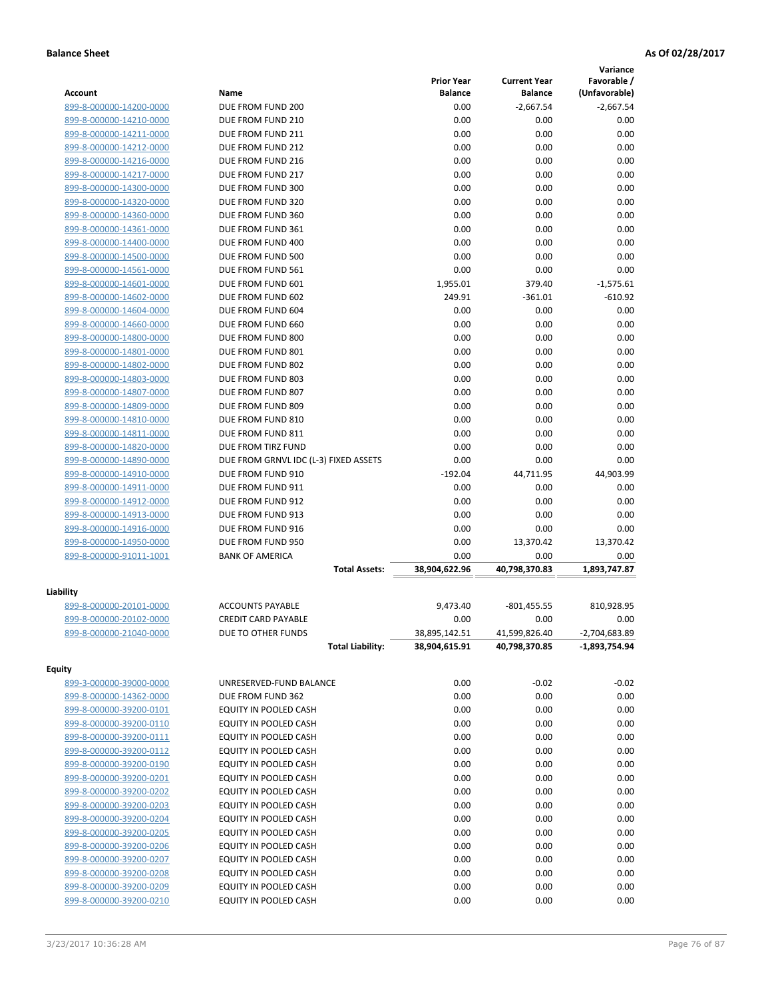|                         |                                       |                   |                     | Variance        |
|-------------------------|---------------------------------------|-------------------|---------------------|-----------------|
|                         |                                       | <b>Prior Year</b> | <b>Current Year</b> | Favorable /     |
| Account                 | Name                                  | <b>Balance</b>    | <b>Balance</b>      | (Unfavorable)   |
| 899-8-000000-14200-0000 | DUE FROM FUND 200                     | 0.00              | $-2,667.54$         | $-2,667.54$     |
| 899-8-000000-14210-0000 | DUE FROM FUND 210                     | 0.00              | 0.00                | 0.00            |
| 899-8-000000-14211-0000 | DUE FROM FUND 211                     | 0.00              | 0.00                | 0.00            |
| 899-8-000000-14212-0000 | DUE FROM FUND 212                     | 0.00              | 0.00                | 0.00            |
| 899-8-000000-14216-0000 | DUE FROM FUND 216                     | 0.00              | 0.00                | 0.00            |
| 899-8-000000-14217-0000 | DUE FROM FUND 217                     | 0.00              | 0.00                | 0.00            |
| 899-8-000000-14300-0000 | DUE FROM FUND 300                     | 0.00              | 0.00                | 0.00            |
| 899-8-000000-14320-0000 | DUE FROM FUND 320                     | 0.00              | 0.00                | 0.00            |
| 899-8-000000-14360-0000 | DUE FROM FUND 360                     | 0.00              | 0.00                | 0.00            |
| 899-8-000000-14361-0000 | DUE FROM FUND 361                     | 0.00              | 0.00                | 0.00            |
| 899-8-000000-14400-0000 | DUE FROM FUND 400                     | 0.00              | 0.00                | 0.00            |
| 899-8-000000-14500-0000 | DUE FROM FUND 500                     | 0.00              | 0.00                | 0.00            |
| 899-8-000000-14561-0000 | DUE FROM FUND 561                     | 0.00              | 0.00                | 0.00            |
| 899-8-000000-14601-0000 | DUE FROM FUND 601                     | 1,955.01          | 379.40              | $-1,575.61$     |
| 899-8-000000-14602-0000 | DUE FROM FUND 602                     | 249.91            | $-361.01$           | $-610.92$       |
| 899-8-000000-14604-0000 | DUE FROM FUND 604                     | 0.00              | 0.00                | 0.00            |
| 899-8-000000-14660-0000 | DUE FROM FUND 660                     | 0.00              | 0.00                | 0.00            |
| 899-8-000000-14800-0000 | DUE FROM FUND 800                     | 0.00              | 0.00                | 0.00            |
| 899-8-000000-14801-0000 | DUE FROM FUND 801                     | 0.00              | 0.00                | 0.00            |
| 899-8-000000-14802-0000 | DUE FROM FUND 802                     | 0.00              | 0.00                | 0.00            |
| 899-8-000000-14803-0000 | DUE FROM FUND 803                     | 0.00              | 0.00                | 0.00            |
| 899-8-000000-14807-0000 | DUE FROM FUND 807                     | 0.00              | 0.00                | 0.00            |
| 899-8-000000-14809-0000 | DUE FROM FUND 809                     | 0.00              | 0.00                | 0.00            |
| 899-8-000000-14810-0000 | DUE FROM FUND 810                     | 0.00              | 0.00                | 0.00            |
| 899-8-000000-14811-0000 | DUE FROM FUND 811                     | 0.00              | 0.00                | 0.00            |
| 899-8-000000-14820-0000 | DUE FROM TIRZ FUND                    | 0.00              | 0.00                | 0.00            |
| 899-8-000000-14890-0000 | DUE FROM GRNVL IDC (L-3) FIXED ASSETS | 0.00              | 0.00                | 0.00            |
| 899-8-000000-14910-0000 | DUE FROM FUND 910                     | $-192.04$         | 44,711.95           | 44,903.99       |
| 899-8-000000-14911-0000 | DUE FROM FUND 911                     | 0.00              | 0.00                | 0.00            |
| 899-8-000000-14912-0000 | DUE FROM FUND 912                     | 0.00              | 0.00                | 0.00            |
| 899-8-000000-14913-0000 | DUE FROM FUND 913                     | 0.00              | 0.00                | 0.00            |
| 899-8-000000-14916-0000 | DUE FROM FUND 916                     | 0.00              | 0.00                | 0.00            |
| 899-8-000000-14950-0000 | DUE FROM FUND 950                     | 0.00              | 13,370.42           | 13,370.42       |
| 899-8-000000-91011-1001 | <b>BANK OF AMERICA</b>                | 0.00              | 0.00                | 0.00            |
|                         | <b>Total Assets:</b>                  | 38,904,622.96     | 40,798,370.83       | 1,893,747.87    |
|                         |                                       |                   |                     |                 |
| Liability               |                                       |                   |                     |                 |
| 899-8-000000-20101-0000 | <b>ACCOUNTS PAYABLE</b>               | 9.473.40          | $-801,455.55$       | 810,928.95      |
| 899-8-000000-20102-0000 | <b>CREDIT CARD PAYABLE</b>            | 0.00              | 0.00                | 0.00            |
| 899-8-000000-21040-0000 | DUE TO OTHER FUNDS                    | 38,895,142.51     | 41,599,826.40       | $-2,704,683.89$ |
|                         | <b>Total Liability:</b>               | 38,904,615.91     | 40,798,370.85       | -1,893,754.94   |
| <b>Equity</b>           |                                       |                   |                     |                 |
| 899-3-000000-39000-0000 | UNRESERVED-FUND BALANCE               | 0.00              | $-0.02$             | $-0.02$         |
| 899-8-000000-14362-0000 | DUE FROM FUND 362                     | 0.00              | 0.00                | 0.00            |
| 899-8-000000-39200-0101 | EQUITY IN POOLED CASH                 | 0.00              | 0.00                | 0.00            |
| 899-8-000000-39200-0110 | EQUITY IN POOLED CASH                 | 0.00              | 0.00                | 0.00            |
| 899-8-000000-39200-0111 | EQUITY IN POOLED CASH                 | 0.00              | 0.00                | 0.00            |
| 899-8-000000-39200-0112 | EQUITY IN POOLED CASH                 | 0.00              | 0.00                | 0.00            |
| 899-8-000000-39200-0190 | EQUITY IN POOLED CASH                 | 0.00              | 0.00                | 0.00            |
| 899-8-000000-39200-0201 | EQUITY IN POOLED CASH                 | 0.00              | 0.00                | 0.00            |
| 899-8-000000-39200-0202 | EQUITY IN POOLED CASH                 | 0.00              | 0.00                | 0.00            |
| 899-8-000000-39200-0203 | EQUITY IN POOLED CASH                 | 0.00              | 0.00                | 0.00            |
| 899-8-000000-39200-0204 | EQUITY IN POOLED CASH                 | 0.00              | 0.00                | 0.00            |
| 899-8-000000-39200-0205 | EQUITY IN POOLED CASH                 | 0.00              | 0.00                | 0.00            |
| 899-8-000000-39200-0206 | EQUITY IN POOLED CASH                 | 0.00              | 0.00                | 0.00            |
| 899-8-000000-39200-0207 | EQUITY IN POOLED CASH                 | 0.00              | 0.00                | 0.00            |
| 899-8-000000-39200-0208 | EQUITY IN POOLED CASH                 | 0.00              | 0.00                | 0.00            |
| 899-8-000000-39200-0209 | EQUITY IN POOLED CASH                 | 0.00              | 0.00                | 0.00            |
| 899-8-000000-39200-0210 | EQUITY IN POOLED CASH                 | 0.00              | 0.00                | 0.00            |
|                         |                                       |                   |                     |                 |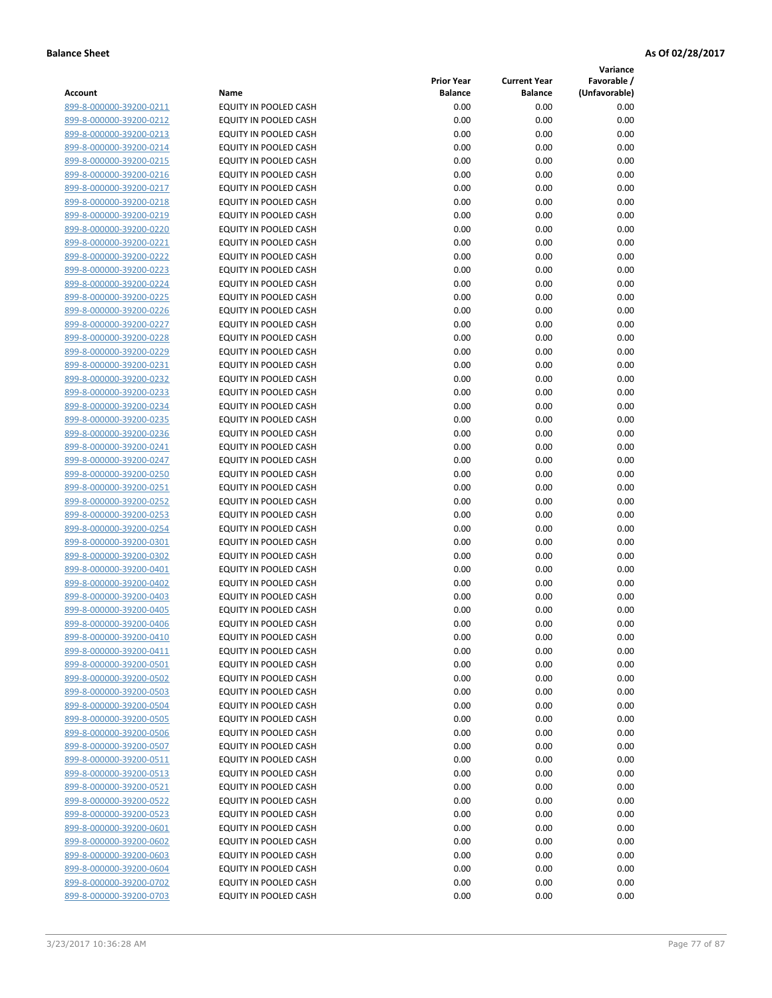**Variance**

| Account                                            | Name                                                         | <b>Prior Year</b><br><b>Balance</b> | <b>Current Year</b><br><b>Balance</b> | Favorable /<br>(Unfavorable) |
|----------------------------------------------------|--------------------------------------------------------------|-------------------------------------|---------------------------------------|------------------------------|
| 899-8-000000-39200-0211                            | EQUITY IN POOLED CASH                                        | 0.00                                | 0.00                                  | 0.00                         |
| 899-8-000000-39200-0212                            | EQUITY IN POOLED CASH                                        | 0.00                                | 0.00                                  | 0.00                         |
| 899-8-000000-39200-0213                            | EQUITY IN POOLED CASH                                        | 0.00                                | 0.00                                  | 0.00                         |
| 899-8-000000-39200-0214                            | EQUITY IN POOLED CASH                                        | 0.00                                | 0.00                                  | 0.00                         |
| 899-8-000000-39200-0215                            | EQUITY IN POOLED CASH                                        | 0.00                                | 0.00                                  | 0.00                         |
| 899-8-000000-39200-0216                            | EQUITY IN POOLED CASH                                        | 0.00                                | 0.00                                  | 0.00                         |
| 899-8-000000-39200-0217                            | EQUITY IN POOLED CASH                                        | 0.00                                | 0.00                                  | 0.00                         |
| 899-8-000000-39200-0218                            | <b>EQUITY IN POOLED CASH</b>                                 | 0.00                                | 0.00                                  | 0.00                         |
| 899-8-000000-39200-0219                            | EQUITY IN POOLED CASH                                        | 0.00                                | 0.00                                  | 0.00                         |
| 899-8-000000-39200-0220                            | EQUITY IN POOLED CASH                                        | 0.00                                | 0.00                                  | 0.00                         |
| 899-8-000000-39200-0221                            | EQUITY IN POOLED CASH                                        | 0.00                                | 0.00                                  | 0.00                         |
| 899-8-000000-39200-0222                            | EQUITY IN POOLED CASH                                        | 0.00                                | 0.00                                  | 0.00                         |
| 899-8-000000-39200-0223                            | EQUITY IN POOLED CASH                                        | 0.00                                | 0.00                                  | 0.00                         |
| 899-8-000000-39200-0224                            | EQUITY IN POOLED CASH                                        | 0.00                                | 0.00                                  | 0.00                         |
| 899-8-000000-39200-0225                            | EQUITY IN POOLED CASH                                        | 0.00                                | 0.00                                  | 0.00                         |
| 899-8-000000-39200-0226                            | EQUITY IN POOLED CASH                                        | 0.00                                | 0.00                                  | 0.00                         |
| 899-8-000000-39200-0227                            | EQUITY IN POOLED CASH                                        | 0.00                                | 0.00                                  | 0.00                         |
| 899-8-000000-39200-0228                            | EQUITY IN POOLED CASH                                        | 0.00                                | 0.00                                  | 0.00                         |
| 899-8-000000-39200-0229                            | EQUITY IN POOLED CASH                                        | 0.00                                | 0.00                                  | 0.00                         |
| 899-8-000000-39200-0231                            | EQUITY IN POOLED CASH                                        | 0.00                                | 0.00                                  | 0.00                         |
| 899-8-000000-39200-0232                            | <b>EQUITY IN POOLED CASH</b>                                 | 0.00                                | 0.00                                  | 0.00                         |
| 899-8-000000-39200-0233                            | EQUITY IN POOLED CASH                                        | 0.00                                | 0.00                                  | 0.00                         |
| 899-8-000000-39200-0234                            | EQUITY IN POOLED CASH                                        | 0.00                                | 0.00                                  | 0.00                         |
| 899-8-000000-39200-0235                            | EQUITY IN POOLED CASH                                        | 0.00                                | 0.00                                  | 0.00                         |
| 899-8-000000-39200-0236                            | EQUITY IN POOLED CASH                                        | 0.00                                | 0.00                                  | 0.00                         |
| 899-8-000000-39200-0241                            | EQUITY IN POOLED CASH                                        | 0.00                                | 0.00                                  | 0.00                         |
| 899-8-000000-39200-0247                            | EQUITY IN POOLED CASH                                        | 0.00                                | 0.00                                  | 0.00                         |
| 899-8-000000-39200-0250                            | EQUITY IN POOLED CASH                                        | 0.00                                | 0.00                                  | 0.00                         |
| 899-8-000000-39200-0251                            | EQUITY IN POOLED CASH                                        | 0.00                                | 0.00                                  | 0.00                         |
| 899-8-000000-39200-0252                            | EQUITY IN POOLED CASH                                        | 0.00                                | 0.00                                  | 0.00                         |
| 899-8-000000-39200-0253                            | EQUITY IN POOLED CASH                                        | 0.00                                | 0.00                                  | 0.00                         |
| 899-8-000000-39200-0254                            | EQUITY IN POOLED CASH                                        | 0.00                                | 0.00                                  | 0.00                         |
| 899-8-000000-39200-0301                            | EQUITY IN POOLED CASH                                        | 0.00                                | 0.00                                  | 0.00                         |
| 899-8-000000-39200-0302                            | EQUITY IN POOLED CASH                                        | 0.00                                | 0.00                                  | 0.00                         |
| 899-8-000000-39200-0401                            | EQUITY IN POOLED CASH                                        | 0.00                                | 0.00                                  | 0.00                         |
| 899-8-000000-39200-0402                            | EQUITY IN POOLED CASH                                        | 0.00                                | 0.00                                  | 0.00                         |
| 899-8-000000-39200-0403                            | EQUITY IN POOLED CASH                                        | 0.00                                | 0.00                                  | 0.00                         |
| 899-8-000000-39200-0405                            | EQUITY IN POOLED CASH                                        | 0.00                                | 0.00                                  | 0.00                         |
| 899-8-000000-39200-0406                            | EQUITY IN POOLED CASH                                        | 0.00                                | 0.00                                  | 0.00                         |
| 899-8-000000-39200-0410                            | <b>EQUITY IN POOLED CASH</b><br><b>EQUITY IN POOLED CASH</b> | 0.00                                | 0.00                                  | 0.00                         |
| 899-8-000000-39200-0411<br>899-8-000000-39200-0501 | EQUITY IN POOLED CASH                                        | 0.00<br>0.00                        | 0.00<br>0.00                          | 0.00<br>0.00                 |
| 899-8-000000-39200-0502                            | EQUITY IN POOLED CASH                                        | 0.00                                | 0.00                                  | 0.00                         |
| 899-8-000000-39200-0503                            | EQUITY IN POOLED CASH                                        | 0.00                                | 0.00                                  | 0.00                         |
| 899-8-000000-39200-0504                            | EQUITY IN POOLED CASH                                        | 0.00                                | 0.00                                  | 0.00                         |
| 899-8-000000-39200-0505                            | EQUITY IN POOLED CASH                                        | 0.00                                | 0.00                                  | 0.00                         |
| 899-8-000000-39200-0506                            | EQUITY IN POOLED CASH                                        | 0.00                                | 0.00                                  | 0.00                         |
| 899-8-000000-39200-0507                            | EQUITY IN POOLED CASH                                        | 0.00                                | 0.00                                  | 0.00                         |
| 899-8-000000-39200-0511                            | EQUITY IN POOLED CASH                                        | 0.00                                | 0.00                                  | 0.00                         |
| 899-8-000000-39200-0513                            | EQUITY IN POOLED CASH                                        | 0.00                                | 0.00                                  | 0.00                         |
| 899-8-000000-39200-0521                            | <b>EQUITY IN POOLED CASH</b>                                 | 0.00                                | 0.00                                  | 0.00                         |
| 899-8-000000-39200-0522                            | EQUITY IN POOLED CASH                                        | 0.00                                | 0.00                                  | 0.00                         |
| 899-8-000000-39200-0523                            | EQUITY IN POOLED CASH                                        | 0.00                                | 0.00                                  | 0.00                         |
| 899-8-000000-39200-0601                            | EQUITY IN POOLED CASH                                        | 0.00                                | 0.00                                  | 0.00                         |
| 899-8-000000-39200-0602                            | EQUITY IN POOLED CASH                                        | 0.00                                | 0.00                                  | 0.00                         |
| 899-8-000000-39200-0603                            | EQUITY IN POOLED CASH                                        | 0.00                                | 0.00                                  | 0.00                         |
| 899-8-000000-39200-0604                            | EQUITY IN POOLED CASH                                        | 0.00                                | 0.00                                  | 0.00                         |
| 899-8-000000-39200-0702                            | EQUITY IN POOLED CASH                                        | 0.00                                | 0.00                                  | 0.00                         |
| 899-8-000000-39200-0703                            | EQUITY IN POOLED CASH                                        | 0.00                                | 0.00                                  | 0.00                         |
|                                                    |                                                              |                                     |                                       |                              |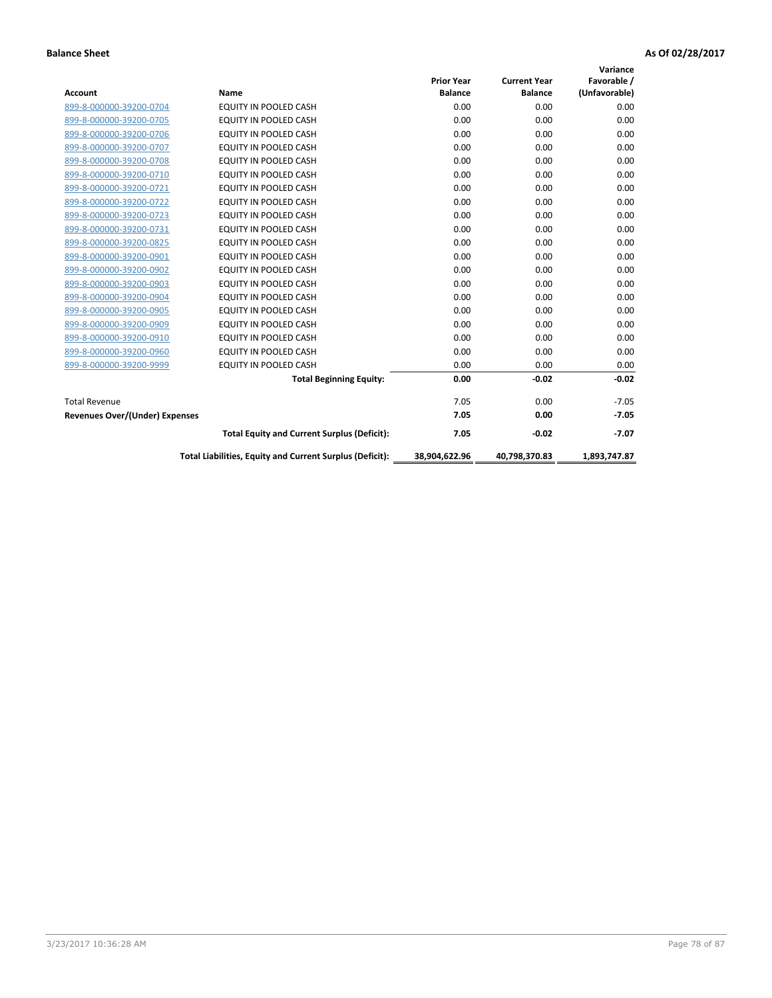| Account                               | Name                                                     | <b>Prior Year</b><br><b>Balance</b> | <b>Current Year</b><br><b>Balance</b> | Variance<br>Favorable /<br>(Unfavorable) |
|---------------------------------------|----------------------------------------------------------|-------------------------------------|---------------------------------------|------------------------------------------|
| 899-8-000000-39200-0704               | EQUITY IN POOLED CASH                                    | 0.00                                | 0.00                                  | 0.00                                     |
| 899-8-000000-39200-0705               | <b>EQUITY IN POOLED CASH</b>                             | 0.00                                | 0.00                                  | 0.00                                     |
| 899-8-000000-39200-0706               | <b>EQUITY IN POOLED CASH</b>                             | 0.00                                | 0.00                                  | 0.00                                     |
| 899-8-000000-39200-0707               | EQUITY IN POOLED CASH                                    | 0.00                                | 0.00                                  | 0.00                                     |
| 899-8-000000-39200-0708               | <b>EQUITY IN POOLED CASH</b>                             | 0.00                                | 0.00                                  | 0.00                                     |
| 899-8-000000-39200-0710               | <b>EQUITY IN POOLED CASH</b>                             | 0.00                                | 0.00                                  | 0.00                                     |
| 899-8-000000-39200-0721               | EQUITY IN POOLED CASH                                    | 0.00                                | 0.00                                  | 0.00                                     |
| 899-8-000000-39200-0722               | EQUITY IN POOLED CASH                                    | 0.00                                | 0.00                                  | 0.00                                     |
| 899-8-000000-39200-0723               | <b>EQUITY IN POOLED CASH</b>                             | 0.00                                | 0.00                                  | 0.00                                     |
| 899-8-000000-39200-0731               | EQUITY IN POOLED CASH                                    | 0.00                                | 0.00                                  | 0.00                                     |
| 899-8-000000-39200-0825               | EQUITY IN POOLED CASH                                    | 0.00                                | 0.00                                  | 0.00                                     |
| 899-8-000000-39200-0901               | EQUITY IN POOLED CASH                                    | 0.00                                | 0.00                                  | 0.00                                     |
| 899-8-000000-39200-0902               | <b>EQUITY IN POOLED CASH</b>                             | 0.00                                | 0.00                                  | 0.00                                     |
| 899-8-000000-39200-0903               | <b>EQUITY IN POOLED CASH</b>                             | 0.00                                | 0.00                                  | 0.00                                     |
| 899-8-000000-39200-0904               | EQUITY IN POOLED CASH                                    | 0.00                                | 0.00                                  | 0.00                                     |
| 899-8-000000-39200-0905               | <b>EQUITY IN POOLED CASH</b>                             | 0.00                                | 0.00                                  | 0.00                                     |
| 899-8-000000-39200-0909               | EQUITY IN POOLED CASH                                    | 0.00                                | 0.00                                  | 0.00                                     |
| 899-8-000000-39200-0910               | EQUITY IN POOLED CASH                                    | 0.00                                | 0.00                                  | 0.00                                     |
| 899-8-000000-39200-0960               | <b>EQUITY IN POOLED CASH</b>                             | 0.00                                | 0.00                                  | 0.00                                     |
| 899-8-000000-39200-9999               | <b>EQUITY IN POOLED CASH</b>                             | 0.00                                | 0.00                                  | 0.00                                     |
|                                       | <b>Total Beginning Equity:</b>                           | 0.00                                | $-0.02$                               | $-0.02$                                  |
| <b>Total Revenue</b>                  |                                                          | 7.05                                | 0.00                                  | $-7.05$                                  |
| <b>Revenues Over/(Under) Expenses</b> |                                                          | 7.05                                | 0.00                                  | $-7.05$                                  |
|                                       | <b>Total Equity and Current Surplus (Deficit):</b>       | 7.05                                | $-0.02$                               | $-7.07$                                  |
|                                       | Total Liabilities, Equity and Current Surplus (Deficit): | 38,904,622.96                       | 40,798,370.83                         | 1,893,747.87                             |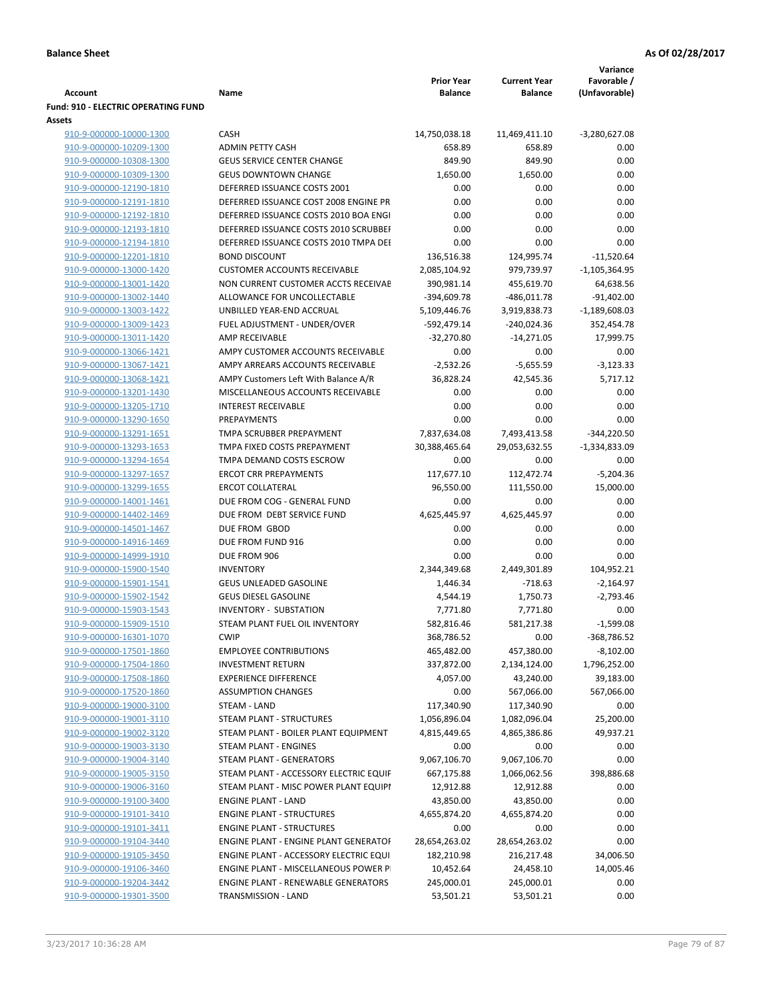|                                                    |                                                                                |                       |                               | Variance                         |
|----------------------------------------------------|--------------------------------------------------------------------------------|-----------------------|-------------------------------|----------------------------------|
|                                                    |                                                                                | <b>Prior Year</b>     | <b>Current Year</b>           | Favorable /                      |
| <b>Account</b>                                     | Name                                                                           | <b>Balance</b>        | <b>Balance</b>                | (Unfavorable)                    |
| Fund: 910 - ELECTRIC OPERATING FUND                |                                                                                |                       |                               |                                  |
| Assets                                             |                                                                                |                       |                               |                                  |
| 910-9-000000-10000-1300                            | <b>CASH</b>                                                                    | 14,750,038.18         | 11,469,411.10                 | $-3,280,627.08$                  |
| 910-9-000000-10209-1300                            | <b>ADMIN PETTY CASH</b>                                                        | 658.89                | 658.89                        | 0.00                             |
| 910-9-000000-10308-1300                            | <b>GEUS SERVICE CENTER CHANGE</b>                                              | 849.90                | 849.90                        | 0.00                             |
| 910-9-000000-10309-1300                            | <b>GEUS DOWNTOWN CHANGE</b><br>DEFERRED ISSUANCE COSTS 2001                    | 1,650.00              | 1,650.00                      | 0.00                             |
| 910-9-000000-12190-1810                            | DEFERRED ISSUANCE COST 2008 ENGINE PR                                          | 0.00                  | 0.00                          | 0.00                             |
| 910-9-000000-12191-1810                            |                                                                                | 0.00                  | 0.00                          | 0.00                             |
| 910-9-000000-12192-1810                            | DEFERRED ISSUANCE COSTS 2010 BOA ENGI<br>DEFERRED ISSUANCE COSTS 2010 SCRUBBEI | 0.00                  | 0.00                          | 0.00                             |
| 910-9-000000-12193-1810                            |                                                                                | 0.00                  | 0.00                          | 0.00                             |
| 910-9-000000-12194-1810                            | DEFERRED ISSUANCE COSTS 2010 TMPA DEI<br><b>BOND DISCOUNT</b>                  | 0.00                  | 0.00                          | 0.00<br>$-11,520.64$             |
| 910-9-000000-12201-1810                            | <b>CUSTOMER ACCOUNTS RECEIVABLE</b>                                            | 136,516.38            | 124,995.74                    |                                  |
| 910-9-000000-13000-1420                            |                                                                                | 2,085,104.92          | 979,739.97                    | $-1,105,364.95$                  |
| 910-9-000000-13001-1420                            | NON CURRENT CUSTOMER ACCTS RECEIVAE                                            | 390,981.14            | 455,619.70                    | 64,638.56                        |
| 910-9-000000-13002-1440                            | ALLOWANCE FOR UNCOLLECTABLE                                                    | -394,609.78           | $-486,011.78$                 | $-91,402.00$                     |
| 910-9-000000-13003-1422                            | UNBILLED YEAR-END ACCRUAL                                                      | 5,109,446.76          | 3,919,838.73<br>$-240,024.36$ | $-1,189,608.03$                  |
| 910-9-000000-13009-1423                            | FUEL ADJUSTMENT - UNDER/OVER<br><b>AMP RECEIVABLE</b>                          | -592,479.14           |                               | 352,454.78                       |
| 910-9-000000-13011-1420                            |                                                                                | $-32,270.80$          | $-14,271.05$                  | 17,999.75                        |
| 910-9-000000-13066-1421                            | AMPY CUSTOMER ACCOUNTS RECEIVABLE                                              | 0.00                  | 0.00                          | 0.00                             |
| 910-9-000000-13067-1421                            | AMPY ARREARS ACCOUNTS RECEIVABLE                                               | $-2,532.26$           | $-5,655.59$                   | $-3,123.33$                      |
| 910-9-000000-13068-1421                            | AMPY Customers Left With Balance A/R                                           | 36,828.24             | 42,545.36                     | 5,717.12                         |
| 910-9-000000-13201-1430                            | MISCELLANEOUS ACCOUNTS RECEIVABLE                                              | 0.00                  | 0.00                          | 0.00                             |
| 910-9-000000-13205-1710                            | <b>INTEREST RECEIVABLE</b>                                                     | 0.00                  | 0.00                          | 0.00                             |
| 910-9-000000-13290-1650                            | PREPAYMENTS                                                                    | 0.00                  | 0.00                          | 0.00                             |
| 910-9-000000-13291-1651                            | TMPA SCRUBBER PREPAYMENT<br>TMPA FIXED COSTS PREPAYMENT                        | 7,837,634.08          | 7,493,413.58                  | $-344,220.50$<br>$-1,334,833.09$ |
| 910-9-000000-13293-1653<br>910-9-000000-13294-1654 | TMPA DEMAND COSTS ESCROW                                                       | 30,388,465.64<br>0.00 | 29,053,632.55<br>0.00         | 0.00                             |
| 910-9-000000-13297-1657                            | <b>ERCOT CRR PREPAYMENTS</b>                                                   |                       |                               |                                  |
|                                                    | <b>ERCOT COLLATERAL</b>                                                        | 117,677.10            | 112,472.74                    | $-5,204.36$<br>15,000.00         |
| 910-9-000000-13299-1655                            | DUE FROM COG - GENERAL FUND                                                    | 96,550.00             | 111,550.00<br>0.00            |                                  |
| 910-9-000000-14001-1461                            | DUE FROM DEBT SERVICE FUND                                                     | 0.00                  |                               | 0.00                             |
| 910-9-000000-14402-1469<br>910-9-000000-14501-1467 | DUE FROM GBOD                                                                  | 4,625,445.97<br>0.00  | 4,625,445.97<br>0.00          | 0.00<br>0.00                     |
| 910-9-000000-14916-1469                            | DUE FROM FUND 916                                                              | 0.00                  | 0.00                          | 0.00                             |
| 910-9-000000-14999-1910                            | DUE FROM 906                                                                   | 0.00                  | 0.00                          | 0.00                             |
| 910-9-000000-15900-1540                            | <b>INVENTORY</b>                                                               | 2,344,349.68          | 2,449,301.89                  | 104,952.21                       |
| 910-9-000000-15901-1541                            | <b>GEUS UNLEADED GASOLINE</b>                                                  | 1,446.34              | $-718.63$                     | $-2,164.97$                      |
| 910-9-000000-15902-1542                            | <b>GEUS DIESEL GASOLINE</b>                                                    | 4,544.19              | 1,750.73                      | $-2,793.46$                      |
| 910-9-000000-15903-1543                            | <b>INVENTORY - SUBSTATION</b>                                                  | 7,771.80              | 7,771.80                      | 0.00                             |
| 910-9-000000-15909-1510                            | STEAM PLANT FUEL OIL INVENTORY                                                 | 582,816.46            | 581,217.38                    | $-1.599.08$                      |
| 910-9-000000-16301-1070                            | <b>CWIP</b>                                                                    | 368,786.52            | 0.00                          | -368,786.52                      |
| 910-9-000000-17501-1860                            | <b>EMPLOYEE CONTRIBUTIONS</b>                                                  | 465,482.00            | 457,380.00                    | $-8,102.00$                      |
| 910-9-000000-17504-1860                            | <b>INVESTMENT RETURN</b>                                                       | 337,872.00            | 2,134,124.00                  | 1,796,252.00                     |
| 910-9-000000-17508-1860                            | <b>EXPERIENCE DIFFERENCE</b>                                                   | 4,057.00              | 43,240.00                     | 39,183.00                        |
| 910-9-000000-17520-1860                            | <b>ASSUMPTION CHANGES</b>                                                      | 0.00                  | 567,066.00                    | 567,066.00                       |
| 910-9-000000-19000-3100                            | STEAM - LAND                                                                   | 117,340.90            | 117,340.90                    | 0.00                             |
| 910-9-000000-19001-3110                            | <b>STEAM PLANT - STRUCTURES</b>                                                | 1,056,896.04          | 1,082,096.04                  | 25,200.00                        |
| 910-9-000000-19002-3120                            | STEAM PLANT - BOILER PLANT EQUIPMENT                                           | 4,815,449.65          | 4,865,386.86                  | 49,937.21                        |
| 910-9-000000-19003-3130                            | STEAM PLANT - ENGINES                                                          | 0.00                  | 0.00                          | 0.00                             |
| 910-9-000000-19004-3140                            | <b>STEAM PLANT - GENERATORS</b>                                                | 9,067,106.70          | 9,067,106.70                  | 0.00                             |
| 910-9-000000-19005-3150                            | STEAM PLANT - ACCESSORY ELECTRIC EQUIF                                         | 667,175.88            | 1,066,062.56                  | 398,886.68                       |
| 910-9-000000-19006-3160                            | STEAM PLANT - MISC POWER PLANT EQUIPI                                          | 12,912.88             | 12,912.88                     | 0.00                             |
| 910-9-000000-19100-3400                            | <b>ENGINE PLANT - LAND</b>                                                     | 43,850.00             | 43,850.00                     | 0.00                             |
| 910-9-000000-19101-3410                            | <b>ENGINE PLANT - STRUCTURES</b>                                               | 4,655,874.20          | 4,655,874.20                  | 0.00                             |
| 910-9-000000-19101-3411                            | <b>ENGINE PLANT - STRUCTURES</b>                                               | 0.00                  | 0.00                          | 0.00                             |
| 910-9-000000-19104-3440                            | ENGINE PLANT - ENGINE PLANT GENERATOF                                          | 28,654,263.02         | 28,654,263.02                 | 0.00                             |
| 910-9-000000-19105-3450                            | ENGINE PLANT - ACCESSORY ELECTRIC EQUI                                         | 182,210.98            | 216,217.48                    | 34,006.50                        |
| 910-9-000000-19106-3460                            | ENGINE PLANT - MISCELLANEOUS POWER P                                           | 10,452.64             | 24,458.10                     | 14,005.46                        |
| 910-9-000000-19204-3442                            | <b>ENGINE PLANT - RENEWABLE GENERATORS</b>                                     | 245,000.01            | 245,000.01                    | 0.00                             |
| 910-9-000000-19301-3500                            | TRANSMISSION - LAND                                                            | 53,501.21             | 53,501.21                     | 0.00                             |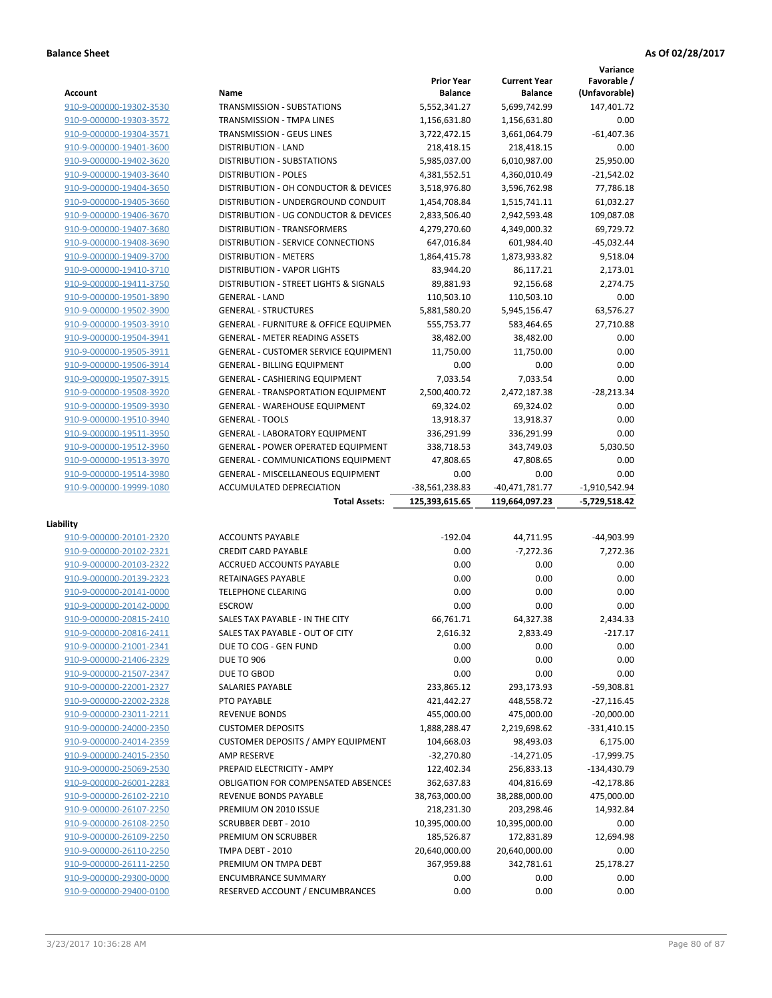|                         |                                                  |                                     |                                       | Variance                     |
|-------------------------|--------------------------------------------------|-------------------------------------|---------------------------------------|------------------------------|
| <b>Account</b>          | Name                                             | <b>Prior Year</b><br><b>Balance</b> | <b>Current Year</b><br><b>Balance</b> | Favorable /<br>(Unfavorable) |
| 910-9-000000-19302-3530 | <b>TRANSMISSION - SUBSTATIONS</b>                | 5,552,341.27                        | 5.699.742.99                          | 147,401.72                   |
| 910-9-000000-19303-3572 | TRANSMISSION - TMPA LINES                        | 1,156,631.80                        | 1,156,631.80                          | 0.00                         |
| 910-9-000000-19304-3571 | <b>TRANSMISSION - GEUS LINES</b>                 | 3,722,472.15                        | 3,661,064.79                          | $-61.407.36$                 |
| 910-9-000000-19401-3600 | <b>DISTRIBUTION - LAND</b>                       | 218,418.15                          | 218,418.15                            | 0.00                         |
| 910-9-000000-19402-3620 | DISTRIBUTION - SUBSTATIONS                       | 5,985,037.00                        | 6,010,987.00                          | 25,950.00                    |
| 910-9-000000-19403-3640 | <b>DISTRIBUTION - POLES</b>                      | 4,381,552.51                        | 4,360,010.49                          | $-21,542.02$                 |
| 910-9-000000-19404-3650 | DISTRIBUTION - OH CONDUCTOR & DEVICES            | 3,518,976.80                        | 3,596,762.98                          | 77,786.18                    |
| 910-9-000000-19405-3660 | DISTRIBUTION - UNDERGROUND CONDUIT               | 1,454,708.84                        | 1,515,741.11                          | 61,032.27                    |
| 910-9-000000-19406-3670 | DISTRIBUTION - UG CONDUCTOR & DEVICES            | 2,833,506.40                        | 2,942,593.48                          | 109,087.08                   |
| 910-9-000000-19407-3680 | DISTRIBUTION - TRANSFORMERS                      | 4,279,270.60                        | 4,349,000.32                          | 69,729.72                    |
| 910-9-000000-19408-3690 | <b>DISTRIBUTION - SERVICE CONNECTIONS</b>        | 647,016.84                          | 601,984.40                            | $-45,032.44$                 |
| 910-9-000000-19409-3700 | <b>DISTRIBUTION - METERS</b>                     | 1,864,415.78                        | 1,873,933.82                          | 9,518.04                     |
| 910-9-000000-19410-3710 | <b>DISTRIBUTION - VAPOR LIGHTS</b>               | 83,944.20                           | 86,117.21                             | 2,173.01                     |
| 910-9-000000-19411-3750 | DISTRIBUTION - STREET LIGHTS & SIGNALS           | 89,881.93                           | 92,156.68                             | 2,274.75                     |
| 910-9-000000-19501-3890 | <b>GENERAL - LAND</b>                            | 110,503.10                          | 110,503.10                            | 0.00                         |
| 910-9-000000-19502-3900 | <b>GENERAL - STRUCTURES</b>                      | 5,881,580.20                        | 5,945,156.47                          | 63,576.27                    |
| 910-9-000000-19503-3910 | <b>GENERAL - FURNITURE &amp; OFFICE EQUIPMEN</b> | 555,753.77                          | 583,464.65                            | 27,710.88                    |
| 910-9-000000-19504-3941 | <b>GENERAL - METER READING ASSETS</b>            | 38,482.00                           | 38,482.00                             | 0.00                         |
| 910-9-000000-19505-3911 | GENERAL - CUSTOMER SERVICE EQUIPMENT             | 11,750.00                           | 11,750.00                             | 0.00                         |
| 910-9-000000-19506-3914 | <b>GENERAL - BILLING EQUIPMENT</b>               | 0.00                                | 0.00                                  | 0.00                         |
| 910-9-000000-19507-3915 | <b>GENERAL - CASHIERING EQUIPMENT</b>            | 7.033.54                            | 7,033.54                              | 0.00                         |
| 910-9-000000-19508-3920 | <b>GENERAL - TRANSPORTATION EQUIPMENT</b>        | 2,500,400.72                        | 2,472,187.38                          | $-28,213.34$                 |
| 910-9-000000-19509-3930 | <b>GENERAL - WAREHOUSE EQUIPMENT</b>             | 69,324.02                           | 69,324.02                             | 0.00                         |
| 910-9-000000-19510-3940 | <b>GENERAL - TOOLS</b>                           | 13,918.37                           | 13,918.37                             | 0.00                         |
| 910-9-000000-19511-3950 | <b>GENERAL - LABORATORY EQUIPMENT</b>            | 336,291.99                          | 336,291.99                            | 0.00                         |
| 910-9-000000-19512-3960 | <b>GENERAL - POWER OPERATED EQUIPMENT</b>        | 338,718.53                          | 343,749.03                            | 5,030.50                     |
| 910-9-000000-19513-3970 | <b>GENERAL - COMMUNICATIONS EQUIPMENT</b>        | 47,808.65                           | 47,808.65                             | 0.00                         |
| 910-9-000000-19514-3980 | <b>GENERAL - MISCELLANEOUS EQUIPMENT</b>         | 0.00                                | 0.00                                  | 0.00                         |
|                         |                                                  |                                     |                                       |                              |
|                         |                                                  |                                     |                                       |                              |
| 910-9-000000-19999-1080 | ACCUMULATED DEPRECIATION                         | -38,561,238.83                      | $-40,471,781.77$                      | $-1,910,542.94$              |
|                         | <b>Total Assets:</b>                             | 125,393,615.65                      | 119,664,097.23                        | -5,729,518.42                |
| Liability               |                                                  |                                     |                                       |                              |
| 910-9-000000-20101-2320 | <b>ACCOUNTS PAYABLE</b>                          | $-192.04$                           | 44,711.95                             | -44,903.99                   |
| 910-9-000000-20102-2321 | <b>CREDIT CARD PAYABLE</b>                       | 0.00                                | $-7,272.36$                           | 7,272.36                     |
| 910-9-000000-20103-2322 | ACCRUED ACCOUNTS PAYABLE                         | 0.00                                | 0.00                                  | 0.00                         |
| 910-9-000000-20139-2323 | RETAINAGES PAYABLE                               | 0.00                                | 0.00                                  | 0.00                         |
| 910-9-000000-20141-0000 | <b>TELEPHONE CLEARING</b>                        | 0.00                                | 0.00                                  | 0.00                         |
| 910-9-000000-20142-0000 | <b>ESCROW</b>                                    | 0.00                                | 0.00                                  | 0.00                         |
| 910-9-000000-20815-2410 | SALES TAX PAYABLE - IN THE CITY                  | 66,761.71                           | 64,327.38                             | 2.434.33                     |
| 910-9-000000-20816-2411 | SALES TAX PAYABLE - OUT OF CITY                  | 2,616.32                            | 2,833.49                              | $-217.17$                    |
| 910-9-000000-21001-2341 | DUE TO COG - GEN FUND                            | 0.00                                | 0.00                                  | 0.00                         |
| 910-9-000000-21406-2329 | <b>DUE TO 906</b>                                | 0.00                                | 0.00                                  | 0.00                         |
| 910-9-000000-21507-2347 | DUE TO GBOD                                      | 0.00                                | 0.00                                  | 0.00                         |
| 910-9-000000-22001-2327 | <b>SALARIES PAYABLE</b>                          | 233,865.12                          | 293,173.93                            | $-59,308.81$                 |
| 910-9-000000-22002-2328 | PTO PAYABLE                                      | 421,442.27                          | 448,558.72                            | $-27,116.45$                 |
| 910-9-000000-23011-2211 | <b>REVENUE BONDS</b>                             | 455,000.00                          | 475,000.00                            | $-20,000.00$                 |
| 910-9-000000-24000-2350 | <b>CUSTOMER DEPOSITS</b>                         | 1,888,288.47                        | 2,219,698.62                          | $-331,410.15$                |
| 910-9-000000-24014-2359 | <b>CUSTOMER DEPOSITS / AMPY EQUIPMENT</b>        | 104,668.03                          | 98,493.03                             | 6,175.00                     |
| 910-9-000000-24015-2350 | <b>AMP RESERVE</b>                               | $-32,270.80$                        | $-14,271.05$                          | -17,999.75                   |
| 910-9-000000-25069-2530 | PREPAID ELECTRICITY - AMPY                       | 122,402.34                          | 256,833.13                            | $-134,430.79$                |
| 910-9-000000-26001-2283 | OBLIGATION FOR COMPENSATED ABSENCES              | 362,637.83                          | 404,816.69                            | -42,178.86                   |
| 910-9-000000-26102-2210 | REVENUE BONDS PAYABLE                            | 38,763,000.00                       | 38,288,000.00                         | 475,000.00                   |
| 910-9-000000-26107-2250 | PREMIUM ON 2010 ISSUE                            | 218,231.30                          | 203,298.46                            | 14,932.84                    |
| 910-9-000000-26108-2250 | <b>SCRUBBER DEBT - 2010</b>                      | 10,395,000.00                       | 10,395,000.00                         | 0.00                         |
| 910-9-000000-26109-2250 | PREMIUM ON SCRUBBER                              | 185,526.87                          | 172,831.89                            | 12,694.98                    |
| 910-9-000000-26110-2250 | TMPA DEBT - 2010                                 | 20,640,000.00                       | 20,640,000.00                         | 0.00                         |
| 910-9-000000-26111-2250 | PREMIUM ON TMPA DEBT                             | 367,959.88                          | 342,781.61                            | 25,178.27                    |
| 910-9-000000-29300-0000 | <b>ENCUMBRANCE SUMMARY</b>                       | 0.00                                | 0.00                                  | 0.00                         |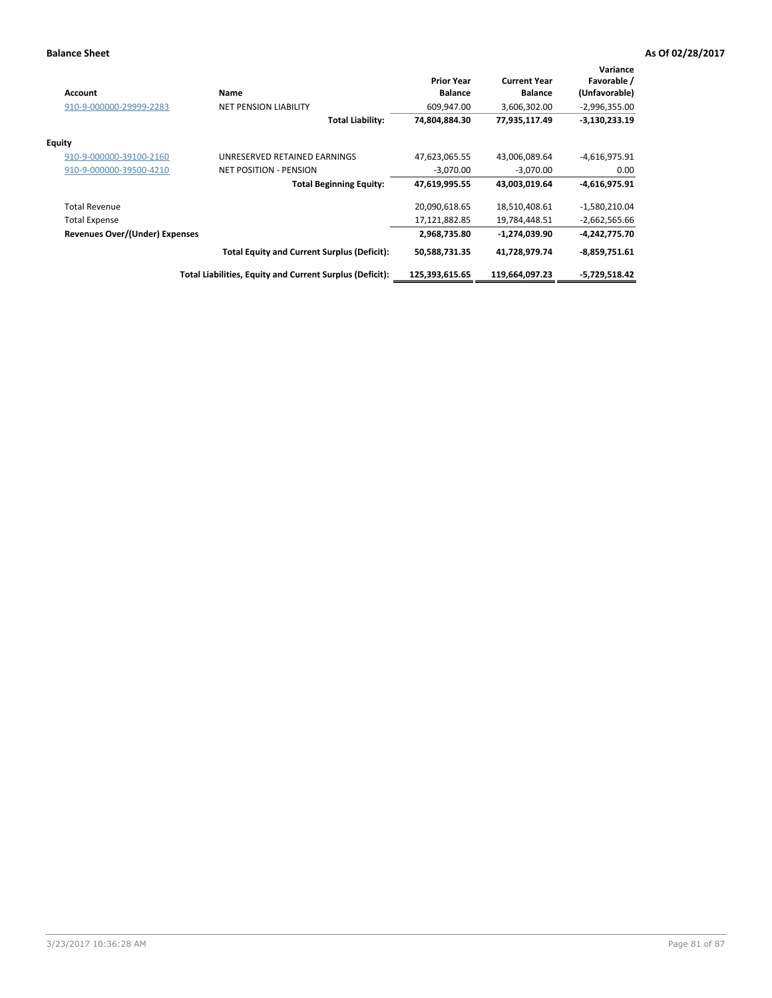| <b>Account</b>                 | Name                                                     | <b>Prior Year</b><br><b>Balance</b> | <b>Current Year</b><br><b>Balance</b> | Variance<br>Favorable /<br>(Unfavorable) |
|--------------------------------|----------------------------------------------------------|-------------------------------------|---------------------------------------|------------------------------------------|
| 910-9-000000-29999-2283        | <b>NET PENSION LIABILITY</b>                             | 609,947.00                          | 3,606,302.00                          | $-2,996,355.00$                          |
|                                | Total Liability:                                         | 74,804,884.30                       | 77,935,117.49                         | $-3,130,233.19$                          |
| Equity                         |                                                          |                                     |                                       |                                          |
| 910-9-000000-39100-2160        | UNRESERVED RETAINED EARNINGS                             | 47,623,065.55                       | 43,006,089.64                         | $-4,616,975.91$                          |
| 910-9-000000-39500-4210        | <b>NET POSITION - PENSION</b>                            | $-3,070.00$                         | $-3,070.00$                           | 0.00                                     |
|                                | <b>Total Beginning Equity:</b>                           | 47,619,995.55                       | 43,003,019.64                         | $-4,616,975.91$                          |
| <b>Total Revenue</b>           |                                                          | 20,090,618.65                       | 18,510,408.61                         | $-1,580,210.04$                          |
| <b>Total Expense</b>           |                                                          | 17,121,882.85                       | 19,784,448.51                         | $-2,662,565.66$                          |
| Revenues Over/(Under) Expenses |                                                          | 2,968,735.80                        | -1,274,039.90                         | -4,242,775.70                            |
|                                | <b>Total Equity and Current Surplus (Deficit):</b>       | 50,588,731.35                       | 41,728,979.74                         | $-8,859,751.61$                          |
|                                | Total Liabilities, Equity and Current Surplus (Deficit): | 125,393,615.65                      | 119,664,097.23                        | -5,729,518.42                            |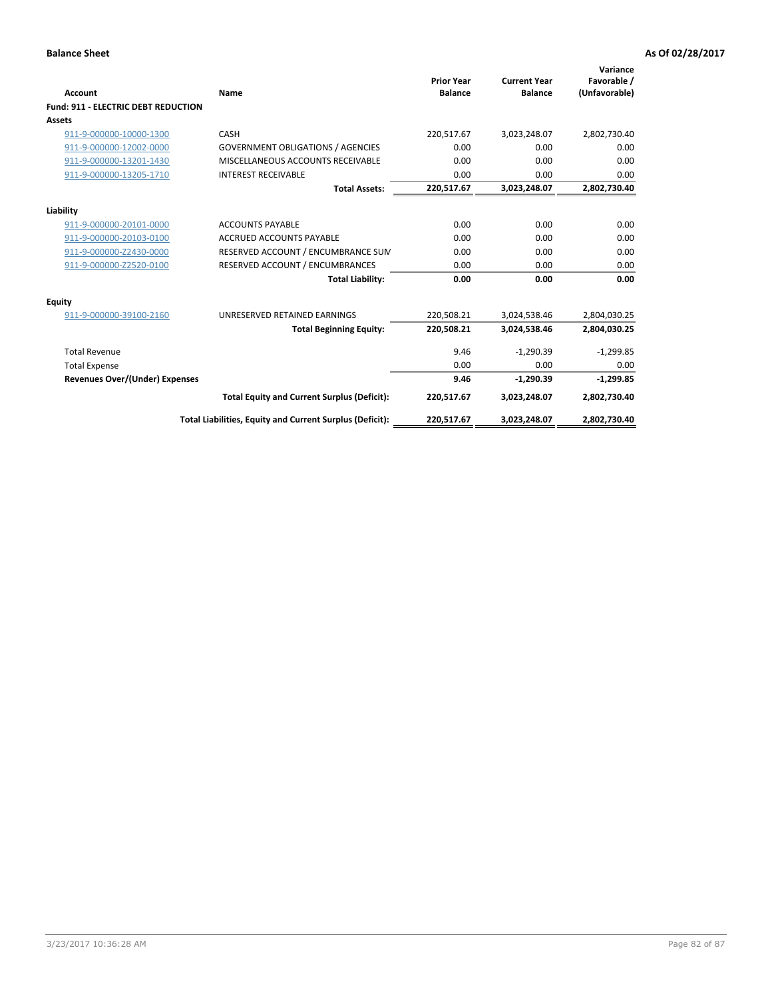| Account                                    | Name                                                     | <b>Prior Year</b><br><b>Balance</b> | <b>Current Year</b><br><b>Balance</b> | Variance<br>Favorable /<br>(Unfavorable) |
|--------------------------------------------|----------------------------------------------------------|-------------------------------------|---------------------------------------|------------------------------------------|
| <b>Fund: 911 - ELECTRIC DEBT REDUCTION</b> |                                                          |                                     |                                       |                                          |
| Assets                                     |                                                          |                                     |                                       |                                          |
| 911-9-000000-10000-1300                    | CASH                                                     | 220,517.67                          | 3,023,248.07                          | 2,802,730.40                             |
| 911-9-000000-12002-0000                    | <b>GOVERNMENT OBLIGATIONS / AGENCIES</b>                 | 0.00                                | 0.00                                  | 0.00                                     |
| 911-9-000000-13201-1430                    | MISCELLANEOUS ACCOUNTS RECEIVABLE                        | 0.00                                | 0.00                                  | 0.00                                     |
| 911-9-000000-13205-1710                    | <b>INTEREST RECEIVABLE</b>                               | 0.00                                | 0.00                                  | 0.00                                     |
|                                            | <b>Total Assets:</b>                                     | 220,517.67                          | 3,023,248.07                          | 2,802,730.40                             |
| Liability                                  |                                                          |                                     |                                       |                                          |
| 911-9-000000-20101-0000                    | <b>ACCOUNTS PAYABLE</b>                                  | 0.00                                | 0.00                                  | 0.00                                     |
| 911-9-000000-20103-0100                    | <b>ACCRUED ACCOUNTS PAYABLE</b>                          | 0.00                                | 0.00                                  | 0.00                                     |
| 911-9-000000-Z2430-0000                    | RESERVED ACCOUNT / ENCUMBRANCE SUM                       | 0.00                                | 0.00                                  | 0.00                                     |
| 911-9-000000-Z2520-0100                    | RESERVED ACCOUNT / ENCUMBRANCES                          | 0.00                                | 0.00                                  | 0.00                                     |
|                                            | <b>Total Liability:</b>                                  | 0.00                                | 0.00                                  | 0.00                                     |
| Equity                                     |                                                          |                                     |                                       |                                          |
| 911-9-000000-39100-2160                    | UNRESERVED RETAINED EARNINGS                             | 220,508.21                          | 3,024,538.46                          | 2,804,030.25                             |
|                                            | <b>Total Beginning Equity:</b>                           | 220.508.21                          | 3,024,538.46                          | 2,804,030.25                             |
| <b>Total Revenue</b>                       |                                                          | 9.46                                | $-1,290.39$                           | $-1,299.85$                              |
| <b>Total Expense</b>                       |                                                          | 0.00                                | 0.00                                  | 0.00                                     |
| <b>Revenues Over/(Under) Expenses</b>      |                                                          | 9.46                                | $-1,290.39$                           | $-1,299.85$                              |
|                                            | <b>Total Equity and Current Surplus (Deficit):</b>       | 220,517.67                          | 3,023,248.07                          | 2,802,730.40                             |
|                                            | Total Liabilities, Equity and Current Surplus (Deficit): | 220,517.67                          | 3,023,248.07                          | 2,802,730.40                             |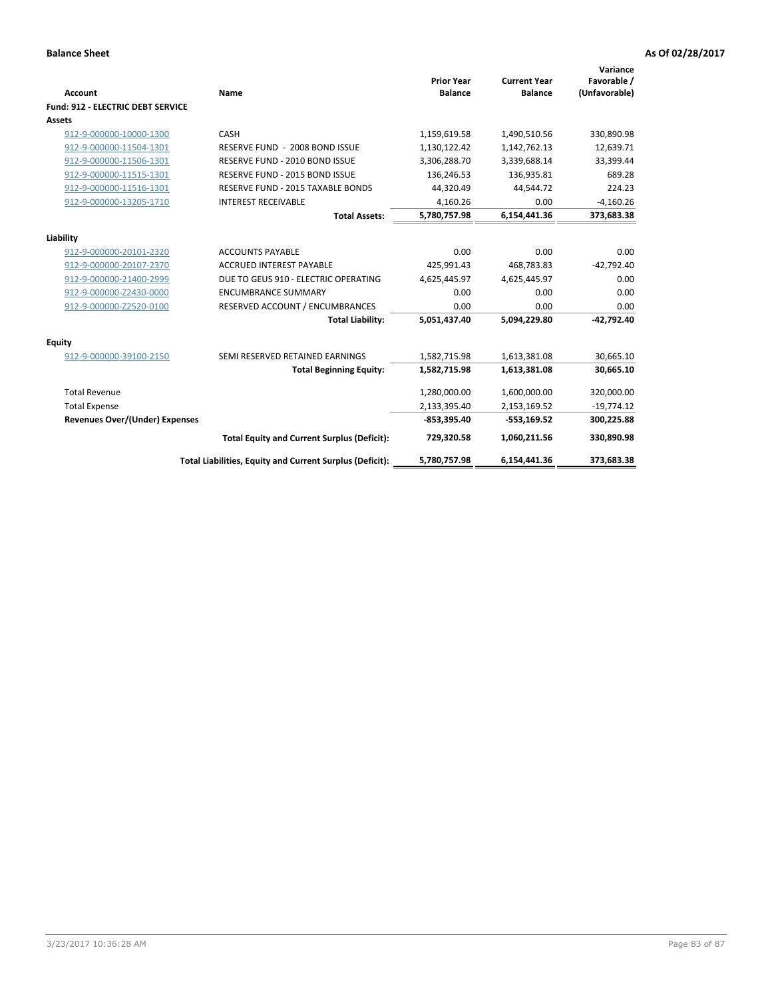| <b>Account</b>                        | Name                                                     | <b>Prior Year</b><br><b>Balance</b> | <b>Current Year</b><br><b>Balance</b> | Variance<br>Favorable /<br>(Unfavorable) |
|---------------------------------------|----------------------------------------------------------|-------------------------------------|---------------------------------------|------------------------------------------|
| Fund: 912 - ELECTRIC DEBT SERVICE     |                                                          |                                     |                                       |                                          |
| <b>Assets</b>                         |                                                          |                                     |                                       |                                          |
| 912-9-000000-10000-1300               | CASH                                                     | 1,159,619.58                        | 1,490,510.56                          | 330,890.98                               |
| 912-9-000000-11504-1301               | RESERVE FUND - 2008 BOND ISSUE                           | 1,130,122.42                        | 1,142,762.13                          | 12,639.71                                |
| 912-9-000000-11506-1301               | RESERVE FUND - 2010 BOND ISSUE                           | 3,306,288.70                        | 3,339,688.14                          | 33,399.44                                |
| 912-9-000000-11515-1301               | RESERVE FUND - 2015 BOND ISSUE                           | 136,246.53                          | 136,935.81                            | 689.28                                   |
| 912-9-000000-11516-1301               | <b>RESERVE FUND - 2015 TAXABLE BONDS</b>                 | 44,320.49                           | 44,544.72                             | 224.23                                   |
| 912-9-000000-13205-1710               | <b>INTEREST RECEIVABLE</b>                               | 4,160.26                            | 0.00                                  | $-4,160.26$                              |
|                                       | <b>Total Assets:</b>                                     | 5,780,757.98                        | 6,154,441.36                          | 373,683.38                               |
| Liability                             |                                                          |                                     |                                       |                                          |
| 912-9-000000-20101-2320               | <b>ACCOUNTS PAYABLE</b>                                  | 0.00                                | 0.00                                  | 0.00                                     |
| 912-9-000000-20107-2370               | <b>ACCRUED INTEREST PAYABLE</b>                          | 425,991.43                          | 468,783.83                            | $-42,792.40$                             |
| 912-9-000000-21400-2999               | DUE TO GEUS 910 - ELECTRIC OPERATING                     | 4,625,445.97                        | 4,625,445.97                          | 0.00                                     |
| 912-9-000000-Z2430-0000               | <b>ENCUMBRANCE SUMMARY</b>                               | 0.00                                | 0.00                                  | 0.00                                     |
| 912-9-000000-Z2520-0100               | RESERVED ACCOUNT / ENCUMBRANCES                          | 0.00                                | 0.00                                  | 0.00                                     |
|                                       | <b>Total Liability:</b>                                  | 5,051,437.40                        | 5,094,229.80                          | $-42,792.40$                             |
| Equity                                |                                                          |                                     |                                       |                                          |
| 912-9-000000-39100-2150               | SEMI RESERVED RETAINED EARNINGS                          | 1,582,715.98                        | 1,613,381.08                          | 30,665.10                                |
|                                       | <b>Total Beginning Equity:</b>                           | 1,582,715.98                        | 1,613,381.08                          | 30,665.10                                |
| <b>Total Revenue</b>                  |                                                          | 1,280,000.00                        | 1,600,000.00                          | 320,000.00                               |
| <b>Total Expense</b>                  |                                                          | 2,133,395.40                        | 2,153,169.52                          | $-19,774.12$                             |
| <b>Revenues Over/(Under) Expenses</b> |                                                          | $-853,395.40$                       | $-553,169.52$                         | 300,225.88                               |
|                                       |                                                          |                                     |                                       |                                          |
|                                       | <b>Total Equity and Current Surplus (Deficit):</b>       | 729,320.58                          | 1,060,211.56                          | 330,890.98                               |
|                                       | Total Liabilities, Equity and Current Surplus (Deficit): | 5,780,757.98                        | 6,154,441.36                          | 373,683.38                               |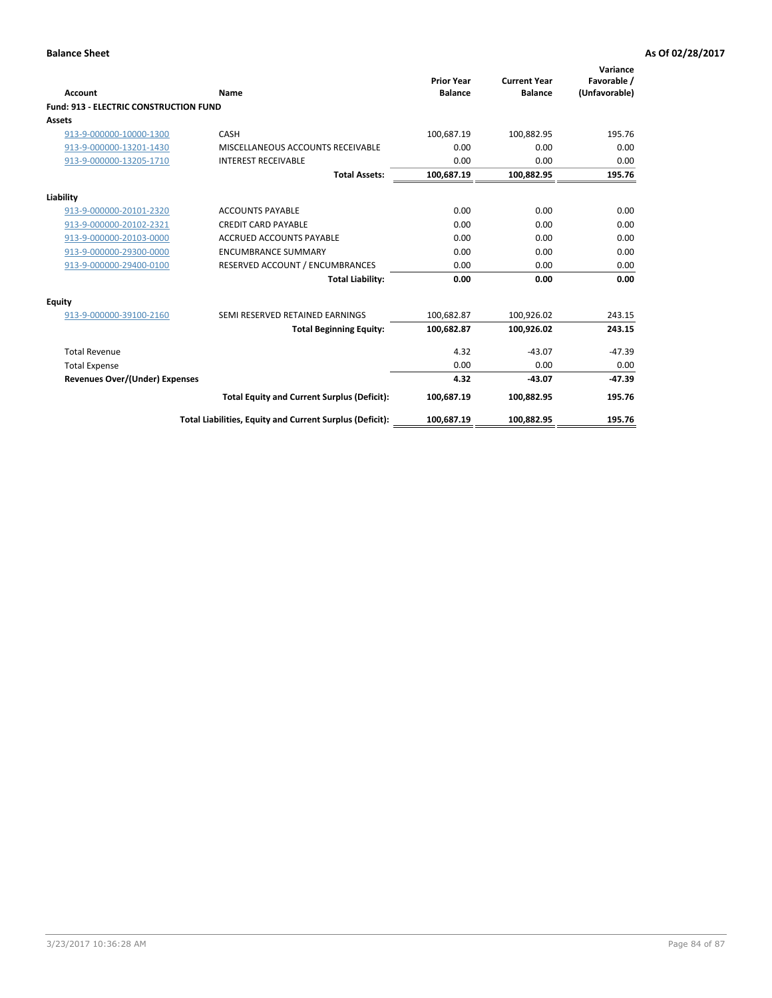| Account                                       | Name                                                     | <b>Prior Year</b><br><b>Balance</b> | <b>Current Year</b><br><b>Balance</b> | Variance<br>Favorable /<br>(Unfavorable) |
|-----------------------------------------------|----------------------------------------------------------|-------------------------------------|---------------------------------------|------------------------------------------|
| <b>Fund: 913 - ELECTRIC CONSTRUCTION FUND</b> |                                                          |                                     |                                       |                                          |
| <b>Assets</b>                                 |                                                          |                                     |                                       |                                          |
| 913-9-000000-10000-1300                       | CASH                                                     | 100,687.19                          | 100,882.95                            | 195.76                                   |
| 913-9-000000-13201-1430                       | MISCELLANEOUS ACCOUNTS RECEIVABLE                        | 0.00                                | 0.00                                  | 0.00                                     |
| 913-9-000000-13205-1710                       | <b>INTEREST RECEIVABLE</b>                               | 0.00                                | 0.00                                  | 0.00                                     |
|                                               | <b>Total Assets:</b>                                     | 100,687.19                          | 100,882.95                            | 195.76                                   |
| Liability                                     |                                                          |                                     |                                       |                                          |
| 913-9-000000-20101-2320                       | <b>ACCOUNTS PAYABLE</b>                                  | 0.00                                | 0.00                                  | 0.00                                     |
| 913-9-000000-20102-2321                       | <b>CREDIT CARD PAYABLE</b>                               | 0.00                                | 0.00                                  | 0.00                                     |
| 913-9-000000-20103-0000                       | <b>ACCRUED ACCOUNTS PAYABLE</b>                          | 0.00                                | 0.00                                  | 0.00                                     |
| 913-9-000000-29300-0000                       | <b>ENCUMBRANCE SUMMARY</b>                               | 0.00                                | 0.00                                  | 0.00                                     |
| 913-9-000000-29400-0100                       | RESERVED ACCOUNT / ENCUMBRANCES                          | 0.00                                | 0.00                                  | 0.00                                     |
|                                               | <b>Total Liability:</b>                                  | 0.00                                | 0.00                                  | 0.00                                     |
| <b>Equity</b>                                 |                                                          |                                     |                                       |                                          |
| 913-9-000000-39100-2160                       | SEMI RESERVED RETAINED EARNINGS                          | 100,682.87                          | 100,926.02                            | 243.15                                   |
|                                               | <b>Total Beginning Equity:</b>                           | 100,682.87                          | 100,926.02                            | 243.15                                   |
| <b>Total Revenue</b>                          |                                                          | 4.32                                | $-43.07$                              | $-47.39$                                 |
| <b>Total Expense</b>                          |                                                          | 0.00                                | 0.00                                  | 0.00                                     |
| <b>Revenues Over/(Under) Expenses</b>         |                                                          | 4.32                                | $-43.07$                              | $-47.39$                                 |
|                                               | <b>Total Equity and Current Surplus (Deficit):</b>       | 100,687.19                          | 100.882.95                            | 195.76                                   |
|                                               | Total Liabilities, Equity and Current Surplus (Deficit): | 100,687.19                          | 100,882.95                            | 195.76                                   |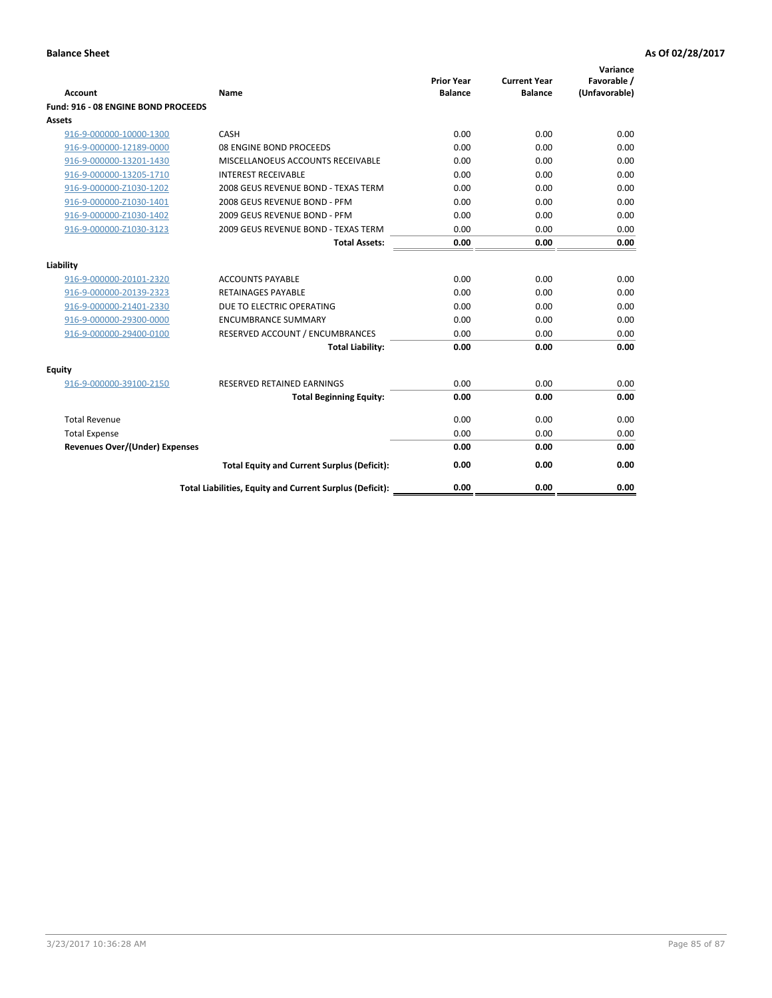| <b>Account</b>                        | Name                                                     | <b>Prior Year</b><br><b>Balance</b> | <b>Current Year</b><br><b>Balance</b> | Variance<br>Favorable /<br>(Unfavorable) |
|---------------------------------------|----------------------------------------------------------|-------------------------------------|---------------------------------------|------------------------------------------|
| Fund: 916 - 08 ENGINE BOND PROCEEDS   |                                                          |                                     |                                       |                                          |
| Assets                                |                                                          |                                     |                                       |                                          |
| 916-9-000000-10000-1300               | CASH                                                     | 0.00                                | 0.00                                  | 0.00                                     |
| 916-9-000000-12189-0000               | 08 ENGINE BOND PROCEEDS                                  | 0.00                                | 0.00                                  | 0.00                                     |
| 916-9-000000-13201-1430               | MISCELLANOEUS ACCOUNTS RECEIVABLE                        | 0.00                                | 0.00                                  | 0.00                                     |
| 916-9-000000-13205-1710               | <b>INTEREST RECEIVABLE</b>                               | 0.00                                | 0.00                                  | 0.00                                     |
| 916-9-000000-Z1030-1202               | 2008 GEUS REVENUE BOND - TEXAS TERM                      | 0.00                                | 0.00                                  | 0.00                                     |
| 916-9-000000-Z1030-1401               | 2008 GEUS REVENUE BOND - PFM                             | 0.00                                | 0.00                                  | 0.00                                     |
| 916-9-000000-Z1030-1402               | 2009 GEUS REVENUE BOND - PFM                             | 0.00                                | 0.00                                  | 0.00                                     |
| 916-9-000000-Z1030-3123               | 2009 GEUS REVENUE BOND - TEXAS TERM                      | 0.00                                | 0.00                                  | 0.00                                     |
|                                       | <b>Total Assets:</b>                                     | 0.00                                | 0.00                                  | 0.00                                     |
| Liability                             |                                                          |                                     |                                       |                                          |
| 916-9-000000-20101-2320               | <b>ACCOUNTS PAYABLE</b>                                  | 0.00                                | 0.00                                  | 0.00                                     |
| 916-9-000000-20139-2323               | <b>RETAINAGES PAYABLE</b>                                | 0.00                                | 0.00                                  | 0.00                                     |
| 916-9-000000-21401-2330               | DUE TO ELECTRIC OPERATING                                | 0.00                                | 0.00                                  | 0.00                                     |
| 916-9-000000-29300-0000               | <b>ENCUMBRANCE SUMMARY</b>                               | 0.00                                | 0.00                                  | 0.00                                     |
| 916-9-000000-29400-0100               | RESERVED ACCOUNT / ENCUMBRANCES                          | 0.00                                | 0.00                                  | 0.00                                     |
|                                       | <b>Total Liability:</b>                                  | 0.00                                | 0.00                                  | 0.00                                     |
| Equity                                |                                                          |                                     |                                       |                                          |
| 916-9-000000-39100-2150               | <b>RESERVED RETAINED EARNINGS</b>                        | 0.00                                | 0.00                                  | 0.00                                     |
|                                       | <b>Total Beginning Equity:</b>                           | 0.00                                | 0.00                                  | 0.00                                     |
| <b>Total Revenue</b>                  |                                                          | 0.00                                | 0.00                                  | 0.00                                     |
| <b>Total Expense</b>                  |                                                          | 0.00                                | 0.00                                  | 0.00                                     |
| <b>Revenues Over/(Under) Expenses</b> |                                                          | 0.00                                | 0.00                                  | 0.00                                     |
|                                       | <b>Total Equity and Current Surplus (Deficit):</b>       | 0.00                                | 0.00                                  | 0.00                                     |
|                                       | Total Liabilities, Equity and Current Surplus (Deficit): | 0.00                                | 0.00                                  | 0.00                                     |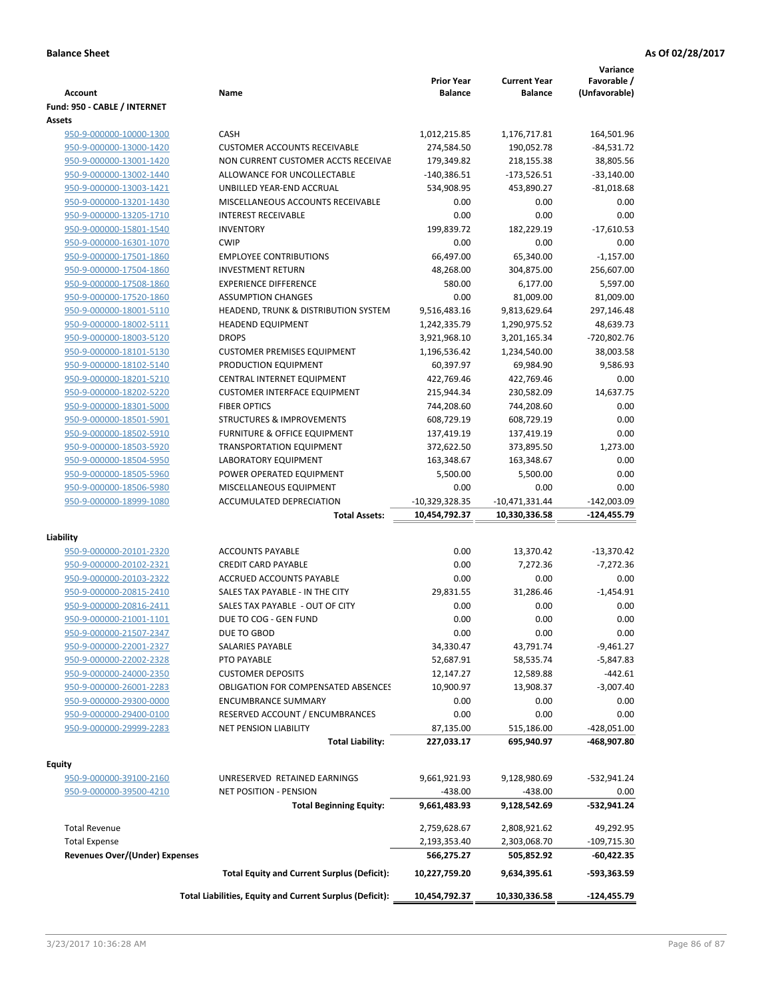| <b>Account</b>                                     | Name                                                        | <b>Prior Year</b><br><b>Balance</b> | <b>Current Year</b><br><b>Balance</b> | Variance<br>Favorable /<br>(Unfavorable) |
|----------------------------------------------------|-------------------------------------------------------------|-------------------------------------|---------------------------------------|------------------------------------------|
| Fund: 950 - CABLE / INTERNET                       |                                                             |                                     |                                       |                                          |
| Assets                                             |                                                             |                                     |                                       |                                          |
| 950-9-000000-10000-1300                            | CASH                                                        | 1,012,215.85                        | 1,176,717.81                          | 164,501.96                               |
| 950-9-000000-13000-1420                            | <b>CUSTOMER ACCOUNTS RECEIVABLE</b>                         | 274,584.50                          | 190,052.78                            | $-84,531.72$                             |
| 950-9-000000-13001-1420                            | NON CURRENT CUSTOMER ACCTS RECEIVAE                         | 179,349.82                          | 218,155.38                            | 38,805.56                                |
| 950-9-000000-13002-1440                            | ALLOWANCE FOR UNCOLLECTABLE                                 | $-140,386.51$                       | $-173,526.51$                         | $-33,140.00$                             |
| 950-9-000000-13003-1421                            | UNBILLED YEAR-END ACCRUAL                                   | 534,908.95                          | 453,890.27                            | $-81,018.68$                             |
| 950-9-000000-13201-1430                            | MISCELLANEOUS ACCOUNTS RECEIVABLE                           | 0.00                                | 0.00                                  | 0.00                                     |
| 950-9-000000-13205-1710                            | <b>INTEREST RECEIVABLE</b>                                  | 0.00                                | 0.00                                  | 0.00                                     |
| 950-9-000000-15801-1540                            | <b>INVENTORY</b>                                            | 199,839.72                          | 182,229.19                            | $-17,610.53$                             |
| 950-9-000000-16301-1070                            | <b>CWIP</b>                                                 | 0.00                                | 0.00                                  | 0.00                                     |
| 950-9-000000-17501-1860                            | <b>EMPLOYEE CONTRIBUTIONS</b>                               | 66,497.00                           | 65,340.00                             | $-1,157.00$                              |
| 950-9-000000-17504-1860                            | <b>INVESTMENT RETURN</b>                                    | 48,268.00                           | 304,875.00                            | 256,607.00                               |
| 950-9-000000-17508-1860                            | <b>EXPERIENCE DIFFERENCE</b>                                | 580.00                              | 6,177.00                              | 5,597.00                                 |
| 950-9-000000-17520-1860                            | <b>ASSUMPTION CHANGES</b>                                   | 0.00                                | 81,009.00                             | 81,009.00                                |
| 950-9-000000-18001-5110                            | HEADEND, TRUNK & DISTRIBUTION SYSTEM                        | 9,516,483.16                        | 9,813,629.64                          | 297,146.48                               |
| 950-9-000000-18002-5111                            | <b>HEADEND EQUIPMENT</b>                                    | 1,242,335.79                        | 1,290,975.52                          | 48,639.73                                |
| 950-9-000000-18003-5120                            | <b>DROPS</b>                                                | 3,921,968.10                        | 3,201,165.34                          | -720,802.76                              |
| 950-9-000000-18101-5130                            | <b>CUSTOMER PREMISES EQUIPMENT</b>                          | 1,196,536.42                        | 1,234,540.00                          | 38,003.58                                |
| 950-9-000000-18102-5140                            | PRODUCTION EQUIPMENT                                        | 60,397.97                           | 69,984.90                             | 9,586.93                                 |
| 950-9-000000-18201-5210                            | CENTRAL INTERNET EQUIPMENT                                  | 422,769.46                          | 422,769.46                            | 0.00                                     |
| 950-9-000000-18202-5220                            | <b>CUSTOMER INTERFACE EQUIPMENT</b>                         | 215,944.34                          | 230,582.09                            | 14,637.75                                |
| 950-9-000000-18301-5000                            | <b>FIBER OPTICS</b><br><b>STRUCTURES &amp; IMPROVEMENTS</b> | 744,208.60                          | 744,208.60                            | 0.00<br>0.00                             |
| 950-9-000000-18501-5901<br>950-9-000000-18502-5910 | <b>FURNITURE &amp; OFFICE EQUIPMENT</b>                     | 608,729.19<br>137,419.19            | 608,729.19<br>137,419.19              | 0.00                                     |
| 950-9-000000-18503-5920                            | <b>TRANSPORTATION EQUIPMENT</b>                             | 372,622.50                          | 373,895.50                            | 1,273.00                                 |
| 950-9-000000-18504-5950                            | LABORATORY EQUIPMENT                                        | 163,348.67                          | 163,348.67                            | 0.00                                     |
| 950-9-000000-18505-5960                            | POWER OPERATED EQUIPMENT                                    | 5,500.00                            | 5,500.00                              | 0.00                                     |
| 950-9-000000-18506-5980                            | MISCELLANEOUS EQUIPMENT                                     | 0.00                                | 0.00                                  | 0.00                                     |
| 950-9-000000-18999-1080                            | <b>ACCUMULATED DEPRECIATION</b>                             | $-10,329,328.35$                    | $-10,471,331.44$                      | $-142,003.09$                            |
|                                                    | <b>Total Assets:</b>                                        | 10,454,792.37                       | 10,330,336.58                         | $-124,455.79$                            |
|                                                    |                                                             |                                     |                                       |                                          |
| Liability                                          |                                                             |                                     |                                       |                                          |
| 950-9-000000-20101-2320                            | <b>ACCOUNTS PAYABLE</b>                                     | 0.00                                | 13,370.42                             | $-13,370.42$                             |
| 950-9-000000-20102-2321                            | <b>CREDIT CARD PAYABLE</b>                                  | 0.00                                | 7,272.36                              | $-7,272.36$                              |
| 950-9-000000-20103-2322                            | ACCRUED ACCOUNTS PAYABLE                                    | 0.00                                | 0.00                                  | 0.00                                     |
| 950-9-000000-20815-2410                            | SALES TAX PAYABLE - IN THE CITY                             | 29,831.55                           | 31,286.46                             | $-1,454.91$                              |
| 950-9-000000-20816-2411                            | SALES TAX PAYABLE - OUT OF CITY                             | 0.00                                | 0.00                                  | 0.00                                     |
| 950-9-000000-21001-1101                            | DUE TO COG - GEN FUND                                       | 0.00                                | 0.00                                  | 0.00                                     |
| 950-9-000000-21507-2347                            | DUE TO GBOD                                                 | 0.00                                | 0.00                                  | 0.00                                     |
| 950-9-000000-22001-2327                            | SALARIES PAYABLE                                            | 34,330.47                           | 43,791.74                             | $-9,461.27$                              |
| 950-9-000000-22002-2328<br>950-9-000000-24000-2350 | PTO PAYABLE<br><b>CUSTOMER DEPOSITS</b>                     | 52,687.91<br>12,147.27              | 58,535.74<br>12,589.88                | -5,847.83<br>$-442.61$                   |
| 950-9-000000-26001-2283                            | <b>OBLIGATION FOR COMPENSATED ABSENCES</b>                  | 10,900.97                           | 13,908.37                             | $-3,007.40$                              |
| 950-9-000000-29300-0000                            | <b>ENCUMBRANCE SUMMARY</b>                                  | 0.00                                | 0.00                                  | 0.00                                     |
| 950-9-000000-29400-0100                            | RESERVED ACCOUNT / ENCUMBRANCES                             | 0.00                                | 0.00                                  | 0.00                                     |
| 950-9-000000-29999-2283                            | <b>NET PENSION LIABILITY</b>                                | 87,135.00                           | 515,186.00                            | $-428,051.00$                            |
|                                                    | <b>Total Liability:</b>                                     | 227,033.17                          | 695,940.97                            | -468,907.80                              |
|                                                    |                                                             |                                     |                                       |                                          |
| <b>Equity</b>                                      |                                                             |                                     |                                       |                                          |
| 950-9-000000-39100-2160                            | UNRESERVED RETAINED EARNINGS                                | 9,661,921.93                        | 9,128,980.69                          | -532,941.24                              |
| 950-9-000000-39500-4210                            | <b>NET POSITION - PENSION</b>                               | $-438.00$                           | $-438.00$                             | 0.00                                     |
|                                                    | <b>Total Beginning Equity:</b>                              | 9,661,483.93                        | 9,128,542.69                          | -532,941.24                              |
| <b>Total Revenue</b>                               |                                                             | 2,759,628.67                        | 2,808,921.62                          | 49,292.95                                |
| <b>Total Expense</b>                               |                                                             | 2,193,353.40                        | 2,303,068.70                          | $-109,715.30$                            |
| <b>Revenues Over/(Under) Expenses</b>              |                                                             | 566,275.27                          | 505,852.92                            | -60,422.35                               |
|                                                    | <b>Total Equity and Current Surplus (Deficit):</b>          | 10,227,759.20                       | 9,634,395.61                          | -593,363.59                              |
|                                                    |                                                             |                                     |                                       |                                          |
|                                                    | Total Liabilities, Equity and Current Surplus (Deficit):    | 10,454,792.37                       | 10,330,336.58                         | -124,455.79                              |